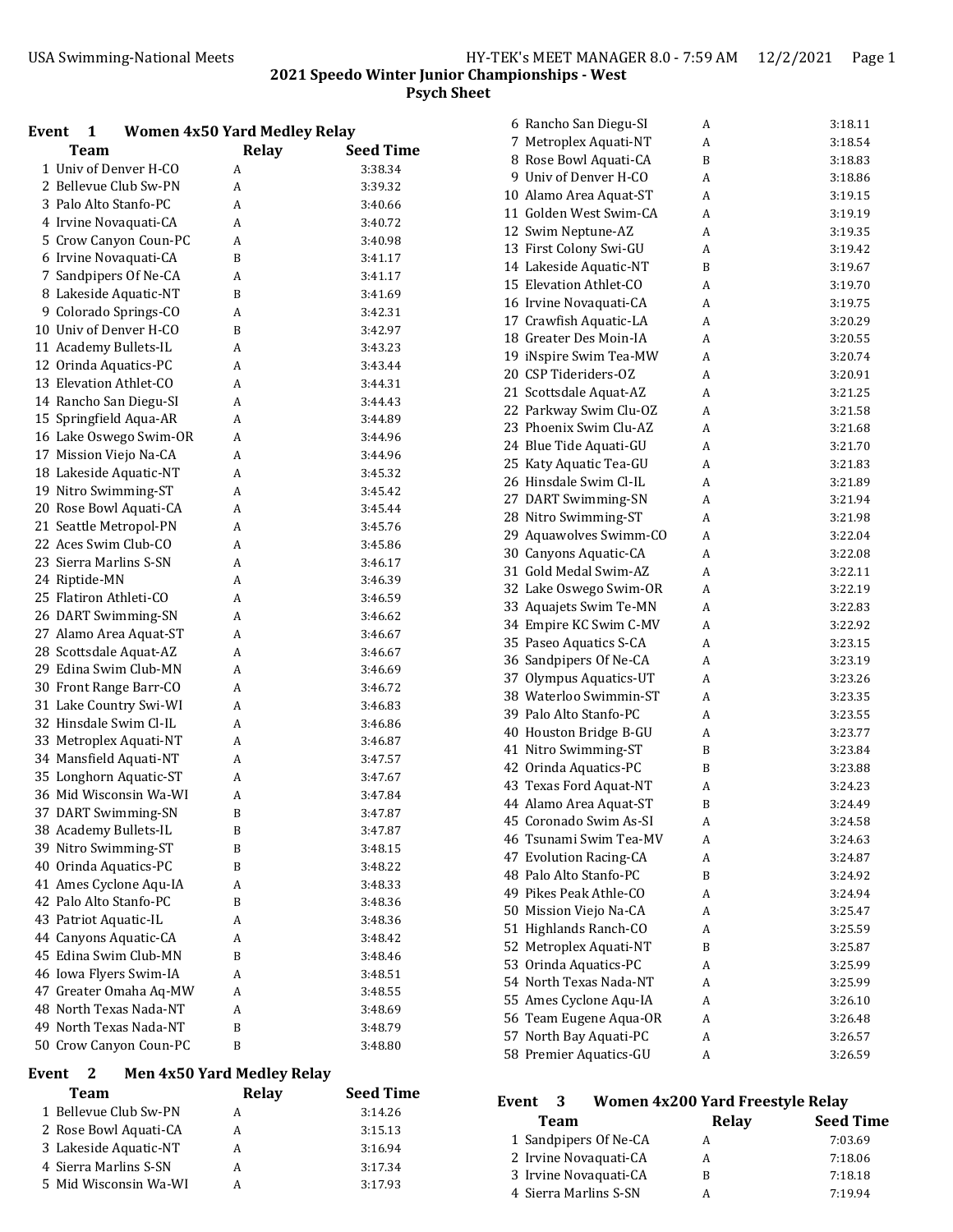3 Lakeside Aquatic-NT A 3:16.94 4 Sierra Marlins S-SN A 3:17.34 5 Mid Wisconsin Wa-WI A 3:17.93

| Event<br>$\mathbf{1}$                            | <b>Women 4x50 Yard Medley Relay</b> |                    | 6 Rancho San Diegu-SI  | A                                | 3:18.11         |
|--------------------------------------------------|-------------------------------------|--------------------|------------------------|----------------------------------|-----------------|
| <b>Team</b>                                      | <b>Relay</b>                        | <b>Seed Time</b>   | 7 Metroplex Aquati-NT  | A                                | 3:18.54         |
| 1 Univ of Denver H-CO                            | A                                   | 3:38.34            | 8 Rose Bowl Aquati-CA  | B                                | 3:18.83         |
| 2 Bellevue Club Sw-PN                            | A                                   | 3:39.32            | 9 Univ of Denver H-CO  | A                                | 3:18.86         |
| 3 Palo Alto Stanfo-PC                            | A                                   | 3:40.66            | 10 Alamo Area Aquat-ST | A                                | 3:19.15         |
| 4 Irvine Novaguati-CA                            | A                                   | 3:40.72            | 11 Golden West Swim-CA | A                                | 3:19.19         |
| 5 Crow Canyon Coun-PC                            | A                                   | 3:40.98            | 12 Swim Neptune-AZ     | A                                | 3:19.35         |
| 6 Irvine Novaquati-CA                            | B                                   | 3:41.17            | 13 First Colony Swi-GU | A                                | 3:19.42         |
| 7 Sandpipers Of Ne-CA                            | A                                   | 3:41.17            | 14 Lakeside Aquatic-NT | B                                | 3:19.67         |
| 8 Lakeside Aquatic-NT                            | B                                   | 3:41.69            | 15 Elevation Athlet-CO | A                                | 3:19.70         |
| 9 Colorado Springs-CO                            | A                                   | 3:42.31            | 16 Irvine Novaquati-CA | A                                | 3:19.75         |
| 10 Univ of Denver H-CO                           | B                                   | 3:42.97            | 17 Crawfish Aquatic-LA | A                                | 3:20.29         |
| 11 Academy Bullets-IL                            | A                                   | 3:43.23            | 18 Greater Des Moin-IA | A                                | 3:20.55         |
| 12 Orinda Aquatics-PC                            | A                                   | 3:43.44            | 19 iNspire Swim Tea-MW | A                                | 3:20.74         |
| 13 Elevation Athlet-CO                           | A                                   | 3:44.31            | 20 CSP Tideriders-OZ   | A                                | 3:20.91         |
| 14 Rancho San Diegu-SI                           | A                                   | 3:44.43            | 21 Scottsdale Aquat-AZ | A                                | 3:21.25         |
| 15 Springfield Aqua-AR                           | A                                   | 3:44.89            | 22 Parkway Swim Clu-OZ | A                                | 3:21.58         |
| 16 Lake Oswego Swim-OR                           | A                                   | 3:44.96            | 23 Phoenix Swim Clu-AZ | A                                | 3:21.68         |
| 17 Mission Viejo Na-CA                           | A                                   | 3:44.96            | 24 Blue Tide Aquati-GU | A                                | 3:21.70         |
| 18 Lakeside Aquatic-NT                           | A                                   | 3:45.32            | 25 Katy Aquatic Tea-GU | A                                | 3:21.83         |
| 19 Nitro Swimming-ST                             | A                                   | 3:45.42            | 26 Hinsdale Swim Cl-IL | A                                | 3:21.89         |
| 20 Rose Bowl Aquati-CA                           | A                                   | 3:45.44            | 27 DART Swimming-SN    | A                                | 3:21.94         |
| 21 Seattle Metropol-PN                           | A                                   | 3:45.76            | 28 Nitro Swimming-ST   | A                                | 3:21.98         |
| 22 Aces Swim Club-CO                             | A                                   | 3:45.86            | 29 Aquawolves Swimm-CO | A                                | 3:22.04         |
| 23 Sierra Marlins S-SN                           | A                                   | 3:46.17            | 30 Canyons Aquatic-CA  | A                                | 3:22.08         |
| 24 Riptide-MN                                    | A                                   | 3:46.39            | 31 Gold Medal Swim-AZ  | A                                | 3:22.11         |
| 25 Flatiron Athleti-CO                           | A                                   |                    | 32 Lake Oswego Swim-OR | A                                | 3:22.19         |
|                                                  |                                     | 3:46.59            | 33 Aquajets Swim Te-MN | A                                | 3:22.83         |
| 26 DART Swimming-SN<br>27 Alamo Area Aquat-ST    | A                                   | 3:46.62            | 34 Empire KC Swim C-MV | A                                | 3:22.92         |
| 28 Scottsdale Aquat-AZ                           | A                                   | 3:46.67            | 35 Paseo Aquatics S-CA | A                                | 3:23.15         |
| 29 Edina Swim Club-MN                            | A                                   | 3:46.67            | 36 Sandpipers Of Ne-CA | A                                | 3:23.19         |
| 30 Front Range Barr-CO                           | A<br>A                              | 3:46.69            | 37 Olympus Aquatics-UT | A                                | 3:23.26         |
| 31 Lake Country Swi-WI                           | A                                   | 3:46.72<br>3:46.83 | 38 Waterloo Swimmin-ST | A                                | 3:23.35         |
| 32 Hinsdale Swim Cl-IL                           |                                     |                    | 39 Palo Alto Stanfo-PC | A                                | 3:23.55         |
| 33 Metroplex Aquati-NT                           | A<br>A                              | 3:46.86<br>3:46.87 | 40 Houston Bridge B-GU | A                                | 3:23.77         |
| 34 Mansfield Aquati-NT                           |                                     |                    | 41 Nitro Swimming-ST   | B                                | 3:23.84         |
|                                                  | A                                   | 3:47.57            | 42 Orinda Aquatics-PC  | B                                | 3:23.88         |
| 35 Longhorn Aquatic-ST<br>36 Mid Wisconsin Wa-WI | A<br>A                              | 3:47.67<br>3:47.84 | 43 Texas Ford Aquat-NT | A                                | 3:24.23         |
|                                                  | B                                   |                    | 44 Alamo Area Aquat-ST | B                                | 3:24.49         |
| 37 DART Swimming-SN                              |                                     | 3:47.87            | 45 Coronado Swim As-SI | A                                | 3:24.58         |
| 38 Academy Bullets-IL<br>39 Nitro Swimming-ST    | B                                   | 3:47.87            | 46 Tsunami Swim Tea-MV | A                                | 3:24.63         |
|                                                  | B                                   | 3:48.15            | 47 Evolution Racing-CA | A                                | 3:24.87         |
| 40 Orinda Aquatics-PC                            | B                                   | 3:48.22            | 48 Palo Alto Stanfo-PC | B                                | 3:24.92         |
| 41 Ames Cyclone Aqu-IA<br>42 Palo Alto Stanfo-PC | A                                   | 3:48.33            | 49 Pikes Peak Athle-CO | A                                | 3:24.94         |
| 43 Patriot Aquatic-IL                            | B                                   | 3:48.36            | 50 Mission Viejo Na-CA | A                                | 3:25.47         |
| 44 Canyons Aquatic-CA                            | A                                   | 3:48.36            | 51 Highlands Ranch-CO  | A                                | 3:25.59         |
| 45 Edina Swim Club-MN                            | A<br>B                              | 3:48.42            | 52 Metroplex Aquati-NT | B                                | 3:25.87         |
|                                                  |                                     | 3:48.46            | 53 Orinda Aquatics-PC  | A                                | 3:25.99         |
| 46 Iowa Flyers Swim-IA                           | A                                   | 3:48.51            | 54 North Texas Nada-NT | A                                | 3:25.99         |
| 47 Greater Omaha Aq-MW<br>48 North Texas Nada-NT | A                                   | 3:48.55            | 55 Ames Cyclone Aqu-IA | A                                | 3:26.10         |
| 49 North Texas Nada-NT                           | A                                   | 3:48.69            | 56 Team Eugene Aqua-OR | A                                | 3:26.48         |
|                                                  | B                                   | 3:48.79            | 57 North Bay Aquati-PC | A                                | 3:26.57         |
| 50 Crow Canyon Coun-PC                           | B                                   | 3:48.80            | 58 Premier Aquatics-GU | A                                | 3:26.59         |
| Event<br><sup>2</sup>                            | <b>Men 4x50 Yard Medley Relay</b>   |                    |                        |                                  |                 |
| <b>Team</b>                                      | <b>Relay</b>                        | <b>Seed Time</b>   | Event<br>3             | Women 4x200 Yard Freestyle Relay |                 |
| 1 Bellevue Club Sw-PN                            | A                                   | 3:14.26            |                        | Relay                            | <b>Seed Tir</b> |
| 2 Rose Bowl Aquati-CA                            | A                                   | 3:15.13            | <b>Team</b>            |                                  |                 |

| Team                  | Relay | <b>Seed Time</b> |
|-----------------------|-------|------------------|
| 1 Sandpipers Of Ne-CA | А     | 7:03.69          |
| 2 Irvine Novaguati-CA | А     | 7:18.06          |
| 3 Irvine Novaguati-CA | R     | 7:18.18          |
| 4 Sierra Marlins S-SN | А     | 7:19.94          |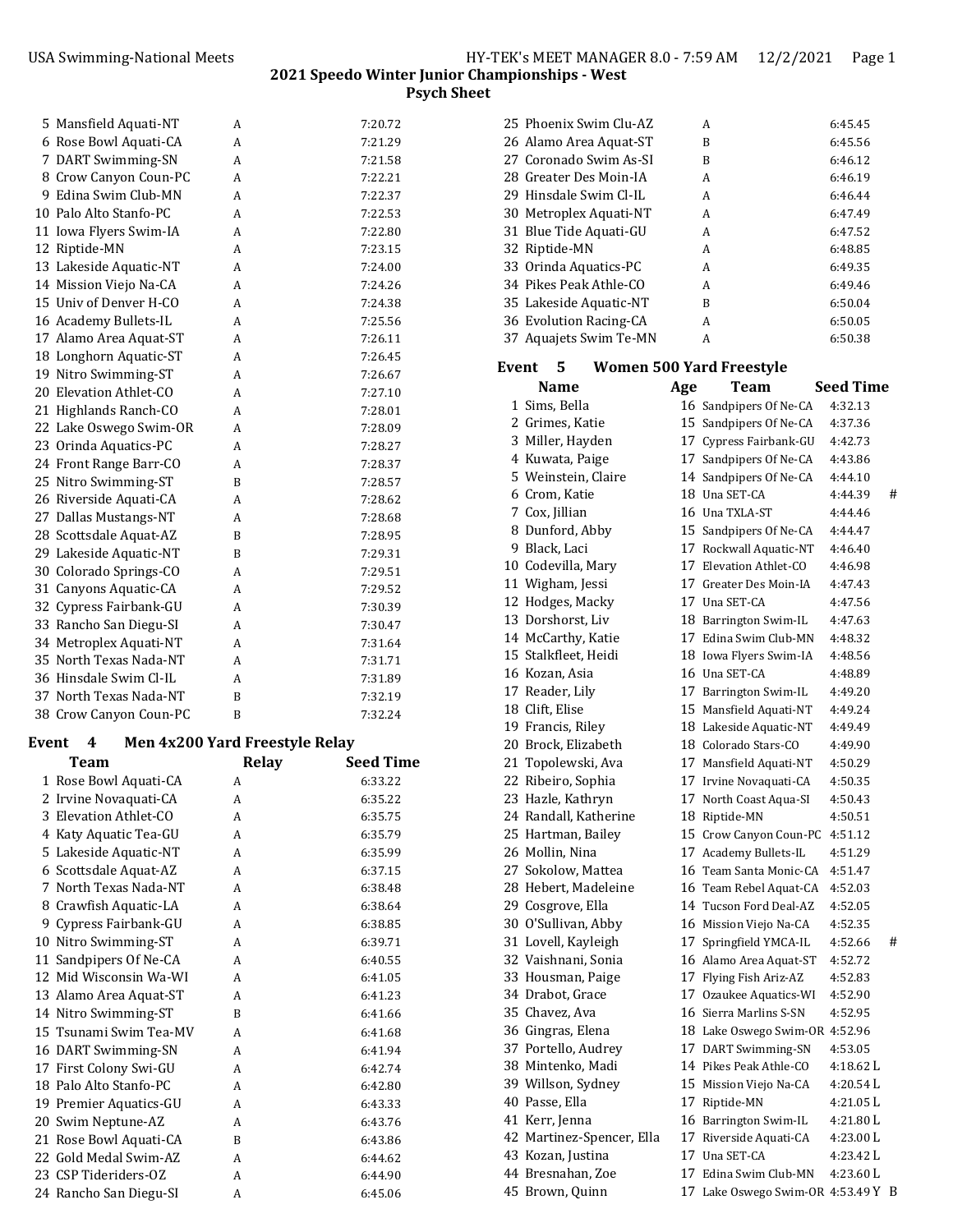| 5 Mansfield Aquati-NT  | A | 7:20.72 |
|------------------------|---|---------|
| 6 Rose Bowl Aquati-CA  | A | 7:21.29 |
| 7 DART Swimming-SN     | A | 7:21.58 |
| 8 Crow Canyon Coun-PC  | A | 7:22.21 |
| 9 Edina Swim Club-MN   | A | 7:22.37 |
| 10 Palo Alto Stanfo-PC | A | 7:22.53 |
| 11 Iowa Flyers Swim-IA | A | 7:22.80 |
| 12 Riptide-MN          | A | 7:23.15 |
| 13 Lakeside Aquatic-NT | A | 7:24.00 |
| 14 Mission Viejo Na-CA | A | 7:24.26 |
| 15 Univ of Denver H-CO | A | 7:24.38 |
| 16 Academy Bullets-IL  | A | 7:25.56 |
| 17 Alamo Area Aquat-ST | A | 7:26.11 |
| 18 Longhorn Aquatic-ST | A | 7:26.45 |
| 19 Nitro Swimming-ST   | A | 7:26.67 |
| 20 Elevation Athlet-CO | A | 7:27.10 |
| 21 Highlands Ranch-CO  | A | 7:28.01 |
| 22 Lake Oswego Swim-OR | A | 7:28.09 |
| 23 Orinda Aquatics-PC  | A | 7:28.27 |
| 24 Front Range Barr-CO | A | 7:28.37 |
| 25 Nitro Swimming-ST   | B | 7:28.57 |
| 26 Riverside Aquati-CA | A | 7:28.62 |
| 27 Dallas Mustangs-NT  | A | 7:28.68 |
| 28 Scottsdale Aquat-AZ | B | 7:28.95 |
| 29 Lakeside Aquatic-NT | B | 7:29.31 |
| 30 Colorado Springs-CO | A | 7:29.51 |
| 31 Canyons Aquatic-CA  | A | 7:29.52 |
| 32 Cypress Fairbank-GU | A | 7:30.39 |
| 33 Rancho San Diegu-SI | A | 7:30.47 |
| 34 Metroplex Aquati-NT | A | 7:31.64 |
| 35 North Texas Nada-NT | A | 7:31.71 |
| 36 Hinsdale Swim Cl-IL | A | 7:31.89 |
| 37 North Texas Nada-NT | B | 7:32.19 |
| 38 Crow Canyon Coun-PC | B | 7:32.24 |

## **Event 4 Men 4x200 Yard Freestyle Relay**

| <b>Team</b>            | Relay | <b>Seed Time</b> |
|------------------------|-------|------------------|
| 1 Rose Bowl Aquati-CA  | A     | 6:33.22          |
| 2 Irvine Novaquati-CA  | A     | 6:35.22          |
| 3 Elevation Athlet-CO  | A     | 6:35.75          |
| 4 Katy Aquatic Tea-GU  | A     | 6:35.79          |
| 5 Lakeside Aquatic-NT  | A     | 6:35.99          |
| 6 Scottsdale Aquat-AZ  | A     | 6:37.15          |
| 7 North Texas Nada-NT  | A     | 6:38.48          |
| 8 Crawfish Aquatic-LA  | A     | 6:38.64          |
| 9 Cypress Fairbank-GU  | A     | 6:38.85          |
| 10 Nitro Swimming-ST   | A     | 6:39.71          |
| 11 Sandpipers Of Ne-CA | A     | 6:40.55          |
| 12 Mid Wisconsin Wa-WI | A     | 6:41.05          |
| 13 Alamo Area Aquat-ST | A     | 6:41.23          |
| 14 Nitro Swimming-ST   | B     | 6:41.66          |
| 15 Tsunami Swim Tea-MV | A     | 6:41.68          |
| 16 DART Swimming-SN    | A     | 6:41.94          |
| 17 First Colony Swi-GU | A     | 6:42.74          |
| 18 Palo Alto Stanfo-PC | A     | 6:42.80          |
| 19 Premier Aquatics-GU | A     | 6:43.33          |
| 20 Swim Neptune-AZ     | A     | 6:43.76          |
| 21 Rose Bowl Aquati-CA | B     | 6:43.86          |
| 22 Gold Medal Swim-AZ  | A     | 6:44.62          |
| 23 CSP Tideriders-OZ   | A     | 6:44.90          |
| 24 Rancho San Diegu-SI | A     | 6:45.06          |

| 25 Phoenix Swim Clu-AZ | A | 6:45.45 |
|------------------------|---|---------|
| 26 Alamo Area Aquat-ST | B | 6:45.56 |
| 27 Coronado Swim As-SI | B | 6:46.12 |
| 28 Greater Des Moin-IA | A | 6:46.19 |
| 29 Hinsdale Swim Cl-IL | A | 6:46.44 |
| 30 Metroplex Aquati-NT | A | 6:47.49 |
| 31 Blue Tide Aquati-GU | A | 6:47.52 |
| 32 Riptide-MN          | A | 6:48.85 |
| 33 Orinda Aquatics-PC  | A | 6:49.35 |
| 34 Pikes Peak Athle-CO | A | 6:49.46 |
| 35 Lakeside Aquatic-NT | B | 6:50.04 |
| 36 Evolution Racing-CA | A | 6:50.05 |
| 37 Aquajets Swim Te-MN | A | 6:50.38 |

| Event<br>-5.  | <b>Women 500 Yard Freestyle</b> |      |                                 |  |  |
|---------------|---------------------------------|------|---------------------------------|--|--|
| <b>Name</b>   | Age                             | Team | <b>Seed Time</b>                |  |  |
| 1 Sims, Bella |                                 |      | 16. Sandpiners Of Ne-CA 4:32.13 |  |  |

| т эннэ, рена              |    | 10 Sanupipers Of Ne-CA           | 4.94.19   |   |
|---------------------------|----|----------------------------------|-----------|---|
| 2 Grimes, Katie           |    | 15 Sandpipers Of Ne-CA           | 4:37.36   |   |
| 3 Miller, Hayden          |    | 17 Cypress Fairbank-GU           | 4:42.73   |   |
| 4 Kuwata, Paige           |    | 17 Sandpipers Of Ne-CA           | 4:43.86   |   |
| 5 Weinstein, Claire       |    | 14 Sandpipers Of Ne-CA           | 4:44.10   |   |
| 6 Crom, Katie             |    | 18 Una SET-CA                    | 4:44.39   | # |
| 7 Cox, Jillian            |    | 16 Una TXLA-ST                   | 4:44.46   |   |
| 8 Dunford, Abby           |    | 15 Sandpipers Of Ne-CA           | 4:44.47   |   |
| 9 Black, Laci             |    | 17 Rockwall Aquatic-NT           | 4:46.40   |   |
| 10 Codevilla, Mary        |    | 17 Elevation Athlet-CO           | 4:46.98   |   |
| 11 Wigham, Jessi          |    | 17 Greater Des Moin-IA           | 4:47.43   |   |
| 12 Hodges, Macky          |    | 17 Una SET-CA                    | 4:47.56   |   |
| 13 Dorshorst, Liv         |    | 18 Barrington Swim-IL            | 4:47.63   |   |
| 14 McCarthy, Katie        |    | 17 Edina Swim Club-MN            | 4:48.32   |   |
| 15 Stalkfleet, Heidi      |    | 18 Iowa Flyers Swim-IA           | 4:48.56   |   |
| 16 Kozan, Asia            |    | 16 Una SET-CA                    | 4:48.89   |   |
| 17 Reader, Lily           |    | 17 Barrington Swim-IL            | 4:49.20   |   |
| 18 Clift, Elise           |    | 15 Mansfield Aquati-NT           | 4:49.24   |   |
| 19 Francis, Riley         |    | 18 Lakeside Aquatic-NT           | 4:49.49   |   |
| 20 Brock, Elizabeth       |    | 18 Colorado Stars-CO             | 4:49.90   |   |
| 21 Topolewski, Ava        |    | 17 Mansfield Aquati-NT           | 4:50.29   |   |
| 22 Ribeiro, Sophia        |    | 17 Irvine Novaquati-CA           | 4:50.35   |   |
| 23 Hazle, Kathryn         |    | 17 North Coast Aqua-SI           | 4:50.43   |   |
| 24 Randall, Katherine     |    | 18 Riptide-MN                    | 4:50.51   |   |
| 25 Hartman, Bailey        |    | 15 Crow Canyon Coun-PC           | 4:51.12   |   |
| 26 Mollin, Nina           |    | 17 Academy Bullets-IL            | 4:51.29   |   |
| 27 Sokolow, Mattea        |    | 16 Team Santa Monic-CA           | 4:51.47   |   |
| 28 Hebert, Madeleine      |    | 16 Team Rebel Aquat-CA           | 4:52.03   |   |
| 29 Cosgrove, Ella         |    | 14 Tucson Ford Deal-AZ           | 4:52.05   |   |
| 30 O'Sullivan, Abby       |    | 16 Mission Viejo Na-CA           | 4:52.35   |   |
| 31 Lovell, Kayleigh       |    | 17 Springfield YMCA-IL           | 4:52.66   | # |
| 32 Vaishnani, Sonia       |    | 16 Alamo Area Aquat-ST           | 4:52.72   |   |
| 33 Housman, Paige         |    | 17 Flying Fish Ariz-AZ           | 4:52.83   |   |
| 34 Drabot, Grace          |    | 17 Ozaukee Aquatics-WI           | 4:52.90   |   |
| 35 Chavez, Ava            |    | 16 Sierra Marlins S-SN           | 4:52.95   |   |
| 36 Gingras, Elena         |    | 18 Lake Oswego Swim-OR 4:52.96   |           |   |
| 37 Portello, Audrey       |    | 17 DART Swimming-SN              | 4:53.05   |   |
| 38 Mintenko, Madi         |    | 14 Pikes Peak Athle-CO           | 4:18.62 L |   |
| 39 Willson, Sydney        |    | 15 Mission Viejo Na-CA           | 4:20.54 L |   |
| 40 Passe, Ella            |    | 17 Riptide-MN                    | 4:21.05 L |   |
| 41 Kerr, Jenna            |    | 16 Barrington Swim-IL            | 4:21.80 L |   |
| 42 Martinez-Spencer, Ella |    | 17 Riverside Aquati-CA           | 4:23.00 L |   |
| 43 Kozan, Justina         |    | 17 Una SET-CA                    | 4:23.42 L |   |
| 44 Bresnahan, Zoe         | 17 | Edina Swim Club-MN               | 4:23.60 L |   |
| 45 Brown, Quinn           |    | 17 Lake Oswego Swim-OR 4:53.49 Y |           | B |
|                           |    |                                  |           |   |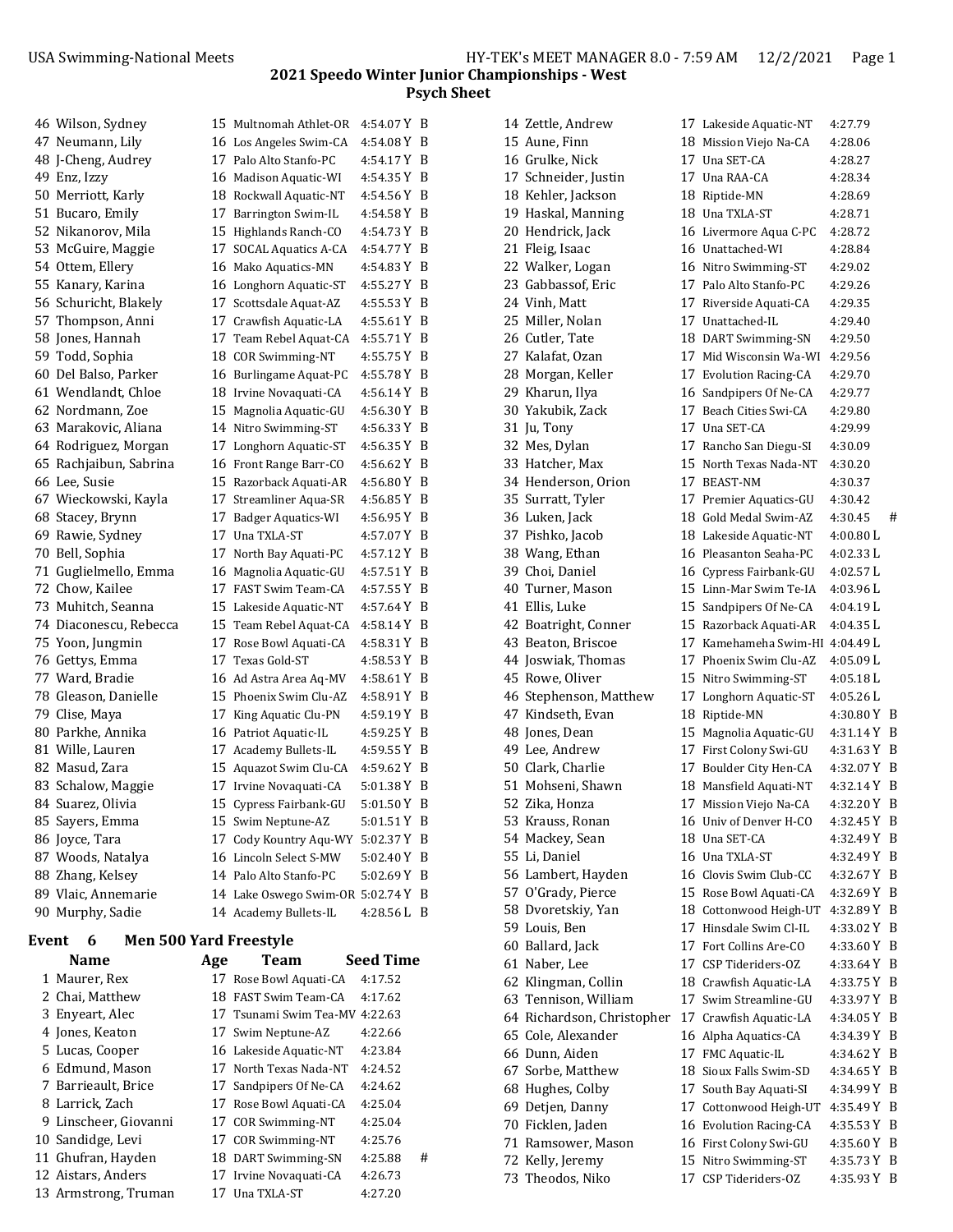## **2021 Speedo Winter Junior Championships ‐ West Psych Sheet**

| 46 Wilson, Sydney      |    | 15 Multnomah Athlet-OR           | 4:54.07 Y | B |
|------------------------|----|----------------------------------|-----------|---|
| 47 Neumann, Lily       |    | 16 Los Angeles Swim-CA           | 4:54.08Y  | B |
| 48 J-Cheng, Audrey     |    | 17 Palo Alto Stanfo-PC           | 4:54.17Y  | B |
| 49 Enz, Izzy           |    | 16 Madison Aquatic-WI            | 4:54.35 Y | B |
| 50 Merriott, Karly     |    | 18 Rockwall Aquatic-NT           | 4:54.56 Y | B |
| 51 Bucaro, Emily       |    | 17 Barrington Swim-IL            | 4:54.58Y  | B |
| 52 Nikanorov, Mila     |    | 15 Highlands Ranch-CO            | 4:54.73 Y | B |
| 53 McGuire, Maggie     |    | 17 SOCAL Aquatics A-CA           | 4:54.77 Y | B |
| 54 Ottem, Ellery       |    | 16 Mako Aquatics-MN              | 4:54.83Y  | B |
| 55 Kanary, Karina      |    | 16 Longhorn Aquatic-ST           | 4:55.27 Y | B |
| 56 Schuricht, Blakely  |    | 17 Scottsdale Aquat-AZ           | 4:55.53 Y | B |
| 57 Thompson, Anni      |    | 17 Crawfish Aquatic-LA           | 4:55.61 Y | B |
| 58 Jones, Hannah       |    | 17 Team Rebel Aquat-CA           | 4:55.71Y  | B |
| 59 Todd, Sophia        |    | 18 COR Swimming-NT               | 4:55.75 Y | B |
| 60 Del Balso, Parker   |    | 16 Burlingame Aquat-PC           | 4:55.78Y  | B |
| 61 Wendlandt, Chloe    |    | 18 Irvine Novaquati-CA           | 4:56.14Y  | B |
| 62 Nordmann, Zoe       |    | 15 Magnolia Aquatic-GU           | 4:56.30Y  | B |
| 63 Marakovic, Aliana   |    | 14 Nitro Swimming-ST             | 4:56.33Y  | B |
| 64 Rodriguez, Morgan   |    | 17 Longhorn Aquatic-ST           | 4:56.35 Y | B |
| 65 Rachjaibun, Sabrina |    | 16 Front Range Barr-CO           | 4:56.62Y  | B |
| 66 Lee, Susie          |    | 15 Razorback Aquati-AR           | 4:56.80Y  | B |
| 67 Wieckowski, Kayla   |    | 17 Streamliner Aqua-SR           | 4:56.85Y  | B |
| 68 Stacey, Brynn       |    | 17 Badger Aquatics-WI            | 4:56.95 Y | B |
| 69 Rawie, Sydney       |    | 17 Una TXLA-ST                   | 4:57.07 Y | B |
| 70 Bell, Sophia        | 17 | North Bay Aquati-PC              | 4:57.12 Y | B |
| 71 Guglielmello, Emma  |    | 16 Magnolia Aquatic-GU           | 4:57.51 Y | B |
| 72 Chow, Kailee        |    | 17 FAST Swim Team-CA             | 4:57.55 Y | B |
| 73 Muhitch, Seanna     |    | 15 Lakeside Aquatic-NT           | 4:57.64Y  | B |
| 74 Diaconescu, Rebecca |    | 15 Team Rebel Aquat-CA           | 4:58.14 Y | B |
| 75 Yoon, Jungmin       |    | 17 Rose Bowl Aquati-CA           | 4:58.31 Y | B |
| 76 Gettys, Emma        |    | 17 Texas Gold-ST                 | 4:58.53 Y | B |
| 77 Ward, Bradie        |    | 16 Ad Astra Area Aq-MV           | 4:58.61 Y | B |
| 78 Gleason, Danielle   |    | 15 Phoenix Swim Clu-AZ           | 4:58.91 Y | B |
| 79 Clise, Maya         |    | 17 King Aquatic Clu-PN           | 4:59.19Y  | B |
| 80 Parkhe, Annika      |    | 16 Patriot Aquatic-IL            | 4:59.25 Y | B |
| 81 Wille, Lauren       |    | 17 Academy Bullets-IL            | 4:59.55 Y | B |
| 82 Masud, Zara         |    | 15 Aquazot Swim Clu-CA           | 4:59.62Y  | B |
| 83 Schalow, Maggie     |    | 17 Irvine Novaquati-CA           | 5:01.38Y  | B |
| 84 Suarez, Olivia      |    | 15 Cypress Fairbank-GU           | 5:01.50Y  | B |
| 85 Sayers, Emma        |    | 15 Swim Neptune-AZ               | 5:01.51 Y | B |
| 86 Joyce, Tara         |    | 17 Cody Kountry Aqu-WY           | 5:02.37 Y | B |
| 87 Woods, Natalya      |    | 16 Lincoln Select S-MW           | 5:02.40Y  | B |
| 88 Zhang, Kelsey       |    | 14 Palo Alto Stanfo-PC           | 5:02.69 Y | B |
| 89 Vlaic, Annemarie    |    | 14 Lake Oswego Swim-OR 5:02.74 Y |           | B |
| 90 Murphy, Sadie       |    | 14 Academy Bullets-IL            | 4:28.56L  | B |

## **Event 6 Men 500 Yard Freestyle**

| <b>Name</b>           | Age | Team                           | <b>Seed Time</b> |   |
|-----------------------|-----|--------------------------------|------------------|---|
| 1 Maurer, Rex         |     | 17 Rose Bowl Aquati-CA         | 4:17.52          |   |
| 2 Chai, Matthew       |     | 18 FAST Swim Team-CA           | 4:17.62          |   |
| 3 Enveart, Alec       |     | 17 Tsunami Swim Tea-MV 4:22.63 |                  |   |
| 4 Jones, Keaton       |     | 17 Swim Neptune-AZ             | 4:22.66          |   |
| 5 Lucas, Cooper       |     | 16 Lakeside Aquatic-NT         | 4:23.84          |   |
| 6 Edmund, Mason       |     | 17 North Texas Nada-NT         | 4:24.52          |   |
| 7 Barrieault, Brice   |     | 17 Sandpipers Of Ne-CA         | 4:24.62          |   |
| 8 Larrick, Zach       |     | 17 Rose Bowl Aquati-CA         | 4:25.04          |   |
| 9 Linscheer, Giovanni |     | 17 COR Swimming-NT             | 4:25.04          |   |
| 10 Sandidge, Levi     |     | 17 COR Swimming-NT             | 4:25.76          |   |
| 11 Ghufran, Hayden    |     | 18 DART Swimming-SN            | 4:25.88          | # |
| 12 Aistars, Anders    |     | 17 Irvine Novaquati-CA         | 4:26.73          |   |
| 13 Armstrong, Truman  |     | Una TXLA-ST                    | 4:27.20          |   |

| 14 Zettle, Andrew                           | 17 Lakeside Aquatic-NT          | 4:27.79                 |   |
|---------------------------------------------|---------------------------------|-------------------------|---|
| 15 Aune, Finn                               | 18 Mission Viejo Na-CA          | 4:28.06                 |   |
| 16 Grulke, Nick                             | 17 Una SET-CA                   | 4:28.27                 |   |
| 17 Schneider, Justin                        | 17 Una RAA-CA                   | 4:28.34                 |   |
| 18 Kehler, Jackson                          | 18 Riptide-MN                   | 4:28.69                 |   |
| 19 Haskal, Manning                          | 18 Una TXLA-ST                  | 4:28.71                 |   |
| 20 Hendrick, Jack                           | 16 Livermore Aqua C-PC          | 4:28.72                 |   |
| 21 Fleig, Isaac                             | 16 Unattached-WI                | 4:28.84                 |   |
| 22 Walker, Logan                            | 16 Nitro Swimming-ST            | 4:29.02                 |   |
| 23 Gabbassof, Eric                          | 17 Palo Alto Stanfo-PC          | 4:29.26                 |   |
| 24 Vinh. Matt                               | 17 Riverside Aquati-CA          | 4:29.35                 |   |
| 25 Miller, Nolan                            | 17 Unattached-IL                | 4:29.40                 |   |
| 26 Cutler, Tate                             | 18 DART Swimming-SN             | 4:29.50                 |   |
|                                             | 17 Mid Wisconsin Wa-WI          |                         |   |
| 27 Kalafat, Ozan                            |                                 | 4:29.56                 |   |
| 28 Morgan, Keller                           | 17 Evolution Racing-CA          | 4:29.70                 |   |
| 29 Kharun, Ilya                             | 16 Sandpipers Of Ne-CA          | 4:29.77                 |   |
| 30 Yakubik, Zack                            | 17 Beach Cities Swi-CA          | 4:29.80                 |   |
| 31 Ju, Tony                                 | 17 Una SET-CA                   | 4:29.99                 |   |
| 32 Mes, Dylan                               | 17 Rancho San Diegu-SI          | 4:30.09                 |   |
| 33 Hatcher, Max                             | 15 North Texas Nada-NT          | 4:30.20                 |   |
| 34 Henderson, Orion                         | 17 BEAST-NM                     | 4:30.37                 |   |
| 35 Surratt, Tyler                           | 17 Premier Aquatics-GU          | 4:30.42                 |   |
| 36 Luken, Jack                              | 18 Gold Medal Swim-AZ           | 4:30.45                 | # |
| 37 Pishko, Jacob                            | 18 Lakeside Aquatic-NT          | 4:00.80L                |   |
| 38 Wang, Ethan                              | 16 Pleasanton Seaha-PC          | 4:02.33L                |   |
| 39 Choi, Daniel                             | 16 Cypress Fairbank-GU          | 4:02.57L                |   |
| 40 Turner, Mason                            | 15 Linn-Mar Swim Te-IA          | 4:03.96L                |   |
| 41 Ellis, Luke                              | 15 Sandpipers Of Ne-CA          | 4:04.19 L               |   |
| 42 Boatright, Conner                        | 15 Razorback Aquati-AR          | 4:04.35 L               |   |
| 43 Beaton, Briscoe                          | 17 Kamehameha Swim-HI 4:04.49 L |                         |   |
| 44 Joswiak, Thomas                          | 17 Phoenix Swim Clu-AZ          | 4:05.09L                |   |
| 45 Rowe, Oliver                             | 15 Nitro Swimming-ST            | 4:05.18 L               |   |
|                                             |                                 |                         |   |
| 46 Stephenson, Matthew<br>47 Kindseth, Evan | 17 Longhorn Aquatic-ST          | 4:05.26L<br>4:30.80 Y B |   |
|                                             | 18 Riptide-MN                   |                         |   |
| 48 Jones, Dean                              | 15 Magnolia Aquatic-GU          | 4:31.14 Y B             |   |
| 49 Lee, Andrew                              | 17 First Colony Swi-GU          | 4:31.63 Y B             |   |
| 50 Clark, Charlie                           | 17 Boulder City Hen-CA          | 4:32.07 Y B             |   |
| 51 Mohseni, Shawn                           | 18 Mansfield Aquati-NT          | 4:32.14 Y B             |   |
| 52 Zika, Honza                              | 17 Mission Viejo Na-CA          | 4:32.20 Y B             |   |
| 53 Krauss, Ronan                            | 16 Univ of Denver H-CO          | 4:32.45 Y B             |   |
| 54 Mackey, Sean                             | 18 Una SET-CA                   | 4:32.49 Y B             |   |
| 55 Li, Daniel                               | 16 Una TXLA-ST                  | 4:32.49 Y B             |   |
| 56 Lambert, Hayden                          | 16 Clovis Swim Club-CC          | 4:32.67 Y B             |   |
| 57 O'Grady, Pierce                          | 15 Rose Bowl Aquati-CA          | 4:32.69 Y B             |   |
| 58 Dvoretskiy, Yan                          | 18 Cottonwood Heigh-UT          | 4:32.89 Y B             |   |
| 59 Louis, Ben                               | 17 Hinsdale Swim Cl-IL          | 4:33.02 Y B             |   |
| 60 Ballard, Jack                            | 17 Fort Collins Are-CO          | 4:33.60 Y B             |   |
| 61 Naber, Lee                               | 17 CSP Tideriders-OZ            | 4:33.64 Y B             |   |
| 62 Klingman, Collin                         | 18 Crawfish Aquatic-LA          | 4:33.75 Y B             |   |
| 63 Tennison, William                        | 17 Swim Streamline-GU           | 4:33.97 Y B             |   |
| 64 Richardson, Christopher                  | 17 Crawfish Aquatic-LA          | 4:34.05 Y B             |   |
| 65 Cole, Alexander                          | 16 Alpha Aquatics-CA            | 4:34.39 Y B             |   |
| 66 Dunn, Aiden                              | 17 FMC Aquatic-IL               | 4:34.62 Y B             |   |
|                                             |                                 |                         |   |
| 67 Sorbe, Matthew                           | 18 Sioux Falls Swim-SD          | 4:34.65 Y B             |   |
| 68 Hughes, Colby                            | 17 South Bay Aquati-SI          | 4:34.99 Y B             |   |
| 69 Detjen, Danny                            | 17 Cottonwood Heigh-UT          | 4:35.49 Y B             |   |
| 70 Ficklen, Jaden                           | 16 Evolution Racing-CA          | 4:35.53 Y B             |   |
| 71 Ramsower, Mason                          | 16 First Colony Swi-GU          | 4:35.60 Y B             |   |
| 72 Kelly, Jeremy                            | 15 Nitro Swimming-ST            | 4:35.73 Y B             |   |
| 73 Theodos, Niko                            | 17 CSP Tideriders-OZ            | 4:35.93 Y B             |   |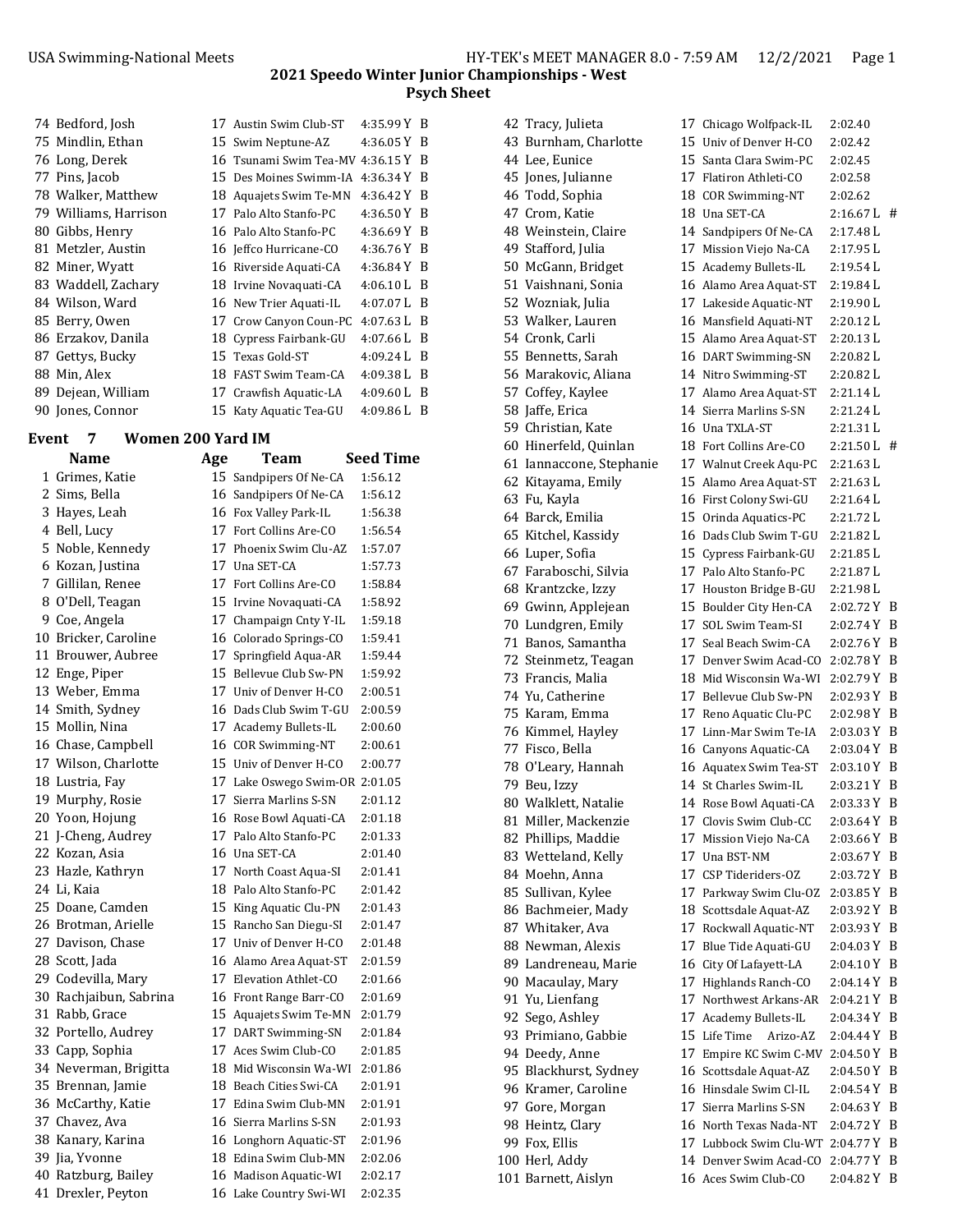### **2021 Speedo Winter Junior Championships ‐ West Psych Sheet**

| 74 Bedford, Josh      | 17 Austin Swim Club-ST             | 4:35.99 Y B   |     |
|-----------------------|------------------------------------|---------------|-----|
| 75 Mindlin, Ethan     | 15 Swim Neptune-AZ                 | $4:36.05 Y$ B |     |
| 76 Long, Derek        | 16 Tsunami Swim Tea-MV 4:36.15 Y B |               |     |
| 77 Pins, Jacob        | 15 Des Moines Swimm-IA             | $4:36.34 Y$ B |     |
| 78 Walker, Matthew    | 18 Aquajets Swim Te-MN             | 4:36.42 Y B   |     |
| 79 Williams, Harrison | 17 Palo Alto Stanfo-PC             | $4:36.50 Y$ B |     |
| 80 Gibbs, Henry       | 16 Palo Alto Stanfo-PC             | 4:36.69 Y B   |     |
| 81 Metzler, Austin    | 16 Jeffco Hurricane-CO             | 4:36.76 Y B   |     |
| 82 Miner, Wyatt       | 16 Riverside Aquati-CA             | $4:36.84$ Y B |     |
| 83 Waddell, Zachary   | 18 Irvine Novaquati-CA             | $4:06.10$ L B |     |
| 84 Wilson, Ward       | 16 New Trier Aquati-IL             | $4:07.07$ L B |     |
| 85 Berry, Owen        | 17 Crow Canyon Coun-PC             | $4:07.63$ L B |     |
| 86 Erzakov, Danila    | 18 Cypress Fairbank-GU             | $4:07.66 L$ B |     |
| 87 Gettys, Bucky      | 15 Texas Gold-ST                   | 4:09.24 L B   |     |
| 88 Min, Alex          | 18 FAST Swim Team-CA               | $4:09.38 L$ B |     |
| 89 Dejean, William    | 17 Crawfish Aquatic-LA             | $4:09.60$ L B |     |
| 90 Jones, Connor      | 15 Katy Aquatic Tea-GU             | 4:09.86 L     | - B |

#### **Event 7 Women 200 Yard IM**

|  | Name                   | Age | Team                           | Seed Time |
|--|------------------------|-----|--------------------------------|-----------|
|  | 1 Grimes, Katie        |     | 15 Sandpipers Of Ne-CA         | 1:56.12   |
|  | 2 Sims, Bella          |     | 16 Sandpipers Of Ne-CA         | 1:56.12   |
|  | 3 Hayes, Leah          |     | 16 Fox Valley Park-IL          | 1:56.38   |
|  | 4 Bell, Lucy           |     | 17 Fort Collins Are-CO         | 1:56.54   |
|  | 5 Noble, Kennedy       |     | 17 Phoenix Swim Clu-AZ         | 1:57.07   |
|  | 6 Kozan, Justina       |     | 17 Una SET-CA                  | 1:57.73   |
|  | 7 Gillilan, Renee      |     | 17 Fort Collins Are-CO         | 1:58.84   |
|  | 8 O'Dell, Teagan       |     | 15 Irvine Novaquati-CA         | 1:58.92   |
|  | 9 Coe, Angela          |     | 17 Champaign Cnty Y-IL         | 1:59.18   |
|  | 10 Bricker, Caroline   |     | 16 Colorado Springs-CO         | 1:59.41   |
|  | 11 Brouwer, Aubree     |     | 17 Springfield Aqua-AR         | 1:59.44   |
|  | 12 Enge, Piper         |     | 15 Bellevue Club Sw-PN         | 1:59.92   |
|  | 13 Weber, Emma         |     | 17 Univ of Denver H-CO         | 2:00.51   |
|  | 14 Smith, Sydney       |     | 16 Dads Club Swim T-GU         | 2:00.59   |
|  | 15 Mollin, Nina        |     | 17 Academy Bullets-IL          | 2:00.60   |
|  | 16 Chase, Campbell     |     | 16 COR Swimming-NT             | 2:00.61   |
|  | 17 Wilson, Charlotte   |     | 15 Univ of Denver H-CO         | 2:00.77   |
|  | 18 Lustria, Fay        |     | 17 Lake Oswego Swim-OR 2:01.05 |           |
|  | 19 Murphy, Rosie       |     | 17 Sierra Marlins S-SN         | 2:01.12   |
|  | 20 Yoon, Hojung        |     | 16 Rose Bowl Aquati-CA         | 2:01.18   |
|  | 21 J-Cheng, Audrey     |     | 17 Palo Alto Stanfo-PC         | 2:01.33   |
|  | 22 Kozan, Asia         |     | 16 Una SET-CA                  | 2:01.40   |
|  | 23 Hazle, Kathryn      |     | 17 North Coast Aqua-SI         | 2:01.41   |
|  | 24 Li, Kaia            |     | 18 Palo Alto Stanfo-PC         | 2:01.42   |
|  | 25 Doane, Camden       |     | 15 King Aquatic Clu-PN         | 2:01.43   |
|  | 26 Brotman, Arielle    |     | 15 Rancho San Diegu-SI         | 2:01.47   |
|  | 27 Davison, Chase      |     | 17 Univ of Denver H-CO         | 2:01.48   |
|  | 28 Scott, Jada         |     | 16 Alamo Area Aquat-ST         | 2:01.59   |
|  | 29 Codevilla, Mary     |     | 17 Elevation Athlet-CO         | 2:01.66   |
|  | 30 Rachjaibun, Sabrina |     | 16 Front Range Barr-CO         | 2:01.69   |
|  | 31 Rabb, Grace         |     | 15 Aquajets Swim Te-MN         | 2:01.79   |
|  | 32 Portello, Audrey    |     | 17 DART Swimming-SN            | 2:01.84   |
|  | 33 Capp, Sophia        |     | 17 Aces Swim Club-CO           | 2:01.85   |
|  | 34 Neverman, Brigitta  |     | 18 Mid Wisconsin Wa-WI         | 2:01.86   |
|  | 35 Brennan, Jamie      |     | 18 Beach Cities Swi-CA         | 2:01.91   |
|  | 36 McCarthy, Katie     |     | 17 Edina Swim Club-MN          | 2:01.91   |
|  | 37 Chavez, Ava         |     | 16 Sierra Marlins S-SN         | 2:01.93   |
|  | 38 Kanary, Karina      |     | 16 Longhorn Aquatic-ST         | 2:01.96   |
|  | 39 Jia, Yvonne         |     | 18 Edina Swim Club-MN          | 2:02.06   |
|  | 40 Ratzburg, Bailey    |     | 16 Madison Aquatic-WI          | 2:02.17   |
|  | 41 Drexler, Peyton     |     | 16 Lake Country Swi-WI         | 2:02.35   |
|  |                        |     |                                |           |

| 42 Tracy, Julieta        |    | 17 Chicago Wolfpack-IL             | 2:02.40       |   |
|--------------------------|----|------------------------------------|---------------|---|
| 43 Burnham, Charlotte    |    | 15 Univ of Denver H-CO             | 2:02.42       |   |
| 44 Lee. Eunice           |    | 15 Santa Clara Swim-PC             | 2:02.45       |   |
| 45 Jones, Julianne       |    | 17 Flatiron Athleti-CO             | 2:02.58       |   |
| 46 Todd, Sophia          |    | 18 COR Swimming-NT                 | 2:02.62       |   |
| 47 Crom, Katie           |    | 18 Una SET-CA                      | $2:16.67 L$ # |   |
| 48 Weinstein, Claire     |    | 14 Sandpipers Of Ne-CA             | 2:17.48 L     |   |
| 49 Stafford, Julia       |    | 17 Mission Viejo Na-CA             | 2:17.95 L     |   |
| 50 McGann, Bridget       |    | 15 Academy Bullets-IL              | 2:19.54 L     |   |
| 51 Vaishnani, Sonia      |    | 16 Alamo Area Aquat-ST             | 2:19.84 L     |   |
| 52 Wozniak, Julia        |    | 17 Lakeside Aquatic-NT             | 2:19.90L      |   |
| 53 Walker, Lauren        |    | 16 Mansfield Aquati-NT             | 2:20.12L      |   |
| 54 Cronk, Carli          |    | 15 Alamo Area Aquat-ST             | 2:20.13L      |   |
| 55 Bennetts, Sarah       |    | 16 DART Swimming-SN                | 2:20.82L      |   |
| 56 Marakovic, Aliana     |    | 14 Nitro Swimming-ST               | 2:20.82 L     |   |
| 57 Coffey, Kaylee        |    | 17 Alamo Area Aquat-ST             | 2:21.14 L     |   |
| 58 Jaffe, Erica          |    | 14 Sierra Marlins S-SN             | 2:21.24 L     |   |
| 59 Christian, Kate       |    | 16 Una TXLA-ST                     | 2:21.31L      |   |
| 60 Hinerfeld, Quinlan    |    | 18 Fort Collins Are-CO             | $2:21.50 L$ # |   |
| 61 Iannaccone, Stephanie |    | 17 Walnut Creek Aqu-PC             | 2:21.63 L     |   |
| 62 Kitayama, Emily       |    | 15 Alamo Area Aquat-ST             | 2:21.63 L     |   |
|                          |    | 16 First Colony Swi-GU             | 2:21.64 L     |   |
| 63 Fu, Kayla             |    |                                    | 2:21.72L      |   |
| 64 Barck, Emilia         |    | 15 Orinda Aquatics-PC              |               |   |
| 65 Kitchel, Kassidy      |    | 16 Dads Club Swim T-GU             | 2:21.82L      |   |
| 66 Luper, Sofia          |    | 15 Cypress Fairbank-GU             | 2:21.85 L     |   |
| 67 Faraboschi, Silvia    |    | 17 Palo Alto Stanfo-PC             | 2:21.87 L     |   |
| 68 Krantzcke, Izzy       |    | 17 Houston Bridge B-GU             | 2:21.98L      |   |
| 69 Gwinn, Applejean      |    | 15 Boulder City Hen-CA             | 2:02.72 Y B   |   |
| 70 Lundgren, Emily       |    | 17 SOL Swim Team-SI                | 2:02.74 Y B   |   |
| 71 Banos, Samantha       |    | 17 Seal Beach Swim-CA              | $2:02.76Y$ B  |   |
| 72 Steinmetz, Teagan     |    | 17 Denver Swim Acad-CO             | 2:02.78 Y     | B |
| 73 Francis, Malia        |    | 18 Mid Wisconsin Wa-WI             | 2:02.79Y      | B |
| 74 Yu, Catherine         |    | 17 Bellevue Club Sw-PN             | 2:02.93 Y     | B |
| 75 Karam, Emma           |    | 17 Reno Aquatic Clu-PC             | 2:02.98Y      | B |
| 76 Kimmel, Hayley        |    | 17 Linn-Mar Swim Te-IA             | 2:03.03 Y B   |   |
| 77 Fisco, Bella          |    | 16 Canyons Aquatic-CA              | 2:03.04 Y B   |   |
| 78 O'Leary, Hannah       |    | 16 Aquatex Swim Tea-ST             | 2:03.10 Y B   |   |
| 79 Beu, Izzy             |    | 14 St Charles Swim-IL              | 2:03.21 Y B   |   |
| 80 Walklett, Natalie     |    | 14 Rose Bowl Aquati-CA             | 2:03.33 Y B   |   |
| 81 Miller, Mackenzie     |    | 17 Clovis Swim Club-CC             | 2:03.64 Y B   |   |
| 82 Phillips, Maddie      | 17 | Mission Viejo Na-CA                | 2:03.66 Y B   |   |
| 83 Wetteland, Kelly      |    | 17 Una BST-NM                      | 2:03.67 Y B   |   |
| 84 Moehn, Anna           |    | 17 CSP Tideriders-OZ               | 2:03.72 Y B   |   |
| 85 Sullivan, Kylee       |    | 17 Parkway Swim Clu-OZ             | 2:03.85 Y B   |   |
| 86 Bachmeier, Mady       |    | 18 Scottsdale Aquat-AZ             | 2:03.92 Y B   |   |
| 87 Whitaker, Ava         |    | 17 Rockwall Aquatic-NT             | 2:03.93 Y B   |   |
| 88 Newman, Alexis        |    | 17 Blue Tide Aquati-GU             | $2:04.03$ Y B |   |
| 89 Landreneau, Marie     |    | 16 City Of Lafayett-LA             | 2:04.10 Y B   |   |
| 90 Macaulay, Mary        |    | 17 Highlands Ranch-CO              | 2:04.14 Y B   |   |
| 91 Yu, Lienfang          |    | 17 Northwest Arkans-AR             | 2:04.21 Y B   |   |
| 92 Sego, Ashley          |    | 17 Academy Bullets-IL              | 2:04.34 Y B   |   |
| 93 Primiano, Gabbie      |    | 15 Life Time<br>Arizo-AZ           | 2:04.44 Y B   |   |
| 94 Deedy, Anne           |    | 17 Empire KC Swim C-MV             | 2:04.50 Y B   |   |
| 95 Blackhurst, Sydney    |    | 16 Scottsdale Aquat-AZ             | 2:04.50 Y B   |   |
| 96 Kramer, Caroline      |    | 16 Hinsdale Swim Cl-IL             | 2:04.54 Y B   |   |
| 97 Gore, Morgan          |    | 17 Sierra Marlins S-SN             | 2:04.63 Y B   |   |
| 98 Heintz, Clary         |    | 16 North Texas Nada-NT             | 2:04.72 Y B   |   |
| 99 Fox, Ellis            |    | 17 Lubbock Swim Clu-WT 2:04.77 Y B |               |   |
| 100 Herl, Addy           |    | 14 Denver Swim Acad-CO             | 2:04.77 Y B   |   |
| 101 Barnett, Aislyn      |    | 16 Aces Swim Club-CO               | 2:04.82 Y B   |   |
|                          |    |                                    |               |   |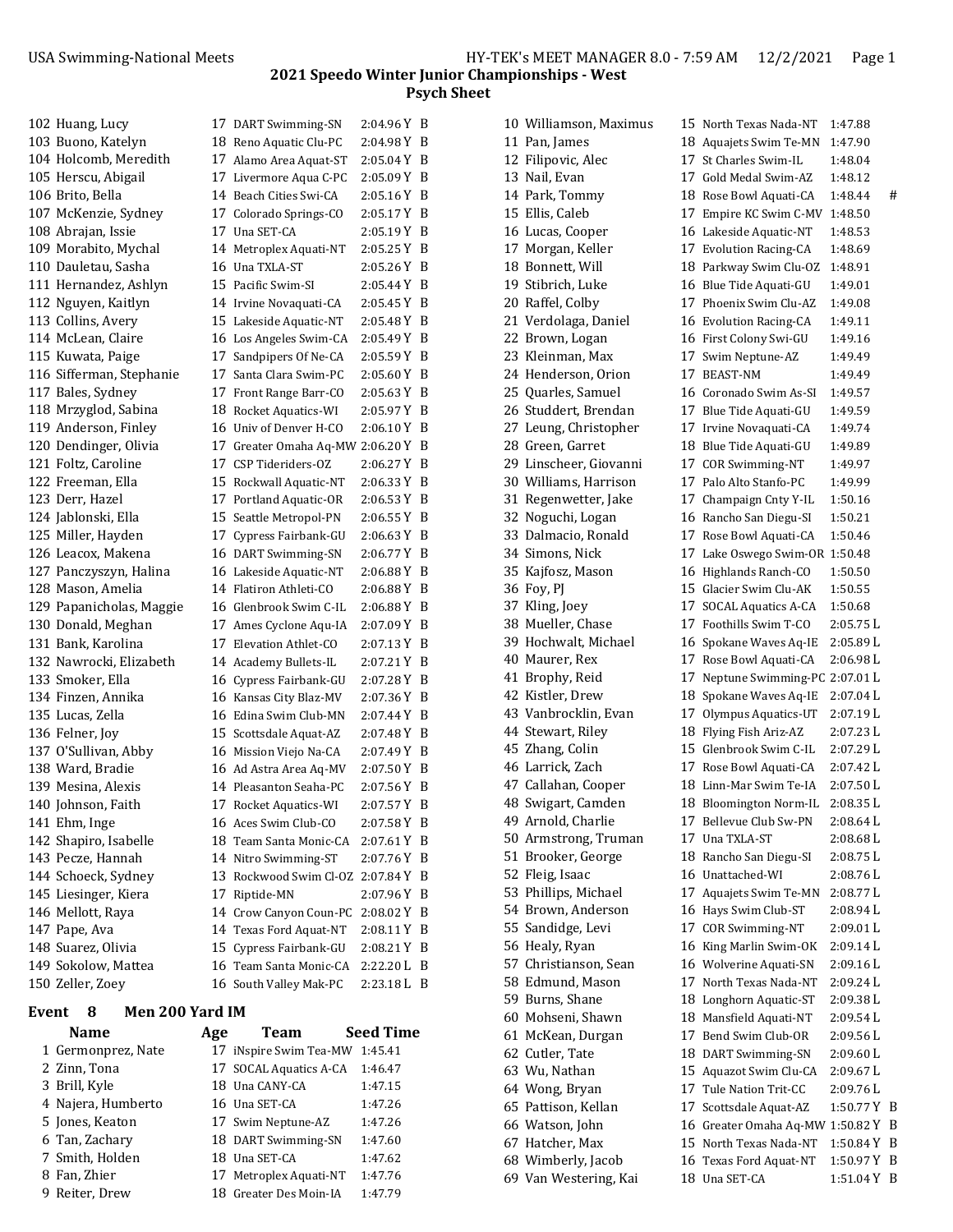| 102 Huang, Lucy          | 17 DART Swimming-SN                | 2:04.96 Y B                             |     |
|--------------------------|------------------------------------|-----------------------------------------|-----|
| 103 Buono, Katelyn       | 18 Reno Aquatic Clu-PC             | 2:04.98 Y B                             |     |
| 104 Holcomb, Meredith    | 17 Alamo Area Aquat-ST             | $2:05.04$ Y B                           |     |
| 105 Herscu, Abigail      | 17 Livermore Aqua C-PC             | 2:05.09 Y B                             |     |
| 106 Brito, Bella         | 14 Beach Cities Swi-CA             | 2:05.16 Y B                             |     |
| 107 McKenzie, Sydney     | 17 Colorado Springs-CO             | 2:05.17 Y B                             |     |
| 108 Abrajan, Issie       | 17 Una SET-CA                      | 2:05.19 Y B                             |     |
| 109 Morabito, Mychal     | 14 Metroplex Aquati-NT             | 2:05.25 Y B                             |     |
| 110 Dauletau, Sasha      | 16 Una TXLA-ST                     | 2:05.26 Y B                             |     |
| 111 Hernandez, Ashlyn    | 15 Pacific Swim-SI                 | 2:05.44 Y B                             |     |
| 112 Nguyen, Kaitlyn      | 14 Irvine Novaquati-CA             | 2:05.45 Y B                             |     |
| 113 Collins, Avery       | 15 Lakeside Aquatic-NT             | 2:05.48 Y B                             |     |
| 114 McLean, Claire       | 16 Los Angeles Swim-CA             | 2:05.49 Y                               | - B |
| 115 Kuwata, Paige        | 17 Sandpipers Of Ne-CA             | 2:05.59 Y                               | B   |
| 116 Sifferman, Stephanie | 17 Santa Clara Swim-PC             | 2:05.60 Y                               | - B |
| 117 Bales, Sydney        | 17 Front Range Barr-CO             | 2:05.63 Y                               | -B  |
| 118 Mrzyglod, Sabina     | 18 Rocket Aquatics-WI              | 2:05.97 Y B                             |     |
| 119 Anderson, Finley     | 16 Univ of Denver H-CO             | 2:06.10 Y B                             |     |
| 120 Dendinger, Olivia    | 17 Greater Omaha Aq-MW 2:06.20 Y B |                                         |     |
| 121 Foltz, Caroline      | 17 CSP Tideriders-0Z               | 2:06.27 Y B                             |     |
| 122 Freeman, Ella        | 15 Rockwall Aquatic-NT             | 2:06.33 Y B                             |     |
| 123 Derr, Hazel          | 17 Portland Aquatic-OR             | 2:06.53 Y B                             |     |
| 124 Jablonski, Ella      | 15 Seattle Metropol-PN             | $2:06.55 \text{ Y} \; \; \; \mathrm{B}$ |     |
| 125 Miller, Hayden       | 17 Cypress Fairbank-GU             | 2:06.63 Y B                             |     |
| 126 Leacox, Makena       | 16 DART Swimming-SN                | 2:06.77 Y B                             |     |
| 127 Panczyszyn, Halina   | 16 Lakeside Aquatic-NT             | 2:06.88 Y B                             |     |
| 128 Mason, Amelia        | 14 Flatiron Athleti-CO             | 2:06.88 Y                               | - B |
| 129 Papanicholas, Maggie | 16 Glenbrook Swim C-IL             | 2:06.88Y                                | - B |
| 130 Donald, Meghan       | 17 Ames Cyclone Aqu-IA             | 2:07.09 Y                               | - B |
| 131 Bank, Karolina       | 17 Elevation Athlet-CO             | 2:07.13 Y B                             |     |
| 132 Nawrocki, Elizabeth  | 14 Academy Bullets-IL              | 2:07.21 Y B                             |     |
| 133 Smoker, Ella         | 16 Cypress Fairbank-GU             | 2:07.28 Y B                             |     |
| 134 Finzen, Annika       | 16 Kansas City Blaz-MV             | 2:07.36 Y B                             |     |
| 135 Lucas, Zella         | 16 Edina Swim Club-MN              | 2:07.44 Y B                             |     |
| 136 Felner, Joy          | 15 Scottsdale Aquat-AZ             | 2:07.48 Y B                             |     |
| 137 O'Sullivan, Abby     | 16 Mission Viejo Na-CA             | 2:07.49 Y B                             |     |
| 138 Ward, Bradie         | 16 Ad Astra Area Aq-MV             | 2:07.50 Y B                             |     |
| 139 Mesina, Alexis       | 14 Pleasanton Seaha-PC             | 2:07.56 Y B                             |     |
| 140 Johnson, Faith       | 17 Rocket Aquatics-WI              | 2:07.57 Y B                             |     |
| 141 Ehm, Inge            | 16 Aces Swim Club-CO               | 2:07.58 Y B                             |     |
| 142 Shapiro, Isabelle    | 18 Team Santa Monic-CA             | 2:07.61Y                                | B   |
| 143 Pecze, Hannah        | 14 Nitro Swimming-ST               | 2:07.76 Y                               | B   |
| 144 Schoeck, Sydney      | 13 Rockwood Swim Cl-OZ 2:07.84 Y   |                                         | B   |
| 145 Liesinger, Kiera     | 17 Riptide-MN                      | 2:07.96 Y B                             |     |
| 146 Mellott, Raya        | 14 Crow Canyon Coun-PC             | 2:08.02 Y B                             |     |
| 147 Pape, Ava            | 14 Texas Ford Aquat-NT             | 2:08.11 Y B                             |     |
| 148 Suarez, Olivia       | 15 Cypress Fairbank-GU             | 2:08.21 Y B                             |     |
| 149 Sokolow, Mattea      | 16 Team Santa Monic-CA             | 2:22.20 L B                             |     |
| 150 Zeller, Zoey         | 16 South Valley Mak-PC             | 2:23.18 L B                             |     |
|                          |                                    |                                         |     |

## **Event 8 Men 200 Yard IM**

| <b>Name</b>        | Age | <b>Team</b>                    | <b>Seed Time</b> |
|--------------------|-----|--------------------------------|------------------|
| 1 Germonprez, Nate |     | 17 iNspire Swim Tea-MW 1:45.41 |                  |
| 2 Zinn, Tona       |     | 17 SOCAL Aquatics A-CA         | 1:46.47          |
| 3 Brill, Kyle      |     | 18 Una CANY-CA                 | 1:47.15          |
| 4 Najera, Humberto |     | 16 Una SET-CA                  | 1:47.26          |
| 5 Jones, Keaton    |     | 17 Swim Neptune-AZ             | 1:47.26          |
| 6 Tan, Zachary     |     | 18 DART Swimming-SN            | 1:47.60          |
| 7 Smith, Holden    |     | 18 Una SET-CA                  | 1:47.62          |
| 8 Fan, Zhier       |     | 17 Metroplex Aquati-NT         | 1:47.76          |
| 9 Reiter, Drew     |     | 18 Greater Des Moin-IA         | 1:47.79          |
|                    |     |                                |                  |

| 10 Williamson, Maximus                    | 15 North Texas Nada-NT                           | 1:47.88                |   |
|-------------------------------------------|--------------------------------------------------|------------------------|---|
| 11 Pan, James                             | 18 Aquajets Swim Te-MN                           | 1:47.90                |   |
| 12 Filipovic, Alec                        | 17 St Charles Swim-IL                            | 1:48.04                |   |
| 13 Nail, Evan                             | 17 Gold Medal Swim-AZ                            | 1:48.12                |   |
| 14 Park, Tommy                            | 18 Rose Bowl Aquati-CA                           | 1:48.44                | # |
| 15 Ellis, Caleb                           | 17 Empire KC Swim C-MV                           | 1:48.50                |   |
| 16 Lucas, Cooper                          | 16 Lakeside Aquatic-NT                           | 1:48.53                |   |
| 17 Morgan, Keller                         | 17 Evolution Racing-CA                           | 1:48.69                |   |
| 18 Bonnett, Will                          | 18 Parkway Swim Clu-OZ                           | 1:48.91                |   |
| 19 Stibrich, Luke                         | 16 Blue Tide Aquati-GU                           | 1:49.01                |   |
| 20 Raffel, Colby                          | 17 Phoenix Swim Clu-AZ                           | 1:49.08                |   |
| 21 Verdolaga, Daniel                      | 16 Evolution Racing-CA                           | 1:49.11                |   |
| 22 Brown, Logan                           | 16 First Colony Swi-GU                           | 1:49.16                |   |
| 23 Kleinman, Max                          | 17 Swim Neptune-AZ                               | 1:49.49                |   |
| 24 Henderson, Orion                       | 17 BEAST-NM                                      | 1:49.49                |   |
| 25 Quarles, Samuel                        | 16 Coronado Swim As-SI                           | 1:49.57                |   |
| 26 Studdert, Brendan                      | 17 Blue Tide Aquati-GU                           | 1:49.59                |   |
| 27 Leung, Christopher                     | 17 Irvine Novaquati-CA                           | 1:49.74                |   |
| 28 Green, Garret                          | 18 Blue Tide Aquati-GU                           | 1:49.89                |   |
| 29 Linscheer, Giovanni                    | 17 COR Swimming-NT                               | 1:49.97                |   |
| 30 Williams, Harrison                     | 17 Palo Alto Stanfo-PC                           | 1:49.99                |   |
| 31 Regenwetter, Jake                      | 17 Champaign Cnty Y-IL                           | 1:50.16                |   |
| 32 Noguchi, Logan                         | 16 Rancho San Diegu-SI                           | 1:50.21                |   |
| 33 Dalmacio, Ronald                       | 17 Rose Bowl Aquati-CA                           | 1:50.46                |   |
| 34 Simons, Nick                           | 17 Lake Oswego Swim-OR 1:50.48                   |                        |   |
| 35 Kajfosz, Mason                         | 16 Highlands Ranch-CO                            | 1:50.50                |   |
| 36 Foy, PJ                                | 15 Glacier Swim Clu-AK                           | 1:50.55                |   |
| 37 Kling, Joey                            | 17 SOCAL Aquatics A-CA                           | 1:50.68                |   |
| 38 Mueller, Chase                         | 17 Foothills Swim T-CO                           | 2:05.75 L              |   |
| 39 Hochwalt, Michael                      | 16 Spokane Waves Aq-IE                           | 2:05.89 L              |   |
| 40 Maurer, Rex                            | 17 Rose Bowl Aquati-CA                           | 2:06.98 L              |   |
| 41 Brophy, Reid                           | 17 Neptune Swimming-PC 2:07.01 L                 |                        |   |
| 42 Kistler, Drew                          | 18 Spokane Waves Aq-IE                           | 2:07.04 L              |   |
| 43 Vanbrocklin, Evan<br>44 Stewart, Riley | 17 Olympus Aquatics-UT<br>18 Flying Fish Ariz-AZ | 2:07.19 L<br>2:07.23 L |   |
| 45 Zhang, Colin                           | 15 Glenbrook Swim C-IL                           | 2:07.29 L              |   |
| 46 Larrick, Zach                          | 17 Rose Bowl Aquati-CA                           | 2:07.42 L              |   |
| 47 Callahan, Cooper                       | 18 Linn-Mar Swim Te-IA                           | 2:07.50L               |   |
| 48 Swigart, Camden                        | 18 Bloomington Norm-IL                           | 2:08.35 L              |   |
| 49 Arnold, Charlie                        | 17 Bellevue Club Sw-PN                           | 2:08.64 L              |   |
| 50 Armstrong, Truman                      | 17 Una TXLA-ST                                   | 2:08.68L               |   |
| 51 Brooker, George                        | 18 Rancho San Diegu-SI                           | 2:08.75 L              |   |
| 52 Fleig, Isaac                           | 16 Unattached-WI                                 | 2:08.76 L              |   |
| 53 Phillips, Michael                      | 17 Aquajets Swim Te-MN                           | 2:08.77 L              |   |
| 54 Brown, Anderson                        | 16 Hays Swim Club-ST                             | 2:08.94 L              |   |
| 55 Sandidge, Levi                         | 17 COR Swimming-NT                               | 2:09.01 L              |   |
| 56 Healy, Ryan                            | 16 King Marlin Swim-OK                           | 2:09.14L               |   |
| 57 Christianson, Sean                     | 16 Wolverine Aquati-SN                           | 2:09.16 L              |   |
| 58 Edmund, Mason                          | 17 North Texas Nada-NT                           | 2:09.24 L              |   |
| 59 Burns, Shane                           | 18 Longhorn Aquatic-ST                           | 2:09.38 L              |   |
| 60 Mohseni, Shawn                         | 18 Mansfield Aquati-NT                           | 2:09.54 L              |   |
| 61 McKean, Durgan                         | 17 Bend Swim Club-OR                             | 2:09.56 L              |   |
| 62 Cutler, Tate                           | 18 DART Swimming-SN                              | 2:09.60 L              |   |
| 63 Wu, Nathan                             | 15 Aquazot Swim Clu-CA                           | 2:09.67L               |   |
| 64 Wong, Bryan                            | 17 Tule Nation Trit-CC                           | 2:09.76 L              |   |
| 65 Pattison, Kellan                       | 17 Scottsdale Aquat-AZ                           | 1:50.77 Y              | B |
| 66 Watson, John                           | 16 Greater Omaha Aq-MW 1:50.82 Y                 |                        | B |
| 67 Hatcher, Max                           | 15   North Texas Nada-NT                         | 1:50.84 Y              | B |
| 68 Wimberly, Jacob                        | 16 Texas Ford Aquat-NT                           | 1:50.97Y               | B |
| 69 Van Westering, Kai                     | 18 Una SET-CA                                    | 1:51.04 Y B            |   |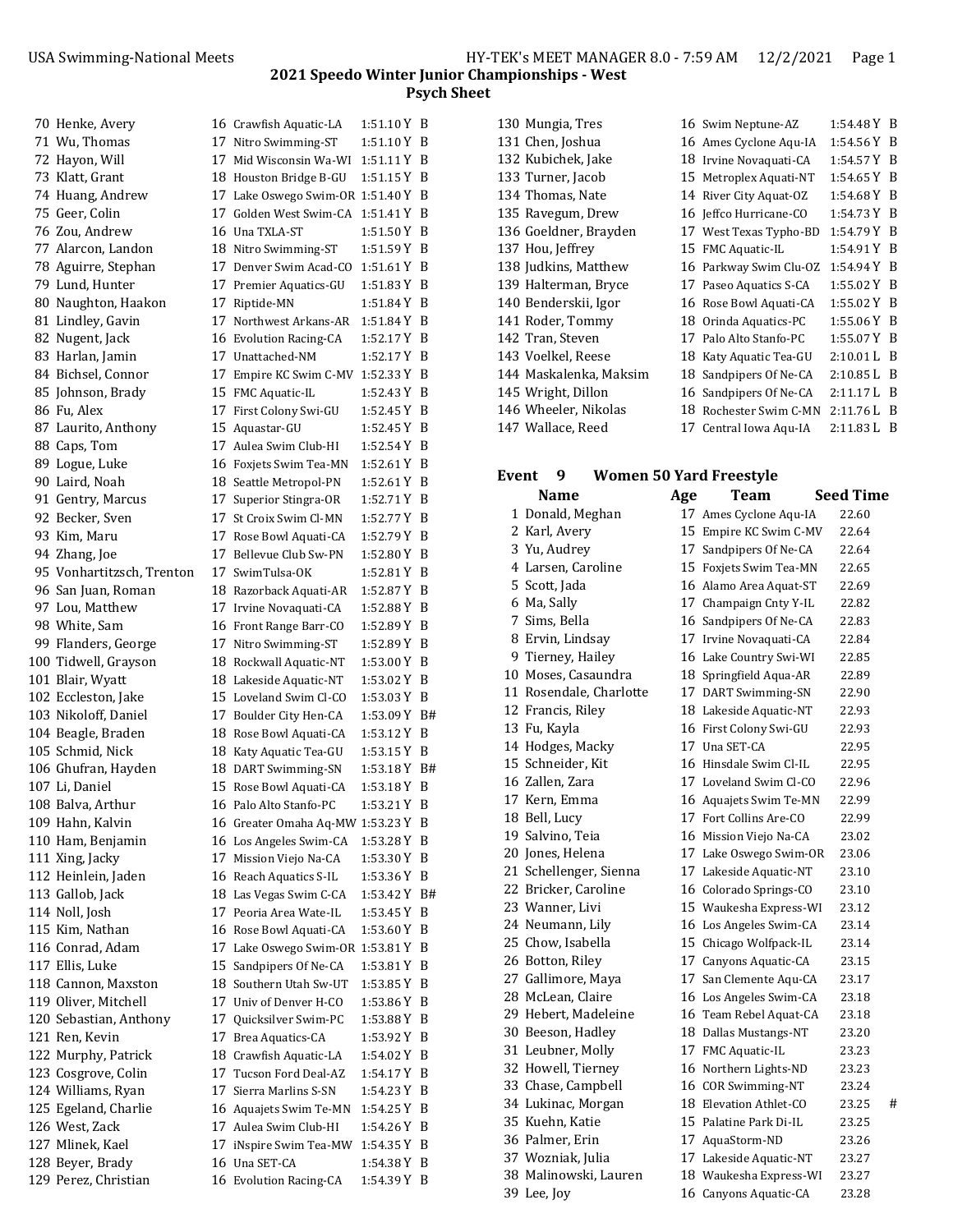| 70 Henke, Avery           | 16 Crawfish Aquatic-LA             | 1:51.10 Y B   |     |
|---------------------------|------------------------------------|---------------|-----|
| 71 Wu, Thomas             | 17 Nitro Swimming-ST               | 1:51.10 Y B   |     |
| 72 Hayon, Will            | 17 Mid Wisconsin Wa-WI             | 1:51.11 Y B   |     |
| 73 Klatt, Grant           | 18 Houston Bridge B-GU             | 1:51.15 Y B   |     |
| 74 Huang, Andrew          | 17 Lake Oswego Swim-OR 1:51.40 Y B |               |     |
| 75 Geer, Colin            | 17 Golden West Swim-CA             | 1:51.41 Y B   |     |
| 76 Zou, Andrew            | 16 Una TXLA-ST                     | 1:51.50 Y B   |     |
| 77 Alarcon, Landon        | 18 Nitro Swimming-ST               | 1:51.59 Y B   |     |
| 78 Aguirre, Stephan       | 17 Denver Swim Acad-CO             | $1:51.61$ Y B |     |
| 79 Lund, Hunter           | 17 Premier Aquatics-GU             | 1:51.83 Y B   |     |
| 80 Naughton, Haakon       | 17 Riptide-MN                      | 1:51.84 Y B   |     |
| 81 Lindley, Gavin         | 17 Northwest Arkans-AR             | $1:51.84$ Y B |     |
| 82 Nugent, Jack           | 16 Evolution Racing-CA             | 1:52.17 Y B   |     |
| 83 Harlan, Jamin          | 17 Unattached-NM                   | 1:52.17 Y B   |     |
| 84 Bichsel, Connor        | 17 Empire KC Swim C-MV 1:52.33 Y B |               |     |
| 85 Johnson, Brady         | 15 FMC Aquatic-IL                  | 1:52.43 Y B   |     |
| 86 Fu, Alex               | 17 First Colony Swi-GU             | $1:52.45$ Y B |     |
| 87 Laurito, Anthony       | 15 Aquastar-GU                     | 1:52.45 Y B   |     |
| 88 Caps, Tom              | 17 Aulea Swim Club-HI              | 1:52.54 Y B   |     |
| 89 Logue, Luke            | 16 Foxjets Swim Tea-MN             | 1:52.61 Y B   |     |
| 90 Laird, Noah            | 18 Seattle Metropol-PN             | $1:52.61$ Y B |     |
| 91 Gentry, Marcus         | 17 Superior Stingra-OR             | 1:52.71 Y B   |     |
| 92 Becker, Sven           | 17 St Croix Swim Cl-MN             | 1:52.77 Y B   |     |
| 93 Kim. Maru              | 17 Rose Bowl Aquati-CA             | 1:52.79 Y B   |     |
| 94 Zhang, Joe             | 17 Bellevue Club Sw-PN             | 1:52.80 Y B   |     |
| 95 Vonhartitzsch, Trenton | 17 SwimTulsa-OK                    | 1:52.81 Y B   |     |
| 96 San Juan, Roman        | 18 Razorback Aquati-AR             | 1:52.87 Y B   |     |
| 97 Lou, Matthew           | 17 Irvine Novaquati-CA             | 1:52.88 Y B   |     |
| 98 White, Sam             | 16 Front Range Barr-CO             | 1:52.89 Y B   |     |
| 99 Flanders, George       | 17 Nitro Swimming-ST               | 1:52.89 Y B   |     |
| 100 Tidwell, Grayson      | 18 Rockwall Aquatic-NT             | $1:53.00 Y$ B |     |
| 101 Blair, Wyatt          | 18 Lakeside Aquatic-NT             | 1:53.02 Y B   |     |
| 102 Eccleston, Jake       | 15 Loveland Swim Cl-CO             | $1:53.03$ Y B |     |
| 103 Nikoloff, Daniel      | 17 Boulder City Hen-CA             | 1:53.09 Y B#  |     |
| 104 Beagle, Braden        | 18 Rose Bowl Aquati-CA             | 1:53.12 Y B   |     |
| 105 Schmid, Nick          | 18 Katy Aquatic Tea-GU             | 1:53.15 Y B   |     |
| 106 Ghufran, Hayden       | 18 DART Swimming-SN                | 1:53.18 Y B#  |     |
| 107 Li, Daniel            | 15 Rose Bowl Aquati-CA             | 1:53.18 Y B   |     |
| 108 Balva, Arthur         | 16 Palo Alto Stanfo-PC             | 1:53.21 Y B   |     |
| 109 Hahn, Kalvin          | 16 Greater Omaha Aq-MW 1:53.23 Y   |               | B   |
| 110 Ham, Benjamin         | 16 Los Angeles Swim-CA             | 1:53.28Y      | B   |
| 111 Xing, Jacky           | 17 Mission Viejo Na-CA             | 1:53.30 Y B   |     |
| 112 Heinlein, Jaden       | 16 Reach Aquatics S-IL             | 1:53.36 Y B   |     |
| 113 Gallob, Jack          | 18 Las Vegas Swim C-CA             | 1:53.42 Y B#  |     |
| 114 Noll, Josh            | 17 Peoria Area Wate-IL             | 1:53.45 Y B   |     |
| 115 Kim, Nathan           | 16 Rose Bowl Aquati-CA             | 1:53.60 Y B   |     |
| 116 Conrad, Adam          | 17 Lake Oswego Swim-OR 1:53.81 Y B |               |     |
| 117 Ellis, Luke           | 15 Sandpipers Of Ne-CA             | 1:53.81 Y B   |     |
| 118 Cannon, Maxston       | 18 Southern Utah Sw-UT             | 1:53.85 Y B   |     |
| 119 Oliver, Mitchell      | 17 Univ of Denver H-CO             | 1:53.86 Y B   |     |
| 120 Sebastian, Anthony    | 17 Quicksilver Swim-PC             | 1:53.88 Y B   |     |
| 121 Ren, Kevin            | 17 Brea Aquatics-CA                | 1:53.92 Y B   |     |
| 122 Murphy, Patrick       | 18 Crawfish Aquatic-LA             | 1:54.02 Y B   |     |
| 123 Cosgrove, Colin       | 17 Tucson Ford Deal-AZ             | 1:54.17 Y B   |     |
| 124 Williams, Ryan        | 17 Sierra Marlins S-SN             | 1:54.23 Y     | - B |
| 125 Egeland, Charlie      | 16 Aquajets Swim Te-MN             | 1:54.25 Y     | - B |
| 126 West, Zack            | 17 Aulea Swim Club-HI              | 1:54.26 Y B   |     |
| 127 Mlinek, Kael          | 17   iNspire Swim Tea-MW           | $1:54.35$ Y B |     |
| 128 Beyer, Brady          | 16 Una SET-CA                      | 1:54.38 Y B   |     |
| 129 Perez, Christian      |                                    | 1:54.39 Y B   |     |
|                           | 16 Evolution Racing-CA             |               |     |

| 130 Mungia, Tres       |    | 16 Swim Neptune-AZ     | 1:54.48 Y B   |     |
|------------------------|----|------------------------|---------------|-----|
| 131 Chen, Joshua       |    | 16 Ames Cyclone Aqu-IA | $1:54.56 Y$ B |     |
| 132 Kubichek, Jake     |    | 18 Irvine Novaquati-CA | $1:54.57 Y$ B |     |
| 133 Turner, Jacob      |    | 15 Metroplex Aquati-NT | 1:54.65Y      | - B |
| 134 Thomas, Nate       |    | 14 River City Aquat-OZ | 1:54.68 Y B   |     |
| 135 Ravegum, Drew      |    | 16 Jeffco Hurricane-CO | $1:54.73 Y$ B |     |
| 136 Goeldner, Brayden  |    | 17 West Texas Typho-BD | 1:54.79 Y B   |     |
| 137 Hou, Jeffrey       |    | 15 FMC Aquatic-IL      | $1:54.91 Y$ B |     |
| 138 Judkins, Matthew   |    | 16 Parkway Swim Clu-OZ | $1:54.94 Y$ B |     |
| 139 Halterman, Bryce   |    | 17 Paseo Aquatics S-CA | $1:55.02 Y$ B |     |
| 140 Benderskii, Igor   |    | 16 Rose Bowl Aquati-CA | $1:55.02 Y$ B |     |
| 141 Roder, Tommy       |    | 18 Orinda Aquatics-PC  | $1:55.06 Y$ B |     |
| 142 Tran, Steven       |    | 17 Palo Alto Stanfo-PC | $1:55.07 Y$ B |     |
| 143 Voelkel, Reese     |    | 18 Katy Aquatic Tea-GU | 2:10.01 L     | -B  |
| 144 Maskalenka, Maksim | 18 | Sandpipers Of Ne-CA    | 2:10.85 L     | -B  |
| 145 Wright, Dillon     |    | 16 Sandpipers Of Ne-CA | 2:11.17L      | - B |
| 146 Wheeler, Nikolas   | 18 | Rochester Swim C-MN    | 2:11.76L      | -B  |
| 147 Wallace, Reed      |    | 17 Central Iowa Aqu-IA | 2:11.83 L     | B   |
|                        |    |                        |               |     |

## **Event 9 Women 50 Yard Freestyle**

| Name                    | Age | Team                   | <b>Seed Time</b> |
|-------------------------|-----|------------------------|------------------|
| 1 Donald, Meghan        |     | 17 Ames Cyclone Aqu-IA | 22.60            |
| 2 Karl, Avery           |     | 15 Empire KC Swim C-MV | 22.64            |
| 3 Yu, Audrey            |     | 17 Sandpipers Of Ne-CA | 22.64            |
| 4 Larsen, Caroline      |     | 15 Foxjets Swim Tea-MN | 22.65            |
| 5 Scott, Jada           |     | 16 Alamo Area Aquat-ST | 22.69            |
| 6 Ma, Sally             |     | 17 Champaign Cnty Y-IL | 22.82            |
| 7 Sims, Bella           |     | 16 Sandpipers Of Ne-CA | 22.83            |
| 8 Ervin, Lindsay        |     | 17 Irvine Novaquati-CA | 22.84            |
| 9 Tierney, Hailey       |     | 16 Lake Country Swi-WI | 22.85            |
| 10 Moses, Casaundra     |     | 18 Springfield Aqua-AR | 22.89            |
| 11 Rosendale, Charlotte |     | 17 DART Swimming-SN    | 22.90            |
| 12 Francis, Riley       |     | 18 Lakeside Aquatic-NT | 22.93            |
| 13 Fu, Kayla            |     | 16 First Colony Swi-GU | 22.93            |
| 14 Hodges, Macky        |     | 17 Una SET-CA          | 22.95            |
| 15 Schneider, Kit       |     | 16 Hinsdale Swim Cl-IL | 22.95            |
| 16 Zallen, Zara         |     | 17 Loveland Swim Cl-CO | 22.96            |
| 17 Kern, Emma           |     | 16 Aquajets Swim Te-MN | 22.99            |
| 18 Bell, Lucy           |     | 17 Fort Collins Are-CO | 22.99            |
| 19 Salvino, Teia        |     | 16 Mission Viejo Na-CA | 23.02            |
| 20 Jones, Helena        |     | 17 Lake Oswego Swim-OR | 23.06            |
| 21 Schellenger, Sienna  |     | 17 Lakeside Aquatic-NT | 23.10            |
| 22 Bricker, Caroline    |     | 16 Colorado Springs-CO | 23.10            |
| 23 Wanner, Livi         |     | 15 Waukesha Express-WI | 23.12            |
| 24 Neumann, Lily        |     | 16 Los Angeles Swim-CA | 23.14            |
| 25 Chow, Isabella       |     | 15 Chicago Wolfpack-IL | 23.14            |
| 26 Botton, Riley        |     | 17 Canyons Aquatic-CA  | 23.15            |
| 27 Gallimore, Maya      |     | 17 San Clemente Aqu-CA | 23.17            |
| 28 McLean, Claire       |     | 16 Los Angeles Swim-CA | 23.18            |
| 29 Hebert, Madeleine    |     | 16 Team Rebel Aquat-CA | 23.18            |
| 30 Beeson, Hadley       |     | 18 Dallas Mustangs-NT  | 23.20            |
| 31 Leubner, Molly       |     | 17 FMC Aquatic-IL      | 23.23            |
| 32 Howell, Tierney      |     | 16 Northern Lights-ND  | 23.23            |
| 33 Chase, Campbell      |     | 16 COR Swimming-NT     | 23.24            |
| 34 Lukinac, Morgan      |     | 18 Elevation Athlet-CO | 23.25<br>#       |
| 35 Kuehn, Katie         |     | 15 Palatine Park Di-IL | 23.25            |
| 36 Palmer, Erin         |     | 17 AquaStorm-ND        | 23.26            |
| 37 Wozniak, Julia       |     | 17 Lakeside Aquatic-NT | 23.27            |
| 38 Malinowski, Lauren   |     | 18 Waukesha Express-WI | 23.27            |
| 39 Lee, Joy             |     | 16 Canyons Aquatic-CA  | 23.28            |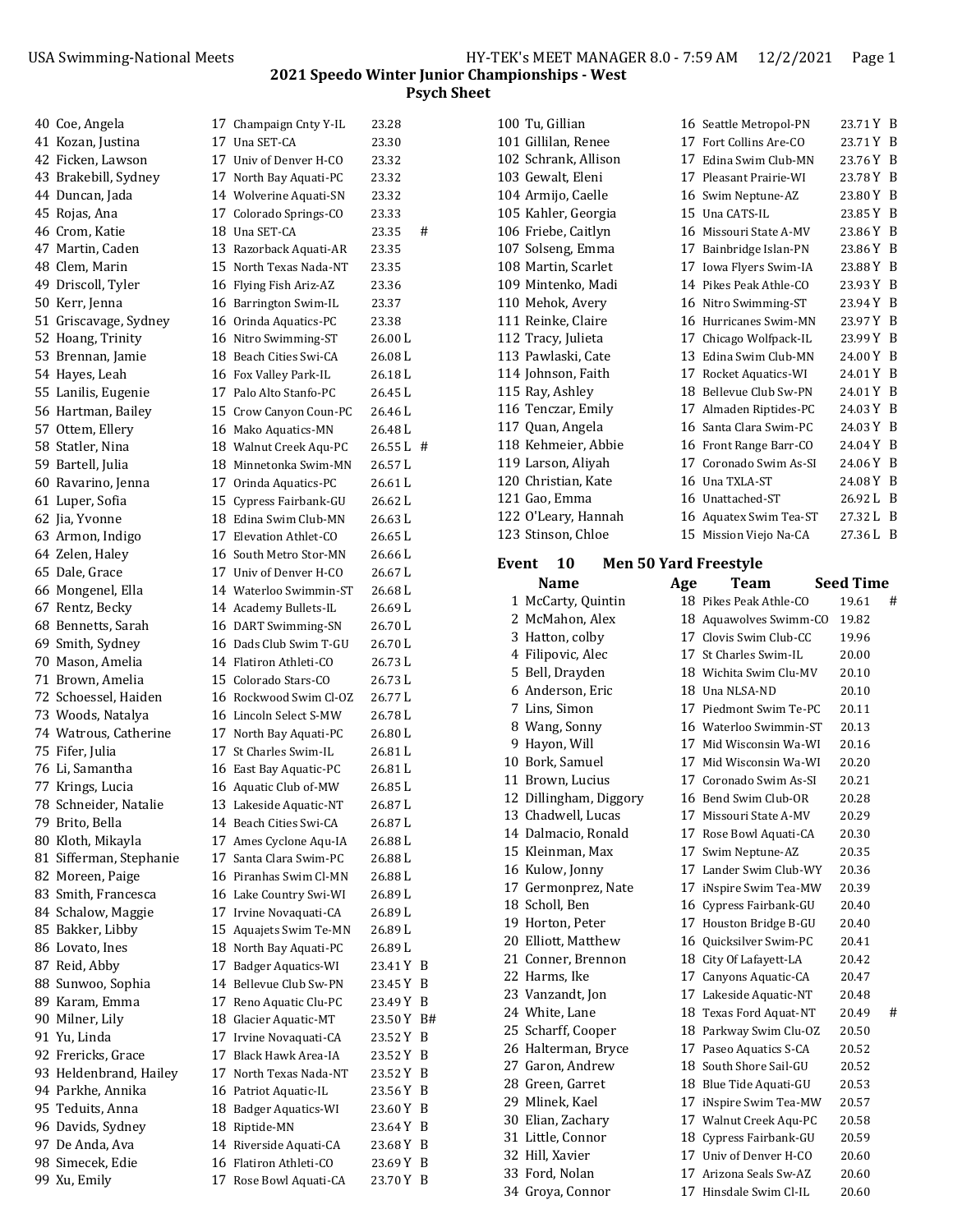| 40 Coe, Angela          | 17 Champaign Cnty Y-IL    | 23.28      | 100 Tu, Gillian        |     | 16 Seattle Metropol-PN                           | 23.71 Y B        |   |
|-------------------------|---------------------------|------------|------------------------|-----|--------------------------------------------------|------------------|---|
| 41 Kozan, Justina       | 17 Una SET-CA             | 23.30      | 101 Gillilan, Renee    |     | 17 Fort Collins Are-CO                           | 23.71 Y B        |   |
| 42 Ficken, Lawson       | 17 Univ of Denver H-CO    | 23.32      | 102 Schrank, Allison   |     | 17 Edina Swim Club-MN                            | 23.76 Y B        |   |
| 43 Brakebill, Sydney    | 17 North Bay Aquati-PC    | 23.32      | 103 Gewalt, Eleni      |     | 17 Pleasant Prairie-WI                           | 23.78 Y B        |   |
| 44 Duncan, Jada         | 14 Wolverine Aquati-SN    | 23.32      | 104 Armijo, Caelle     |     | 16 Swim Neptune-AZ                               | 23.80 Y B        |   |
| 45 Rojas, Ana           | 17 Colorado Springs-CO    | 23.33      | 105 Kahler, Georgia    |     | 15 Una CATS-IL                                   | 23.85 Y B        |   |
| 46 Crom, Katie          | 18 Una SET-CA             | #<br>23.35 | 106 Friebe, Caitlyn    |     | 16 Missouri State A-MV                           | 23.86 Y B        |   |
| 47 Martin, Caden        | 13 Razorback Aquati-AR    | 23.35      | 107 Solseng, Emma      |     | 17 Bainbridge Islan-PN                           | 23.86 Y B        |   |
| 48 Clem, Marin          | 15 North Texas Nada-NT    | 23.35      | 108 Martin, Scarlet    |     | 17 Iowa Flyers Swim-IA                           | 23.88 Y B        |   |
| 49 Driscoll, Tyler      | 16 Flying Fish Ariz-AZ    | 23.36      | 109 Mintenko, Madi     |     | 14 Pikes Peak Athle-CO                           | 23.93 Y B        |   |
| 50 Kerr, Jenna          | 16 Barrington Swim-IL     | 23.37      | 110 Mehok, Avery       |     | 16 Nitro Swimming-ST                             | 23.94 Y B        |   |
| 51 Griscavage, Sydney   | 16 Orinda Aquatics-PC     | 23.38      | 111 Reinke, Claire     |     | 16 Hurricanes Swim-MN                            | 23.97 Y B        |   |
| 52 Hoang, Trinity       | 16 Nitro Swimming-ST      | 26.00 L    | 112 Tracy, Julieta     | 17  | Chicago Wolfpack-IL                              | 23.99 Y B        |   |
| 53 Brennan, Jamie       | 18 Beach Cities Swi-CA    | 26.08L     | 113 Pawlaski, Cate     |     | 13 Edina Swim Club-MN                            | 24.00 Y B        |   |
| 54 Hayes, Leah          | 16 Fox Valley Park-IL     | 26.18L     | 114 Johnson, Faith     |     | 17 Rocket Aquatics-WI                            | 24.01 Y B        |   |
|                         | 17 Palo Alto Stanfo-PC    | 26.45L     | 115 Ray, Ashley        |     | 18 Bellevue Club Sw-PN                           | 24.01 Y B        |   |
| 55 Lanilis, Eugenie     |                           |            | 116 Tenczar, Emily     |     |                                                  | 24.03 Y B        |   |
| 56 Hartman, Bailey      | 15 Crow Canyon Coun-PC    | 26.46 L    |                        |     | 17 Almaden Riptides-PC<br>16 Santa Clara Swim-PC | 24.03 Y B        |   |
| 57 Ottem, Ellery        | 16 Mako Aquatics-MN       | 26.48L     | 117 Quan, Angela       |     |                                                  |                  |   |
| 58 Statler, Nina        | 18 Walnut Creek Aqu-PC    | 26.55 L #  | 118 Kehmeier, Abbie    |     | 16 Front Range Barr-CO                           | 24.04 Y B        |   |
| 59 Bartell, Julia       | 18 Minnetonka Swim-MN     | 26.57L     | 119 Larson, Aliyah     |     | 17 Coronado Swim As-SI                           | 24.06 Y B        |   |
| 60 Ravarino, Jenna      | 17<br>Orinda Aquatics-PC  | 26.61 L    | 120 Christian, Kate    |     | 16 Una TXLA-ST                                   | 24.08 Y B        |   |
| 61 Luper, Sofia         | 15<br>Cypress Fairbank-GU | 26.62L     | 121 Gao, Emma          |     | 16 Unattached-ST                                 | 26.92 L B        |   |
| 62 Jia, Yvonne          | 18 Edina Swim Club-MN     | 26.63L     | 122 O'Leary, Hannah    |     | 16 Aquatex Swim Tea-ST                           | 27.32 L B        |   |
| 63 Armon, Indigo        | 17 Elevation Athlet-CO    | 26.65L     | 123 Stinson, Chloe     |     | 15 Mission Viejo Na-CA                           | 27.36 L B        |   |
| 64 Zelen, Haley         | 16 South Metro Stor-MN    | 26.66 L    | Event<br><b>10</b>     |     | <b>Men 50 Yard Freestyle</b>                     |                  |   |
| 65 Dale, Grace          | 17 Univ of Denver H-CO    | 26.67 L    |                        |     |                                                  |                  |   |
| 66 Mongenel, Ella       | 14 Waterloo Swimmin-ST    | 26.68 L    | <b>Name</b>            | Age | <b>Team</b>                                      | <b>Seed Time</b> |   |
| 67 Rentz, Becky         | 14 Academy Bullets-IL     | 26.69 L    | 1 McCarty, Quintin     |     | 18 Pikes Peak Athle-CO                           | 19.61<br>#       |   |
| 68 Bennetts, Sarah      | 16 DART Swimming-SN       | 26.70 L    | 2 McMahon, Alex        |     | 18 Aquawolves Swimm-CO                           | 19.82            |   |
| 69 Smith, Sydney        | 16 Dads Club Swim T-GU    | 26.70L     | 3 Hatton, colby        |     | 17 Clovis Swim Club-CC                           | 19.96            |   |
| 70 Mason, Amelia        | 14 Flatiron Athleti-CO    | 26.73L     | 4 Filipovic, Alec      |     | 17 St Charles Swim-IL                            | 20.00            |   |
| 71 Brown, Amelia        | 15 Colorado Stars-CO      | 26.73L     | 5 Bell, Drayden        |     | 18 Wichita Swim Clu-MV                           | 20.10            |   |
| 72 Schoessel, Haiden    | 16 Rockwood Swim Cl-OZ    | 26.77L     | 6 Anderson, Eric       |     | 18 Una NLSA-ND                                   | 20.10            |   |
| 73 Woods, Natalya       | 16 Lincoln Select S-MW    | 26.78L     | 7 Lins, Simon          | 17  | Piedmont Swim Te-PC                              | 20.11            |   |
| 74 Watrous, Catherine   | 17 North Bay Aquati-PC    | 26.80 L    | 8 Wang, Sonny          |     | 16 Waterloo Swimmin-ST                           | 20.13            |   |
| 75 Fifer, Julia         | 17 St Charles Swim-IL     | 26.81L     | 9 Hayon, Will          | 17  | Mid Wisconsin Wa-WI                              | 20.16            |   |
| 76 Li, Samantha         | 16 East Bay Aquatic-PC    | 26.81L     | 10 Bork, Samuel        | 17  | Mid Wisconsin Wa-WI                              | 20.20            |   |
| 77 Krings, Lucia        | 16 Aquatic Club of-MW     | 26.85L     | 11 Brown, Lucius       |     | 17 Coronado Swim As-SI                           | 20.21            |   |
| 78 Schneider, Natalie   | 13 Lakeside Aquatic-NT    | 26.87L     | 12 Dillingham, Diggory |     | 16 Bend Swim Club-OR                             | 20.28            |   |
| 79 Brito, Bella         | 14 Beach Cities Swi-CA    | 26.87 L    | 13 Chadwell, Lucas     |     | 17 Missouri State A-MV                           | 20.29            |   |
| 80 Kloth, Mikayla       | 17 Ames Cyclone Aqu-IA    | 26.88L     | 14 Dalmacio, Ronald    |     | 17 Rose Bowl Aquati-CA                           | 20.30            |   |
| 81 Sifferman, Stephanie | 17 Santa Clara Swim-PC    | 26.88L     | 15 Kleinman, Max       |     | 17 Swim Neptune-AZ                               | 20.35            |   |
|                         | 16 Piranhas Swim Cl-MN    |            | 16 Kulow, Jonny        |     | 17 Lander Swim Club-WY                           | 20.36            |   |
| 82 Moreen, Paige        |                           | 26.88 L    | 17 Germonprez, Nate    |     | 17 iNspire Swim Tea-MW                           | 20.39            |   |
| 83 Smith, Francesca     | 16 Lake Country Swi-WI    | 26.89L     | 18<br>Scholl, Ben      |     | 16 Cypress Fairbank-GU                           | 20.40            |   |
| 84 Schalow, Maggie      | 17 Irvine Novaquati-CA    | 26.89 L    | 19 Horton, Peter       |     | 17 Houston Bridge B-GU                           | 20.40            |   |
| 85 Bakker, Libby        | 15 Aquajets Swim Te-MN    | 26.89L     | Elliott, Matthew<br>20 |     | 16 Quicksilver Swim-PC                           | 20.41            |   |
| 86 Lovato, Ines         | 18 North Bay Aquati-PC    | 26.89 L    | Conner, Brennon<br>21  |     | 18 City Of Lafayett-LA                           | 20.42            |   |
| 87 Reid, Abby           | 17 Badger Aquatics-WI     | 23.41 Y B  | 22 Harms, Ike          |     | 17 Canyons Aquatic-CA                            | 20.47            |   |
| 88 Sunwoo, Sophia       | 14 Bellevue Club Sw-PN    | 23.45 Y B  | 23 Vanzandt, Jon       |     | 17 Lakeside Aquatic-NT                           | 20.48            |   |
| 89 Karam, Emma          | 17 Reno Aquatic Clu-PC    | 23.49 Y B  | 24 White, Lane         |     | 18 Texas Ford Aquat-NT                           | 20.49            | # |
| 90 Milner, Lily         | 18 Glacier Aquatic-MT     | 23.50 Y B# | 25 Scharff, Cooper     |     | 18 Parkway Swim Clu-OZ                           | 20.50            |   |
| 91 Yu, Linda            | 17 Irvine Novaquati-CA    | 23.52 Y B  | 26 Halterman, Bryce    |     | 17 Paseo Aquatics S-CA                           | 20.52            |   |
| 92 Frericks, Grace      | 17 Black Hawk Area-IA     | 23.52 Y B  | 27 Garon, Andrew       |     | 18 South Shore Sail-GU                           | 20.52            |   |
| 93 Heldenbrand, Hailey  | 17 North Texas Nada-NT    | 23.52 Y B  |                        |     |                                                  |                  |   |
| 94 Parkhe, Annika       | 16 Patriot Aquatic-IL     | 23.56 Y B  | 28 Green, Garret       |     | 18 Blue Tide Aquati-GU                           | 20.53            |   |
| 95 Teduits, Anna        | 18 Badger Aquatics-WI     | 23.60 Y B  | 29 Mlinek, Kael        |     | 17 iNspire Swim Tea-MW                           | 20.57            |   |
| 96 Davids, Sydney       | 18 Riptide-MN             | 23.64 Y B  | Elian, Zachary<br>30   |     | 17 Walnut Creek Aqu-PC                           | 20.58            |   |
| 97 De Anda, Ava         | 14 Riverside Aquati-CA    | 23.68 Y B  | 31 Little, Connor      |     | 18 Cypress Fairbank-GU                           | 20.59            |   |
| 98 Simecek, Edie        | 16 Flatiron Athleti-CO    | 23.69 Y B  | 32 Hill, Xavier        |     | 17 Univ of Denver H-CO                           | 20.60            |   |
| 99 Xu, Emily            | 17 Rose Bowl Aquati-CA    | 23.70 Y B  | 33 Ford, Nolan         |     | 17 Arizona Seals Sw-AZ                           | 20.60<br>20.60   |   |
|                         |                           |            | 34 Groya, Connor       |     | 17 Hinsdale Swim Cl-IL                           |                  |   |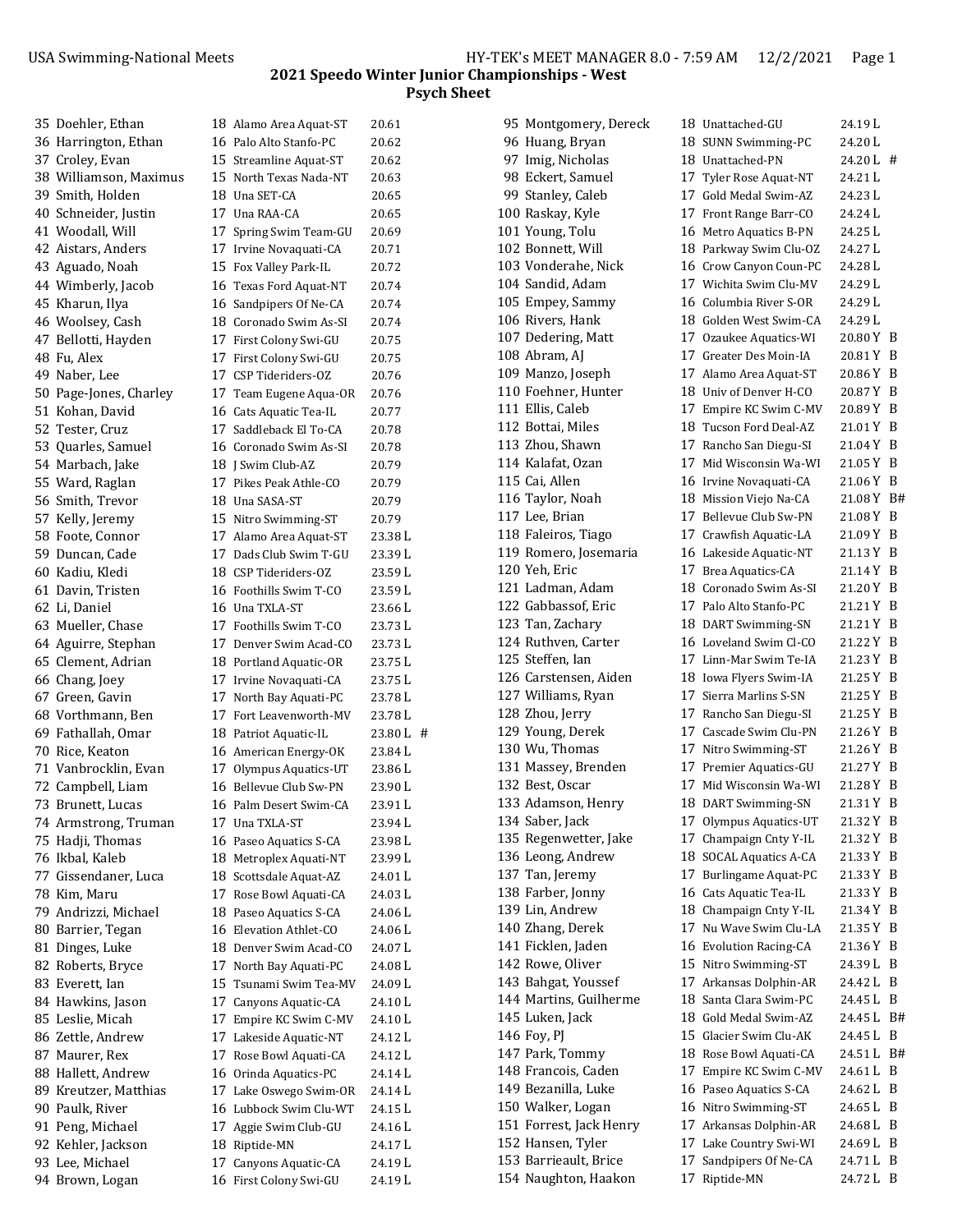| 35 Doehler, Ethan      |    | 18 Alamo Area Aquat-ST | 20.61   |
|------------------------|----|------------------------|---------|
| 36 Harrington, Ethan   |    | 16 Palo Alto Stanfo-PC | 20.62   |
| 37 Croley, Evan        |    | 15 Streamline Aquat-ST | 20.62   |
| 38 Williamson, Maximus |    | 15 North Texas Nada-NT | 20.63   |
| 39 Smith, Holden       |    | 18 Una SET-CA          | 20.65   |
| 40 Schneider, Justin   |    | 17 Una RAA-CA          | 20.65   |
| 41 Woodall, Will       |    | 17 Spring Swim Team-GU | 20.69   |
| 42 Aistars, Anders     |    | 17 Irvine Novaquati-CA | 20.71   |
| 43 Aguado, Noah        |    | 15 Fox Valley Park-IL  | 20.72   |
| 44 Wimberly, Jacob     |    |                        | 20.74   |
|                        |    | 16 Texas Ford Aquat-NT |         |
| 45 Kharun, Ilya        |    | 16 Sandpipers Of Ne-CA | 20.74   |
| 46 Woolsey, Cash       |    | 18 Coronado Swim As-SI | 20.74   |
| 47 Bellotti, Hayden    |    | 17 First Colony Swi-GU | 20.75   |
| 48 Fu, Alex            |    | 17 First Colony Swi-GU | 20.75   |
| 49 Naber, Lee          |    | 17 CSP Tideriders-OZ   | 20.76   |
| 50 Page-Jones, Charley |    | 17 Team Eugene Aqua-OR | 20.76   |
| 51 Kohan, David        |    | 16 Cats Aquatic Tea-IL | 20.77   |
| 52 Tester, Cruz        |    | 17 Saddleback El To-CA | 20.78   |
| 53 Quarles, Samuel     |    | 16 Coronado Swim As-SI | 20.78   |
| 54 Marbach, Jake       |    | 18 I Swim Club-AZ      | 20.79   |
| 55 Ward, Raglan        |    | 17 Pikes Peak Athle-CO | 20.79   |
| 56 Smith, Trevor       |    | 18 Una SASA-ST         | 20.79   |
| 57 Kelly, Jeremy       |    | 15 Nitro Swimming-ST   | 20.79   |
| 58 Foote, Connor       |    | 17 Alamo Area Aquat-ST | 23.38 L |
| 59 Duncan, Cade        |    | 17 Dads Club Swim T-GU | 23.39 L |
| 60 Kadiu, Kledi        |    | 18 CSP Tideriders-OZ   | 23.59 L |
| 61 Davin, Tristen      |    | 16 Foothills Swim T-CO | 23.59 L |
| 62 Li, Daniel          |    | 16 Una TXLA-ST         | 23.66 L |
| 63 Mueller, Chase      |    | 17 Foothills Swim T-CO | 23.73 L |
| 64 Aguirre, Stephan    |    | 17 Denver Swim Acad-CO | 23.73 L |
| 65 Clement, Adrian     |    | 18 Portland Aquatic-OR | 23.75 L |
| 66 Chang, Joey         |    | 17 Irvine Novaquati-CA | 23.75 L |
| 67 Green, Gavin        |    | 17 North Bay Aquati-PC | 23.78 L |
| 68 Vorthmann, Ben      |    | 17 Fort Leavenworth-MV | 23.78 L |
| 69 Fathallah, Omar     |    | 18 Patriot Aquatic-IL  | 23.80 L |
| 70 Rice, Keaton        |    | 16 American Energy-OK  | 23.84 L |
| 71 Vanbrocklin, Evan   |    | 17 Olympus Aquatics-UT | 23.86 L |
| 72 Campbell, Liam      |    | 16 Bellevue Club Sw-PN | 23.90 L |
| 73 Brunett, Lucas      |    | 16 Palm Desert Swim-CA | 23.91 L |
| 74 Armstrong, Truman   |    | 17 Una TXLA-ST         | 23.94 L |
| 75 Hadji, Thomas       |    | 16 Paseo Aquatics S-CA | 23.98 L |
| 76 Ikbal, Kaleb        |    | 18 Metroplex Aquati-NT | 23.99 L |
| 77 Gissendaner, Luca   |    | 18 Scottsdale Aquat-AZ | 24.01 L |
|                        |    | 17 Rose Bowl Aquati-CA |         |
| 78 Kim, Maru           |    |                        | 24.03 L |
| 79 Andrizzi, Michael   |    | 18 Paseo Aquatics S-CA | 24.06L  |
| 80 Barrier, Tegan      |    | 16 Elevation Athlet-CO | 24.06 L |
| 81 Dinges, Luke        |    | 18 Denver Swim Acad-CO | 24.07 L |
| 82 Roberts, Bryce      |    | 17 North Bay Aquati-PC | 24.08 L |
| 83 Everett, Ian        |    | 15 Tsunami Swim Tea-MV | 24.09 L |
| 84 Hawkins, Jason      |    | 17 Canyons Aquatic-CA  | 24.10 L |
| 85  Leslie, Micah      |    | 17 Empire KC Swim C-MV | 24.10 L |
| 86 Zettle, Andrew      |    | 17 Lakeside Aquatic-NT | 24.12 L |
| 87 Maurer, Rex         |    | 17 Rose Bowl Aquati-CA | 24.12 L |
| 88 Hallett, Andrew     |    | 16 Orinda Aquatics-PC  | 24.14 L |
| 89 Kreutzer, Matthias  |    | 17 Lake Oswego Swim-OR | 24.14 L |
| 90 Paulk, River        |    | 16 Lubbock Swim Clu-WT | 24.15 L |
| 91 Peng, Michael       | 17 | Aggie Swim Club-GU     | 24.16 L |
| 92 Kehler, Jackson     |    | 18 Riptide-MN          | 24.17 L |
| 93 Lee, Michael        |    | 17 Canyons Aquatic-CA  | 24.19 L |
| 94 Brown, Logan        |    | 16 First Colony Swi-GU | 24.19 L |
|                        |    |                        |         |

| 35 Doehler, Ethan      | 18 Alamo Area Aquat-ST | 20.61     |  |
|------------------------|------------------------|-----------|--|
| 36 Harrington, Ethan   | 16 Palo Alto Stanfo-PC | 20.62     |  |
| 37 Croley, Evan        | 15 Streamline Aquat-ST | 20.62     |  |
| 38 Williamson, Maximus | 15 North Texas Nada-NT | 20.63     |  |
| 39 Smith, Holden       | 18 Una SET-CA          | 20.65     |  |
| 40 Schneider, Justin   | 17 Una RAA-CA          | 20.65     |  |
| 41 Woodall, Will       | 17 Spring Swim Team-GU | 20.69     |  |
| 42 Aistars, Anders     | 17 Irvine Novaquati-CA | 20.71     |  |
| 43 Aguado, Noah        | 15 Fox Valley Park-IL  | 20.72     |  |
| 44 Wimberly, Jacob     | 16 Texas Ford Aquat-NT | 20.74     |  |
| 45 Kharun, Ilya        | 16 Sandpipers Of Ne-CA | 20.74     |  |
| 46 Woolsey, Cash       | 18 Coronado Swim As-SI | 20.74     |  |
|                        |                        |           |  |
| 47 Bellotti, Hayden    | 17 First Colony Swi-GU | 20.75     |  |
| 48 Fu, Alex            | 17 First Colony Swi-GU | 20.75     |  |
| 49 Naber, Lee          | 17 CSP Tideriders-OZ   | 20.76     |  |
| 50 Page-Jones, Charley | 17 Team Eugene Aqua-OR | 20.76     |  |
| 51 Kohan, David        | 16 Cats Aquatic Tea-IL | 20.77     |  |
| 52 Tester, Cruz        | 17 Saddleback El To-CA | 20.78     |  |
| 53 Quarles, Samuel     | 16 Coronado Swim As-SI | 20.78     |  |
| 54 Marbach, Jake       | 18 J Swim Club-AZ      | 20.79     |  |
| 55 Ward, Raglan        | 17 Pikes Peak Athle-CO | 20.79     |  |
| 56 Smith, Trevor       | 18 Una SASA-ST         | 20.79     |  |
| 57 Kelly, Jeremy       | 15 Nitro Swimming-ST   | 20.79     |  |
| 58 Foote, Connor       | 17 Alamo Area Aquat-ST | 23.38 L   |  |
| 59 Duncan, Cade        | 17 Dads Club Swim T-GU | 23.39 L   |  |
| 60 Kadiu, Kledi        | 18 CSP Tideriders-OZ   | 23.59 L   |  |
| 61 Davin, Tristen      | 16 Foothills Swim T-CO | 23.59 L   |  |
| 62 Li, Daniel          | 16 Una TXLA-ST         | 23.66 L   |  |
| 63 Mueller, Chase      | 17 Foothills Swim T-CO | 23.73 L   |  |
| 64 Aguirre, Stephan    | 17 Denver Swim Acad-CO | 23.73 L   |  |
| 65 Clement, Adrian     | 18 Portland Aquatic-OR | 23.75 L   |  |
| 66 Chang, Joey         | 17 Irvine Novaquati-CA | 23.75 L   |  |
| 67 Green, Gavin        | 17 North Bay Aquati-PC | 23.78 L   |  |
| 68 Vorthmann, Ben      | 17 Fort Leavenworth-MV | 23.78 L   |  |
| 69 Fathallah, Omar     | 18 Patriot Aquatic-IL  | 23.80 L # |  |
| 70 Rice, Keaton        | 16 American Energy-OK  | 23.84 L   |  |
| 71 Vanbrocklin, Evan   | 17 Olympus Aquatics-UT | 23.86 L   |  |
| 72 Campbell, Liam      | 16 Bellevue Club Sw-PN | 23.90 L   |  |
| 73 Brunett, Lucas      | 16 Palm Desert Swim-CA | 23.91 L   |  |
| 74 Armstrong, Truman   | 17 Una TXLA-ST         | 23.94 L   |  |
| 75 Hadji, Thomas       | 16 Paseo Aquatics S-CA | 23.98 L   |  |
| 76 Ikbal, Kaleb        | 18 Metroplex Aquati-NT | 23.99 L   |  |
| 77 Gissendaner, Luca   | 18 Scottsdale Aquat-AZ | 24.01 L   |  |
| 78 Kim, Maru           | 17 Rose Bowl Aquati-CA | 24.03 L   |  |
| 79 Andrizzi, Michael   | 18 Paseo Aquatics S-CA | 24.06 L   |  |
| 80 Barrier, Tegan      | 16 Elevation Athlet-CO | 24.06 L   |  |
| 81 Dinges, Luke        | 18 Denver Swim Acad-CO | 24.07 L   |  |
| 82 Roberts, Bryce      | 17 North Bay Aquati-PC | 24.08 L   |  |
| 83 Everett, Ian        | 15 Tsunami Swim Tea-MV | 24.09 L   |  |
| 84 Hawkins, Jason      | 17 Canyons Aquatic-CA  | 24.10 L   |  |
| 85 Leslie, Micah       | 17 Empire KC Swim C-MV | 24.10 L   |  |
| 86 Zettle, Andrew      | 17 Lakeside Aquatic-NT | 24.12 L   |  |
| 87 Maurer, Rex         | 17 Rose Bowl Aquati-CA | 24.12 L   |  |
| 88 Hallett, Andrew     | 16 Orinda Aquatics-PC  | 24.14 L   |  |
| 89 Kreutzer, Matthias  | 17 Lake Oswego Swim-OR | 24.14 L   |  |
|                        | 16 Lubbock Swim Clu-WT |           |  |
| 90 Paulk, River        |                        | 24.15 L   |  |
| 91 Peng, Michael       | 17 Aggie Swim Club-GU  | 24.16L    |  |
| 92 Kehler, Jackson     | 18 Riptide-MN          | 24.17 L   |  |
| 93 Lee, Michael        | 17 Canyons Aquatic-CA  | 24.19 L   |  |
| 94 Brown, Logan        | 16 First Colony Swi-GU | 24.19 L   |  |

| 95 Montgomery, Dereck                   |
|-----------------------------------------|
| 96 Huang, Bryan                         |
| 97 Imig, Nicholas                       |
| 98 Eckert, Samuel                       |
| 99 Stanley, Caleb                       |
| 100 Raskay, Kyle                        |
| 101 Young, Tolu                         |
| 102 Bonnett, Will                       |
| 103 Vonderahe, Nick                     |
| 104 Sandid, Adam                        |
| 105 Empey, Sammy                        |
| 106 Rivers, Hank                        |
| 107 Dedering, Matt                      |
| 108 Abram, AJ                           |
| 109 Manzo, Joseph                       |
| 10 Foehner, Hunter                      |
| 111 Ellis, Caleb                        |
| 12 Bottai, Miles                        |
| 13 Zhou, Shawn                          |
| 14 Kalafat, Ozan                        |
| 115 Cai, Allen                          |
| 16 Taylor, Noah                         |
| 17 Lee, Brian                           |
| 18 Faleiros, Tiago                      |
| 119 Romero, Josemaria                   |
| 120 Yeh, Eric                           |
| 121 Ladman, Adam                        |
| 122 Gabbassof, Eric                     |
|                                         |
| l23 Tan, Zachary<br>l24 Ruthven, Carter |
| 125 Steffen, Ian                        |
| 126 Carstensen, Aiden                   |
| 127 Williams, Ryan                      |
| 128 Zhou, Jerry                         |
| 129 Young, Derek                        |
| 130 Wu, Thomas                          |
| 131 Massey, Brenden                     |
| 132 Best, Oscar                         |
| 133 Adamson, Henry                      |
| 134 Saber, Jack                         |
| 135 Regenwetter, Jake                   |
| 136 Leong, Andrew                       |
| 137 Tan, Jeremy                         |
| 138 Farber, Jonny                       |
| 139 Lin, Andrew                         |
| 140 Zhang, Derek                        |
| 141 Ficklen, Jaden                      |
| 142 Rowe, Oliver                        |
| 143 Bahgat, Youssef                     |
| 144 Martins, Guilherme                  |
| 145 Luken, Jack                         |
| 146 Foy, PJ                             |
| 147 Park, Tommy                         |
| 148 Francois, Caden                     |
| 149 Bezanilla, Luke                     |
| 150 Walker, Logan                       |
| 151 Forrest, Jack Henry                 |
| 152 Hansen, Tyler                       |
| 153 Barrieault, Brice                   |
| 154 Naughton, Haakon                    |
|                                         |

| 95 Montgomery, Dereck                         |    | 18 Unattached-GU        | 24.19 L     |     |
|-----------------------------------------------|----|-------------------------|-------------|-----|
| 96 Huang, Bryan                               |    | 18 SUNN Swimming-PC     | 24.20 L     |     |
| 97 Imig, Nicholas                             |    | 18 Unattached-PN        | $24.20 L$ # |     |
| 98 Eckert, Samuel                             |    | 17 Tyler Rose Aquat-NT  | 24.21 L     |     |
| 99 Stanley, Caleb                             |    | 17 Gold Medal Swim-AZ   | 24.23 L     |     |
| 100 Raskay, Kyle                              |    | 17 Front Range Barr-CO  | 24.24 L     |     |
| 101 Young, Tolu                               |    | 16 Metro Aquatics B-PN  | 24.25 L     |     |
| 102 Bonnett, Will                             |    | 18 Parkway Swim Clu-OZ  | 24.27 L     |     |
| 103 Vonderahe, Nick                           |    | 16 Crow Canyon Coun-PC  | 24.28 L     |     |
| 104 Sandid, Adam                              |    | 17 Wichita Swim Clu-MV  | 24.29 L     |     |
| 105 Empey, Sammy                              |    | 16 Columbia River S-OR  | 24.29 L     |     |
| 106 Rivers, Hank                              |    | 18 Golden West Swim-CA  | 24.29 L     |     |
| 107 Dedering, Matt                            |    | 17 Ozaukee Aquatics-WI  | 20.80 Y B   |     |
| 108 Abram, AJ                                 |    | 17 Greater Des Moin-IA  | 20.81 Y B   |     |
| 109 Manzo, Joseph                             |    | 17 Alamo Area Aquat-ST  | 20.86 Y B   |     |
| 110 Foehner, Hunter                           |    | 18 Univ of Denver H-CO  | 20.87 Y B   |     |
| 111 Ellis, Caleb                              |    | 17 Empire KC Swim C-MV  | 20.89 Y B   |     |
| 112 Bottai, Miles                             |    | 18 Tucson Ford Deal-AZ  | 21.01 Y B   |     |
| 113 Zhou, Shawn                               |    | 17 Rancho San Diegu-SI  | 21.04 Y B   |     |
| 114 Kalafat, Ozan                             |    |                         |             |     |
| 115 Cai, Allen                                |    | 17 Mid Wisconsin Wa-WI  | 21.05 Y B   |     |
|                                               |    | 16 Irvine Novaquati-CA  | 21.06 Y B   |     |
| 116 Taylor, Noah                              |    | 18 Mission Viejo Na-CA  | 21.08 Y B#  |     |
| 117 Lee, Brian                                |    | 17 Bellevue Club Sw-PN  | 21.08 Y B   |     |
| 118 Faleiros, Tiago                           |    | 17 Crawfish Aquatic-LA  | 21.09 Y B   |     |
| 119 Romero, Josemaria                         |    | 16 Lakeside Aquatic-NT  | 21.13 Y B   |     |
| 120 Yeh, Eric                                 |    | 17 Brea Aquatics-CA     | 21.14 Y B   |     |
| 121 Ladman, Adam                              |    | 18 Coronado Swim As-SI  | 21.20 Y B   |     |
| 122 Gabbassof, Eric                           |    | 17 Palo Alto Stanfo-PC  | 21.21 Y B   |     |
| 123 Tan, Zachary                              |    | 18 DART Swimming-SN     | 21.21 Y B   |     |
| 124 Ruthven, Carter                           |    | 16 Loveland Swim Cl-CO  | 21.22 Y B   |     |
| 125 Steffen, Ian                              |    | 17 Linn-Mar Swim Te-IA  | 21.23 Y B   |     |
| 126 Carstensen, Aiden                         |    | 18 Iowa Flyers Swim-IA  | 21.25 Y B   |     |
| 127 Williams, Ryan                            |    | 17 Sierra Marlins S-SN  | 21.25 Y B   |     |
| 128 Zhou, Jerry                               |    | 17 Rancho San Diegu-SI  | 21.25 Y B   |     |
| 129 Young, Derek                              |    | 17 Cascade Swim Clu-PN  | 21.26 Y B   |     |
| 130 Wu, Thomas                                |    | 17 Nitro Swimming-ST    | 21.26 Y B   |     |
| 131 Massey, Brenden                           |    | 17 Premier Aquatics-GU  | 21.27 Y B   |     |
| 132 Best, Oscar                               |    | 17 Mid Wisconsin Wa-WI  | 21.28 Y B   |     |
| 133 Adamson, Henry                            |    | 18 DART Swimming-SN     | 21.31 Y B   |     |
| 134 Saber, Jack                               |    | 17 Olympus Aquatics-UT  | 21.32Y      | B   |
| 135 Regenwetter, Jake                         |    | 17 Champaign Cnty Y-IL  | 21.32Y      | B   |
| 136 Leong, Andrew                             |    | 18 SOCAL Aquatics A-CA  | 21.33Y      | B   |
| 137 Tan, Jeremy                               |    | 17 Burlingame Aquat-PC  | 21.33Y      | B   |
| 138 Farber, Jonny                             |    | 16 Cats Aquatic Tea-IL  | 21.33Y      | B   |
| 139 Lin, Andrew                               |    | 18 Champaign Cnty Y-IL  | 21.34Y      | B   |
| 140 Zhang, Derek                              |    | 17 Nu Wave Swim Clu-LA  | 21.35 Y     | B   |
| 141 Ficklen, Jaden                            |    | 16 Evolution Racing-CA  | 21.36 Y     | B   |
| 142 Rowe, Oliver                              |    | 15 Nitro Swimming-ST    | 24.39L      | B   |
| 143 Bahgat, Youssef                           |    | 17 Arkansas Dolphin-AR  | 24.42 L     | B   |
| 144 Martins, Guilherme                        |    | 18  Santa Clara Swim-PC | 24.45 L     | B   |
| 145 Luken, Jack                               |    | 18 Gold Medal Swim-AZ   | 24.45 L     | B#  |
| 146 Foy, PJ                                   |    | 15  Glacier Swim Clu-AK | 24.45 L     | B   |
| 147 Park, Tommy                               |    | 18 Rose Bowl Aquati-CA  | 24.51 L     | B#  |
| 148 Francois, Caden                           |    | 17 Empire KC Swim C-MV  | 24.61 L     | B   |
| 149 Bezanilla, Luke                           |    | 16 Paseo Aquatics S-CA  | 24.62 L     | B   |
| 150 Walker, Logan                             |    | 16 Nitro Swimming-ST    | 24.65 L     | B   |
| 151 Forrest, Jack Henry                       |    |                         | 24.68 L     | B   |
|                                               |    | 17 Arkansas Dolphin-AR  | 24.69L      | B   |
| 152 Hansen, Tyler                             |    | 17 Lake Country Swi-WI  | 24.71L      | B   |
| 153 Barrieault, Brice<br>154 Naughton, Haakon | 17 | Sandpipers Of Ne-CA     | 24.72 L     | - B |
|                                               |    | 17 Riptide-MN           |             |     |
|                                               |    |                         |             |     |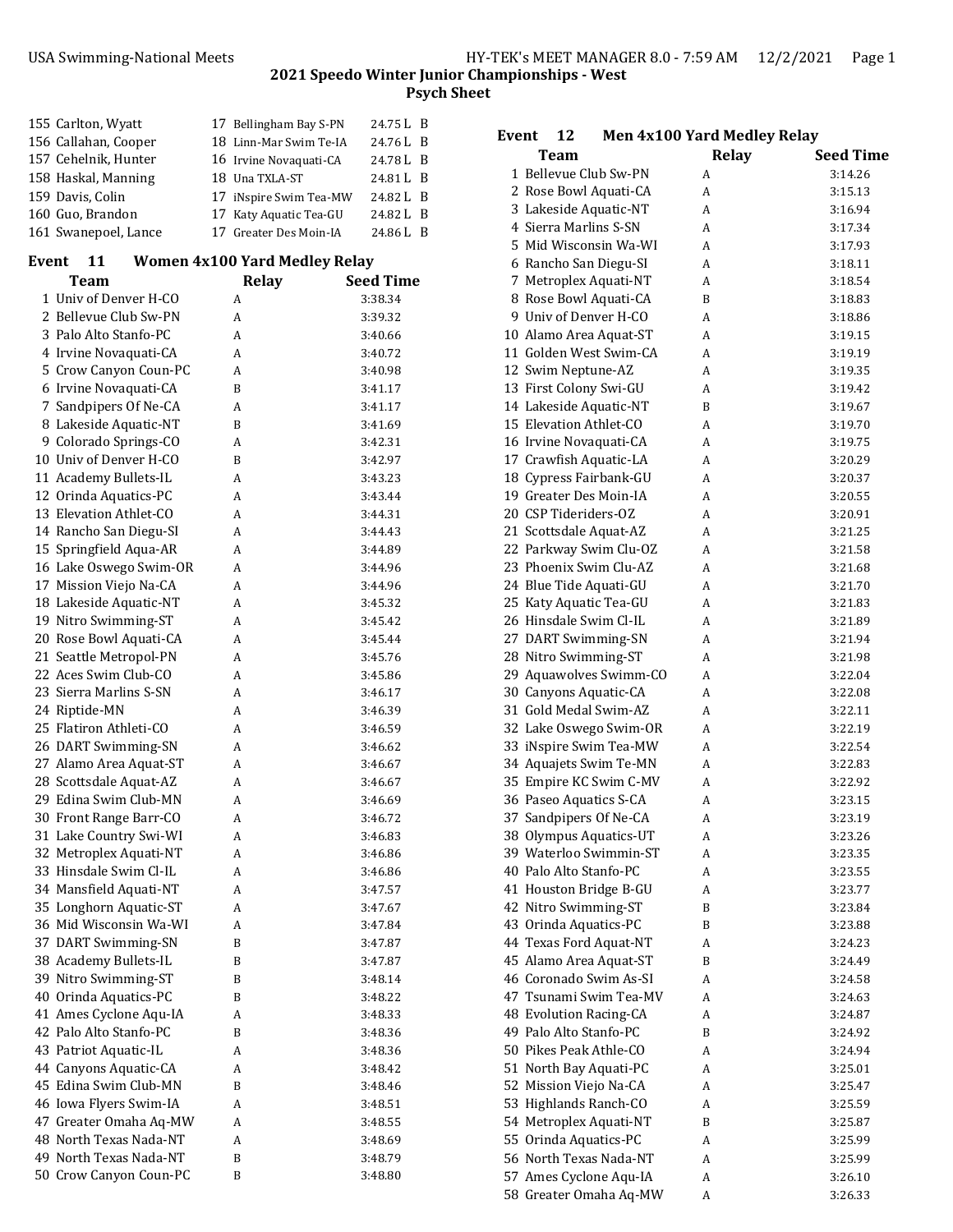| 155 Carlton, Wyatt   | 17 Bellingham Bay S-PN | 24.75 L B |  |
|----------------------|------------------------|-----------|--|
| 156 Callahan, Cooper | 18 Linn-Mar Swim Te-IA | 24.76 L B |  |
| 157 Cehelnik, Hunter | 16 Irvine Novaguati-CA | 24.78 L B |  |
| 158 Haskal, Manning  | 18 Una TXLA-ST         | 24.81 L B |  |
| 159 Davis, Colin     | 17 iNspire Swim Tea-MW | 24.82 L B |  |
| 160 Guo, Brandon     | 17 Katy Aquatic Tea-GU | 24.82 L B |  |
| 161 Swanepoel, Lance | 17 Greater Des Moin-IA | 24.86 L B |  |

#### **Event 11 Women 4x100 Yard Medley Relay**

| Team                   | Relay | <b>Seed Time</b> |
|------------------------|-------|------------------|
| 1 Univ of Denver H-CO  | A     | 3:38.34          |
| 2 Bellevue Club Sw-PN  | A     | 3:39.32          |
| 3 Palo Alto Stanfo-PC  | A     | 3:40.66          |
| 4 Irvine Novaquati-CA  | A     | 3:40.72          |
| 5 Crow Canyon Coun-PC  | A     | 3:40.98          |
| 6 Irvine Novaquati-CA  | B     | 3:41.17          |
| 7 Sandpipers Of Ne-CA  | A     | 3:41.17          |
| 8 Lakeside Aquatic-NT  | B     | 3:41.69          |
| 9 Colorado Springs-CO  | A     | 3:42.31          |
| 10 Univ of Denver H-CO | B     | 3:42.97          |
| 11 Academy Bullets-IL  | A     | 3:43.23          |
| 12 Orinda Aquatics-PC  | A     | 3:43.44          |
| 13 Elevation Athlet-CO | A     | 3:44.31          |
| 14 Rancho San Diegu-SI | A     | 3:44.43          |
| 15 Springfield Aqua-AR | A     | 3:44.89          |
| 16 Lake Oswego Swim-OR | A     | 3:44.96          |
| 17 Mission Viejo Na-CA | A     | 3:44.96          |
| 18 Lakeside Aquatic-NT | A     | 3:45.32          |
| 19 Nitro Swimming-ST   | A     | 3:45.42          |
| 20 Rose Bowl Aquati-CA | A     | 3:45.44          |
| 21 Seattle Metropol-PN | A     | 3:45.76          |
| 22 Aces Swim Club-CO   | A     | 3:45.86          |
| 23 Sierra Marlins S-SN | A     | 3:46.17          |
| 24 Riptide-MN          | A     | 3:46.39          |
| 25 Flatiron Athleti-CO | A     | 3:46.59          |
| 26 DART Swimming-SN    | A     | 3:46.62          |
| 27 Alamo Area Aquat-ST | A     | 3:46.67          |
| 28 Scottsdale Aquat-AZ | A     | 3:46.67          |
| 29 Edina Swim Club-MN  | A     | 3:46.69          |
| 30 Front Range Barr-CO | A     | 3:46.72          |
| 31 Lake Country Swi-WI | A     | 3:46.83          |
| 32 Metroplex Aquati-NT | A     | 3:46.86          |
| 33 Hinsdale Swim Cl-IL | A     | 3:46.86          |
| 34 Mansfield Aquati-NT | A     | 3:47.57          |
| 35 Longhorn Aquatic-ST | A     | 3:47.67          |
| 36 Mid Wisconsin Wa-WI | A     | 3:47.84          |
| 37 DART Swimming-SN    | B     | 3:47.87          |
| 38 Academy Bullets-IL  | B     | 3:47.87          |
| 39 Nitro Swimming-ST   | B     | 3:48.14          |
| 40 Orinda Aquatics-PC  | B     | 3:48.22          |
| 41 Ames Cyclone Aqu-IA | A     | 3:48.33          |
| 42 Palo Alto Stanfo-PC | B     | 3:48.36          |
| 43 Patriot Aquatic-IL  | A     | 3:48.36          |
| 44 Canyons Aquatic-CA  | A     | 3:48.42          |
| 45 Edina Swim Club-MN  | B     | 3:48.46          |
| 46 Iowa Flyers Swim-IA | A     | 3:48.51          |
| 47 Greater Omaha Aq-MW | A     | 3:48.55          |
| 48 North Texas Nada-NT | A     | 3:48.69          |
| 49 North Texas Nada-NT | B     | 3:48.79          |
| 50 Crow Canyon Coun-PC | B     | 3:48.80          |

| 12<br>Event            | Men 4x100 Yard Medley Relay |                  |
|------------------------|-----------------------------|------------------|
| Team                   | Relay                       | <b>Seed Time</b> |
| 1 Bellevue Club Sw-PN  | A                           | 3:14.26          |
| 2 Rose Bowl Aquati-CA  | A                           | 3:15.13          |
| 3 Lakeside Aquatic-NT  | A                           | 3:16.94          |
| 4 Sierra Marlins S-SN  | A                           | 3:17.34          |
| 5  Mid Wisconsin Wa-WI | A                           | 3:17.93          |
| 6 Rancho San Diegu-SI  | A                           | 3:18.11          |
| 7 Metroplex Aquati-NT  | A                           | 3:18.54          |
| 8 Rose Bowl Aquati-CA  | B                           | 3:18.83          |
| 9 Univ of Denver H-CO  | A                           | 3:18.86          |
| 10 Alamo Area Aquat-ST | A                           | 3:19.15          |
| 11 Golden West Swim-CA | A                           | 3:19.19          |
| 12 Swim Neptune-AZ     | A                           | 3:19.35          |
| 13 First Colony Swi-GU | A                           | 3:19.42          |
| 14 Lakeside Aquatic-NT | B                           | 3:19.67          |
| 15 Elevation Athlet-CO | A                           | 3:19.70          |
| 16 Irvine Novaquati-CA | A                           | 3:19.75          |
| 17 Crawfish Aquatic-LA | A                           | 3:20.29          |
| 18 Cypress Fairbank-GU | A                           | 3:20.37          |
| 19 Greater Des Moin-IA | A                           | 3:20.55          |
| 20 CSP Tideriders-OZ   | A                           | 3:20.91          |
| 21 Scottsdale Aquat-AZ | A                           | 3:21.25          |
| 22 Parkway Swim Clu-OZ | A                           | 3:21.58          |
| 23 Phoenix Swim Clu-AZ | A                           | 3:21.68          |
| 24 Blue Tide Aquati-GU | A                           | 3:21.70          |
| 25 Katy Aquatic Tea-GU | A                           | 3:21.83          |
| 26 Hinsdale Swim Cl-IL | A                           | 3:21.89          |
| 27 DART Swimming-SN    | A                           | 3:21.94          |
| 28 Nitro Swimming-ST   | A                           | 3:21.98          |
| 29 Aquawolves Swimm-CO | A                           | 3:22.04          |
| 30 Canyons Aquatic-CA  | A                           | 3:22.08          |
| 31 Gold Medal Swim-AZ  | A                           | 3:22.11          |
| 32 Lake Oswego Swim-OR | A                           | 3:22.19          |
| 33 iNspire Swim Tea-MW | A                           | 3:22.54          |
| 34 Aquajets Swim Te-MN | A                           | 3:22.83          |
| 35 Empire KC Swim C-MV | A                           | 3:22.92          |
| 36 Paseo Aquatics S-CA | A                           | 3:23.15          |
| 37 Sandpipers Of Ne-CA | A                           | 3:23.19          |
| 38 Olympus Aquatics-UT | A                           | 3:23.26          |
| 39 Waterloo Swimmin-ST | А                           | 3:23.35          |
| 40 Palo Alto Stanfo-PC | А                           | 3:23.55          |
| 41 Houston Bridge B-GU | А                           | 3:23.77          |
| 42 Nitro Swimming-ST   | B                           | 3:23.84          |
| 43 Orinda Aquatics-PC  | B                           | 3:23.88          |
| 44 Texas Ford Aquat-NT | А                           | 3:24.23          |
| 45 Alamo Area Aquat-ST | B                           | 3:24.49          |
| 46 Coronado Swim As-SI | A                           | 3:24.58          |
| 47 Tsunami Swim Tea-MV | A                           | 3:24.63          |
| 48 Evolution Racing-CA | A                           | 3:24.87          |
| 49 Palo Alto Stanfo-PC | B                           | 3:24.92          |
| 50 Pikes Peak Athle-CO | А                           | 3:24.94          |
| 51 North Bay Aquati-PC | А                           | 3:25.01          |
| 52 Mission Viejo Na-CA | А                           | 3:25.47          |
| 53 Highlands Ranch-CO  | А                           | 3:25.59          |
| 54 Metroplex Aquati-NT | B                           | 3:25.87          |
| 55 Orinda Aquatics-PC  | А                           | 3:25.99          |
| 56 North Texas Nada-NT | А                           | 3:25.99          |
| 57 Ames Cyclone Aqu-IA | A                           | 3:26.10          |

58 Greater Omaha Aq-MW A 3:26.33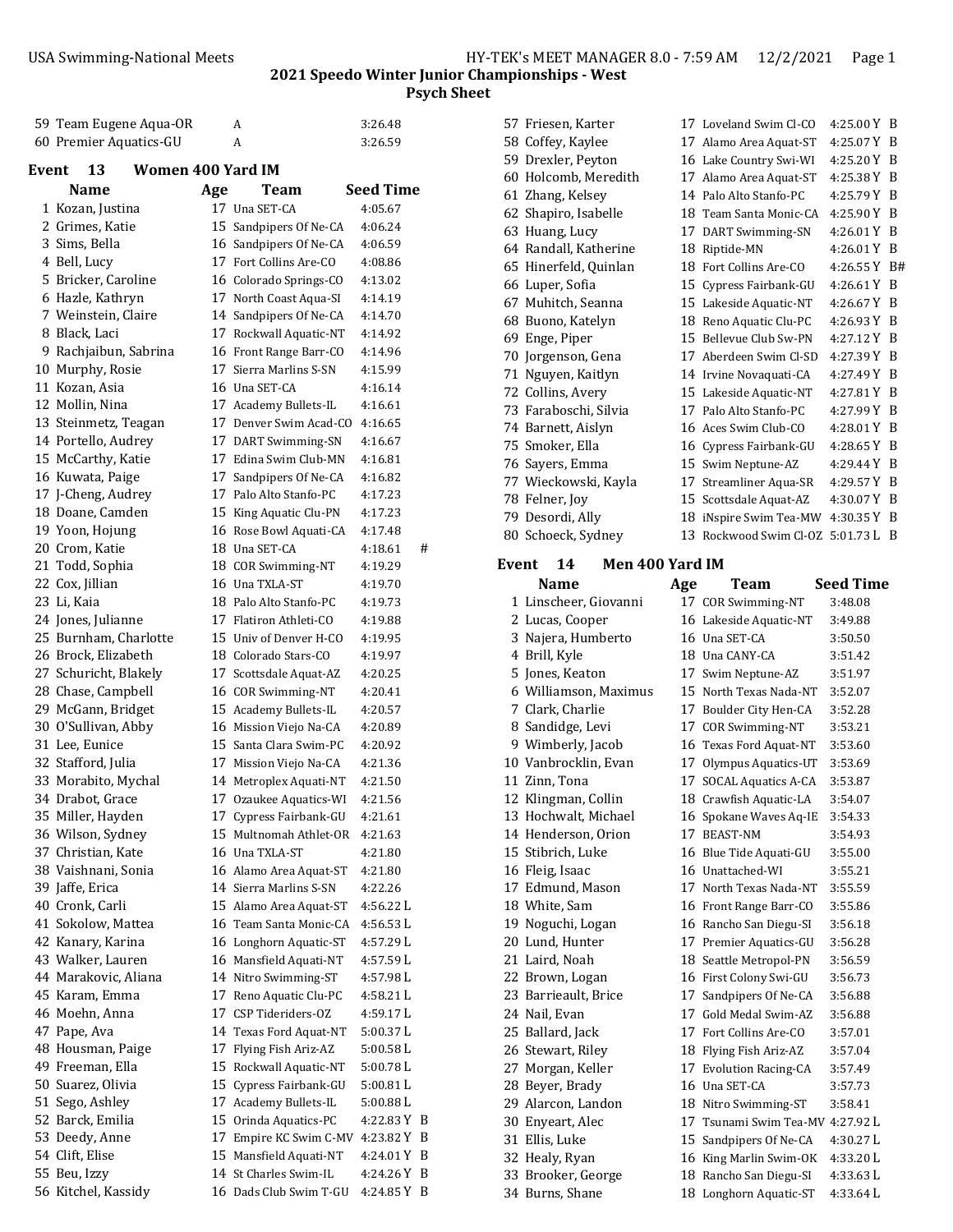|       |                                             |                   |     |                                                  | <b>Psyc</b>            |
|-------|---------------------------------------------|-------------------|-----|--------------------------------------------------|------------------------|
|       | 59 Team Eugene Aqua-OR                      |                   |     | A                                                | 3:26.48                |
|       | 60 Premier Aquatics-GU                      |                   |     | A                                                | 3:26.59                |
|       |                                             |                   |     |                                                  |                        |
| Event | 13                                          | Women 400 Yard IM |     |                                                  |                        |
|       | Name                                        |                   | Age | Team<br>17 Una SET-CA                            | <b>Seed Time</b>       |
|       | 1 Kozan, Justina                            |                   |     |                                                  | 4:05.67                |
|       | 2 Grimes, Katie<br>3 Sims, Bella            |                   |     | 15 Sandpipers Of Ne-CA                           | 4:06.24<br>4:06.59     |
|       | 4 Bell, Lucy                                |                   |     | 16 Sandpipers Of Ne-CA<br>17 Fort Collins Are-CO | 4:08.86                |
|       | 5 Bricker, Caroline                         |                   |     | 16 Colorado Springs-CO                           | 4:13.02                |
|       | 6 Hazle, Kathryn                            |                   |     | 17 North Coast Aqua-SI                           | 4:14.19                |
|       | 7 Weinstein, Claire                         |                   |     | 14 Sandpipers Of Ne-CA                           | 4:14.70                |
|       | 8 Black, Laci                               |                   |     | 17 Rockwall Aquatic-NT                           | 4:14.92                |
|       | 9 Rachjaibun, Sabrina                       |                   |     | 16 Front Range Barr-CO                           | 4:14.96                |
|       | 10 Murphy, Rosie                            |                   |     | 17 Sierra Marlins S-SN                           | 4:15.99                |
|       | 11 Kozan, Asia                              |                   |     | 16 Una SET-CA                                    | 4:16.14                |
|       | 12 Mollin, Nina                             |                   |     | 17 Academy Bullets-IL                            | 4:16.61                |
|       | 13 Steinmetz, Teagan                        |                   |     | 17 Denver Swim Acad-CO                           | 4:16.65                |
|       | 14 Portello, Audrey                         |                   |     | 17 DART Swimming-SN                              | 4:16.67                |
|       | 15 McCarthy, Katie                          |                   |     | 17 Edina Swim Club-MN                            | 4:16.81                |
|       | 16 Kuwata, Paige                            |                   |     | 17 Sandpipers Of Ne-CA                           | 4:16.82                |
|       | 17 J-Cheng, Audrey                          |                   |     | 17 Palo Alto Stanfo-PC                           | 4:17.23                |
|       | 18 Doane, Camden                            |                   |     | 15 King Aquatic Clu-PN                           | 4:17.23                |
|       | 19 Yoon, Hojung                             |                   |     | 16 Rose Bowl Aquati-CA                           | 4:17.48                |
|       | 20 Crom, Katie                              |                   |     | 18 Una SET-CA                                    | #<br>4:18.61           |
|       | 21 Todd, Sophia                             |                   |     | 18 COR Swimming-NT                               | 4:19.29                |
|       | 22 Cox, Jillian                             |                   |     | 16 Una TXLA-ST                                   | 4:19.70                |
|       | 23 Li, Kaia                                 |                   |     | 18 Palo Alto Stanfo-PC                           | 4:19.73                |
|       | 24 Jones, Julianne<br>25 Burnham, Charlotte |                   |     | 17 Flatiron Athleti-CO<br>15 Univ of Denver H-CO | 4:19.88                |
|       | 26 Brock, Elizabeth                         |                   |     | 18 Colorado Stars-CO                             | 4:19.95<br>4:19.97     |
|       | 27 Schuricht, Blakely                       |                   |     | 17 Scottsdale Aquat-AZ                           | 4:20.25                |
|       | 28 Chase, Campbell                          |                   |     | 16 COR Swimming-NT                               | 4:20.41                |
|       | 29 McGann, Bridget                          |                   |     | 15 Academy Bullets-IL                            | 4:20.57                |
|       | 30 O'Sullivan, Abby                         |                   |     | 16 Mission Viejo Na-CA                           | 4:20.89                |
|       | 31 Lee, Eunice                              |                   |     | 15 Santa Clara Swim-PC                           | 4:20.92                |
|       | 32 Stafford, Julia                          |                   |     | 17 Mission Viejo Na-CA                           | 4:21.36                |
|       | 33 Morabito, Mychal                         |                   |     | 14 Metroplex Aquati-NT                           | 4:21.50                |
|       | 34 Drabot, Grace                            |                   |     | 17 Ozaukee Aquatics-WI                           | 4:21.56                |
|       | 35 Miller, Hayden                           |                   |     | 17 Cypress Fairbank-GU                           | 4:21.61                |
|       | 36 Wilson, Sydney                           |                   |     | 15 Multnomah Athlet-OR                           | 4:21.63                |
|       | 37 Christian, Kate                          |                   |     | 16 Una TXLA-ST                                   | 4:21.80                |
|       | 38 Vaishnani, Sonia                         |                   |     | 16 Alamo Area Aquat-ST                           | 4:21.80                |
|       | 39 Jaffe, Erica                             |                   |     | 14 Sierra Marlins S-SN                           | 4:22.26                |
|       | 40 Cronk, Carli                             |                   |     | 15 Alamo Area Aquat-ST                           | 4:56.22 L              |
|       | 41 Sokolow, Mattea                          |                   |     | 16 Team Santa Monic-CA                           | 4:56.53 L              |
|       | 42 Kanary, Karina                           |                   |     | 16 Longhorn Aquatic-ST                           | 4:57.29 L              |
|       | 43 Walker, Lauren                           |                   |     | 16 Mansfield Aquati-NT                           | 4:57.59 L              |
|       | 44 Marakovic, Aliana<br>45 Karam, Emma      |                   |     | 14 Nitro Swimming-ST                             | 4:57.98 L              |
|       | 46 Moehn, Anna                              |                   |     | 17 Reno Aquatic Clu-PC<br>17 CSP Tideriders-OZ   | 4:58.21 L<br>4:59.17 L |
|       | 47 Pape, Ava                                |                   |     | 14 Texas Ford Aquat-NT                           | 5:00.37L               |
|       | 48 Housman, Paige                           |                   |     | 17 Flying Fish Ariz-AZ                           | 5:00.58L               |
|       | 49 Freeman, Ella                            |                   |     | 15 Rockwall Aquatic-NT                           | 5:00.78L               |
|       | 50 Suarez, Olivia                           |                   |     | 15 Cypress Fairbank-GU                           | 5:00.81 L              |
|       | 51 Sego, Ashley                             |                   |     | 17 Academy Bullets-IL                            | 5:00.88 L              |
|       | 52 Barck, Emilia                            |                   |     | 15 Orinda Aquatics-PC                            | 4:22.83 Y B            |
|       | 53 Deedy, Anne                              |                   |     | 17 Empire KC Swim C-MV                           | 4:23.82 Y B            |
|       | 54 Clift, Elise                             |                   |     | 15 Mansfield Aquati-NT                           | 4:24.01 Y B            |
|       | 55 Beu, Izzy                                |                   |     | 14 St Charles Swim-IL                            | 4:24.26 Y B            |
|       | 56 Kitchel, Kassidy                         |                   |     | 16 Dads Club Swim T-GU                           | 4:24.85 Y B            |

|       | 57 Friesen, Karter                    |     | 17 Loveland Swim Cl-CO                           | 4:25.00 Y B          |     |
|-------|---------------------------------------|-----|--------------------------------------------------|----------------------|-----|
|       | 58 Coffey, Kaylee                     |     | 17 Alamo Area Aquat-ST                           | 4:25.07 Y B          |     |
|       | 59 Drexler, Peyton                    |     | 16 Lake Country Swi-WI                           | 4:25.20 Y B          |     |
|       | 60 Holcomb, Meredith                  |     | 17 Alamo Area Aquat-ST                           | 4:25.38 Y B          |     |
|       | 61 Zhang, Kelsey                      |     | 14 Palo Alto Stanfo-PC                           | 4:25.79 Y B          |     |
|       | 62 Shapiro, Isabelle                  |     | 18 Team Santa Monic-CA                           | 4:25.90 Y B          |     |
|       | 63 Huang, Lucy                        |     | 17 DART Swimming-SN                              | 4:26.01 Y B          |     |
|       | 64 Randall, Katherine                 |     | 18 Riptide-MN                                    | 4:26.01 Y B          |     |
|       | 65 Hinerfeld, Quinlan                 |     | 18 Fort Collins Are-CO                           | 4:26.55 Y B#         |     |
|       | 66 Luper, Sofia                       |     | 15 Cypress Fairbank-GU                           | 4:26.61 Y B          |     |
|       | 67 Muhitch, Seanna                    |     | 15 Lakeside Aquatic-NT                           | 4:26.67 Y B          |     |
|       | 68 Buono, Katelyn                     |     | 18 Reno Aquatic Clu-PC                           | 4:26.93 Y            | - B |
|       | 69 Enge, Piper                        |     | 15 Bellevue Club Sw-PN                           | 4:27.12 Y B          |     |
|       | 70 Jorgenson, Gena                    |     | 17 Aberdeen Swim Cl-SD                           | 4:27.39 Y B          |     |
|       |                                       |     |                                                  |                      |     |
|       | 71 Nguyen, Kaitlyn                    |     | 14 Irvine Novaquati-CA                           | 4:27.49 Y B          |     |
|       | 72 Collins, Avery                     |     | 15 Lakeside Aquatic-NT                           | 4:27.81 Y B          |     |
|       | 73 Faraboschi, Silvia                 |     | 17 Palo Alto Stanfo-PC                           | 4:27.99 Y B          |     |
|       | 74 Barnett, Aislyn                    |     | 16 Aces Swim Club-CO                             | 4:28.01 Y B          |     |
|       | 75 Smoker, Ella                       |     | 16 Cypress Fairbank-GU                           | 4:28.65 Y B          |     |
|       | 76 Sayers, Emma                       |     | 15 Swim Neptune-AZ                               | 4:29.44 Y B          |     |
|       | 77 Wieckowski, Kayla                  |     | 17 Streamliner Aqua-SR                           | 4:29.57 Y B          |     |
|       | 78 Felner, Joy                        |     | 15 Scottsdale Aquat-AZ                           | 4:30.07 Y B          |     |
|       | 79 Desordi, Ally                      |     | 18 iNspire Swim Tea-MW                           | 4:30.35Y             | - B |
|       | 80 Schoeck, Sydney                    |     | 13 Rockwood Swim Cl-OZ 5:01.73 L B               |                      |     |
|       |                                       |     |                                                  |                      |     |
| Event | Men 400 Yard IM<br>14                 |     |                                                  |                      |     |
|       | Name                                  | Age | Team                                             | <b>Seed Time</b>     |     |
|       | 1 Linscheer, Giovanni                 |     | 17 COR Swimming-NT                               | 3:48.08              |     |
|       | 2 Lucas, Cooper                       |     | 16 Lakeside Aquatic-NT                           | 3:49.88              |     |
|       | 3 Najera, Humberto                    |     | 16 Una SET-CA                                    | 3:50.50              |     |
|       | 4 Brill, Kyle                         |     | 18 Una CANY-CA                                   | 3:51.42              |     |
|       | 5 Jones, Keaton                       |     | 17 Swim Neptune-AZ                               | 3:51.97              |     |
|       | 6 Williamson, Maximus                 |     | 15 North Texas Nada-NT                           | 3:52.07              |     |
|       | 7 Clark, Charlie                      |     | 17 Boulder City Hen-CA                           | 3:52.28              |     |
|       | 8 Sandidge, Levi                      |     | 17 COR Swimming-NT                               | 3:53.21              |     |
|       | 9 Wimberly, Jacob                     |     | 16 Texas Ford Aquat-NT                           | 3:53.60              |     |
|       | 10 Vanbrocklin, Evan                  |     |                                                  |                      |     |
|       |                                       |     |                                                  |                      |     |
|       |                                       |     | 17 Olympus Aquatics-UT                           | 3:53.69              |     |
|       | 11 Zinn, Tona                         |     | 17 SOCAL Aquatics A-CA                           | 3:53.87              |     |
|       | 12 Klingman, Collin                   |     | 18 Crawfish Aquatic-LA                           | 3:54.07              |     |
|       | 13 Hochwalt, Michael                  |     | 16 Spokane Waves Aq-IE                           | 3:54.33              |     |
|       | 14 Henderson, Orion                   |     | 17 BEAST-NM                                      | 3:54.93              |     |
|       | 15 Stibrich, Luke                     |     | 16 Blue Tide Aquati-GU                           | 3:55.00              |     |
|       | 16 Fleig, Isaac                       |     | 16 Unattached-WI                                 | 3:55.21              |     |
|       | 17 Edmund, Mason                      |     | 17 North Texas Nada-NT                           | 3:55.59              |     |
|       | 18 White, Sam                         |     | 16 Front Range Barr-CO                           | 3:55.86              |     |
|       | 19 Noguchi, Logan                     |     | 16 Rancho San Diegu-SI                           | 3:56.18              |     |
|       | 20 Lund, Hunter                       |     | 17 Premier Aquatics-GU                           | 3:56.28              |     |
|       | 21 Laird, Noah                        |     | 18 Seattle Metropol-PN                           | 3:56.59              |     |
|       | 22 Brown, Logan                       |     | 16 First Colony Swi-GU                           | 3:56.73              |     |
|       | 23 Barrieault, Brice                  |     | 17 Sandpipers Of Ne-CA                           | 3:56.88              |     |
|       | 24 Nail, Evan                         |     | 17 Gold Medal Swim-AZ                            | 3:56.88              |     |
|       | 25 Ballard, Jack                      |     | 17 Fort Collins Are-CO                           | 3:57.01              |     |
|       | 26 Stewart, Riley                     |     | 18 Flying Fish Ariz-AZ                           | 3:57.04              |     |
|       | 27 Morgan, Keller                     |     | 17 Evolution Racing-CA                           | 3:57.49              |     |
|       |                                       |     | 16 Una SET-CA                                    | 3:57.73              |     |
|       | 28 Beyer, Brady<br>29 Alarcon, Landon |     | 18 Nitro Swimming-ST                             | 3:58.41              |     |
|       |                                       |     |                                                  |                      |     |
|       | 30 Enyeart, Alec                      |     | 17 Tsunami Swim Tea-MV 4:27.92 L                 |                      |     |
|       | 31 Ellis, Luke                        |     | 15 Sandpipers Of Ne-CA                           | 4:30.27L             |     |
|       | 32 Healy, Ryan<br>33 Brooker, George  |     | 16 King Marlin Swim-OK<br>18 Rancho San Diegu-SI | 4:33.20L<br>4:33.63L |     |

34 Burns, Shane 18 Longhorn Aquatic-ST 4:33.64 L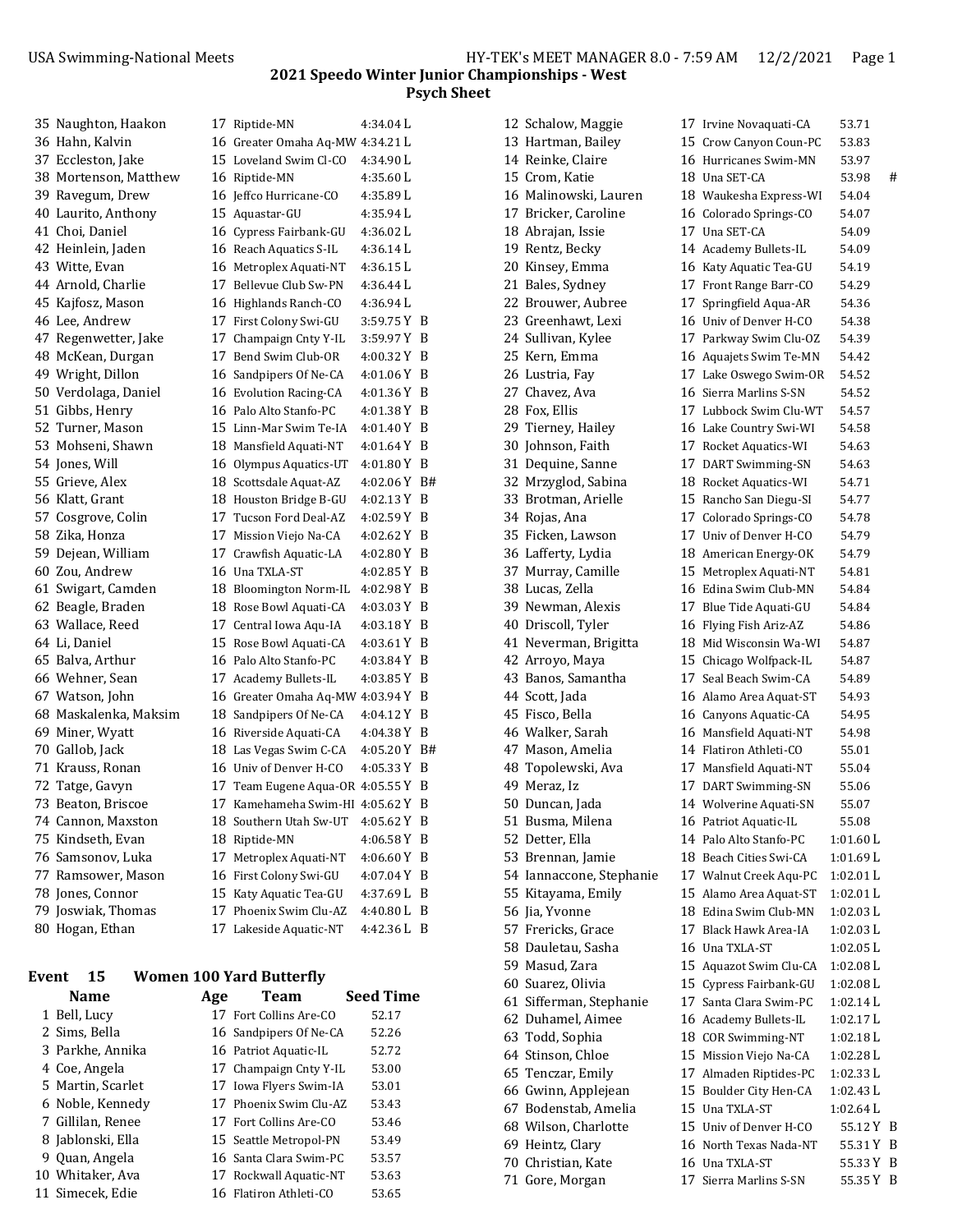| 35 Naughton, Haakon   | 17 Riptide-MN                      | 4:34.04 L     |   |
|-----------------------|------------------------------------|---------------|---|
| 36 Hahn, Kalvin       | 16 Greater Omaha Aq-MW 4:34.21 L   |               |   |
| 37 Eccleston, Jake    | 15 Loveland Swim Cl-CO             | 4:34.90 L     |   |
| 38 Mortenson, Matthew | 16 Riptide-MN                      | 4:35.60 L     |   |
| 39 Ravegum, Drew      | 16 Jeffco Hurricane-CO             | 4:35.89 L     |   |
| 40 Laurito, Anthony   | 15 Aquastar-GU                     | 4:35.94 L     |   |
| 41 Choi, Daniel       | 16 Cypress Fairbank-GU             | 4:36.02 L     |   |
| 42 Heinlein, Jaden    | 16 Reach Aquatics S-IL             | 4:36.14 L     |   |
| 43 Witte, Evan        | 16 Metroplex Aquati-NT             | 4:36.15 L     |   |
| 44 Arnold, Charlie    | 17 Bellevue Club Sw-PN             | $4:36.44$ L   |   |
| 45 Kajfosz, Mason     | 16 Highlands Ranch-CO              | 4:36.94 L     |   |
| 46 Lee, Andrew        | 17 First Colony Swi-GU             | $3:59.75Y$ B  |   |
| 47 Regenwetter, Jake  | 17 Champaign Cnty Y-IL             | 3:59.97 Y B   |   |
| 48 McKean, Durgan     | 17 Bend Swim Club-OR               | $4:00.32$ Y B |   |
| 49 Wright, Dillon     | 16 Sandpipers Of Ne-CA             | $4:01.06$ Y B |   |
| 50 Verdolaga, Daniel  | 16 Evolution Racing-CA             | $4:01.36$ Y B |   |
| 51 Gibbs, Henry       | 16 Palo Alto Stanfo-PC             | $4:01.38$ Y B |   |
| 52 Turner, Mason      | 15 Linn-Mar Swim Te-IA             | 4:01.40 Y B   |   |
| 53 Mohseni, Shawn     | 18 Mansfield Aquati-NT             | 4:01.64 Y B   |   |
| 54 Jones, Will        | 16 Olympus Aquatics-UT             | $4:01.80 Y$ B |   |
| 55 Grieve, Alex       | 18 Scottsdale Aquat-AZ             | 4:02.06 Y B#  |   |
| 56 Klatt, Grant       | 18 Houston Bridge B-GU             | 4:02.13 Y B   |   |
| 57 Cosgrove, Colin    | 17 Tucson Ford Deal-AZ             | 4:02.59 Y B   |   |
| 58 Zika, Honza        | 17 Mission Viejo Na-CA             | $4:02.62$ Y B |   |
| 59 Dejean, William    | 17 Crawfish Aquatic-LA             | 4:02.80 Y B   |   |
| 60 Zou, Andrew        | 16 Una TXLA-ST                     | $4:02.85$ Y B |   |
| 61 Swigart, Camden    | 18 Bloomington Norm-IL             | $4:02.98$ Y B |   |
| 62 Beagle, Braden     | 18 Rose Bowl Aquati-CA             | $4:03.03$ Y B |   |
| 63 Wallace, Reed      | 17 Central Iowa Aqu-IA             | $4:03.18$ Y B |   |
| 64 Li, Daniel         | 15 Rose Bowl Aquati-CA             | $4:03.61$ Y B |   |
| 65 Balva, Arthur      | 16 Palo Alto Stanfo-PC             | 4:03.84 Y B   |   |
| 66 Wehner, Sean       | 17 Academy Bullets-IL              | $4:03.85$ Y B |   |
| 67 Watson, John       | 16 Greater Omaha Aq-MW 4:03.94 Y B |               |   |
| 68 Maskalenka, Maksim | 18 Sandpipers Of Ne-CA             | 4:04.12 Y B   |   |
| 69 Miner, Wyatt       | 16 Riverside Aquati-CA             | 4:04.38 Y B   |   |
| 70 Gallob, Jack       | 18 Las Vegas Swim C-CA             | 4:05.20 Y B#  |   |
| 71 Krauss, Ronan      | 16 Univ of Denver H-CO             | 4:05.33 Y B   |   |
| 72 Tatge, Gavyn       | 17 Team Eugene Aqua-OR 4:05.55 Y B |               |   |
| 73 Beaton, Briscoe    | 17 Kamehameha Swim-HI 4:05.62 Y B  |               |   |
| 74 Cannon, Maxston    | 18 Southern Utah Sw-UT             | 4:05.62 Y     | B |
| 75 Kindseth, Evan     | 18 Riptide-MN                      | 4:06.58Y      | В |
| 76 Samsonov, Luka     | 17 Metroplex Aquati-NT             | 4:06.60Y      | B |
| 77 Ramsower, Mason    | 16 First Colony Swi-GU             | 4:07.04 Y     | B |
| 78 Jones, Connor      | 15 Katy Aquatic Tea-GU             | 4:37.69 L     | B |
| 79 Joswiak, Thomas    | 17 Phoenix Swim Clu-AZ             | 4:40.80 L     | B |
| 80 Hogan, Ethan       | 17 Lakeside Aquatic-NT             | 4:42.36 L     | B |

## **Event 15 Women 100 Yard Butterfly**

| <b>Name</b>       | Age | Team                   | <b>Seed Time</b> |
|-------------------|-----|------------------------|------------------|
| 1 Bell, Lucy      |     | 17 Fort Collins Are-CO | 52.17            |
| 2 Sims, Bella     |     | 16 Sandpipers Of Ne-CA | 52.26            |
| 3 Parkhe, Annika  |     | 16 Patriot Aquatic-IL  | 52.72            |
| 4 Coe, Angela     |     | 17 Champaign Cnty Y-IL | 53.00            |
| 5 Martin, Scarlet |     | 17 Iowa Flyers Swim-IA | 53.01            |
| 6 Noble, Kennedy  |     | 17 Phoenix Swim Clu-AZ | 53.43            |
| 7 Gillilan, Renee |     | 17 Fort Collins Are-CO | 53.46            |
| 8 Jablonski, Ella |     | 15 Seattle Metropol-PN | 53.49            |
| 9 Quan, Angela    |     | 16 Santa Clara Swim-PC | 53.57            |
| 10 Whitaker, Ava  |     | 17 Rockwall Aquatic-NT | 53.63            |
| 11 Simecek, Edie  |     | 16 Flatiron Athleti-CO | 53.65            |

| 12 Schalow, Maggie       | 17 Irvine Novaquati-CA   | 53.71       |    |
|--------------------------|--------------------------|-------------|----|
| 13 Hartman, Bailey       | 15 Crow Canyon Coun-PC   | 53.83       |    |
| 14 Reinke, Claire        | 16 Hurricanes Swim-MN    | 53.97       |    |
| 15 Crom, Katie           | 18 Una SET-CA            | 53.98       | #  |
| 16 Malinowski, Lauren    | 18 Waukesha Express-WI   | 54.04       |    |
| 17 Bricker, Caroline     | 16 Colorado Springs-CO   | 54.07       |    |
| 18 Abrajan, Issie        | 17 Una SET-CA            | 54.09       |    |
| 19 Rentz, Becky          | 14 Academy Bullets-IL    | 54.09       |    |
| 20 Kinsey, Emma          | 16 Katy Aquatic Tea-GU   | 54.19       |    |
| 21 Bales, Sydney         | 17 Front Range Barr-CO   | 54.29       |    |
| 22 Brouwer, Aubree       | 17 Springfield Aqua-AR   | 54.36       |    |
| 23 Greenhawt, Lexi       | 16 Univ of Denver H-CO   | 54.38       |    |
| 24 Sullivan, Kylee       | 17 Parkway Swim Clu-OZ   | 54.39       |    |
| 25 Kern, Emma            | 16 Aquajets Swim Te-MN   | 54.42       |    |
| 26 Lustria, Fay          | 17 Lake Oswego Swim-OR   | 54.52       |    |
| 27 Chavez, Ava           | 16 Sierra Marlins S-SN   | 54.52       |    |
| 28 Fox, Ellis            | 17 Lubbock Swim Clu-WT   | 54.57       |    |
| 29 Tierney, Hailey       | 16 Lake Country Swi-WI   | 54.58       |    |
| 30 Johnson, Faith        | 17 Rocket Aquatics-WI    | 54.63       |    |
| 31 Dequine, Sanne        | 17 DART Swimming-SN      | 54.63       |    |
| 32 Mrzyglod, Sabina      | 18 Rocket Aquatics-WI    | 54.71       |    |
| 33 Brotman, Arielle      | 15 Rancho San Diegu-SI   | 54.77       |    |
| 34 Rojas, Ana            | 17 Colorado Springs-CO   | 54.78       |    |
| 35 Ficken, Lawson        | 17 Univ of Denver H-CO   | 54.79       |    |
| 36 Lafferty, Lydia       | 18 American Energy-OK    | 54.79       |    |
| 37 Murray, Camille       | 15 Metroplex Aquati-NT   | 54.81       |    |
| 38 Lucas, Zella          | 16 Edina Swim Club-MN    | 54.84       |    |
| 39 Newman, Alexis        | 17 Blue Tide Aquati-GU   | 54.84       |    |
| 40 Driscoll, Tyler       | 16 Flying Fish Ariz-AZ   | 54.86       |    |
| 41 Neverman, Brigitta    | 18 Mid Wisconsin Wa-WI   | 54.87       |    |
| 42 Arroyo, Maya          | 15 Chicago Wolfpack-IL   | 54.87       |    |
| 43 Banos, Samantha       | 17 Seal Beach Swim-CA    | 54.89       |    |
| 44 Scott, Jada           | 16 Alamo Area Aquat-ST   | 54.93       |    |
| 45 Fisco, Bella          | 16 Canyons Aquatic-CA    | 54.95       |    |
| 46 Walker, Sarah         | 16 Mansfield Aquati-NT   | 54.98       |    |
| 47 Mason, Amelia         | 14 Flatiron Athleti-CO   | 55.01       |    |
| 48 Topolewski, Ava       | 17 Mansfield Aquati-NT   | 55.04       |    |
| 49 Meraz, Iz             | 17 DART Swimming-SN      | 55.06       |    |
| 50 Duncan, Jada          | 14 Wolverine Aquati-SN   | 55.07       |    |
| 51 Busma, Milena         | 16 Patriot Aquatic-IL    | 55.08       |    |
| 52 Detter, Ella          | 14 Palo Alto Stanfo-PC   | 1:01.60L    |    |
| 53 Brennan, Jamie        | 18 Beach Cities Swi-CA   | 1:01.69 L   |    |
| 54 Iannaccone, Stephanie | 17 Walnut Creek Aqu-PC   | 1:02.01 L   |    |
| 55 Kitayama, Emily       | 15 Alamo Area Aquat-ST   | 1:02.01 L   |    |
| 56 Jia, Yvonne           | 18 Edina Swim Club-MN    | 1:02.03L    |    |
| 57 Frericks, Grace       | 17 Black Hawk Area-IA    | 1:02.03L    |    |
| 58 Dauletau, Sasha       | 16 Una TXLA-ST           | 1:02.05L    |    |
| 59 Masud, Zara           | 15 Aquazot Swim Clu-CA   | 1:02.08L    |    |
| 60 Suarez, Olivia        | 15 Cypress Fairbank-GU   | 1:02.08 L   |    |
| 61 Sifferman, Stephanie  | 17 Santa Clara Swim-PC   | 1:02.14L    |    |
| 62 Duhamel, Aimee        | 16 Academy Bullets-IL    | 1:02.17 L   |    |
| 63 Todd, Sophia          | 18 COR Swimming-NT       | 1:02.18L    |    |
| 64 Stinson, Chloe        | 15 Mission Viejo Na-CA   | 1:02.28L    |    |
| 65 Tenczar, Emily        | 17 Almaden Riptides-PC   | 1:02.33L    |    |
| 66 Gwinn, Applejean      | 15 Boulder City Hen-CA   | 1:02.43 L   |    |
| 67 Bodenstab, Amelia     | 15 Una TXLA-ST           | 1:02.64 L   |    |
| 68 Wilson, Charlotte     | 15 Univ of Denver H-CO   | 55.12 Y B   |    |
| 69 Heintz, Clary         | 16 North Texas Nada-NT   | 55.31 Y     | B  |
| 70 Christian, Kate       | 16 Una TXLA-ST           | 55.33 Y     | -B |
| 71 Coro Morgan           | 17 Ciarna Marline C.C.N. | EE 2E VIIDI |    |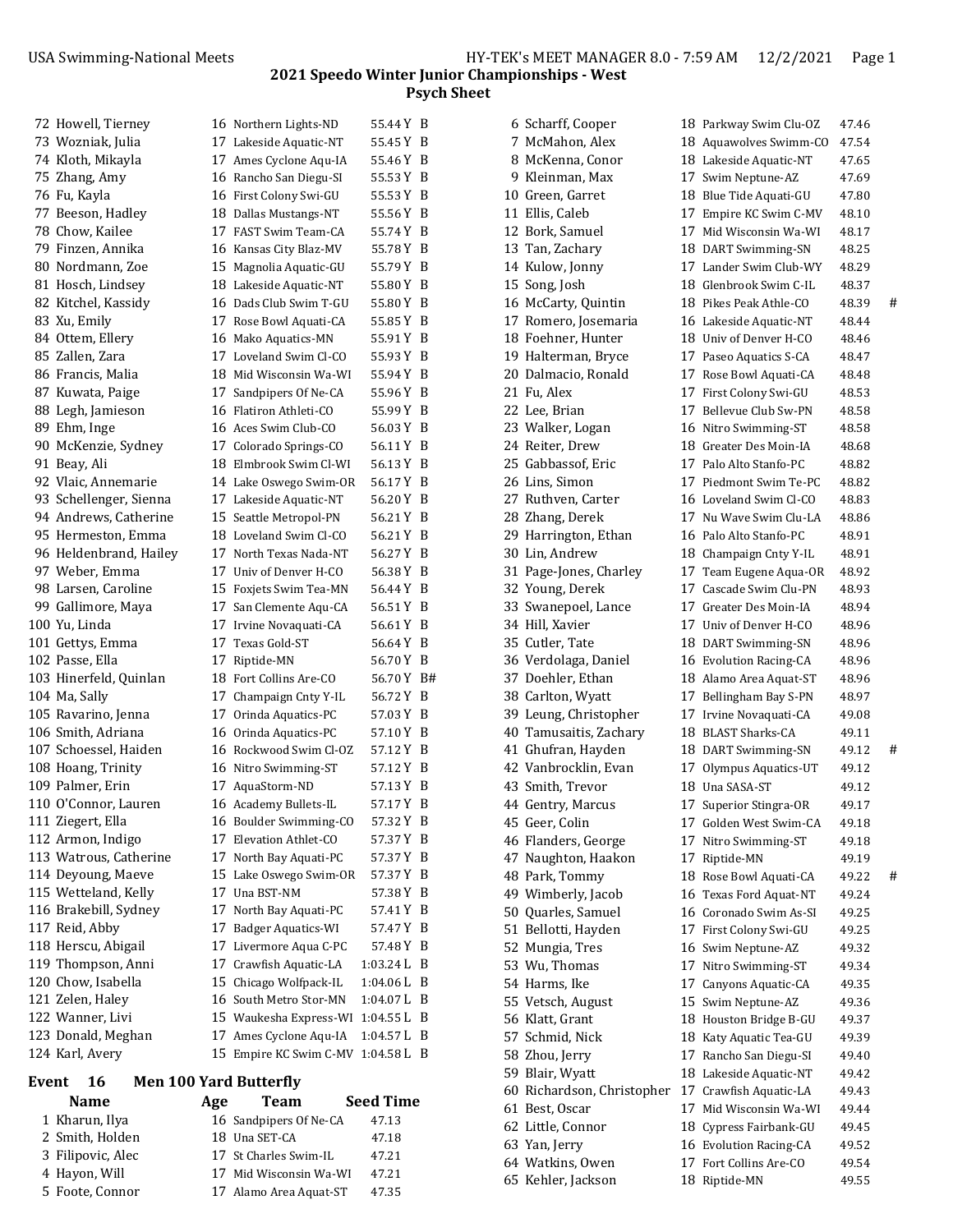|                                              | 72 Howell, Tierney     |  | 16 Northern Lights-ND  | 55.44 Y B  |   |  |  |
|----------------------------------------------|------------------------|--|------------------------|------------|---|--|--|
|                                              | 73 Wozniak, Julia      |  | 17 Lakeside Aquatic-NT | 55.45 Y B  |   |  |  |
|                                              | 74 Kloth, Mikayla      |  | 17 Ames Cyclone Aqu-IA | 55.46 Y B  |   |  |  |
|                                              | 75 Zhang, Amy          |  | 16 Rancho San Diegu-SI | 55.53 Y B  |   |  |  |
|                                              | 76 Fu, Kayla           |  | 16 First Colony Swi-GU | 55.53 Y B  |   |  |  |
|                                              | 77 Beeson, Hadley      |  | 18 Dallas Mustangs-NT  | 55.56 Y B  |   |  |  |
|                                              | 78 Chow, Kailee        |  | 17 FAST Swim Team-CA   | 55.74 Y B  |   |  |  |
|                                              | 79 Finzen, Annika      |  | 16 Kansas City Blaz-MV | 55.78 Y B  |   |  |  |
|                                              | 80 Nordmann, Zoe       |  | 15 Magnolia Aquatic-GU | 55.79 Y B  |   |  |  |
|                                              | 81 Hosch, Lindsey      |  | 18 Lakeside Aquatic-NT | 55.80 Y B  |   |  |  |
|                                              | 82 Kitchel, Kassidy    |  | 16 Dads Club Swim T-GU | 55.80 Y B  |   |  |  |
|                                              | 83 Xu, Emily           |  | 17 Rose Bowl Aquati-CA | 55.85 Y B  |   |  |  |
|                                              | 84 Ottem, Ellery       |  | 16 Mako Aquatics-MN    | 55.91 Y B  |   |  |  |
|                                              | 85 Zallen, Zara        |  | 17 Loveland Swim Cl-CO | 55.93 Y B  |   |  |  |
|                                              | 86 Francis, Malia      |  | 18 Mid Wisconsin Wa-WI | 55.94 Y B  |   |  |  |
|                                              | 87 Kuwata, Paige       |  | 17 Sandpipers Of Ne-CA | 55.96 Y B  |   |  |  |
|                                              | 88 Legh, Jamieson      |  | 16 Flatiron Athleti-CO | 55.99 Y B  |   |  |  |
|                                              | 89 Ehm, Inge           |  | 16 Aces Swim Club-CO   | 56.03 Y B  |   |  |  |
|                                              | 90 McKenzie, Sydney    |  | 17 Colorado Springs-CO | 56.11 Y B  |   |  |  |
|                                              | 91 Beay, Ali           |  | 18 Elmbrook Swim Cl-WI | 56.13 Y B  |   |  |  |
|                                              | 92 Vlaic, Annemarie    |  | 14 Lake Oswego Swim-OR | 56.17 Y B  |   |  |  |
|                                              | 93 Schellenger, Sienna |  | 17 Lakeside Aquatic-NT | 56.20 Y B  |   |  |  |
|                                              | 94 Andrews, Catherine  |  | 15 Seattle Metropol-PN | 56.21 Y B  |   |  |  |
|                                              | 95 Hermeston, Emma     |  | 18 Loveland Swim Cl-CO | 56.21 Y B  |   |  |  |
|                                              | 96 Heldenbrand, Hailey |  | 17 North Texas Nada-NT | 56.27 Y B  |   |  |  |
|                                              | 97 Weber, Emma         |  | 17 Univ of Denver H-CO | 56.38 Y B  |   |  |  |
|                                              | 98 Larsen, Caroline    |  | 15 Foxjets Swim Tea-MN | 56.44 Y B  |   |  |  |
|                                              | 99 Gallimore, Maya     |  | 17 San Clemente Aqu-CA | 56.51 Y B  |   |  |  |
|                                              | 100 Yu, Linda          |  | 17 Irvine Novaquati-CA | 56.61 Y B  |   |  |  |
|                                              | 101 Gettys, Emma       |  | 17 Texas Gold-ST       | 56.64 Y B  |   |  |  |
|                                              | 102 Passe, Ella        |  | 17 Riptide-MN          | 56.70 Y B  |   |  |  |
|                                              | 103 Hinerfeld, Quinlan |  | 18 Fort Collins Are-CO | 56.70 Y B# |   |  |  |
|                                              | 104 Ma, Sally          |  | 17 Champaign Cnty Y-IL | 56.72 Y B  |   |  |  |
|                                              | 105 Ravarino, Jenna    |  | 17 Orinda Aquatics-PC  | 57.03 Y B  |   |  |  |
|                                              | 106 Smith, Adriana     |  | 16 Orinda Aquatics-PC  | 57.10 Y B  |   |  |  |
|                                              | 107 Schoessel, Haiden  |  | 16 Rockwood Swim Cl-OZ | 57.12 Y B  |   |  |  |
|                                              | 108 Hoang, Trinity     |  | 16 Nitro Swimming-ST   | 57.12 Y B  |   |  |  |
|                                              | 109 Palmer, Erin       |  | 17 AquaStorm-ND        | 57.13 Y B  |   |  |  |
|                                              | 110 O'Connor, Lauren   |  | 16 Academy Bullets-IL  | 57.17 Y B  |   |  |  |
|                                              | 111 Ziegert, Ella      |  | 16 Boulder Swimming-CO | 57.32Y     | В |  |  |
|                                              | 112 Armon, Indigo      |  | 17 Elevation Athlet-CO | 57.37 Y    | B |  |  |
|                                              | 113 Watrous, Catherine |  | 17 North Bay Aquati-PC | 57.37Y     | B |  |  |
|                                              | 114 Deyoung, Maeve     |  | 15 Lake Oswego Swim-OR | 57.37 Y    | B |  |  |
|                                              | 115 Wetteland, Kelly   |  | 17 Una BST-NM          | 57.38 Y    | B |  |  |
|                                              | 116 Brakebill, Sydney  |  | 17 North Bay Aquati-PC | 57.41 Y B  |   |  |  |
|                                              | 117 Reid, Abby         |  | 17 Badger Aquatics-WI  | 57.47 Y B  |   |  |  |
|                                              | 118 Herscu, Abigail    |  | 17 Livermore Aqua C-PC | 57.48 Y    | B |  |  |
|                                              | 119 Thompson, Anni     |  | 17 Crawfish Aquatic-LA | 1:03.24 L  | B |  |  |
|                                              | 120 Chow, Isabella     |  | 15 Chicago Wolfpack-IL | 1:04.06 L  | B |  |  |
|                                              | 121 Zelen, Haley       |  | 16 South Metro Stor-MN | 1:04.07 L  | B |  |  |
|                                              | 122 Wanner, Livi       |  | 15 Waukesha Express-WI | 1:04.55 L  | B |  |  |
|                                              | 123 Donald, Meghan     |  | 17 Ames Cyclone Aqu-IA | 1:04.57 L  | B |  |  |
|                                              | 124 Karl, Avery        |  | 15 Empire KC Swim C-MV | 1:04.58 L  | B |  |  |
| Event<br>16<br><b>Men 100 Yard Butterfly</b> |                        |  |                        |            |   |  |  |

| <b>Name</b>       | Age | <b>Team</b>            | <b>Seed Time</b> |
|-------------------|-----|------------------------|------------------|
| 1 Kharun, Ilya    |     | 16 Sandpipers Of Ne-CA | 47.13            |
| 2 Smith, Holden   |     | 18 Una SET-CA          | 47.18            |
| 3 Filipovic, Alec |     | 17 St Charles Swim-IL  | 47.21            |
| 4 Havon, Will     |     | 17 Mid Wisconsin Wa-WI | 47.21            |
| 5 Foote, Connor   |     | 17 Alamo Area Aquat-ST | 47.35            |

| 6 Scharff, Cooper          | 18 Parkway Swim Clu-OZ | 47.46 |   |
|----------------------------|------------------------|-------|---|
| 7 McMahon, Alex            | 18 Aquawolves Swimm-CO | 47.54 |   |
| 8 McKenna, Conor           | 18 Lakeside Aquatic-NT | 47.65 |   |
| 9 Kleinman, Max            | 17 Swim Neptune-AZ     | 47.69 |   |
| 10 Green, Garret           | 18 Blue Tide Aquati-GU | 47.80 |   |
| 11 Ellis, Caleb            | 17 Empire KC Swim C-MV | 48.10 |   |
| 12 Bork, Samuel            | 17 Mid Wisconsin Wa-WI | 48.17 |   |
| 13 Tan, Zachary            | 18 DART Swimming-SN    | 48.25 |   |
| 14 Kulow, Jonny            | 17 Lander Swim Club-WY | 48.29 |   |
| 15 Song, Josh              | 18 Glenbrook Swim C-IL | 48.37 |   |
| 16 McCarty, Quintin        | 18 Pikes Peak Athle-CO | 48.39 | # |
| 17 Romero, Josemaria       | 16 Lakeside Aquatic-NT | 48.44 |   |
| 18 Foehner, Hunter         | 18 Univ of Denver H-CO | 48.46 |   |
| 19 Halterman, Bryce        | 17 Paseo Aquatics S-CA | 48.47 |   |
| 20 Dalmacio, Ronald        | 17 Rose Bowl Aquati-CA | 48.48 |   |
| 21 Fu, Alex                | 17 First Colony Swi-GU | 48.53 |   |
| 22 Lee, Brian              | 17 Bellevue Club Sw-PN | 48.58 |   |
| 23 Walker, Logan           | 16 Nitro Swimming-ST   | 48.58 |   |
| 24 Reiter, Drew            | 18 Greater Des Moin-IA | 48.68 |   |
| 25 Gabbassof, Eric         | 17 Palo Alto Stanfo-PC | 48.82 |   |
| 26 Lins, Simon             | 17 Piedmont Swim Te-PC | 48.82 |   |
| 27 Ruthven, Carter         | 16 Loveland Swim Cl-CO | 48.83 |   |
| 28 Zhang, Derek            | 17 Nu Wave Swim Clu-LA | 48.86 |   |
| 29 Harrington, Ethan       | 16 Palo Alto Stanfo-PC | 48.91 |   |
| 30 Lin, Andrew             | 18 Champaign Cnty Y-IL | 48.91 |   |
| 31 Page-Jones, Charley     | 17 Team Eugene Aqua-OR | 48.92 |   |
| 32 Young, Derek            | 17 Cascade Swim Clu-PN | 48.93 |   |
| 33 Swanepoel, Lance        | 17 Greater Des Moin-IA | 48.94 |   |
| 34 Hill, Xavier            | 17 Univ of Denver H-CO | 48.96 |   |
| 35 Cutler, Tate            | 18 DART Swimming-SN    | 48.96 |   |
| 36 Verdolaga, Daniel       | 16 Evolution Racing-CA | 48.96 |   |
| 37 Doehler, Ethan          | 18 Alamo Area Aquat-ST | 48.96 |   |
| 38 Carlton, Wyatt          | 17 Bellingham Bay S-PN | 48.97 |   |
| 39 Leung, Christopher      | 17 Irvine Novaquati-CA | 49.08 |   |
| 40 Tamusaitis, Zachary     | 18 BLAST Sharks-CA     | 49.11 |   |
| 41 Ghufran, Hayden         | 18 DART Swimming-SN    | 49.12 | # |
| 42 Vanbrocklin, Evan       | 17 Olympus Aquatics-UT | 49.12 |   |
| 43 Smith, Trevor           | 18 Una SASA-ST         | 49.12 |   |
|                            |                        |       |   |
| 44 Gentry, Marcus          | 17 Superior Stingra-OR | 49.17 |   |
| 45 Geer, Colin             | 17 Golden West Swim-CA | 49.18 |   |
| 46 Flanders, George        | 17 Nitro Swimming-ST   | 49.18 |   |
| 47 Naughton, Haakon        | 17 Riptide-MN          | 49.19 |   |
| 48 Park, Tommy             | 18 Rose Bowl Aquati-CA | 49.22 | # |
| 49 Wimberly, Jacob         | 16 Texas Ford Aquat-NT | 49.24 |   |
| 50 Quarles, Samuel         | 16 Coronado Swim As-SI | 49.25 |   |
| 51 Bellotti, Hayden        | 17 First Colony Swi-GU | 49.25 |   |
| 52 Mungia, Tres            | 16 Swim Neptune-AZ     | 49.32 |   |
| 53 Wu, Thomas              | 17 Nitro Swimming-ST   | 49.34 |   |
| 54 Harms, Ike              | 17 Canyons Aquatic-CA  | 49.35 |   |
| 55 Vetsch, August          | 15 Swim Neptune-AZ     | 49.36 |   |
| 56 Klatt, Grant            | 18 Houston Bridge B-GU | 49.37 |   |
| 57 Schmid, Nick            | 18 Katy Aquatic Tea-GU | 49.39 |   |
| 58 Zhou, Jerry             | 17 Rancho San Diegu-SI | 49.40 |   |
| 59 Blair, Wyatt            | 18 Lakeside Aquatic-NT | 49.42 |   |
| 60 Richardson, Christopher | 17 Crawfish Aquatic-LA | 49.43 |   |
| 61 Best, Oscar             | 17 Mid Wisconsin Wa-WI | 49.44 |   |
| 62 Little, Connor          | 18 Cypress Fairbank-GU | 49.45 |   |
| 63 Yan, Jerry              | 16 Evolution Racing-CA | 49.52 |   |
| 64 Watkins, Owen           | 17 Fort Collins Are-CO | 49.54 |   |
| 65 Kehler, Jackson         | 18 Riptide-MN          | 49.55 |   |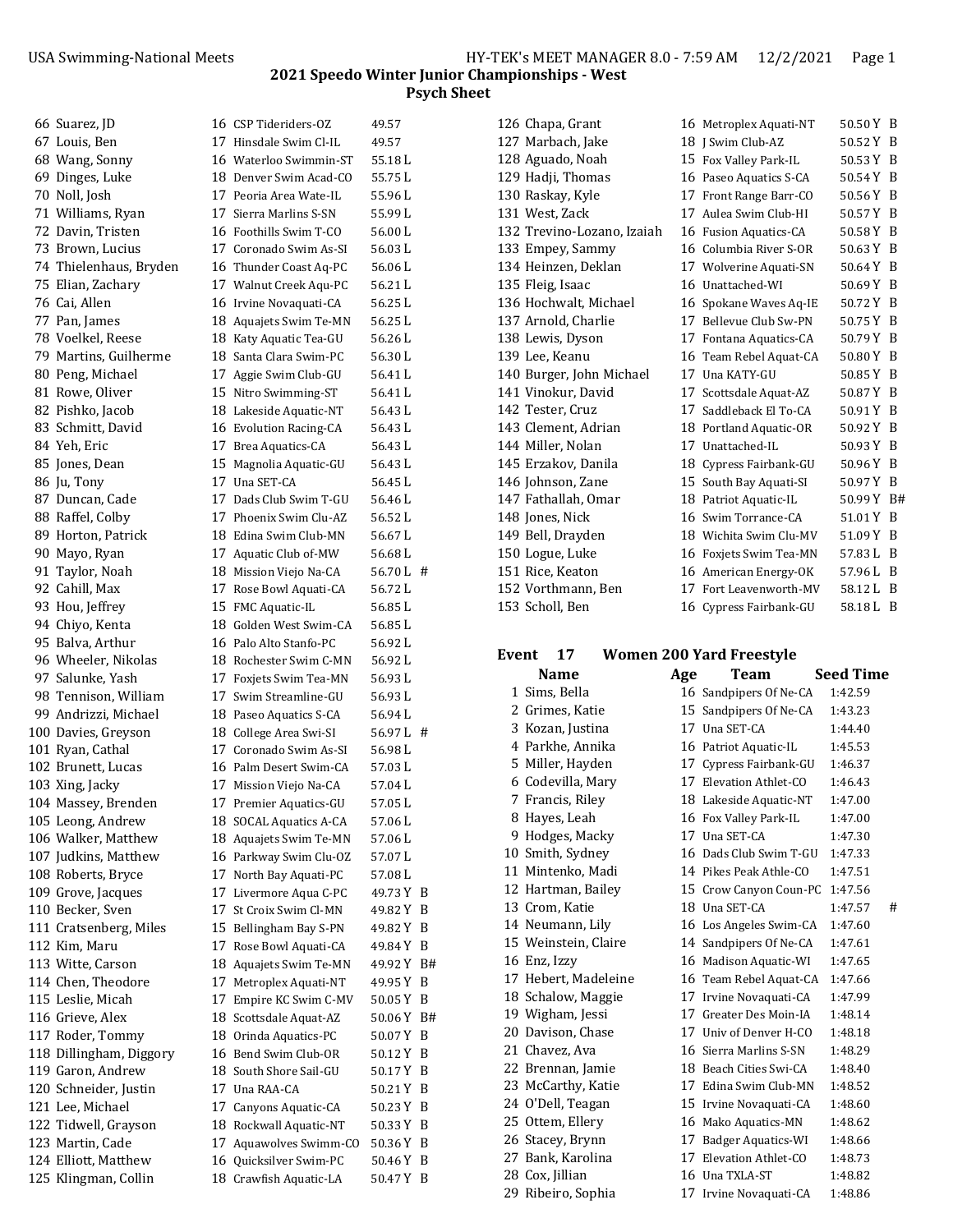| 66 Suarez, JD                  | 16 CSP Tideriders-OZ    | 49.57      |     |
|--------------------------------|-------------------------|------------|-----|
| 67 Louis, Ben                  | 17 Hinsdale Swim Cl-IL  | 49.57      |     |
| 68 Wang, Sonny                 | 16 Waterloo Swimmin-ST  | 55.18L     |     |
| 69 Dinges, Luke                | 18 Denver Swim Acad-CO  | 55.75 L    |     |
| 70 Noll, Josh                  | 17 Peoria Area Wate-IL  | 55.96 L    |     |
| 71 Williams, Ryan              | 17 Sierra Marlins S-SN  | 55.99 L    |     |
| 72 Davin, Tristen              | 16 Foothills Swim T-CO  | 56.00L     |     |
| 73 Brown, Lucius               | 17 Coronado Swim As-SI  | 56.03 L    |     |
| 74 Thielenhaus, Bryden         | 16 Thunder Coast Aq-PC  | 56.06 L    |     |
| 75 Elian, Zachary              | 17 Walnut Creek Aqu-PC  | 56.21 L    |     |
| 76 Cai, Allen                  | 16 Irvine Novaquati-CA  | 56.25 L    |     |
| 77 Pan, James                  | 18 Aquajets Swim Te-MN  | 56.25 L    |     |
| 78 Voelkel, Reese              | 18 Katy Aquatic Tea-GU  | 56.26 L    |     |
| 79 Martins, Guilherme          | 18 Santa Clara Swim-PC  | 56.30 L    |     |
| 80 Peng, Michael               | 17 Aggie Swim Club-GU   | 56.41 L    |     |
| 81 Rowe, Oliver                | 15 Nitro Swimming-ST    | 56.41 L    |     |
| 82 Pishko, Jacob               | 18 Lakeside Aquatic-NT  | 56.43 L    |     |
| 83 Schmitt, David              | 16 Evolution Racing-CA  | 56.43 L    |     |
| 84 Yeh, Eric                   | 17 Brea Aquatics-CA     | 56.43 L    |     |
| 85 Jones, Dean                 | 15 Magnolia Aquatic-GU  | 56.43 L    |     |
|                                | 17 Una SET-CA           | 56.45 L    |     |
| 86 Ju, Tony<br>87 Duncan, Cade | 17 Dads Club Swim T-GU  | 56.46 L    |     |
|                                | 17 Phoenix Swim Clu-AZ  | 56.52 L    |     |
| 88 Raffel, Colby               |                         |            |     |
| 89 Horton, Patrick             | 18 Edina Swim Club-MN   | 56.67 L    |     |
| 90 Mayo, Ryan                  | 17 Aquatic Club of-MW   | 56.68 L    |     |
| 91 Taylor, Noah                | 18 Mission Viejo Na-CA  | 56.70 L #  |     |
| 92 Cahill, Max                 | 17 Rose Bowl Aquati-CA  | 56.72L     |     |
| 93 Hou, Jeffrey                | 15 FMC Aquatic-IL       | 56.85 L    |     |
| 94 Chiyo, Kenta                | 18 Golden West Swim-CA  | 56.85 L    |     |
| 95 Balva, Arthur               | 16 Palo Alto Stanfo-PC  | 56.92 L    |     |
| 96 Wheeler, Nikolas            | 18 Rochester Swim C-MN  | 56.92 L    |     |
| 97 Salunke, Yash               | 17 Foxjets Swim Tea-MN  | 56.93 L    |     |
| 98 Tennison, William           | 17 Swim Streamline-GU   | 56.93 L    |     |
| 99 Andrizzi, Michael           | 18 Paseo Aquatics S-CA  | 56.94 L    |     |
| 100 Davies, Greyson            | 18 College Area Swi-SI  | 56.97 L #  |     |
| 101 Ryan, Cathal               | 17 Coronado Swim As-SI  | 56.98 L    |     |
| 102 Brunett, Lucas             | 16  Palm Desert Swim-CA | 57.03 L    |     |
| 103 Xing, Jacky                | 17 Mission Viejo Na-CA  | 57.04 L    |     |
| 104 Massey, Brenden            | 17 Premier Aquatics-GU  | 57.05L     |     |
| 105 Leong, Andrew              | 18 SOCAL Aquatics A-CA  | 57.06L     |     |
| 106 Walker, Matthew            | 18 Aquajets Swim Te-MN  | 57.06 L    |     |
| 107 Judkins, Matthew           | 16 Parkway Swim Clu-OZ  | 57.07 L    |     |
| 108 Roberts, Bryce             | 17 North Bay Aquati-PC  | 57.08 L    |     |
| 109 Grove, Jacques             | 17 Livermore Aqua C-PC  | 49.73 Y B  |     |
| 110 Becker, Sven               | 17 St Croix Swim Cl-MN  | 49.82 Y B  |     |
| 111 Cratsenberg, Miles         | 15 Bellingham Bay S-PN  | 49.82 Y B  |     |
| 112 Kim, Maru                  | 17 Rose Bowl Aquati-CA  | 49.84 Y B  |     |
| 113 Witte, Carson              | 18 Aquajets Swim Te-MN  | 49.92 Y B# |     |
| 114 Chen, Theodore             | 17 Metroplex Aquati-NT  | 49.95 Y    | B   |
| 115 Leslie, Micah              | 17 Empire KC Swim C-MV  | 50.05 Y B  |     |
| 116 Grieve, Alex               | 18 Scottsdale Aquat-AZ  | 50.06 Y B# |     |
| 117 Roder, Tommy               | 18 Orinda Aquatics-PC   | 50.07 Y    | - B |
| 118 Dillingham, Diggory        | 16 Bend Swim Club-OR    | 50.12 Y B  |     |
| 119 Garon, Andrew              | 18 South Shore Sail-GU  | 50.17Y     | - B |
| 120 Schneider, Justin          | 17 Una RAA-CA           | 50.21 Y B  |     |
| 121 Lee, Michael               | 17 Canyons Aquatic-CA   | 50.23 Y B  |     |
| 122 Tidwell, Grayson           | 18 Rockwall Aquatic-NT  | 50.33 Y B  |     |
| 123 Martin, Cade               | 17 Aquawolves Swimm-CO  | 50.36 Y B  |     |
| 124 Elliott, Matthew           | 16 Quicksilver Swim-PC  | 50.46 Y B  |     |
| 125 Klingman, Collin           | 18 Crawfish Aquatic-LA  | 50.47 Y B  |     |
|                                |                         |            |     |

| ' Tideriders-OZ          | 49.57   |    |
|--------------------------|---------|----|
| sdale Swim Cl-IL         | 49.57   |    |
| terloo Swimmin-ST        | 55.18 L |    |
| ver Swim Acad-CO         | 55.75 L |    |
| ria Area Wate-IL         | 55.96L  |    |
| ra Marlins S-SN          | 55.99L  |    |
| thills Swim T-CO         | 56.00L  |    |
| onado Swim As-SI         | 56.03L  |    |
| <b>inder Coast Aq-PC</b> | 56.06L  |    |
| lnut Creek Aqu-PC        | 56.21 L |    |
| ne Novaquati-CA          | 56.25L  |    |
| ajets Swim Te-MN         | 56.25 L |    |
| y Aquatic Tea-GU         | 56.26L  |    |
| ta Clara Swim-PC         | 56.30L  |    |
| ie Swim Club-GU          | 56.41 L |    |
|                          | 56.41 L |    |
| ro Swimming-ST           |         |    |
| eside Aquatic-NT         | 56.43 L |    |
| lution Racing-CA         | 56.43 L |    |
| a Aquatics-CA            | 56.43L  |    |
| gnolia Aquatic-GU        | 56.43 L |    |
| a SET-CA                 | 56.45 L |    |
| ls Club Swim T-GU        | 56.46 L |    |
| enix Swim Clu-AZ         | 56.52 L |    |
| na Swim Club-MN          | 56.67 L |    |
| atic Club of-MW          | 56.68 L |    |
| sion Viejo Na-CA         | 56.70L  | #  |
| e Bowl Aquati-CA         | 56.72L  |    |
| C Aquatic-IL             | 56.85L  |    |
| den West Swim-CA         | 56.85L  |    |
| o Alto Stanfo-PC         | 56.92L  |    |
| hester Swim C-MN         | 56.92L  |    |
| jets Swim Tea-MN         | 56.93L  |    |
| m Streamline-GU          | 56.93L  |    |
| eo Aquatics S-CA         | 56.94 L |    |
| lege Area Swi-SI         | 56.97 L | #  |
| onado Swim As-SI         | 56.98 L |    |
| m Desert Swim-CA         | 57.03 L |    |
| sion Viejo Na-CA         | 57.04 L |    |
| mier Aquatics-GU         | 57.05L  |    |
| <b>CAL Aquatics A-CA</b> | 57.06L  |    |
| ajets Swim Te-MN         | 57.06 L |    |
| kway Swim Clu-OZ         | 57.07L  |    |
| th Bay Aquati-PC         | 57.08L  |    |
| ermore Aqua C-PC         | 49.73 Y | B  |
| roix Swim Cl-MN          | 49.82 Y | B  |
| lingham Bay S-PN         | 49.82Y  | B  |
| e Bowl Aquati-CA         | 49.84Y  | B  |
| iajets Swim Te-MN        | 49.92 Y | B# |
| troplex Aquati-NT        | 49.95Y  | B  |
| pire KC Swim C-MV        | 50.05Y  | B  |
| ttsdale Aquat-AZ         | 50.06Y  | B# |
| nda Aquatics-PC          | 50.07Y  | B  |
| d Swim Club-OR           | 50.12Y  | B  |
| th Shore Sail-GU         | 50.17Y  | B  |
| a RAA-CA                 | 50.21Y  | B  |
| yons Aquatic-CA          | 50.23Y  | B  |
| kwall Aquatic-NT:        | 50.33 Y | B  |
| awolves Swimm-CO         | 50.36Y  | B  |
| cksilver Swim-PC         | 50.46Y  | B  |
|                          |         |    |

| 127 Marbach, Jake          | 18 J Swim Club-AZ      | 50.52 Y B  |     |
|----------------------------|------------------------|------------|-----|
| 128 Aguado, Noah           | 15 Fox Valley Park-IL  | 50.53Y     | - B |
| 129 Hadji, Thomas          | 16 Paseo Aquatics S-CA | 50.54 Y    | - B |
| 130 Raskay, Kyle           | 17 Front Range Barr-CO | 50.56 Y    | - B |
| 131 West, Zack             | 17 Aulea Swim Club-HI  | 50.57 Y B  |     |
| 132 Trevino-Lozano, Izaiah | 16 Fusion Aquatics-CA  | 50.58Y     | B   |
| 133 Empey, Sammy           | 16 Columbia River S-OR | 50.63Y     | B   |
| 134 Heinzen, Deklan        | 17 Wolverine Aquati-SN | 50.64Y     | - B |
| 135 Fleig, Isaac           | 16 Unattached-WI       | 50.69 Y    | - B |
| 136 Hochwalt, Michael      | 16 Spokane Waves Aq-IE | 50.72Y     | - B |
| 137 Arnold, Charlie        | 17 Bellevue Club Sw-PN | 50.75Y     | - B |
| 138 Lewis, Dyson           | 17 Fontana Aquatics-CA | 50.79 Y B  |     |
| 139 Lee, Keanu             | 16 Team Rebel Aquat-CA | 50.80Y     | - B |
| 140 Burger, John Michael   | 17 Una KATY-GU         | 50.85Y     | - B |
| 141 Vinokur, David         | 17 Scottsdale Aquat-AZ | 50.87Y     | - B |
| 142 Tester, Cruz           | 17 Saddleback El To-CA | 50.91Y     | -B  |
| 143 Clement, Adrian        | 18 Portland Aquatic-OR | 50.92Y     | - B |
| 144 Miller, Nolan          | 17 Unattached-IL       | 50.93 Y    | - B |
| 145 Erzakov, Danila        | 18 Cypress Fairbank-GU | 50.96 Y    | B   |
| 146 Johnson, Zane          | 15 South Bay Aquati-SI | 50.97 Y B  |     |
| 147 Fathallah, Omar        | 18 Patriot Aquatic-IL  | 50.99 Y Bi |     |
| 148 Jones, Nick            | 16 Swim Torrance-CA    | 51.01 Y    | - B |
| 149 Bell, Drayden          | 18 Wichita Swim Clu-MV | 51.09 Y    | B   |
| 150 Logue, Luke            | 16 Foxjets Swim Tea-MN | 57.83 L    | B   |
| 151 Rice, Keaton           | 16 American Energy-OK  | 57.96 L    | B   |
| 152 Vorthmann, Ben         | 17 Fort Leavenworth-MV | 58.12L     | - B |
| 153 Scholl, Ben            | 16 Cypress Fairbank-GU | 58.18 L    | B   |

| 126 Chapa, Grant           |    | 16 Metroplex Aquati-NT | 50.50 Y B  |  |
|----------------------------|----|------------------------|------------|--|
| 127 Marbach, Jake          |    | 18   Swim Club-AZ      | 50.52 Y B  |  |
| 128 Aguado, Noah           |    | 15 Fox Valley Park-IL  | 50.53 Y B  |  |
| 129 Hadji, Thomas          |    | 16 Paseo Aquatics S-CA | 50.54 Y B  |  |
| 130 Raskay, Kyle           |    | 17 Front Range Barr-CO | 50.56 Y B  |  |
| 131 West, Zack             |    | 17 Aulea Swim Club-HI  | 50.57 Y B  |  |
| 132 Trevino-Lozano, Izaiah |    | 16 Fusion Aquatics-CA  | 50.58 Y B  |  |
| 133 Empey, Sammy           |    | 16 Columbia River S-OR | 50.63 Y B  |  |
| 134 Heinzen, Deklan        |    | 17 Wolverine Aquati-SN | 50.64 Y B  |  |
| 135 Fleig, Isaac           |    | 16 Unattached-WI       | 50.69 Y B  |  |
| 136 Hochwalt, Michael      |    | 16 Spokane Waves Aq-IE | 50.72 Y B  |  |
| 137 Arnold, Charlie        |    | 17 Bellevue Club Sw-PN | 50.75 Y B  |  |
| 138 Lewis, Dyson           |    | 17 Fontana Aquatics-CA | 50.79 Y B  |  |
| 139 Lee, Keanu             |    | 16 Team Rebel Aquat-CA | 50.80 Y B  |  |
| 140 Burger, John Michael   |    | 17 Una KATY-GU         | 50.85 Y B  |  |
| 141 Vinokur, David         |    | 17 Scottsdale Aquat-AZ | 50.87 Y B  |  |
| 142 Tester, Cruz           | 17 | Saddleback El To-CA    | 50.91 Y B  |  |
| 143 Clement, Adrian        |    | 18 Portland Aquatic-OR | 50.92 Y B  |  |
| 144 Miller, Nolan          |    | 17 Unattached-IL       | 50.93 Y B  |  |
| 145 Erzakov, Danila        |    | 18 Cypress Fairbank-GU | 50.96 Y B  |  |
| 146 Johnson, Zane          |    | 15 South Bay Aquati-SI | 50.97 Y B  |  |
| 147 Fathallah, Omar        |    | 18 Patriot Aquatic-IL  | 50.99 Y B# |  |
| 148 Jones, Nick            |    | 16 Swim Torrance-CA    | 51.01 Y B  |  |
| 149 Bell, Drayden          |    | 18 Wichita Swim Clu-MV | 51.09 Y B  |  |
| 150 Logue, Luke            |    | 16 Foxjets Swim Tea-MN | 57.83 L B  |  |
| 151 Rice, Keaton           |    | 16 American Energy-OK  | 57.96 L B  |  |
| 152 Vorthmann, Ben         |    | 17 Fort Leavenworth-MV | 58.12 L B  |  |
| 153 Scholl, Ben            |    | 16 Cypress Fairbank-GU | 58.18 L B  |  |

## **Event 17 Women 200 Yard Freestyle**

 **Name Age Team Seed Time** 1 Sims, Bella 16 Sandpipers Of Ne-CA 1:42.59 2 Grimes, Katie 15 Sandpipers Of Ne-CA 1:43.23 3 Kozan, Justina 17 Una SET-CA 1:44.40 4 Parkhe, Annika 16 Patriot Aquatic-IL 1:45.53 5 Miller, Hayden 17 Cypress Fairbank-GU 1:46.37 6 Codevilla, Mary 17 Elevation Athlet-CO 1:46.43 7 Francis, Riley 18 Lakeside Aquatic-NT 1:47.00 8 Hayes, Leah 16 Fox Valley Park-IL 1:47.00 9 Hodges, Macky 17 Una SET-CA 1:47.30 10 Smith, Sydney 16 Dads Club Swim T-GU 1:47.33 11 Mintenko, Madi 14 Pikes Peak Athle-CO 1:47.51 12 Hartman, Bailey 15 Crow Canyon Coun-PC 1:47.56 13 Crom, Katie 18 Una SET-CA 1:47.57 # 14 Neumann, Lily 16 Los Angeles Swim-CA 1:47.60 15 Weinstein, Claire 14 Sandpipers Of Ne-CA 1:47.61 16 Enz, Izzy 16 Madison Aquatic-WI 1:47.65 17 Hebert, Madeleine 16 Team Rebel Aquat-CA 1:47.66 18 Schalow, Maggie 17 Irvine Novaquati-CA 1:47.99 19 Wigham, Jessi 17 Greater Des Moin-IA 1:48.14 20 Davison, Chase 17 Univ of Denver H-CO 1:48.18 21 Chavez, Ava 16 Sierra Marlins S-SN 1:48.29 22 Brennan, Jamie 18 Beach Cities Swi-CA 1:48.40 23 McCarthy, Katie 17 Edina Swim Club-MN 1:48.52 24 O'Dell, Teagan 15 Irvine Novaquati-CA 1:48.60 25 Ottem, Ellery 16 Mako Aquatics-MN 1:48.62 26 Stacey, Brynn 17 Badger Aquatics-WI 1:48.66 27 Bank, Karolina 17 Elevation Athlet-CO 1:48.73 28 Cox, Jillian 16 Una TXLA-ST 1:48.82 29 Ribeiro, Sophia 17 Irvine Novaquati-CA 1:48.86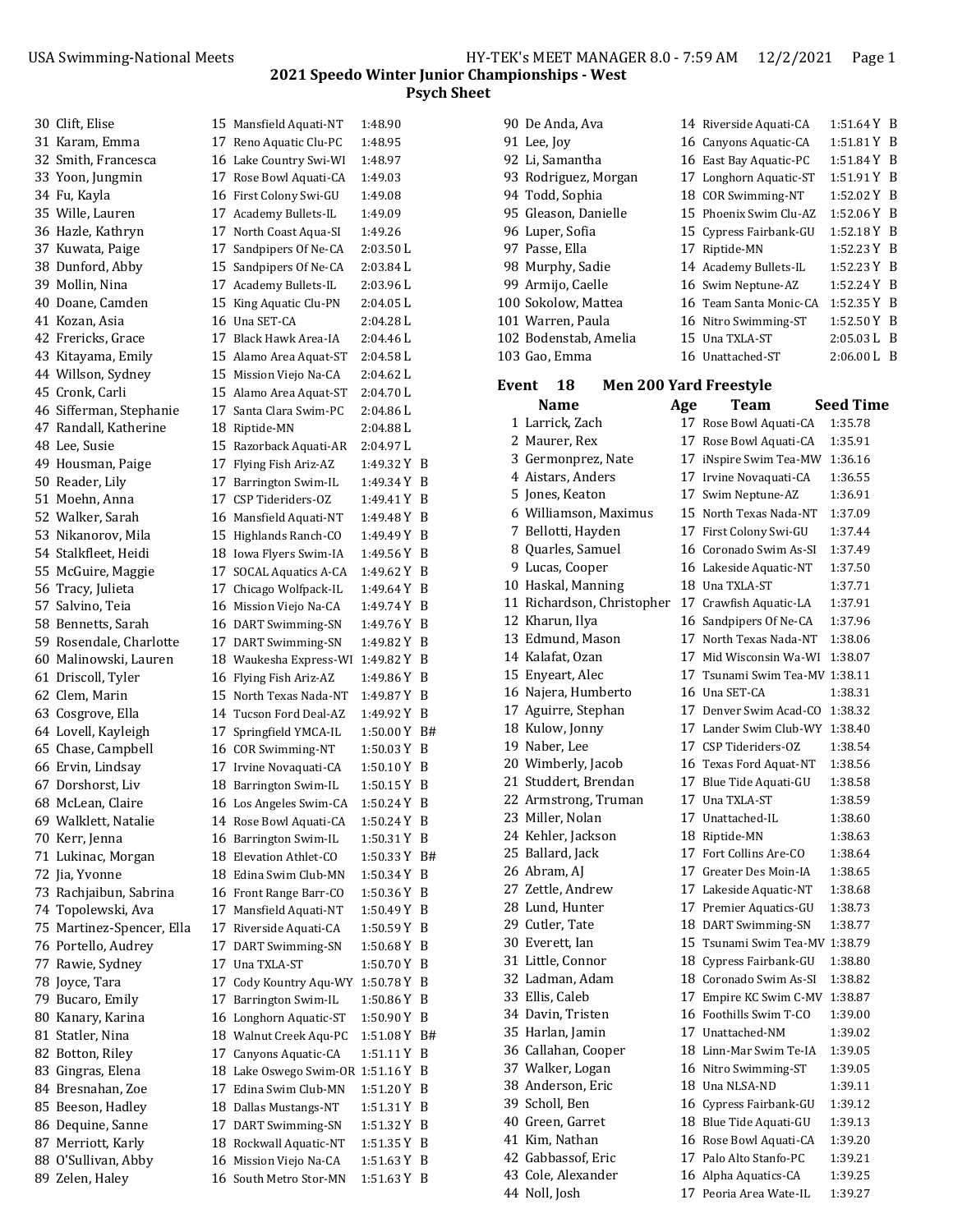90 De Anda, Ava 14 Riverside Aquati-CA 1:51.64 Y B 91 Lee, Joy 16 Canyons Aquatic-CA 1:51.81 Y B

### **2021 Speedo Winter Junior Championships ‐ West Psych Sheet**

| 30 Clift, Elise           | 15 Mansfield Aquati-NT             | 1:48.90                    |  |
|---------------------------|------------------------------------|----------------------------|--|
| 31 Karam, Emma            | 17 Reno Aquatic Clu-PC             | 1:48.95                    |  |
| 32 Smith, Francesca       | 16 Lake Country Swi-WI             | 1:48.97                    |  |
| 33 Yoon, Jungmin          | 17 Rose Bowl Aquati-CA             | 1:49.03                    |  |
| 34 Fu, Kayla              | 16 First Colony Swi-GU             | 1:49.08                    |  |
| 35 Wille, Lauren          | 17 Academy Bullets-IL              | 1:49.09                    |  |
| 36 Hazle, Kathryn         | 17 North Coast Aqua-SI             | 1:49.26                    |  |
| 37 Kuwata, Paige          | 17 Sandpipers Of Ne-CA             | 2:03.50 L                  |  |
| 38 Dunford, Abby          | 15 Sandpipers Of Ne-CA             | 2:03.84 L                  |  |
| 39 Mollin, Nina           | 17 Academy Bullets-IL              | 2:03.96L                   |  |
| 40 Doane, Camden          | 15 King Aquatic Clu-PN             | 2:04.05 L                  |  |
| 41 Kozan, Asia            | 16 Una SET-CA                      | 2:04.28 L                  |  |
| 42 Frericks, Grace        | 17 Black Hawk Area-IA              | $2:04.46$ L                |  |
| 43 Kitayama, Emily        | 15 Alamo Area Aquat-ST             | 2:04.58 L                  |  |
| 44 Willson, Sydney        | 15 Mission Viejo Na-CA             | 2:04.62 L                  |  |
| 45 Cronk, Carli           | 15 Alamo Area Aquat-ST             | 2:04.70 L                  |  |
| 46 Sifferman, Stephanie   | 17 Santa Clara Swim-PC             | 2:04.86 L                  |  |
| 47 Randall, Katherine     | 18 Riptide-MN                      | 2:04.88 L                  |  |
| 48 Lee, Susie             | 15 Razorback Aquati-AR             | 2:04.97 L                  |  |
| 49 Housman, Paige         | 17 Flying Fish Ariz-AZ             | 1:49.32 Y B                |  |
| 50 Reader, Lily           | 17 Barrington Swim-IL              | 1:49.34 Y B                |  |
| 51 Moehn, Anna            | 17 CSP Tideriders-OZ               | 1:49.41 Y B                |  |
| 52 Walker, Sarah          | 16 Mansfield Aquati-NT             | 1:49.48 Y B                |  |
| 53 Nikanorov, Mila        | 15 Highlands Ranch-CO              | 1:49.49 Y B                |  |
| 54 Stalkfleet, Heidi      | 18 Iowa Flyers Swim-IA             | 1:49.56 Y B                |  |
| 55 McGuire, Maggie        | 17 SOCAL Aquatics A-CA             | 1:49.62 Y B                |  |
| 56 Tracy, Julieta         | 17 Chicago Wolfpack-IL             | 1:49.64 Y B                |  |
| 57 Salvino, Teia          | 16 Mission Viejo Na-CA             | 1:49.74 Y B                |  |
| 58 Bennetts, Sarah        | 16 DART Swimming-SN                | 1:49.76 Y B                |  |
| 59 Rosendale, Charlotte   | 17 DART Swimming-SN                | 1:49.82 Y B                |  |
| 60 Malinowski, Lauren     | 18 Waukesha Express-WI             | 1:49.82 Y B                |  |
| 61 Driscoll, Tyler        | 16 Flying Fish Ariz-AZ             | 1:49.86 Y B                |  |
| 62 Clem, Marin            | 15 North Texas Nada-NT             | 1:49.87 Y B                |  |
| 63 Cosgrove, Ella         | 14 Tucson Ford Deal-AZ             | 1:49.92 Y B                |  |
| 64 Lovell, Kayleigh       | 17 Springfield YMCA-IL             | 1:50.00 Y B#               |  |
| 65 Chase, Campbell        | 16 COR Swimming-NT                 | 1:50.03 Y B                |  |
| 66 Ervin, Lindsay         |                                    | $1:50.10 Y$ B              |  |
| 67 Dorshorst, Liv         | 17 Irvine Novaquati-CA             |                            |  |
| 68 McLean, Claire         | 18 Barrington Swim-IL              | 1:50.15 Y B<br>1:50.24 Y B |  |
|                           | 16 Los Angeles Swim-CA             |                            |  |
| 69 Walklett, Natalie      | 14 Rose Bowl Aquati-CA             | 1:50.24 Y B                |  |
| 70 Kerr, Jenna            | 16 Barrington Swim-IL              | 1:50.31 Y B                |  |
| 71 Lukinac, Morgan        | 18 Elevation Athlet-CO             | 1:50.33 Y B#               |  |
| 72 Jia, Yvonne            | 18 Edina Swim Club-MN              | 1:50.34 Y B                |  |
| 73 Rachjaibun, Sabrina    | 16 Front Range Barr-CO             | $1:50.36$ Y B              |  |
| 74 Topolewski, Ava        | 17 Mansfield Aquati-NT             | 1:50.49 Y B                |  |
| 75 Martinez-Spencer, Ella | 17 Riverside Aquati-CA             | 1:50.59 Y B                |  |
| 76 Portello, Audrey       | 17 DART Swimming-SN                | 1:50.68 Y B                |  |
| 77 Rawie, Sydney          | 17 Una TXLA-ST                     | 1:50.70 Y B                |  |
| 78 Joyce, Tara            | 17 Cody Kountry Aqu-WY             | 1:50.78 Y B                |  |
| 79 Bucaro, Emily          | 17 Barrington Swim-IL              | 1:50.86 Y B                |  |
| 80 Kanary, Karina         | 16 Longhorn Aquatic-ST             | 1:50.90 Y B                |  |
| 81 Statler, Nina          | 18 Walnut Creek Aqu-PC             | 1:51.08 Y B#               |  |
| 82 Botton, Riley          | 17 Canyons Aquatic-CA              | 1:51.11 Y B                |  |
| 83 Gingras, Elena         | 18 Lake Oswego Swim-OR 1:51.16 Y B |                            |  |
| 84 Bresnahan, Zoe         | 17 Edina Swim Club-MN              | 1:51.20 Y B                |  |
| 85 Beeson, Hadley         | 18 Dallas Mustangs-NT              | 1:51.31 Y B                |  |
| 86 Dequine, Sanne         | 17 DART Swimming-SN                | 1:51.32 Y B                |  |
| 87 Merriott, Karly        | 18 Rockwall Aquatic-NT             | 1:51.35 Y B                |  |
| 88 O'Sullivan, Abby       | 16 Mission Viejo Na-CA             | 1:51.63 Y B                |  |
| 89 Zelen, Haley           | 16 South Metro Stor-MN             | 1:51.63 Y B                |  |
|                           |                                    |                            |  |

|       | 92 Li, Samantha                     |     | 16 East Bay Aquatic-PC         | 1:51.84 Y B      |   |
|-------|-------------------------------------|-----|--------------------------------|------------------|---|
|       | 93 Rodriguez, Morgan                |     | 17 Longhorn Aquatic-ST         | 1:51.91Y         | B |
|       | 94 Todd, Sophia                     |     | 18 COR Swimming-NT             | 1:52.02Y         | B |
|       | 95 Gleason, Danielle                |     | 15 Phoenix Swim Clu-AZ         | 1:52.06 Y        | B |
|       | 96 Luper, Sofia                     |     | 15 Cypress Fairbank-GU         | 1:52.18 Y        | B |
|       | 97 Passe, Ella                      |     | 17 Riptide-MN                  | 1:52.23 Y        | B |
|       | 98 Murphy, Sadie                    |     | 14 Academy Bullets-IL          | 1:52.23 Y        | B |
|       | 99 Armijo, Caelle                   |     | 16 Swim Neptune-AZ             | 1:52.24 Y        | B |
|       | 100 Sokolow, Mattea                 |     | 16 Team Santa Monic-CA         | 1:52.35Y         | B |
|       | 101 Warren, Paula                   |     | 16 Nitro Swimming-ST           | 1:52.50 Y        | B |
|       | 102 Bodenstab, Amelia               |     | 15 Una TXLA-ST                 | 2:05.03L         | B |
|       | 103 Gao, Emma                       |     | 16 Unattached-ST               | $2:06.00 L$ B    |   |
|       |                                     |     |                                |                  |   |
| Event | <b>Men 200 Yard Freestyle</b><br>18 |     |                                |                  |   |
|       | <b>Name</b>                         | Age | Team                           | <b>Seed Time</b> |   |
|       | 1 Larrick, Zach                     |     | 17 Rose Bowl Aquati-CA         | 1:35.78          |   |
|       | 2 Maurer, Rex                       |     | 17 Rose Bowl Aquati-CA         | 1:35.91          |   |
|       | 3 Germonprez, Nate                  |     | 17 iNspire Swim Tea-MW         | 1:36.16          |   |
|       | 4 Aistars, Anders                   |     | 17 Irvine Novaquati-CA         | 1:36.55          |   |
|       | 5 Jones, Keaton                     |     | 17 Swim Neptune-AZ             | 1:36.91          |   |
|       | 6 Williamson, Maximus               |     | 15 North Texas Nada-NT         | 1:37.09          |   |
|       | 7 Bellotti, Hayden                  |     | 17 First Colony Swi-GU         | 1:37.44          |   |
|       | 8 Quarles, Samuel                   |     | 16 Coronado Swim As-SI         | 1:37.49          |   |
|       | 9 Lucas, Cooper                     |     | 16 Lakeside Aquatic-NT         | 1:37.50          |   |
|       | 10 Haskal, Manning                  |     | 18 Una TXLA-ST                 | 1:37.71          |   |
|       | 11 Richardson, Christopher          |     | 17 Crawfish Aquatic-LA         | 1:37.91          |   |
|       | 12 Kharun, Ilya                     |     | 16 Sandpipers Of Ne-CA         | 1:37.96          |   |
|       | 13 Edmund, Mason                    |     | 17 North Texas Nada-NT         | 1:38.06          |   |
|       | 14 Kalafat, Ozan                    |     | 17 Mid Wisconsin Wa-WI         | 1:38.07          |   |
|       | 15 Enyeart, Alec                    |     | 17 Tsunami Swim Tea-MV 1:38.11 |                  |   |
|       | 16 Najera, Humberto                 |     | 16 Una SET-CA                  | 1:38.31          |   |
|       | 17 Aguirre, Stephan                 |     | 17 Denver Swim Acad-CO         | 1:38.32          |   |
|       | 18 Kulow, Jonny                     |     | 17 Lander Swim Club-WY         | 1:38.40          |   |
|       | 19 Naber, Lee                       |     | 17 CSP Tideriders-OZ           | 1:38.54          |   |
|       | 20 Wimberly, Jacob                  |     | 16 Texas Ford Aquat-NT         | 1:38.56          |   |
|       | 21 Studdert, Brendan                |     | 17 Blue Tide Aquati-GU         | 1:38.58          |   |
|       | 22 Armstrong, Truman                |     | 17 Una TXLA-ST                 | 1:38.59          |   |
|       | 23 Miller, Nolan                    |     | 17 Unattached-IL               | 1:38.60          |   |
|       | 24 Kehler, Jackson                  |     | 18 Riptide-MN                  | 1:38.63          |   |
|       | 25 Ballard, Jack                    |     | 17 Fort Collins Are-CO         | 1:38.64          |   |
|       | 26 Abram, AJ                        |     | 17 Greater Des Moin-IA         | 1:38.65          |   |
|       | 27 Zettle, Andrew                   |     | 17 Lakeside Aquatic-NT         | 1:38.68          |   |
|       | 28 Lund, Hunter                     |     | 17 Premier Aquatics-GU         | 1:38.73          |   |
|       | 29 Cutler, Tate                     |     | 18 DART Swimming-SN            | 1:38.77          |   |
|       | 30 Everett, Ian                     |     | 15 Tsunami Swim Tea-MV 1:38.79 |                  |   |
|       | 31 Little, Connor                   |     | 18 Cypress Fairbank-GU         | 1:38.80          |   |
|       | 32 Ladman, Adam                     |     | 18 Coronado Swim As-SI         | 1:38.82          |   |
|       | 33 Ellis, Caleb                     |     | 17 Empire KC Swim C-MV         | 1:38.87          |   |
|       | 34 Davin, Tristen                   |     | 16 Foothills Swim T-CO         | 1:39.00          |   |
|       | 35 Harlan, Jamin                    |     | 17 Unattached-NM               | 1:39.02          |   |
|       | 36 Callahan, Cooper                 |     | 18 Linn-Mar Swim Te-IA         | 1:39.05          |   |
|       | 37 Walker, Logan                    |     | 16 Nitro Swimming-ST           | 1:39.05          |   |
|       | 38 Anderson, Eric                   |     | 18 Una NLSA-ND                 | 1:39.11          |   |
|       | 39 Scholl, Ben                      |     | 16 Cypress Fairbank-GU         | 1:39.12          |   |
|       | 40 Green, Garret                    |     | 18 Blue Tide Aquati-GU         | 1:39.13          |   |
|       | 41 Kim, Nathan                      |     | 16 Rose Bowl Aquati-CA         | 1:39.20          |   |
|       | 42 Gabbassof, Eric                  |     | 17 Palo Alto Stanfo-PC         | 1:39.21          |   |
|       | 43 Cole, Alexander                  |     | 16 Alpha Aquatics-CA           | 1:39.25          |   |

44 Noll, Josh 17 Peoria Area Wate-IL 1:39.27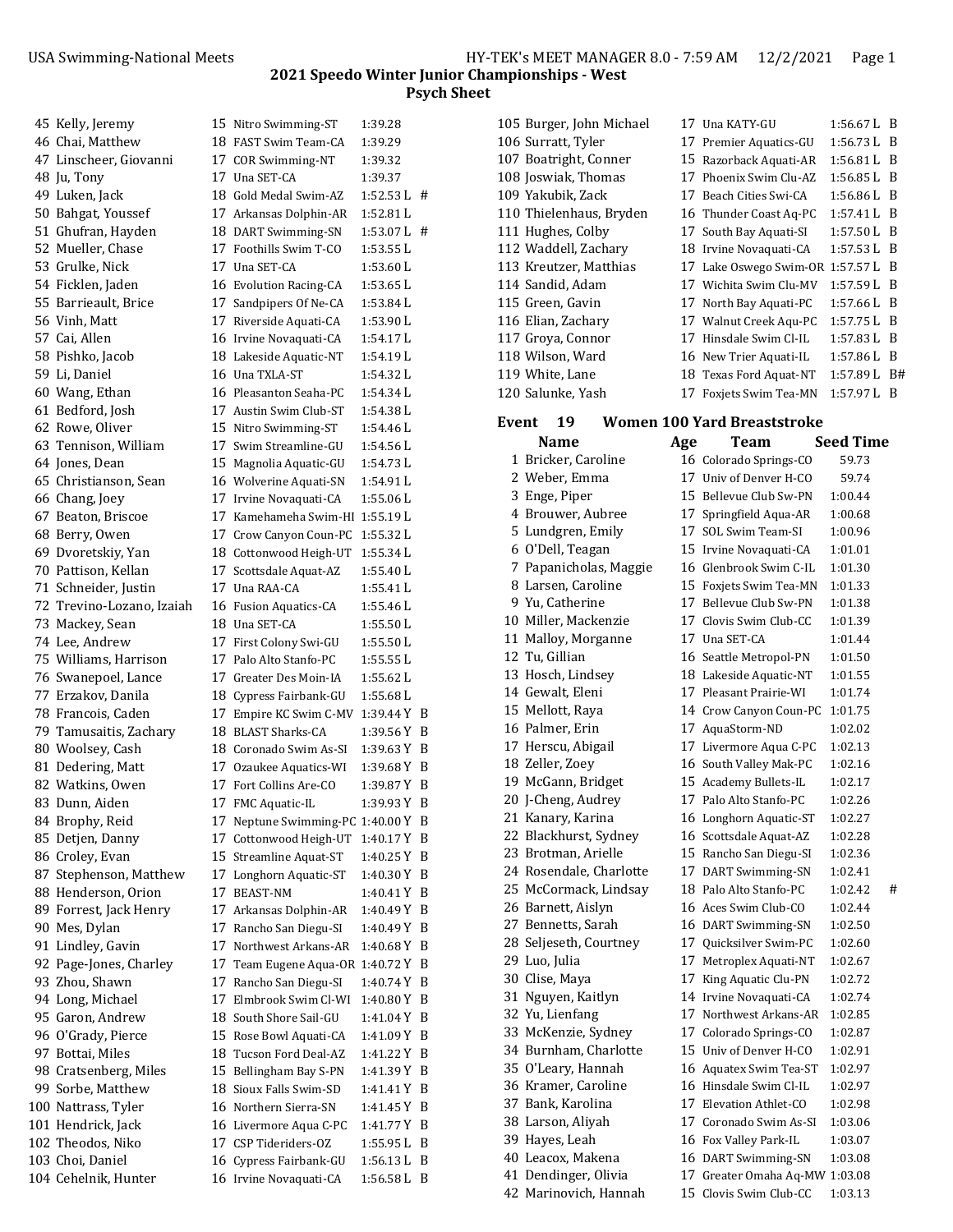| 45 Kelly, Jeremy                          |    | 15 Nitro Swimming-ST                             | 1:39.28                    |   |
|-------------------------------------------|----|--------------------------------------------------|----------------------------|---|
| 46 Chai, Matthew                          |    | 18 FAST Swim Team-CA                             | 1:39.29                    |   |
| 47 Linscheer, Giovanni                    |    | 17 COR Swimming-NT                               | 1:39.32                    |   |
| 48 Ju, Tony                               |    | 17 Una SET-CA                                    | 1:39.37                    |   |
| 49 Luken, Jack                            |    | 18 Gold Medal Swim-AZ                            | $1:52.53 L$ #              |   |
| 50 Bahgat, Youssef                        |    | 17 Arkansas Dolphin-AR                           | 1:52.81 L                  |   |
| 51 Ghufran, Hayden                        |    | 18 DART Swimming-SN                              | $1:53.07 L$ #              |   |
| 52 Mueller, Chase                         |    | 17 Foothills Swim T-CO                           | 1:53.55 L                  |   |
| 53 Grulke, Nick                           |    | 17 Una SET-CA                                    | 1:53.60L                   |   |
| 54 Ficklen, Jaden                         |    | 16 Evolution Racing-CA                           | $1:53.65$ L                |   |
| 55 Barrieault, Brice                      |    | 17 Sandpipers Of Ne-CA                           | 1:53.84 L                  |   |
| 56 Vinh. Matt                             |    | 17 Riverside Aquati-CA                           | 1:53.90L                   |   |
| 57 Cai, Allen                             |    | 16 Irvine Novaquati-CA                           | 1:54.17 L                  |   |
| 58 Pishko, Jacob                          |    | 18 Lakeside Aquatic-NT                           | 1:54.19 L                  |   |
| 59 Li, Daniel                             |    | 16 Una TXLA-ST                                   | 1:54.32 L                  |   |
| 60 Wang, Ethan                            |    | 16 Pleasanton Seaha-PC                           | 1:54.34 L                  |   |
| 61 Bedford, Josh                          |    | 17 Austin Swim Club-ST                           | 1:54.38 L                  |   |
| 62 Rowe, Oliver                           |    | 15 Nitro Swimming-ST                             | 1:54.46 L                  |   |
| 63 Tennison, William                      |    | 17 Swim Streamline-GU                            | 1:54.56 L                  |   |
| 64 Jones, Dean                            |    | 15 Magnolia Aquatic-GU                           | 1:54.73 L                  |   |
| 65 Christianson, Sean                     |    | 16 Wolverine Aquati-SN                           | 1:54.91 L                  |   |
| 66 Chang, Joey                            |    | 17 Irvine Novaquati-CA                           | 1:55.06 L                  |   |
| 67 Beaton, Briscoe                        |    | 17 Kamehameha Swim-HI 1:55.19 L                  |                            |   |
| 68 Berry, Owen                            |    | 17 Crow Canyon Coun-PC                           | 1:55.32L                   |   |
| 69 Dvoretskiy, Yan                        |    | 18 Cottonwood Heigh-UT                           | 1:55.34L                   |   |
| 70 Pattison, Kellan                       |    | 17 Scottsdale Aquat-AZ                           | 1:55.40 L                  |   |
| 71 Schneider, Justin                      |    | 17 Una RAA-CA                                    | 1:55.41 L                  |   |
| 72 Trevino-Lozano, Izaiah                 |    | 16 Fusion Aquatics-CA                            | 1:55.46 L                  |   |
| 73 Mackey, Sean                           |    | 18 Una SET-CA                                    | 1:55.50L                   |   |
| 74 Lee, Andrew                            |    | 17 First Colony Swi-GU                           | 1:55.50 L                  |   |
| 75 Williams, Harrison                     |    | 17 Palo Alto Stanfo-PC                           | 1:55.55 L                  |   |
| 76 Swanepoel, Lance                       |    | 17 Greater Des Moin-IA                           | 1:55.62L                   |   |
| 77 Erzakov, Danila                        |    | 18 Cypress Fairbank-GU                           | 1:55.68 L                  |   |
| 78 Francois, Caden                        |    | 17 Empire KC Swim C-MV                           | 1:39.44 Y B                |   |
| 79 Tamusaitis, Zachary                    |    | 18 BLAST Sharks-CA                               | 1:39.56 Y B                |   |
| 80 Woolsey, Cash                          |    | 18 Coronado Swim As-SI                           | 1:39.63 Y B                |   |
| 81 Dedering, Matt                         |    | 17 Ozaukee Aquatics-WI                           | $1:39.68$ Y B              |   |
| 82 Watkins, Owen                          |    | 17 Fort Collins Are-CO                           | 1:39.87 Y B                |   |
| 83 Dunn, Aiden<br>84 Brophy, Reid         |    | 17 FMC Aquatic-IL                                | 1:39.93 Y B                |   |
|                                           |    | 17 Neptune Swimming-PC 1:40.00 Y B               |                            |   |
| 85 Detjen, Danny                          |    | 17 Cottonwood Heigh-UT<br>15 Streamline Aquat-ST | 1:40.17 Y B<br>1:40.25 Y B |   |
| 86 Croley, Evan<br>87 Stephenson, Matthew | 17 | Longhorn Aquatic-ST                              | 1:40.30 Y B                |   |
| 88 Henderson, Orion                       | 17 | <b>BEAST-NM</b>                                  | 1:40.41 Y B                |   |
| 89 Forrest, Jack Henry                    |    | 17 Arkansas Dolphin-AR                           | 1:40.49 Y B                |   |
| 90 Mes, Dylan                             |    | 17 Rancho San Diegu-SI                           | 1:40.49 Y B                |   |
| 91 Lindley, Gavin                         |    | 17 Northwest Arkans-AR                           | $1:40.68$ Y B              |   |
| 92 Page-Jones, Charley                    |    | 17 Team Eugene Aqua-OR 1:40.72 Y B               |                            |   |
| 93 Zhou, Shawn                            |    | 17 Rancho San Diegu-SI                           | 1:40.74 Y B                |   |
| 94 Long, Michael                          |    | 17 Elmbrook Swim Cl-WI                           | $1:40.80$ Y B              |   |
| 95 Garon, Andrew                          |    | 18 South Shore Sail-GU                           | 1:41.04 Y B                |   |
| 96 O'Grady, Pierce                        |    | 15 Rose Bowl Aquati-CA                           | 1:41.09 Y B                |   |
| 97 Bottai, Miles                          |    | 18 Tucson Ford Deal-AZ                           | 1:41.22 Y B                |   |
| 98 Cratsenberg, Miles                     |    | 15 Bellingham Bay S-PN                           | 1:41.39 Y B                |   |
| 99 Sorbe, Matthew                         |    | 18 Sioux Falls Swim-SD                           | 1:41.41 Y B                |   |
| 100 Nattrass, Tyler                       |    | 16 Northern Sierra-SN                            | 1:41.45 Y B                |   |
| 101 Hendrick, Jack                        |    | 16 Livermore Aqua C-PC                           | 1:41.77 Y B                |   |
| 102 Theodos, Niko                         |    | 17 CSP Tideriders-OZ                             | 1:55.95 L                  | B |
| 103 Choi, Daniel                          |    | 16 Cypress Fairbank-GU                           | 1:56.13 L B                |   |
| 104 Cehelnik, Hunter                      |    | 16 Irvine Novaquati-CA                           | $1:56.58 L$ B              |   |
|                                           |    |                                                  |                            |   |

| 105 Burger, John Michael | 17. Una KATY-GU                    | $1:56.67$ L B |           |
|--------------------------|------------------------------------|---------------|-----------|
| 106 Surratt, Tyler       | 17 Premier Aquatics-GU             | 1:56.73 L B   |           |
| 107 Boatright, Conner    | 15 Razorback Aquati-AR             | $1:56.81 L$ B |           |
| 108 Joswiak, Thomas      | 17 Phoenix Swim Clu-AZ             | 1:56.85 L B   |           |
| 109 Yakubik, Zack        | 17 Beach Cities Swi-CA             | $1:56.86$ L B |           |
| 110 Thielenhaus, Bryden  | 16 Thunder Coast Aq-PC             | $1:57.41$ L B |           |
| 111 Hughes, Colby        | 17 South Bay Aquati-SI             | $1:57.50 L$ B |           |
| 112 Waddell, Zachary     | 18 Irvine Novaquati-CA             | 1:57.53 L B   |           |
| 113 Kreutzer, Matthias   | 17 Lake Oswego Swim-OR 1:57.57 L B |               |           |
| 114 Sandid, Adam         | 17 Wichita Swim Clu-MV             | 1:57.59 L B   |           |
| 115 Green, Gavin         | 17 North Bay Aquati-PC             | $1:57.66 L$ B |           |
| 116 Elian, Zachary       | 17 Walnut Creek Aqu-PC             | $1:57.75$ L B |           |
| 117 Groya, Connor        | 17 Hinsdale Swim Cl-IL             | 1:57.83 L B   |           |
| 118 Wilson, Ward         | 16 New Trier Aquati-IL             | $1:57.86 L$ B |           |
| 119 White, Lane          | 18 Texas Ford Aquat-NT             | 1:57.89 L     | <b>B#</b> |
| 120 Salunke, Yash        | 17 Foxiets Swim Tea-MN             | 1:57.97 L     | -B        |

# **Event 19 Women 100 Yard Breaststroke**

| Name |                         | Age | Team                           | Seed Time    |
|------|-------------------------|-----|--------------------------------|--------------|
|      | 1 Bricker, Caroline     |     | 16 Colorado Springs-CO         | 59.73        |
|      | 2 Weber, Emma           |     | 17 Univ of Denver H-CO         | 59.74        |
|      | 3 Enge, Piper           |     | 15 Bellevue Club Sw-PN         | 1:00.44      |
|      | 4 Brouwer, Aubree       |     | 17 Springfield Aqua-AR         | 1:00.68      |
|      | 5 Lundgren, Emily       |     | 17 SOL Swim Team-SI            | 1:00.96      |
|      | 6 O'Dell, Teagan        |     | 15 Irvine Novaguati-CA         | 1:01.01      |
|      | 7 Papanicholas, Maggie  |     | 16 Glenbrook Swim C-IL         | 1:01.30      |
|      | 8 Larsen, Caroline      |     | 15 Foxiets Swim Tea-MN         | 1:01.33      |
|      | 9 Yu. Catherine         |     | 17 Bellevue Club Sw-PN         | 1:01.38      |
|      | 10 Miller, Mackenzie    |     | 17 Clovis Swim Club-CC         | 1:01.39      |
|      | 11 Malloy, Morganne     |     | 17 Una SET-CA                  | 1:01.44      |
|      | 12 Tu, Gillian          |     | 16 Seattle Metropol-PN         | 1:01.50      |
|      | 13 Hosch, Lindsey       |     | 18 Lakeside Aquatic-NT         | 1:01.55      |
|      | 14 Gewalt, Eleni        |     | 17 Pleasant Prairie-WI         | 1:01.74      |
|      | 15 Mellott, Raya        |     | 14 Crow Canyon Coun-PC         | 1:01.75      |
|      | 16 Palmer, Erin         |     | 17 AquaStorm-ND                | 1:02.02      |
|      | 17 Herscu, Abigail      |     | 17 Livermore Aqua C-PC         | 1:02.13      |
|      | 18 Zeller, Zoey         |     | 16 South Valley Mak-PC         | 1:02.16      |
|      | 19 McGann, Bridget      |     | 15 Academy Bullets-IL          | 1:02.17      |
|      | 20 J-Cheng, Audrey      |     | 17 Palo Alto Stanfo-PC         | 1:02.26      |
|      | 21 Kanary, Karina       |     | 16 Longhorn Aquatic-ST         | 1:02.27      |
|      | 22 Blackhurst, Sydney   |     | 16 Scottsdale Aquat-AZ         | 1:02.28      |
|      | 23 Brotman, Arielle     |     | 15 Rancho San Diegu-SI         | 1:02.36      |
|      | 24 Rosendale, Charlotte |     | 17 DART Swimming-SN            | 1:02.41      |
|      | 25 McCormack, Lindsay   |     | 18 Palo Alto Stanfo-PC         | #<br>1:02.42 |
|      | 26 Barnett, Aislyn      |     | 16 Aces Swim Club-CO           | 1:02.44      |
|      | 27 Bennetts, Sarah      |     | 16 DART Swimming-SN            | 1:02.50      |
|      | 28 Seljeseth, Courtney  |     | 17 Quicksilver Swim-PC         | 1:02.60      |
|      | 29 Luo, Julia           |     | 17 Metroplex Aquati-NT         | 1:02.67      |
|      | 30 Clise, Maya          |     | 17 King Aquatic Clu-PN         | 1:02.72      |
|      | 31 Nguyen, Kaitlyn      |     | 14 Irvine Novaquati-CA         | 1:02.74      |
|      | 32 Yu, Lienfang         |     | 17 Northwest Arkans-AR         | 1:02.85      |
|      | 33 McKenzie, Sydney     |     | 17 Colorado Springs-CO         | 1:02.87      |
|      | 34 Burnham, Charlotte   |     | 15 Univ of Denver H-CO         | 1:02.91      |
|      | 35 O'Leary, Hannah      |     | 16 Aquatex Swim Tea-ST         | 1:02.97      |
|      | 36 Kramer, Caroline     |     | 16 Hinsdale Swim Cl-IL         | 1:02.97      |
|      | 37 Bank, Karolina       |     | 17 Elevation Athlet-CO         | 1:02.98      |
|      | 38 Larson, Aliyah       |     | 17 Coronado Swim As-SI         | 1:03.06      |
|      | 39 Hayes, Leah          |     | 16 Fox Valley Park-IL          | 1:03.07      |
|      | 40 Leacox, Makena       |     | 16 DART Swimming-SN            | 1:03.08      |
|      | 41 Dendinger, Olivia    |     | 17 Greater Omaha Aq-MW 1:03.08 |              |
|      | 42 Marinovich. Hannah   |     | 15 Clovis Swim Club-CC         | 1:03.13      |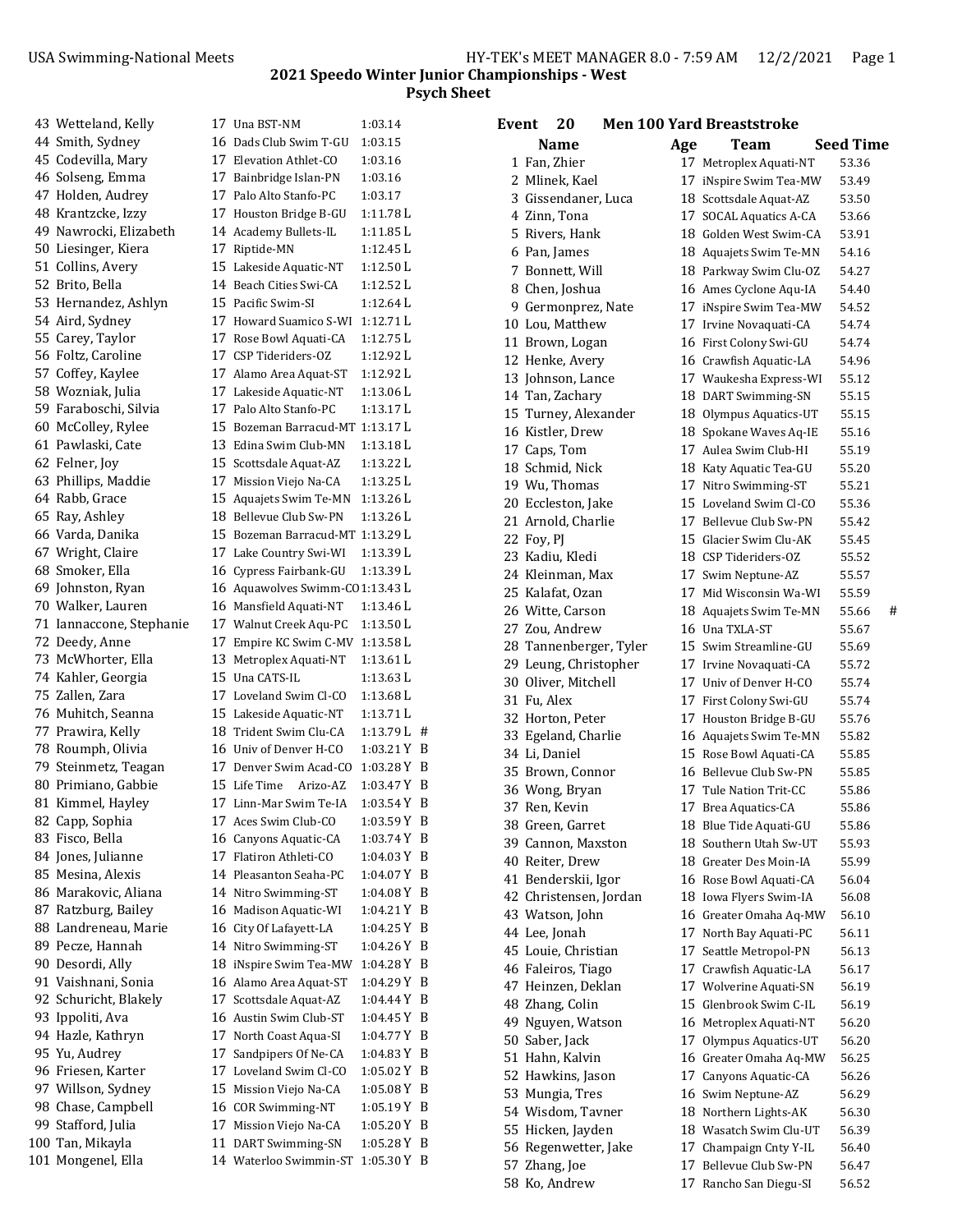|  | 43 Wetteland, Kelly      | 17 Una BST-NM                    | 1:03.14       |  |
|--|--------------------------|----------------------------------|---------------|--|
|  | 44 Smith, Sydney         | 16 Dads Club Swim T-GU           | 1:03.15       |  |
|  | 45 Codevilla, Mary       | 17 Elevation Athlet-CO           | 1:03.16       |  |
|  | 46 Solseng, Emma         | 17 Bainbridge Islan-PN           | 1:03.16       |  |
|  | 47 Holden, Audrey        | 17 Palo Alto Stanfo-PC           | 1:03.17       |  |
|  | 48 Krantzcke, Izzy       | 17 Houston Bridge B-GU           | 1:11.78L      |  |
|  | 49 Nawrocki, Elizabeth   | 14 Academy Bullets-IL            | 1:11.85L      |  |
|  | 50 Liesinger, Kiera      | 17 Riptide-MN                    | 1:12.45 L     |  |
|  | 51 Collins, Avery        | 15 Lakeside Aquatic-NT           | 1:12.50 L     |  |
|  | 52 Brito, Bella          | 14 Beach Cities Swi-CA           | 1:12.52 L     |  |
|  | 53 Hernandez, Ashlyn     | 15 Pacific Swim-SI               | 1:12.64 L     |  |
|  | 54 Aird, Sydney          | 17 Howard Suamico S-WI           | $1:12.71$ L   |  |
|  | 55 Carey, Taylor         | 17 Rose Bowl Aquati-CA           | 1:12.75 L     |  |
|  | 56 Foltz, Caroline       | 17 CSP Tideriders-OZ             | 1:12.92 L     |  |
|  | 57 Coffey, Kaylee        | 17 Alamo Area Aquat-ST           | 1:12.92 L     |  |
|  | 58 Wozniak, Julia        | 17 Lakeside Aquatic-NT           | 1:13.06L      |  |
|  | 59 Faraboschi, Silvia    | 17 Palo Alto Stanfo-PC           | 1:13.17L      |  |
|  | 60 McColley, Rylee       | 15 Bozeman Barracud-MT 1:13.17 L |               |  |
|  | 61 Pawlaski, Cate        | 13 Edina Swim Club-MN            | 1:13.18 L     |  |
|  | 62 Felner, Joy           | 15 Scottsdale Aquat-AZ           | 1:13.22 L     |  |
|  | 63 Phillips, Maddie      | 17 Mission Viejo Na-CA           | 1:13.25 L     |  |
|  | 64 Rabb, Grace           | 15 Aquajets Swim Te-MN           | 1:13.26 L     |  |
|  | 65 Ray, Ashley           | 18 Bellevue Club Sw-PN           | $1:13.26$ L   |  |
|  | 66 Varda, Danika         | 15 Bozeman Barracud-MT 1:13.29 L |               |  |
|  | 67 Wright, Claire        | 17 Lake Country Swi-WI           | 1:13.39L      |  |
|  | 68 Smoker, Ella          | 16 Cypress Fairbank-GU           | 1:13.39 L     |  |
|  | 69 Johnston, Ryan        | 16 Aquawolves Swimm-CO1:13.43 L  |               |  |
|  | 70 Walker, Lauren        | 16 Mansfield Aquati-NT           | 1:13.46 L     |  |
|  | 71 Iannaccone, Stephanie | 17 Walnut Creek Aqu-PC           | 1:13.50L      |  |
|  | 72 Deedy, Anne           | 17 Empire KC Swim C-MV           | 1:13.58 L     |  |
|  | 73 McWhorter, Ella       | 13 Metroplex Aquati-NT           | 1:13.61 L     |  |
|  | 74 Kahler, Georgia       | 15 Una CATS-IL                   | 1:13.63 L     |  |
|  | 75 Zallen, Zara          | 17 Loveland Swim Cl-CO           | 1:13.68 L     |  |
|  | 76 Muhitch, Seanna       | 15 Lakeside Aquatic-NT           | 1:13.71 L     |  |
|  | 77 Prawira, Kelly        | 18 Trident Swim Clu-CA           | $1:13.79L$ #  |  |
|  | 78 Roumph, Olivia        | 16 Univ of Denver H-CO           | 1:03.21 Y B   |  |
|  | 79 Steinmetz, Teagan     | 17 Denver Swim Acad-CO           | 1:03.28 Y B   |  |
|  | 80 Primiano, Gabbie      | 15 Life Time<br>Arizo-AZ         | 1:03.47 Y B   |  |
|  | 81 Kimmel, Hayley        | 17 Linn-Mar Swim Te-IA           | 1:03.54 Y B   |  |
|  | 82 Capp, Sophia          | 17 Aces Swim Club-CO             | 1:03.59 Y B   |  |
|  | 83 Fisco, Bella          | 16 Canyons Aquatic-CA            | 1:03.74 Y B   |  |
|  | 84 Jones, Julianne       | 17 Flatiron Athleti-CO           | 1:04.03 Y B   |  |
|  | 85 Mesina, Alexis        | 14 Pleasanton Seaha-PC           | 1:04.07 Y B   |  |
|  | 86 Marakovic, Aliana     | 14 Nitro Swimming-ST             | 1:04.08 Y B   |  |
|  | 87 Ratzburg, Bailey      | 16 Madison Aquatic-WI            | 1:04.21 Y B   |  |
|  | 88 Landreneau, Marie     | 16 City Of Lafayett-LA           | $1:04.25$ Y B |  |
|  | 89 Pecze, Hannah         | 14 Nitro Swimming-ST             | $1:04.26$ Y B |  |
|  | 90 Desordi, Ally         | 18 iNspire Swim Tea-MW           | 1:04.28 Y B   |  |
|  | 91 Vaishnani, Sonia      | 16 Alamo Area Aquat-ST           | 1:04.29 Y B   |  |
|  | 92 Schuricht, Blakely    | 17 Scottsdale Aquat-AZ           | $1:04.44$ Y B |  |
|  | 93 Ippoliti, Ava         | 16 Austin Swim Club-ST           | $1:04.45$ Y B |  |
|  | 94 Hazle, Kathryn        | 17 North Coast Aqua-SI           | 1:04.77 Y B   |  |
|  | 95 Yu, Audrey            | 17 Sandpipers Of Ne-CA           | 1:04.83 Y B   |  |
|  | 96 Friesen, Karter       | 17 Loveland Swim Cl-CO           | $1:05.02$ Y B |  |
|  | 97 Willson, Sydney       | 15 Mission Viejo Na-CA           | 1:05.08 Y B   |  |
|  | 98 Chase, Campbell       | 16 COR Swimming-NT               | 1:05.19 Y B   |  |
|  | 99 Stafford, Julia       | 17 Mission Viejo Na-CA           | 1:05.20 Y B   |  |
|  | 100 Tan, Mikayla         | 11 DART Swimming-SN              | 1:05.28 Y B   |  |
|  | 101 Mongenel, Ella       | 14 Waterloo Swimmin-ST           | 1:05.30 Y B   |  |
|  |                          |                                  |               |  |

| 20<br>Event            |     | <b>Men 100 Yard Breaststroke</b>                 |                  |  |
|------------------------|-----|--------------------------------------------------|------------------|--|
| Name                   | Age | Team                                             | <b>Seed Time</b> |  |
| 1 Fan, Zhier           |     | 17 Metroplex Aquati-NT                           | 53.36            |  |
| 2 Mlinek, Kael         |     | 17 iNspire Swim Tea-MW                           | 53.49            |  |
| 3 Gissendaner, Luca    |     | 18 Scottsdale Aquat-AZ                           | 53.50            |  |
| 4 Zinn, Tona           |     | 17 SOCAL Aquatics A-CA                           | 53.66            |  |
| 5 Rivers, Hank         |     | 18 Golden West Swim-CA                           | 53.91            |  |
| 6 Pan, James           |     | 18 Aquajets Swim Te-MN                           | 54.16            |  |
| 7 Bonnett, Will        |     | 18 Parkway Swim Clu-OZ                           | 54.27            |  |
| 8 Chen, Joshua         |     | 16 Ames Cyclone Aqu-IA                           | 54.40            |  |
| 9 Germonprez, Nate     |     | 17 iNspire Swim Tea-MW                           | 54.52            |  |
| 10 Lou, Matthew        |     | 17 Irvine Novaquati-CA                           | 54.74            |  |
| 11 Brown, Logan        |     | 16 First Colony Swi-GU                           | 54.74            |  |
| 12 Henke, Avery        |     | 16 Crawfish Aquatic-LA                           | 54.96            |  |
| 13 Johnson, Lance      |     | 17 Waukesha Express-WI                           | 55.12            |  |
| 14 Tan, Zachary        |     | 18 DART Swimming-SN                              | 55.15            |  |
| 15 Turney, Alexander   |     |                                                  | 55.15            |  |
| 16 Kistler, Drew       |     | 18 Olympus Aquatics-UT<br>18 Spokane Waves Aq-IE | 55.16            |  |
| 17 Caps, Tom           |     | 17 Aulea Swim Club-HI                            | 55.19            |  |
|                        |     |                                                  |                  |  |
| 18 Schmid, Nick        |     | 18 Katy Aquatic Tea-GU                           | 55.20            |  |
| 19 Wu, Thomas          |     | 17 Nitro Swimming-ST                             | 55.21            |  |
| 20 Eccleston, Jake     |     | 15 Loveland Swim Cl-CO                           | 55.36            |  |
| 21 Arnold, Charlie     |     | 17 Bellevue Club Sw-PN                           | 55.42            |  |
| 22 Foy, PJ             |     | 15 Glacier Swim Clu-AK                           | 55.45            |  |
| 23 Kadiu. Kledi        |     | 18 CSP Tideriders-OZ                             | 55.52            |  |
| 24 Kleinman, Max       |     | 17 Swim Neptune-AZ                               | 55.57            |  |
| 25 Kalafat, Ozan       |     | 17 Mid Wisconsin Wa-WI                           | 55.59            |  |
| 26 Witte, Carson       |     | 18 Aquajets Swim Te-MN                           | #<br>55.66       |  |
| 27 Zou, Andrew         |     | 16 Una TXLA-ST                                   | 55.67            |  |
| 28 Tannenberger, Tyler |     | 15 Swim Streamline-GU                            | 55.69            |  |
| 29 Leung, Christopher  |     | 17 Irvine Novaquati-CA                           | 55.72            |  |
| 30 Oliver, Mitchell    |     | 17 Univ of Denver H-CO                           | 55.74            |  |
| 31 Fu, Alex            |     | 17 First Colony Swi-GU                           | 55.74            |  |
| 32 Horton, Peter       |     | 17 Houston Bridge B-GU                           | 55.76            |  |
| 33 Egeland, Charlie    |     | 16 Aquajets Swim Te-MN                           | 55.82            |  |
| 34 Li, Daniel          |     | 15 Rose Bowl Aquati-CA                           | 55.85            |  |
| 35 Brown, Connor       |     | 16 Bellevue Club Sw-PN                           | 55.85            |  |
| 36 Wong, Bryan         |     | 17 Tule Nation Trit-CC                           | 55.86            |  |
| 37 Ren, Kevin          |     | 17 Brea Aquatics-CA                              | 55.86            |  |
| 38 Green, Garret       |     | 18 Blue Tide Aquati-GU                           | 55.86            |  |
| 39 Cannon, Maxston     |     | 18 Southern Utah Sw-UT                           | 55.93            |  |
| 40 Reiter, Drew        |     | 18 Greater Des Moin-IA                           | 55.99            |  |
| 41 Benderskii, Igor    |     | 16 Rose Bowl Aquati-CA                           | 56.04            |  |
| 42 Christensen, Jordan |     | 18 Iowa Flyers Swim-IA                           | 56.08            |  |
| 43 Watson, John        |     | 16 Greater Omaha Aq-MW                           | 56.10            |  |
| 44 Lee, Jonah          |     | 17 North Bay Aquati-PC                           | 56.11            |  |
| 45 Louie, Christian    |     | 17 Seattle Metropol-PN                           | 56.13            |  |
| 46 Faleiros, Tiago     |     | 17 Crawfish Aquatic-LA                           | 56.17            |  |
| 47 Heinzen, Deklan     |     | 17 Wolverine Aquati-SN                           | 56.19            |  |
| 48 Zhang, Colin        |     | 15 Glenbrook Swim C-IL                           | 56.19            |  |
| 49 Nguyen, Watson      |     | 16 Metroplex Aquati-NT                           | 56.20            |  |
| 50 Saber, Jack         |     | 17 Olympus Aquatics-UT                           | 56.20            |  |
| 51 Hahn, Kalvin        |     | 16 Greater Omaha Aq-MW                           | 56.25            |  |
| 52 Hawkins, Jason      |     | 17 Canyons Aquatic-CA                            | 56.26            |  |
| 53 Mungia, Tres        |     | 16 Swim Neptune-AZ                               | 56.29            |  |
| 54 Wisdom, Tavner      |     | 18 Northern Lights-AK                            | 56.30            |  |
| 55 Hicken, Jayden      |     | 18 Wasatch Swim Clu-UT                           | 56.39            |  |
| 56 Regenwetter, Jake   |     | 17 Champaign Cnty Y-IL                           | 56.40            |  |
| 57 Zhang, Joe          |     | 17 Bellevue Club Sw-PN                           | 56.47            |  |
| 58 Ko, Andrew          |     | 17 Rancho San Diegu-SI                           | 56.52            |  |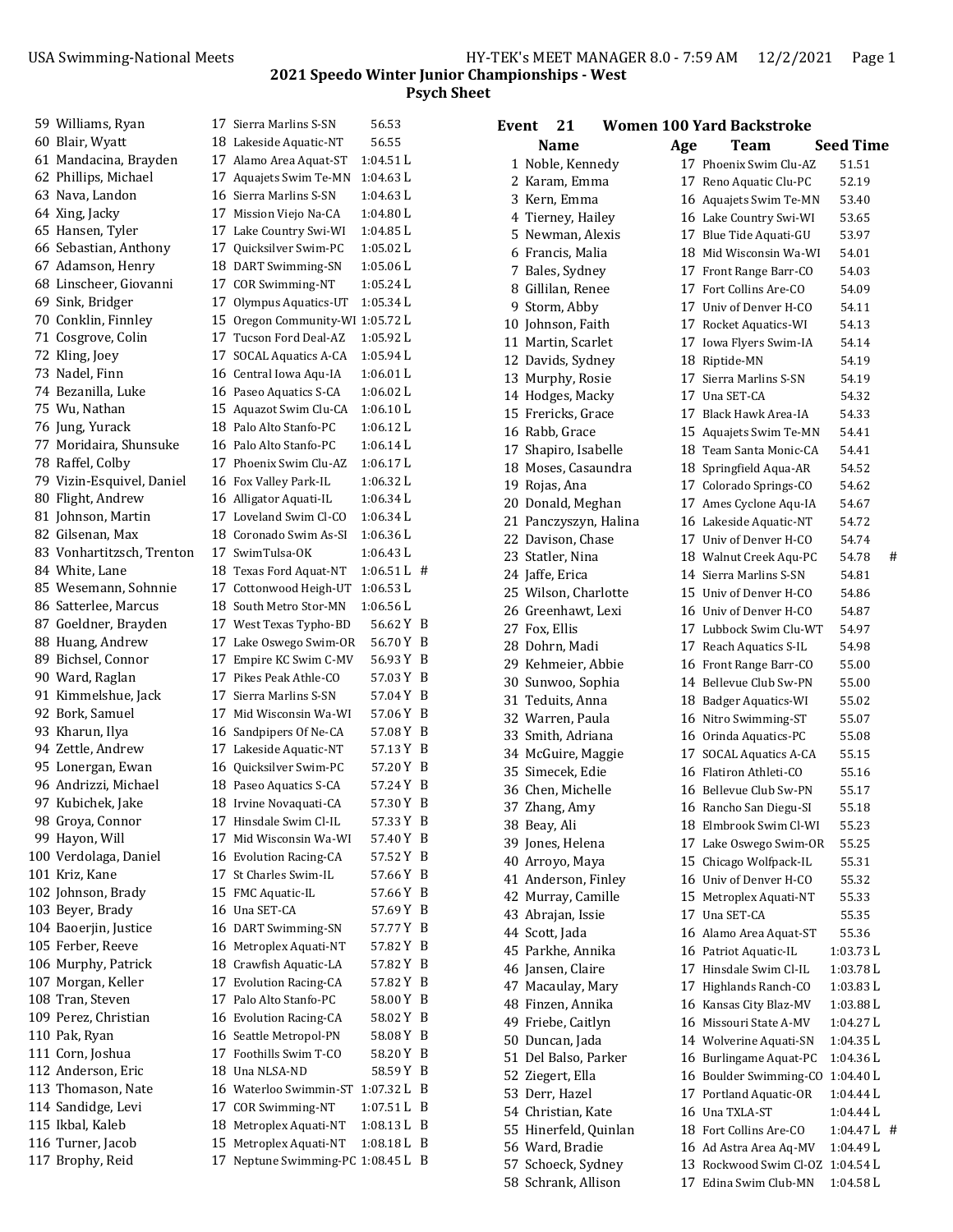| 59 Williams, Ryan         |    | 17 Sierra Marlins S-SN           | 56.53         |     |
|---------------------------|----|----------------------------------|---------------|-----|
| 60 Blair, Wyatt           |    | 18 Lakeside Aquatic-NT           | 56.55         |     |
| 61 Mandacina, Brayden     |    | 17 Alamo Area Aquat-ST           | 1:04.51L      |     |
| 62 Phillips, Michael      |    | 17 Aquajets Swim Te-MN           | 1:04.63 L     |     |
| 63 Nava, Landon           |    | 16 Sierra Marlins S-SN           | 1:04.63 L     |     |
| 64 Xing, Jacky            | 17 | Mission Viejo Na-CA              | 1:04.80 L     |     |
| 65 Hansen, Tyler          |    | 17 Lake Country Swi-WI           | 1:04.85 L     |     |
| 66 Sebastian, Anthony     |    | 17 Quicksilver Swim-PC           | $1:05.02$ L   |     |
| 67 Adamson, Henry         |    | 18 DART Swimming-SN              | 1:05.06 L     |     |
| 68 Linscheer, Giovanni    |    | 17 COR Swimming-NT               | $1:05.24$ L   |     |
| 69 Sink, Bridger          |    | 17 Olympus Aquatics-UT           | 1:05.34L      |     |
| 70 Conklin, Finnley       |    | 15 Oregon Community-WI 1:05.72 L |               |     |
| 71 Cosgrove, Colin        |    | 17 Tucson Ford Deal-AZ           | 1:05.92 L     |     |
| 72 Kling, Joey            |    | 17 SOCAL Aquatics A-CA           | 1:05.94 L     |     |
| 73 Nadel, Finn            |    | 16 Central Iowa Aqu-IA           | 1:06.01 L     |     |
| 74 Bezanilla, Luke        |    | 16 Paseo Aquatics S-CA           | 1:06.02 L     |     |
| 75 Wu, Nathan             |    | 15 Aquazot Swim Clu-CA           | 1:06.10 L     |     |
| 76 Jung, Yurack           |    | 18 Palo Alto Stanfo-PC           | $1:06.12$ L   |     |
| 77 Moridaira, Shunsuke    |    | 16 Palo Alto Stanfo-PC           | 1:06.14 L     |     |
| 78 Raffel, Colby          |    | 17 Phoenix Swim Clu-AZ           | 1:06.17L      |     |
| 79 Vizin-Esquivel, Daniel |    |                                  | 1:06.32 L     |     |
| 80 Flight, Andrew         |    | 16 Fox Valley Park-IL            |               |     |
|                           |    | 16 Alligator Aquati-IL           | 1:06.34 L     |     |
| 81 Johnson, Martin        |    | 17 Loveland Swim Cl-CO           | 1:06.34L      |     |
| 82 Gilsenan, Max          |    | 18 Coronado Swim As-SI           | 1:06.36 L     |     |
| 83 Vonhartitzsch, Trenton |    | 17 SwimTulsa-OK                  | 1:06.43 L     |     |
| 84 White, Lane            |    | 18 Texas Ford Aquat-NT           | $1:06.51 L$ # |     |
| 85 Wesemann, Sohnnie      |    | 17 Cottonwood Heigh-UT           | 1:06.53L      |     |
| 86 Satterlee, Marcus      |    | 18 South Metro Stor-MN           | 1:06.56 L     |     |
| 87 Goeldner, Brayden      |    | 17 West Texas Typho-BD           | 56.62 Y B     |     |
| 88 Huang, Andrew          |    | 17 Lake Oswego Swim-OR           | 56.70 Y       | B   |
| 89 Bichsel, Connor        | 17 | Empire KC Swim C-MV              | 56.93 Y       | B   |
| 90 Ward, Raglan           |    | 17 Pikes Peak Athle-CO           | 57.03 Y       | B   |
| 91 Kimmelshue, Jack       | 17 | Sierra Marlins S-SN              | 57.04 Y       | B   |
| 92 Bork, Samuel           | 17 | Mid Wisconsin Wa-WI              | 57.06Y        | B   |
| 93 Kharun, Ilya           |    | 16 Sandpipers Of Ne-CA           | 57.08Y        | B   |
| 94 Zettle, Andrew         |    | 17 Lakeside Aquatic-NT           | 57.13 Y       | B   |
| 95 Lonergan, Ewan         |    | 16 Quicksilver Swim-PC           | 57.20Y        | - B |
| 96 Andrizzi, Michael      |    | 18 Paseo Aquatics S-CA           | 57.24 Y       | B   |
| 97 Kubichek, Jake         |    | 18 Irvine Novaquati-CA           | 57.30 Y B     |     |
| 98 Groya, Connor          |    | 17 Hinsdale Swim Cl-IL           | 57.33Y        | B   |
| 99 Hayon, Will            | 17 | Mid Wisconsin Wa-WI              | 57.40 Y       | B   |
| 100 Verdolaga, Daniel     |    | 16 Evolution Racing-CA           | 57.52 Y       | B   |
| 101 Kriz, Kane            |    | 17 St Charles Swim-IL            | 57.66 Y       | B   |
| 102 Johnson, Brady        |    | 15 FMC Aquatic-IL                | 57.66 Y       | В   |
| 103 Beyer, Brady          |    | 16 Una SET-CA                    | 57.69 Y       | В   |
| 104 Baoerjin, Justice     |    | 16 DART Swimming-SN              | 57.77 Y       | B   |
| 105 Ferber, Reeve         |    | 16 Metroplex Aquati-NT           | 57.82Y        | B   |
| 106 Murphy, Patrick       |    | 18 Crawfish Aquatic-LA           | 57.82Y        | B   |
| 107 Morgan, Keller        |    | 17 Evolution Racing-CA           | 57.82Y        | B   |
| 108 Tran, Steven          |    | 17 Palo Alto Stanfo-PC           | 58.00 Y       | B   |
| 109 Perez, Christian      |    | 16 Evolution Racing-CA           | 58.02 Y       | B   |
| 110 Pak, Ryan             |    | 16 Seattle Metropol-PN           | 58.08 Y       | B   |
| 111 Corn, Joshua          |    | 17 Foothills Swim T-CO           | 58.20 Y       | B   |
| 112 Anderson, Eric        |    | 18 Una NLSA-ND                   | 58.59 Y       | B   |
| 113 Thomason, Nate        |    | 16 Waterloo Swimmin-ST           | 1:07.32 L     | B   |
| 114 Sandidge, Levi        |    | 17 COR Swimming-NT               | 1:07.51 L     | B   |
| 115 Ikbal, Kaleb          |    | 18 Metroplex Aquati-NT           | 1:08.13 L     | B   |
|                           |    |                                  | $1:08.18$ L   | B   |
| 116 Turner, Jacob         |    | 15 Metroplex Aquati-NT           |               |     |
| 117 Brophy, Reid          |    | 17 Neptune Swimming-PC 1:08.45 L |               | B   |
|                           |    |                                  |               |     |

| <b>Event</b> | 21                                     |     | <b>Women 100 Yard Backstroke</b>                |                       |   |
|--------------|----------------------------------------|-----|-------------------------------------------------|-----------------------|---|
|              | Name                                   | Age | Team                                            | <b>Seed Time</b>      |   |
|              | 1 Noble, Kennedy                       |     | 17 Phoenix Swim Clu-AZ                          | 51.51                 |   |
|              | 2 Karam, Emma                          |     | 17 Reno Aquatic Clu-PC                          | 52.19                 |   |
|              | 3 Kern, Emma                           |     | 16 Aquajets Swim Te-MN                          | 53.40                 |   |
|              | 4 Tierney, Hailey                      |     | 16 Lake Country Swi-WI                          | 53.65                 |   |
|              | 5 Newman, Alexis                       |     | 17 Blue Tide Aquati-GU                          | 53.97                 |   |
|              | 6 Francis, Malia                       |     | 18 Mid Wisconsin Wa-WI                          | 54.01                 |   |
|              | 7 Bales, Sydney                        |     | 17 Front Range Barr-CO                          | 54.03                 |   |
|              | 8 Gillilan, Renee                      |     | 17 Fort Collins Are-CO                          | 54.09                 |   |
|              | 9 Storm, Abby                          |     | 17 Univ of Denver H-CO                          | 54.11                 |   |
|              | 10 Johnson, Faith                      |     | 17 Rocket Aquatics-WI                           | 54.13                 |   |
|              | 11 Martin, Scarlet                     |     | 17 Iowa Flyers Swim-IA                          | 54.14                 |   |
|              | 12 Davids, Sydney                      |     | 18 Riptide-MN                                   | 54.19                 |   |
|              | 13 Murphy, Rosie                       |     | 17 Sierra Marlins S-SN                          | 54.19                 |   |
|              | 14 Hodges, Macky                       |     | 17 Una SET-CA                                   | 54.32                 |   |
|              | 15 Frericks, Grace                     |     | 17 Black Hawk Area-IA                           | 54.33                 |   |
|              | 16 Rabb, Grace                         |     | 15 Aquajets Swim Te-MN                          | 54.41                 |   |
|              | 17 Shapiro, Isabelle                   |     | 18 Team Santa Monic-CA                          | 54.41                 |   |
|              | 18 Moses, Casaundra                    |     | 18 Springfield Aqua-AR                          | 54.52                 |   |
|              | 19 Rojas, Ana                          |     | 17 Colorado Springs-CO                          | 54.62                 |   |
|              | 20 Donald, Meghan                      |     | 17 Ames Cyclone Aqu-IA                          | 54.67                 |   |
|              | 21 Panczyszyn, Halina                  |     | 16 Lakeside Aquatic-NT                          | 54.72                 |   |
|              | 22 Davison, Chase                      |     | 17 Univ of Denver H-CO                          | 54.74                 |   |
|              | 23 Statler, Nina                       |     | 18 Walnut Creek Aqu-PC                          | 54.78                 | # |
|              | 24 Jaffe, Erica                        |     | 14 Sierra Marlins S-SN                          | 54.81                 |   |
|              | 25 Wilson, Charlotte                   |     | 15 Univ of Denver H-CO                          | 54.86                 |   |
|              | 26 Greenhawt, Lexi                     |     | 16 Univ of Denver H-CO                          | 54.87                 |   |
|              | 27 Fox, Ellis                          |     | 17 Lubbock Swim Clu-WT                          | 54.97                 |   |
|              | 28 Dohrn, Madi                         |     | 17 Reach Aquatics S-IL                          | 54.98                 |   |
|              | 29 Kehmeier, Abbie                     |     | 16 Front Range Barr-CO                          | 55.00                 |   |
|              | 30 Sunwoo, Sophia                      |     | 14 Bellevue Club Sw-PN                          | 55.00                 |   |
|              | 31 Teduits, Anna                       |     | 18 Badger Aquatics-WI                           | 55.02                 |   |
|              | 32 Warren, Paula                       |     | 16 Nitro Swimming-ST                            | 55.07                 |   |
|              | 33 Smith, Adriana                      |     | 16 Orinda Aquatics-PC                           | 55.08                 |   |
|              | 34 McGuire, Maggie                     |     | 17 SOCAL Aquatics A-CA                          | 55.15                 |   |
|              | 35 Simecek, Edie                       |     | 16 Flatiron Athleti-CO                          | 55.16                 |   |
|              | 36 Chen. Michelle                      |     | 16 Bellevue Club Sw-PN                          | 55.17                 |   |
|              | 37 Zhang, Amy                          |     | 16 Rancho San Diegu-SI                          | 55.18                 |   |
|              | 38 Beay, Ali                           |     | 18 Elmbrook Swim Cl-WI                          | 55.23                 |   |
|              | 39 Jones, Helena                       |     | 17 Lake Oswego Swim-OR                          | 55.25                 |   |
|              | 40 Arroyo, Maya                        |     | 15 Chicago Wolfpack-IL                          | 55.31                 |   |
|              | 41 Anderson, Finley                    |     | 16 Univ of Denver H-CO                          | 55.32                 |   |
|              | 42 Murray, Camille                     |     | 15 Metroplex Aquati-NT                          | 55.33                 |   |
|              | 43 Abrajan, Issie<br>44 Scott, Jada    |     | 17 Una SET-CA                                   | 55.35                 |   |
|              |                                        |     | 16 Alamo Area Aquat-ST                          | 55.36                 |   |
|              | 45 Parkhe, Annika<br>46 Jansen, Claire |     | 16 Patriot Aquatic-IL<br>17 Hinsdale Swim Cl-IL | 1:03.73 L<br>1:03.78L |   |
|              | 47 Macaulay, Mary                      |     | 17 Highlands Ranch-CO                           | 1:03.83L              |   |
|              | 48 Finzen, Annika                      |     | 16 Kansas City Blaz-MV                          | 1:03.88 L             |   |
|              | 49 Friebe, Caitlyn                     |     | 16 Missouri State A-MV                          | 1:04.27L              |   |
|              | 50 Duncan, Jada                        |     | 14 Wolverine Aquati-SN                          | $1:04.35$ L           |   |
|              | 51 Del Balso, Parker                   |     | 16 Burlingame Aquat-PC                          | 1:04.36L              |   |
|              | 52 Ziegert, Ella                       |     | 16 Boulder Swimming-CO                          | 1:04.40 L             |   |
|              | 53 Derr, Hazel                         |     | 17 Portland Aquatic-OR                          | 1:04.44 L             |   |
|              | 54 Christian, Kate                     |     | 16 Una TXLA-ST                                  | 1:04.44 L             |   |
|              | 55 Hinerfeld, Quinlan                  |     | 18 Fort Collins Are-CO                          | $1:04.47L$ #          |   |
|              | 56 Ward, Bradie                        |     | 16 Ad Astra Area Aq-MV                          | 1:04.49 L             |   |
|              | 57 Schoeck, Sydney                     |     | 13 Rockwood Swim Cl-OZ                          | 1:04.54 L             |   |
|              | 58 Schrank, Allison                    |     | 17 Edina Swim Club-MN                           | 1:04.58 L             |   |
|              |                                        |     |                                                 |                       |   |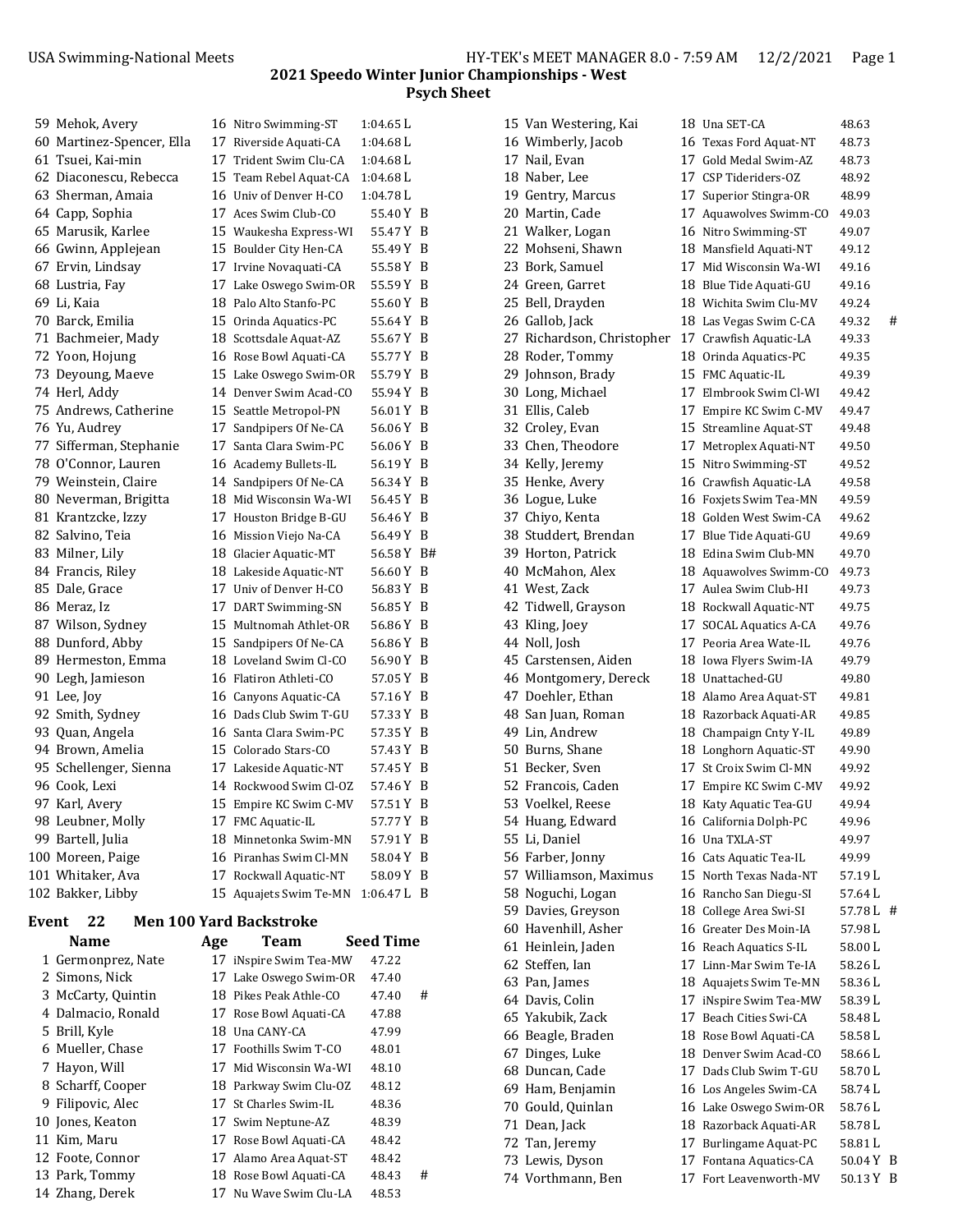|       | 59 Mehok, Avery                        |     | 16 Nitro Swimming-ST                             | 1:04.65 L        |     |
|-------|----------------------------------------|-----|--------------------------------------------------|------------------|-----|
|       | 60 Martinez-Spencer, Ella              |     | 17 Riverside Aquati-CA                           | 1:04.68 L        |     |
|       | 61 Tsuei, Kai-min                      |     | 17 Trident Swim Clu-CA                           | 1:04.68 L        |     |
|       | 62 Diaconescu, Rebecca                 |     | 15 Team Rebel Aquat-CA                           | 1:04.68 L        |     |
|       | 63 Sherman, Amaia                      |     | 16 Univ of Denver H-CO                           | $1:04.78$ L      |     |
|       | 64 Capp, Sophia                        |     | 17 Aces Swim Club-CO                             | 55.40 Y B        |     |
|       | 65 Marusik, Karlee                     |     | 15 Waukesha Express-WI                           | 55.47 Y B        |     |
|       | 66 Gwinn, Applejean                    |     | 15 Boulder City Hen-CA                           | 55.49 Y B        |     |
|       | 67 Ervin, Lindsay                      |     | 17 Irvine Novaquati-CA                           | 55.58 Y B        |     |
|       | 68 Lustria, Fay                        |     | 17 Lake Oswego Swim-OR                           | 55.59 Y B        |     |
|       | 69 Li, Kaia                            |     | 18 Palo Alto Stanfo-PC                           | 55.60 Y B        |     |
|       | 70 Barck, Emilia                       |     | 15 Orinda Aquatics-PC                            | 55.64 Y B        |     |
|       | 71 Bachmeier, Mady                     |     | 18 Scottsdale Aquat-AZ                           | 55.67 Y B        |     |
|       | 72 Yoon, Hojung                        |     | 16 Rose Bowl Aquati-CA                           | 55.77 Y B        |     |
|       | 73 Deyoung, Maeve                      |     | 15 Lake Oswego Swim-OR                           | 55.79 Y B        |     |
|       | 74 Herl, Addy                          |     | 14 Denver Swim Acad-CO                           | 55.94 Y B        |     |
|       | 75 Andrews, Catherine                  |     | 15 Seattle Metropol-PN                           | 56.01 Y B        |     |
|       | 76 Yu, Audrey                          |     | 17 Sandpipers Of Ne-CA                           | 56.06 Y B        |     |
|       | 77 Sifferman, Stephanie                |     | 17 Santa Clara Swim-PC                           | 56.06 Y B        |     |
|       | 78 O'Connor, Lauren                    |     | 16 Academy Bullets-IL                            | 56.19 Y B        |     |
|       | 79 Weinstein, Claire                   |     | 14 Sandpipers Of Ne-CA                           | 56.34 Y B        |     |
|       | 80 Neverman, Brigitta                  |     | 18 Mid Wisconsin Wa-WI                           | 56.45 Y B        |     |
|       | 81 Krantzcke, Izzy                     |     | 17 Houston Bridge B-GU                           | 56.46 Y B        |     |
|       | 82 Salvino, Teia                       |     | 16 Mission Viejo Na-CA                           | 56.49 Y B        |     |
|       | 83 Milner, Lily                        |     | 18 Glacier Aquatic-MT                            | 56.58 Y B#       |     |
|       | 84 Francis, Riley                      |     | 18 Lakeside Aquatic-NT                           | 56.60 Y B        |     |
|       | 85 Dale, Grace                         |     | 17 Univ of Denver H-CO                           | 56.83 Y B        |     |
|       | 86 Meraz, Iz                           |     | 17 DART Swimming-SN                              | 56.85 Y B        |     |
|       | 87 Wilson, Sydney                      |     | 15 Multnomah Athlet-OR                           | 56.86 Y B        |     |
|       | 88 Dunford, Abby                       |     | 15 Sandpipers Of Ne-CA                           | 56.86 Y B        |     |
|       | 89 Hermeston, Emma                     |     | 18 Loveland Swim Cl-CO                           | 56.90 Y B        |     |
|       | 90 Legh, Jamieson                      |     | 16 Flatiron Athleti-CO                           | 57.05 Y B        |     |
|       | 91 Lee, Joy                            |     | 16 Canyons Aquatic-CA                            | 57.16 Y B        |     |
|       | 92 Smith, Sydney                       |     | 16 Dads Club Swim T-GU                           | 57.33 Y B        |     |
|       | 93 Quan, Angela                        |     | 16 Santa Clara Swim-PC                           | 57.35 Y B        |     |
|       | 94 Brown, Amelia                       |     | 15 Colorado Stars-CO                             | 57.43 Y B        |     |
|       | 95 Schellenger, Sienna                 |     | 17 Lakeside Aquatic-NT                           | 57.45 Y B        |     |
|       | 96 Cook, Lexi                          |     | 14 Rockwood Swim Cl-OZ                           | 57.46 Y          | - B |
|       | 97 Karl, Avery                         |     | 15 Empire KC Swim C-MV                           | 57.51 Y          | B   |
|       | 98 Leubner, Molly                      |     |                                                  |                  |     |
|       |                                        |     |                                                  | 57.77 Y B        |     |
|       |                                        |     | 17 FMC Aquatic-IL<br>18 Minnetonka Swim-MN       | 57.91 Y          | - B |
|       | 99 Bartell, Julia                      |     | 16 Piranhas Swim Cl-MN                           | 58.04 Y B        |     |
|       | 100 Moreen, Paige<br>101 Whitaker, Ava |     |                                                  | 58.09 Y B        |     |
|       | 102 Bakker, Libby                      |     | 17 Rockwall Aquatic-NT<br>15 Aquajets Swim Te-MN | $1:06.47 L$ B    |     |
|       |                                        |     |                                                  |                  |     |
| Event | 22                                     |     | <b>Men 100 Yard Backstroke</b>                   |                  |     |
|       | Name                                   | Age | <b>Team</b>                                      | <b>Seed Time</b> |     |
|       | 1 Germonprez, Nate                     |     | 17 iNspire Swim Tea-MW                           | 47.22            |     |
|       | 2 Simons, Nick                         |     | 17 Lake Oswego Swim-OR                           | 47.40            |     |
|       | 3 McCarty, Quintin                     |     | 18 Pikes Peak Athle-CO                           | 47.40            | #   |
|       | 4 Dalmacio, Ronald                     |     | 17 Rose Bowl Aquati-CA                           | 47.88            |     |
|       | 5 Brill, Kyle                          |     | 18 Una CANY-CA                                   | 47.99            |     |
|       | 6 Mueller, Chase                       |     | 17 Foothills Swim T-CO                           | 48.01            |     |
|       | 7 Hayon, Will                          |     | 17 Mid Wisconsin Wa-WI                           | 48.10            |     |
|       | 8 Scharff, Cooper                      |     | 18 Parkway Swim Clu-OZ                           | 48.12            |     |
|       | 9 Filipovic, Alec                      |     | 17 St Charles Swim-IL                            | 48.36            |     |
|       | 10 Jones, Keaton                       |     | 17 Swim Neptune-AZ                               | 48.39            |     |
|       | 11 Kim, Maru                           |     | 17 Rose Bowl Aquati-CA                           | 48.42            |     |
|       | 12 Foote, Connor                       |     | 17 Alamo Area Aquat-ST                           | 48.42            |     |
|       | 13 Park, Tommy<br>14 Zhang, Derek      |     | 18 Rose Bowl Aquati-CA<br>17 Nu Wave Swim Clu-LA | 48.43<br>48.53   | #   |

| 15 Van Westering, Kai      |    | 18 Una SET-CA           | 48.63   |   |
|----------------------------|----|-------------------------|---------|---|
| 16 Wimberly, Jacob         |    | 16 Texas Ford Aquat-NT  | 48.73   |   |
| 17 Nail, Evan              |    | 17 Gold Medal Swim-AZ   | 48.73   |   |
| 18 Naber, Lee              |    | 17 CSP Tideriders-OZ    | 48.92   |   |
| 19 Gentry, Marcus          |    | 17 Superior Stingra-OR  | 48.99   |   |
| 20 Martin, Cade            |    | 17 Aquawolves Swimm-CO  | 49.03   |   |
| 21 Walker, Logan           |    | 16 Nitro Swimming-ST    | 49.07   |   |
| 22 Mohseni, Shawn          |    | 18 Mansfield Aquati-NT  | 49.12   |   |
| 23 Bork, Samuel            |    | 17 Mid Wisconsin Wa-WI  | 49.16   |   |
| 24 Green, Garret           |    | 18 Blue Tide Aquati-GU  | 49.16   |   |
| 25 Bell, Drayden           |    | 18 Wichita Swim Clu-MV  | 49.24   |   |
| 26 Gallob, Jack            |    | 18 Las Vegas Swim C-CA  | 49.32   | # |
| 27 Richardson, Christopher |    | 17 Crawfish Aquatic-LA  | 49.33   |   |
| 28 Roder, Tommy            |    | 18 Orinda Aquatics-PC   | 49.35   |   |
| 29 Johnson, Brady          |    | 15 FMC Aquatic-IL       | 49.39   |   |
| 30 Long, Michael           |    | 17 Elmbrook Swim Cl-WI  | 49.42   |   |
| 31 Ellis, Caleb            |    | 17 Empire KC Swim C-MV  | 49.47   |   |
| 32 Croley, Evan            |    | 15 Streamline Aquat-ST  | 49.48   |   |
| 33 Chen, Theodore          |    | 17 Metroplex Aquati-NT  | 49.50   |   |
| 34 Kelly, Jeremy           |    | 15 Nitro Swimming-ST    | 49.52   |   |
| 35 Henke, Avery            |    | 16 Crawfish Aquatic-LA  | 49.58   |   |
| 36 Logue, Luke             |    | 16 Foxjets Swim Tea-MN  | 49.59   |   |
| 37 Chiyo, Kenta            |    | 18 Golden West Swim-CA  | 49.62   |   |
| 38 Studdert, Brendan       |    | 17 Blue Tide Aquati-GU  | 49.69   |   |
| 39 Horton, Patrick         |    | 18 Edina Swim Club-MN   | 49.70   |   |
| 40 McMahon, Alex           |    | 18 Aquawolves Swimm-CO  | 49.73   |   |
| 41 West, Zack              |    | 17 Aulea Swim Club-HI   | 49.73   |   |
| 42 Tidwell, Grayson        |    | 18 Rockwall Aquatic-NT  | 49.75   |   |
| 43 Kling, Joey             |    | 17 SOCAL Aquatics A-CA  | 49.76   |   |
| 44 Noll, Josh              |    | 17 Peoria Area Wate-IL  | 49.76   |   |
| 45 Carstensen, Aiden       |    | 18 Iowa Flyers Swim-IA  | 49.79   |   |
|                            |    | 18 Unattached-GU        | 49.80   |   |
| 46 Montgomery, Dereck      |    |                         |         |   |
| 47 Doehler, Ethan          |    | 18 Alamo Area Aquat-ST  | 49.81   |   |
| 48 San Juan, Roman         |    | 18 Razorback Aquati-AR  | 49.85   |   |
| 49 Lin, Andrew             |    | 18 Champaign Cnty Y-IL  | 49.89   |   |
| 50 Burns, Shane            |    | 18 Longhorn Aquatic-ST  | 49.90   |   |
| 51 Becker, Sven            |    | 17 St Croix Swim Cl-MN  | 49.92   |   |
| 52 Francois, Caden         |    | 17 Empire KC Swim C-MV  | 49.92   |   |
| 53 Voelkel, Reese          |    | 18 Katy Aquatic Tea-GU  | 49.94   |   |
| 54 Huang, Edward           |    | 16 California Dolph-PC  | 49.96   |   |
| 55 Li, Daniel              |    | 16 Una TXLA-ST          | 49.97   |   |
| 56 Farber, Jonny           |    | 16 Cats Aquatic Tea-IL  | 49.99   |   |
| 57 Williamson, Maximus     |    | 15 North Texas Nada-NT  | 57.19 L |   |
| 58 Noguchi, Logan          |    | 16 Rancho San Diegu-SI  | 57.64 L |   |
| 59 Davies, Greyson         |    | 18 College Area Swi-SI  | 57.78L  | # |
| 60 Havenhill, Asher        |    | 16 Greater Des Moin-IA  | 57.98 L |   |
| 61 Heinlein, Jaden         |    | 16 Reach Aquatics S-IL  | 58.00 L |   |
| 62 Steffen, Ian            |    | 17  Linn-Mar Swim Te-IA | 58.26L  |   |
| 63 Pan, James              |    | 18 Aquajets Swim Te-MN  | 58.36L  |   |
| 64 Davis, Colin            |    | 17 iNspire Swim Tea-MW  | 58.39 L |   |
| 65 Yakubik, Zack           |    | 17 Beach Cities Swi-CA  | 58.48 L |   |
| 66 Beagle, Braden          |    | 18 Rose Bowl Aquati-CA  | 58.58 L |   |
| 67 Dinges, Luke            |    | 18 Denver Swim Acad-CO  | 58.66 L |   |
| 68 Duncan, Cade            |    | 17 Dads Club Swim T-GU  | 58.70 L |   |
| 69 Ham, Benjamin           |    | 16 Los Angeles Swim-CA  | 58.74 L |   |
| 70 Gould, Quinlan          |    | 16 Lake Oswego Swim-OR  | 58.76L  |   |
| 71 Dean, Jack              |    | 18 Razorback Aquati-AR  | 58.78L  |   |
| 72 Tan, Jeremy             |    | 17 Burlingame Aquat-PC  | 58.81 L |   |
| 73 Lewis, Dyson            | 17 | Fontana Aquatics-CA     | 50.04 Y | B |
| 74 Vorthmann, Ben          |    | 17 Fort Leavenworth-MV  | 50.13Y  | B |
|                            |    |                         |         |   |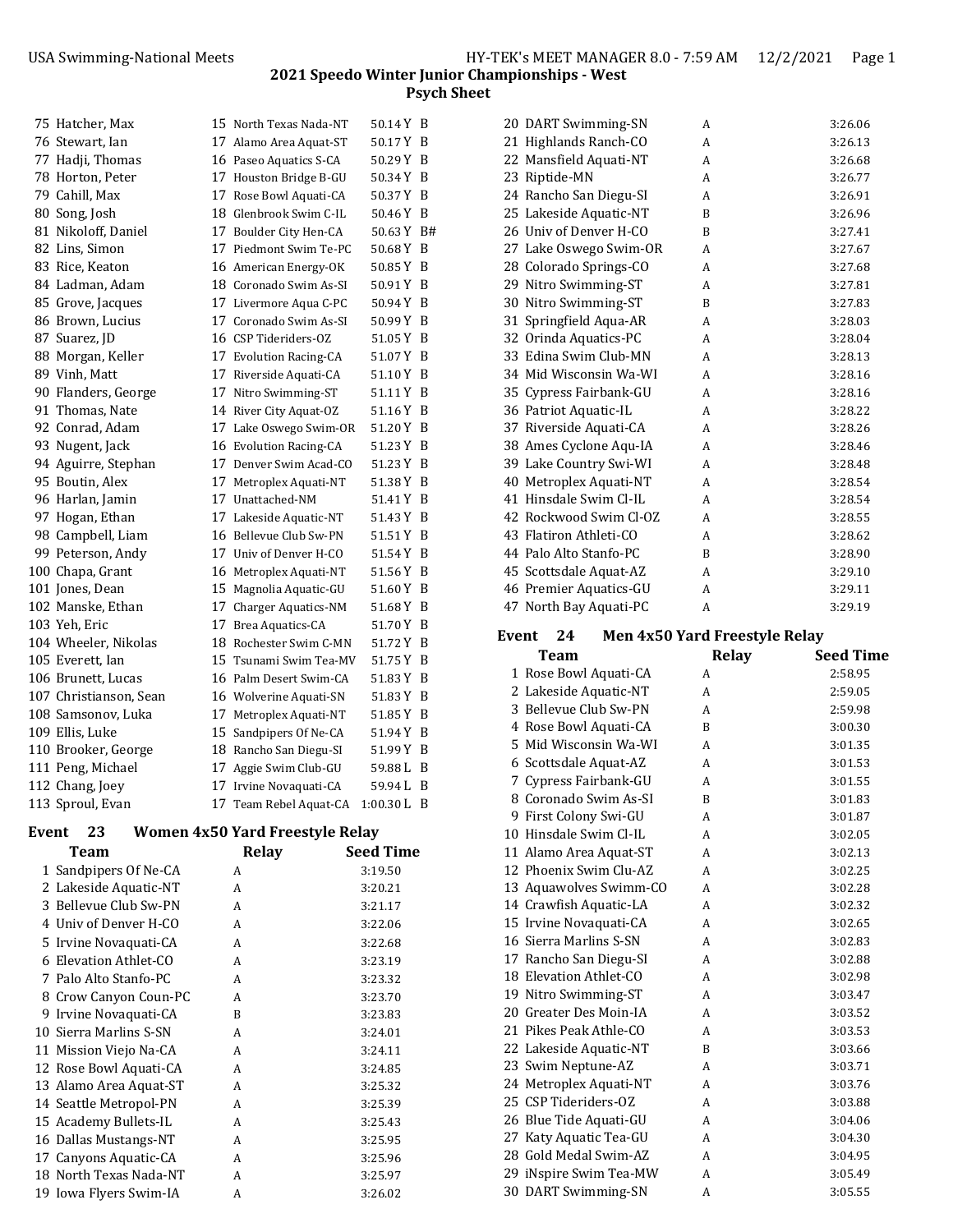| 75 Hatcher, Max        | 15 North Texas Nada-NT | 50.14 Y B     |  |
|------------------------|------------------------|---------------|--|
| 76 Stewart, Ian        | 17 Alamo Area Aquat-ST | 50.17 Y B     |  |
| 77 Hadji, Thomas       | 16 Paseo Aquatics S-CA | 50.29 Y B     |  |
| 78 Horton, Peter       | 17 Houston Bridge B-GU | 50.34 Y B     |  |
| 79 Cahill, Max         | 17 Rose Bowl Aquati-CA | 50.37 Y B     |  |
| 80 Song, Josh          | 18 Glenbrook Swim C-IL | 50.46 Y B     |  |
| 81 Nikoloff, Daniel    | 17 Boulder City Hen-CA | 50.63 Y B#    |  |
| 82 Lins, Simon         | 17 Piedmont Swim Te-PC | 50.68 Y B     |  |
| 83 Rice, Keaton        | 16 American Energy-OK  | 50.85 Y B     |  |
| 84 Ladman, Adam        | 18 Coronado Swim As-SI | 50.91 Y B     |  |
| 85 Grove, Jacques      | 17 Livermore Aqua C-PC | 50.94 Y B     |  |
| 86 Brown, Lucius       | 17 Coronado Swim As-SI | 50.99 Y B     |  |
| 87 Suarez, JD          | 16 CSP Tideriders-OZ   | 51.05 Y B     |  |
| 88 Morgan, Keller      | 17 Evolution Racing-CA | 51.07 Y B     |  |
| 89 Vinh, Matt          | 17 Riverside Aquati-CA | 51.10 Y B     |  |
| 90 Flanders, George    | 17 Nitro Swimming-ST   | 51.11 Y B     |  |
| 91 Thomas, Nate        | 14 River City Aquat-OZ | 51.16 Y B     |  |
| 92 Conrad, Adam        | 17 Lake Oswego Swim-OR | 51.20 Y B     |  |
| 93 Nugent, Jack        | 16 Evolution Racing-CA | 51.23 Y B     |  |
| 94 Aguirre, Stephan    | 17 Denver Swim Acad-CO | 51.23 Y B     |  |
| 95 Boutin, Alex        | 17 Metroplex Aquati-NT | 51.38 Y B     |  |
| 96 Harlan, Jamin       | 17 Unattached-NM       | 51.41 Y B     |  |
| 97 Hogan, Ethan        | 17 Lakeside Aquatic-NT | 51.43 Y B     |  |
| 98 Campbell, Liam      | 16 Bellevue Club Sw-PN | 51.51 Y B     |  |
| 99 Peterson, Andy      | 17 Univ of Denver H-CO | 51.54 Y B     |  |
| 100 Chapa, Grant       | 16 Metroplex Aquati-NT | 51.56 Y B     |  |
| 101 Jones, Dean        | 15 Magnolia Aquatic-GU | 51.60 Y B     |  |
| 102 Manske, Ethan      | 17 Charger Aquatics-NM | 51.68 Y B     |  |
| 103 Yeh, Eric          | 17 Brea Aquatics-CA    | 51.70 Y B     |  |
| 104 Wheeler, Nikolas   | 18 Rochester Swim C-MN | 51.72 Y B     |  |
| 105 Everett, Ian       | 15 Tsunami Swim Tea-MV | 51.75 Y B     |  |
| 106 Brunett, Lucas     | 16 Palm Desert Swim-CA | 51.83 Y B     |  |
| 107 Christianson, Sean | 16 Wolverine Aquati-SN | 51.83 Y B     |  |
| 108 Samsonov, Luka     | 17 Metroplex Aquati-NT | 51.85 Y B     |  |
| 109 Ellis, Luke        | 15 Sandpipers Of Ne-CA | 51.94 Y B     |  |
| 110 Brooker, George    | 18 Rancho San Diegu-SI | 51.99 Y B     |  |
| 111 Peng, Michael      | 17 Aggie Swim Club-GU  | 59.88 L B     |  |
| 112 Chang, Joey        | 17 Irvine Novaquati-CA | 59.94 L B     |  |
| 113 Sproul, Evan       | 17 Team Rebel Aquat-CA | $1:00.30 L$ B |  |
|                        |                        |               |  |

# **Event 23 Women 4x50 Yard Freestyle Relay**

| Team                   | <b>Relay</b> | Seed Time |
|------------------------|--------------|-----------|
| 1 Sandpipers Of Ne-CA  | A            | 3:19.50   |
| 2 Lakeside Aquatic-NT  | A            | 3:20.21   |
| 3 Bellevue Club Sw-PN  | A            | 3:21.17   |
| 4 Univ of Denver H-CO  | A            | 3:22.06   |
| 5 Irvine Novaquati-CA  | A            | 3:22.68   |
| 6 Elevation Athlet-CO  | A            | 3:23.19   |
| 7 Palo Alto Stanfo-PC  | A            | 3:23.32   |
| 8 Crow Canyon Coun-PC  | A            | 3:23.70   |
| 9 Irvine Novaquati-CA  | B            | 3:23.83   |
| 10 Sierra Marlins S-SN | A            | 3:24.01   |
| 11 Mission Viejo Na-CA | A            | 3:24.11   |
| 12 Rose Bowl Aquati-CA | A            | 3:24.85   |
| 13 Alamo Area Aquat-ST | A            | 3:25.32   |
| 14 Seattle Metropol-PN | A            | 3:25.39   |
| 15 Academy Bullets-IL  | A            | 3:25.43   |
| 16 Dallas Mustangs-NT  | A            | 3:25.95   |
| 17 Canyons Aquatic-CA  | A            | 3:25.96   |
| 18 North Texas Nada-NT | A            | 3:25.97   |
| 19 Iowa Flyers Swim-IA | A            | 3:26.02   |

| 20 DART Swimming-SN    | A | 3:26.06 |
|------------------------|---|---------|
| 21 Highlands Ranch-CO  | A | 3:26.13 |
| 22 Mansfield Aquati-NT | A | 3:26.68 |
| 23 Riptide-MN          | A | 3:26.77 |
| 24 Rancho San Diegu-SI | A | 3:26.91 |
| 25 Lakeside Aquatic-NT | B | 3:26.96 |
| 26 Univ of Denver H-CO | B | 3:27.41 |
| 27 Lake Oswego Swim-OR | A | 3:27.67 |
| 28 Colorado Springs-CO | A | 3:27.68 |
| 29 Nitro Swimming-ST   | A | 3:27.81 |
| 30 Nitro Swimming-ST   | B | 3:27.83 |
| 31 Springfield Aqua-AR | A | 3:28.03 |
| 32 Orinda Aquatics-PC  | A | 3:28.04 |
| 33 Edina Swim Club-MN  | A | 3:28.13 |
| 34 Mid Wisconsin Wa-WI | A | 3:28.16 |
| 35 Cypress Fairbank-GU | A | 3:28.16 |
| 36 Patriot Aquatic-IL  | A | 3:28.22 |
| 37 Riverside Aquati-CA | A | 3:28.26 |
| 38 Ames Cyclone Aqu-IA | A | 3:28.46 |
| 39 Lake Country Swi-WI | A | 3:28.48 |
| 40 Metroplex Aquati-NT | A | 3:28.54 |
| 41 Hinsdale Swim Cl-IL | A | 3:28.54 |
| 42 Rockwood Swim Cl-OZ | A | 3:28.55 |
| 43 Flatiron Athleti-CO | A | 3:28.62 |
| 44 Palo Alto Stanfo-PC | B | 3:28.90 |
| 45 Scottsdale Aquat-AZ | A | 3:29.10 |
| 46 Premier Aquatics-GU | A | 3:29.11 |
| 47 North Bay Aquati-PC | A | 3:29.19 |

# **Event 24 Men 4x50 Yard Freestyle Relay**

| Team                   | <b>Relay</b> | <b>Seed Time</b> |
|------------------------|--------------|------------------|
| 1 Rose Bowl Aquati-CA  | А            | 2:58.95          |
| 2 Lakeside Aquatic-NT  | A            | 2:59.05          |
| 3 Bellevue Club Sw-PN  | A            | 2:59.98          |
| 4 Rose Bowl Aquati-CA  | R            | 3:00.30          |
| 5 Mid Wisconsin Wa-WI  | A            | 3:01.35          |
| 6 Scottsdale Aquat-AZ  | A            | 3:01.53          |
| 7 Cypress Fairbank-GU  | A            | 3:01.55          |
| 8 Coronado Swim As-SI  | B            | 3:01.83          |
| 9 First Colony Swi-GU  | A            | 3:01.87          |
| 10 Hinsdale Swim Cl-IL | A            | 3:02.05          |
| 11 Alamo Area Aquat-ST | A            | 3:02.13          |
| 12 Phoenix Swim Clu-AZ | A            | 3:02.25          |
| 13 Aquawolves Swimm-CO | A            | 3:02.28          |
| 14 Crawfish Aquatic-LA | A            | 3:02.32          |
| 15 Irvine Novaguati-CA | А            | 3:02.65          |
| 16 Sierra Marlins S-SN | A            | 3:02.83          |
| 17 Rancho San Diegu-SI | А            | 3:02.88          |
| 18 Elevation Athlet-CO | A            | 3:02.98          |
| 19 Nitro Swimming-ST   | A            | 3:03.47          |
| 20 Greater Des Moin-IA | A            | 3:03.52          |
| 21 Pikes Peak Athle-CO | A            | 3:03.53          |
| 22 Lakeside Aquatic-NT | B            | 3:03.66          |
| 23 Swim Neptune-AZ     | A            | 3:03.71          |
| 24 Metroplex Aquati-NT | A            | 3:03.76          |
| 25 CSP Tideriders-OZ   | A            | 3:03.88          |
| 26 Blue Tide Aquati-GU | A            | 3:04.06          |
| 27 Katy Aquatic Tea-GU | A            | 3:04.30          |
| 28 Gold Medal Swim-AZ  | A            | 3:04.95          |
| 29 iNspire Swim Tea-MW | А            | 3:05.49          |
| 30 DART Swimming-SN    | A            | 3:05.55          |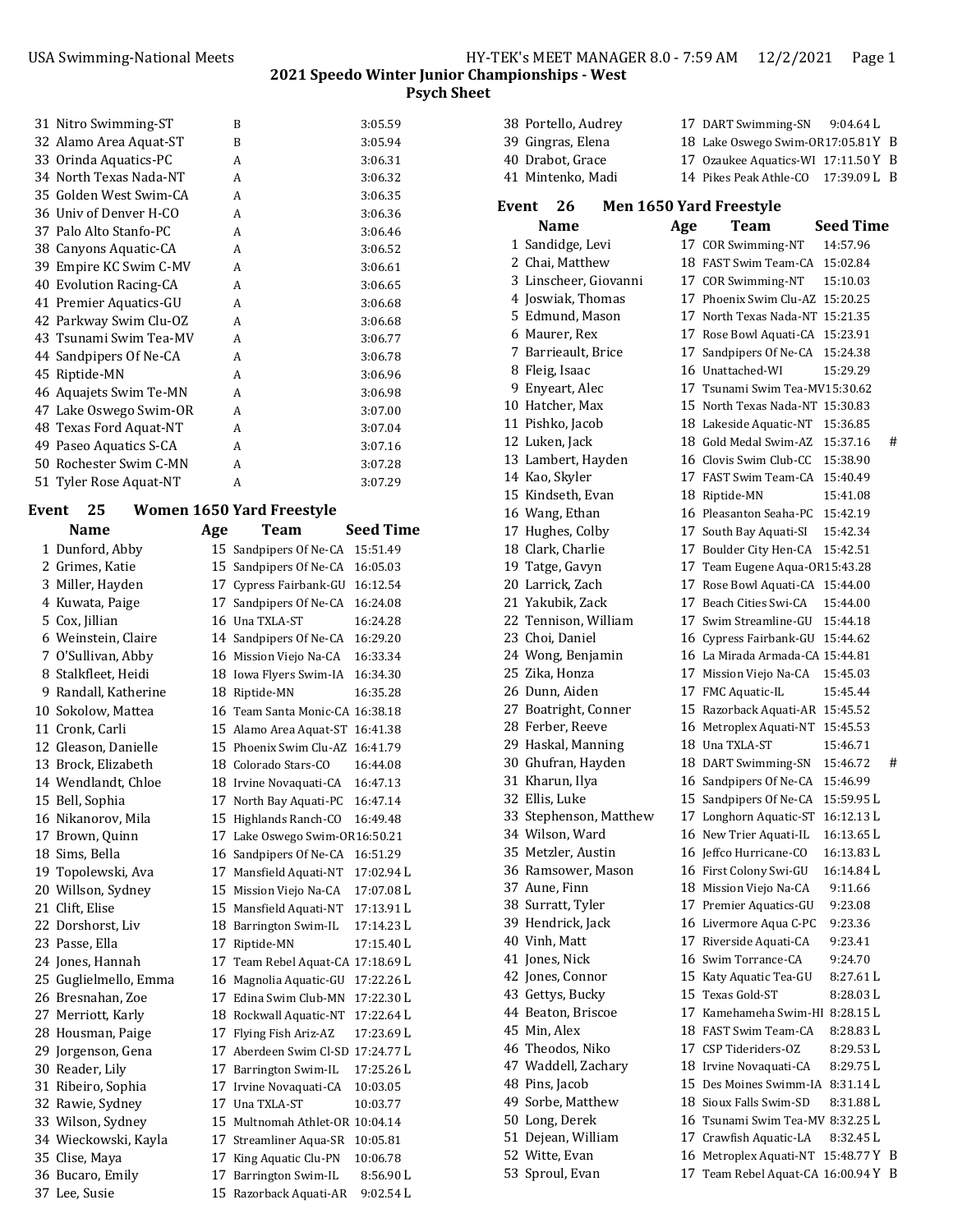| 31 Nitro Swimming-ST   | B | 3:05.59 |
|------------------------|---|---------|
| 32 Alamo Area Aquat-ST | B | 3:05.94 |
| 33 Orinda Aquatics-PC  | A | 3:06.31 |
| 34 North Texas Nada-NT | A | 3:06.32 |
| 35 Golden West Swim-CA | A | 3:06.35 |
| 36 Univ of Denver H-CO | A | 3:06.36 |
| 37 Palo Alto Stanfo-PC | A | 3:06.46 |
| 38 Canyons Aquatic-CA  | A | 3:06.52 |
| 39 Empire KC Swim C-MV | A | 3:06.61 |
| 40 Evolution Racing-CA | A | 3:06.65 |
| 41 Premier Aquatics-GU | A | 3:06.68 |
| 42 Parkway Swim Clu-OZ | A | 3:06.68 |
| 43 Tsunami Swim Tea-MV | A | 3:06.77 |
| 44 Sandpipers Of Ne-CA | A | 3:06.78 |
| 45 Riptide-MN          | A | 3:06.96 |
| 46 Aquajets Swim Te-MN | A | 3:06.98 |
| 47 Lake Oswego Swim-OR | A | 3:07.00 |
| 48 Texas Ford Aquat-NT | A | 3:07.04 |
| 49 Paseo Aquatics S-CA | A | 3:07.16 |
| 50 Rochester Swim C-MN | A | 3:07.28 |
| 51 Tyler Rose Aquat-NT | A | 3:07.29 |

## **Event 25 Women 1650 Yard Freestyle**

| <b>Name</b>           | Age | Team                              | <b>Seed Time</b> |
|-----------------------|-----|-----------------------------------|------------------|
| 1 Dunford, Abby       |     | 15 Sandpipers Of Ne-CA            | 15:51.49         |
| 2 Grimes, Katie       |     | 15 Sandpipers Of Ne-CA            | 16:05.03         |
| 3 Miller, Hayden      |     | 17 Cypress Fairbank-GU            | 16:12.54         |
| 4 Kuwata, Paige       |     | 17 Sandpipers Of Ne-CA            | 16:24.08         |
| 5 Cox, Jillian        |     | 16 Una TXLA-ST                    | 16:24.28         |
| 6 Weinstein, Claire   |     | 14 Sandpipers Of Ne-CA            | 16:29.20         |
| 7 O'Sullivan, Abby    |     | 16 Mission Viejo Na-CA            | 16:33.34         |
| 8 Stalkfleet, Heidi   |     | 18 Iowa Flyers Swim-IA            | 16:34.30         |
| 9 Randall, Katherine  |     | 18 Riptide-MN                     | 16:35.28         |
| 10 Sokolow, Mattea    |     | 16 Team Santa Monic-CA 16:38.18   |                  |
| 11 Cronk. Carli       |     | 15 Alamo Area Aquat-ST 16:41.38   |                  |
| 12 Gleason, Danielle  |     | 15 Phoenix Swim Clu-AZ            | 16:41.79         |
| 13 Brock, Elizabeth   |     | 18 Colorado Stars-CO              | 16:44.08         |
| 14 Wendlandt, Chloe   |     | 18 Irvine Novaguati-CA            | 16:47.13         |
| 15 Bell, Sophia       |     | 17 North Bay Aquati-PC            | 16:47.14         |
| 16 Nikanorov, Mila    |     | 15 Highlands Ranch-CO             | 16:49.48         |
| 17 Brown, Quinn       |     | 17 Lake Oswego Swim-OR16:50.21    |                  |
| 18 Sims, Bella        |     | 16 Sandpipers Of Ne-CA            | 16:51.29         |
| 19 Topolewski, Ava    |     | 17 Mansfield Aquati-NT            | 17:02.94 L       |
| 20 Willson, Sydney    |     | 15 Mission Viejo Na-CA            | 17:07.08L        |
| 21 Clift, Elise       |     | 15 Mansfield Aquati-NT            | 17:13.91L        |
| 22 Dorshorst, Liv     |     | 18 Barrington Swim-IL             | 17:14.23 L       |
| 23 Passe, Ella        | 17  | Riptide-MN                        | 17:15.40 L       |
| 24 Jones, Hannah      |     | 17 Team Rebel Aquat-CA 17:18.69 L |                  |
| 25 Guglielmello, Emma |     | 16 Magnolia Aquatic-GU            | 17:22.26L        |
| 26 Bresnahan, Zoe     |     | 17 Edina Swim Club-MN             | 17:22.30L        |
| 27 Merriott, Karly    |     | 18 Rockwall Aquatic-NT            | 17:22.64 L       |
| 28 Housman, Paige     | 17  | Flying Fish Ariz-AZ               | 17:23.69 L       |
| 29 Jorgenson, Gena    |     | 17 Aberdeen Swim Cl-SD 17:24.77 L |                  |
| 30 Reader, Lily       |     | 17 Barrington Swim-IL             | 17:25.26 L       |
| 31 Ribeiro, Sophia    |     | 17 Irvine Novaquati-CA            | 10:03.05         |
| 32 Rawie, Sydney      |     | 17 Una TXLA-ST                    | 10:03.77         |
| 33 Wilson, Sydney     |     | 15 Multnomah Athlet-OR 10:04.14   |                  |
| 34 Wieckowski, Kayla  |     | 17 Streamliner Aqua-SR            | 10:05.81         |
| 35 Clise, Maya        |     | 17 King Aquatic Clu-PN            | 10:06.78         |
| 36 Bucaro, Emily      |     | 17 Barrington Swim-IL             | 8:56.90L         |
| 37 Lee, Susie         |     | 15 Razorback Aquati-AR            | 9:02.54 L        |

| 38 Portello, Audrey                |                                | 17 DART Swimming-SN                              | 9:04.64L           |   |
|------------------------------------|--------------------------------|--------------------------------------------------|--------------------|---|
| 39 Gingras, Elena                  |                                | 18 Lake Oswego Swim-OR17:05.81Y B                |                    |   |
| 40 Drabot, Grace                   |                                | 17 Ozaukee Aquatics-WI 17:11.50 Y                |                    | B |
| 41 Mintenko, Madi                  |                                | 14 Pikes Peak Athle-CO                           | 17:39.09 L         | B |
| Event<br>26                        |                                |                                                  |                    |   |
|                                    | <b>Men 1650 Yard Freestyle</b> |                                                  |                    |   |
| Name                               | Age                            | Team                                             | <b>Seed Time</b>   |   |
| 1 Sandidge, Levi                   |                                | 17 COR Swimming-NT                               | 14:57.96           |   |
| 2 Chai, Matthew                    |                                | 18 FAST Swim Team-CA                             | 15:02.84           |   |
| 3 Linscheer, Giovanni              |                                | 17 COR Swimming-NT                               | 15:10.03           |   |
| 4 Joswiak, Thomas                  |                                | 17 Phoenix Swim Clu-AZ 15:20.25                  |                    |   |
| 5 Edmund, Mason                    |                                | 17 North Texas Nada-NT 15:21.35                  |                    |   |
| 6 Maurer, Rex                      |                                | 17 Rose Bowl Aquati-CA 15:23.91                  |                    |   |
| 7 Barrieault, Brice                |                                | 17 Sandpipers Of Ne-CA                           | 15:24.38           |   |
| 8 Fleig, Isaac                     |                                | 16 Unattached-WI                                 | 15:29.29           |   |
| 9 Enyeart, Alec                    |                                | 17 Tsunami Swim Tea-MV15:30.62                   |                    |   |
| 10 Hatcher, Max                    |                                | 15 North Texas Nada-NT 15:30.83                  |                    |   |
| 11 Pishko, Jacob                   |                                | 18 Lakeside Aquatic-NT                           | 15:36.85           |   |
| 12 Luken, Jack                     |                                | 18  Gold Medal Swim-AZ                           | 15:37.16           | # |
| 13 Lambert, Hayden                 |                                | 16 Clovis Swim Club-CC                           | 15:38.90           |   |
| 14 Kao, Skyler                     |                                | 17 FAST Swim Team-CA                             | 15:40.49           |   |
| 15 Kindseth, Evan                  |                                | 18 Riptide-MN                                    | 15:41.08           |   |
| 16 Wang, Ethan                     |                                | 16 Pleasanton Seaha-PC                           | 15:42.19           |   |
| 17 Hughes, Colby                   |                                | 17 South Bay Aquati-SI                           | 15:42.34           |   |
| 18 Clark, Charlie                  |                                | 17 Boulder City Hen-CA                           | 15:42.51           |   |
| 19 Tatge, Gavyn                    |                                | 17 Team Eugene Aqua-OR15:43.28                   |                    |   |
| 20 Larrick, Zach                   |                                | 17 Rose Bowl Aquati-CA                           | 15:44.00           |   |
| 21 Yakubik, Zack                   |                                | 17 Beach Cities Swi-CA                           | 15:44.00           |   |
| 22 Tennison, William               |                                | 17 Swim Streamline-GU                            | 15:44.18           |   |
| 23 Choi, Daniel                    |                                | 16 Cypress Fairbank-GU                           | 15:44.62           |   |
| 24 Wong, Benjamin                  |                                | 16 La Mirada Armada-CA 15:44.81                  |                    |   |
| 25 Zika, Honza                     |                                | 17 Mission Viejo Na-CA                           | 15:45.03           |   |
| 26 Dunn, Aiden                     |                                | 17 FMC Aquatic-IL                                | 15:45.44           |   |
| 27 Boatright, Conner               |                                | 15 Razorback Aquati-AR 15:45.52                  |                    |   |
| 28 Ferber, Reeve                   |                                | 16 Metroplex Aquati-NT                           | 15:45.53           |   |
| 29 Haskal, Manning                 |                                | 18 Una TXLA-ST                                   | 15:46.71           |   |
| 30 Ghufran, Hayden                 |                                | 18 DART Swimming-SN                              | 15:46.72           | # |
| 31 Kharun, Ilya                    |                                | 16 Sandpipers Of Ne-CA                           | 15:46.99           |   |
| 32 Ellis, Luke                     |                                | 15 Sandpipers Of Ne-CA 15:59.95 L                |                    |   |
| 33 Stephenson, Matthew             |                                | 17 Longhorn Aquatic-ST                           | 16:12.13 L         |   |
| 34 Wilson, Ward                    |                                | 16 New Trier Aquati-IL                           | 16:13.65 L         |   |
| 35 Metzler, Austin                 |                                | 16 Jeffco Hurricane-CO                           | 16:13.83 L         |   |
| 36 Ramsower, Mason                 |                                | 16 First Colony Swi-GU                           | 16:14.84 L         |   |
| 37 Aune, Finn<br>38 Surratt, Tyler |                                | 18 Mission Viejo Na-CA<br>17 Premier Aquatics-GU | 9:11.66            |   |
|                                    |                                |                                                  | 9:23.08            |   |
| 39 Hendrick, Jack                  |                                | 16 Livermore Aqua C-PC                           | 9:23.36            |   |
| 40 Vinh, Matt                      |                                | 17 Riverside Aquati-CA<br>16 Swim Torrance-CA    | 9:23.41<br>9:24.70 |   |
| 41 Jones, Nick<br>42 Jones, Connor |                                | 15 Katy Aquatic Tea-GU                           | 8:27.61 L          |   |
| 43 Gettys, Bucky                   |                                | 15 Texas Gold-ST                                 | 8:28.03 L          |   |
|                                    |                                | 17 Kamehameha Swim-HI 8:28.15 L                  |                    |   |
| 44 Beaton, Briscoe<br>45 Min, Alex |                                | 18 FAST Swim Team-CA                             | 8:28.83 L          |   |
| 46 Theodos, Niko                   |                                | 17 CSP Tideriders-OZ                             | 8:29.53L           |   |
| 47 Waddell, Zachary                |                                | 18 Irvine Novaquati-CA                           | 8:29.75L           |   |
| 48 Pins, Jacob                     |                                | 15 Des Moines Swimm-IA                           | 8:31.14 L          |   |
| 49 Sorbe, Matthew                  |                                | 18 Sioux Falls Swim-SD                           | 8:31.88 L          |   |
| 50 Long, Derek                     |                                | 16 Tsunami Swim Tea-MV 8:32.25 L                 |                    |   |
| 51 Dejean, William                 |                                | 17 Crawfish Aquatic-LA                           | 8:32.45 L          |   |
| 52 Witte, Evan                     |                                | 16 Metroplex Aquati-NT 15:48.77 Y B              |                    |   |
| 53 Sproul, Evan                    |                                | 17 Team Rebel Aquat-CA 16:00.94 Y B              |                    |   |
|                                    |                                |                                                  |                    |   |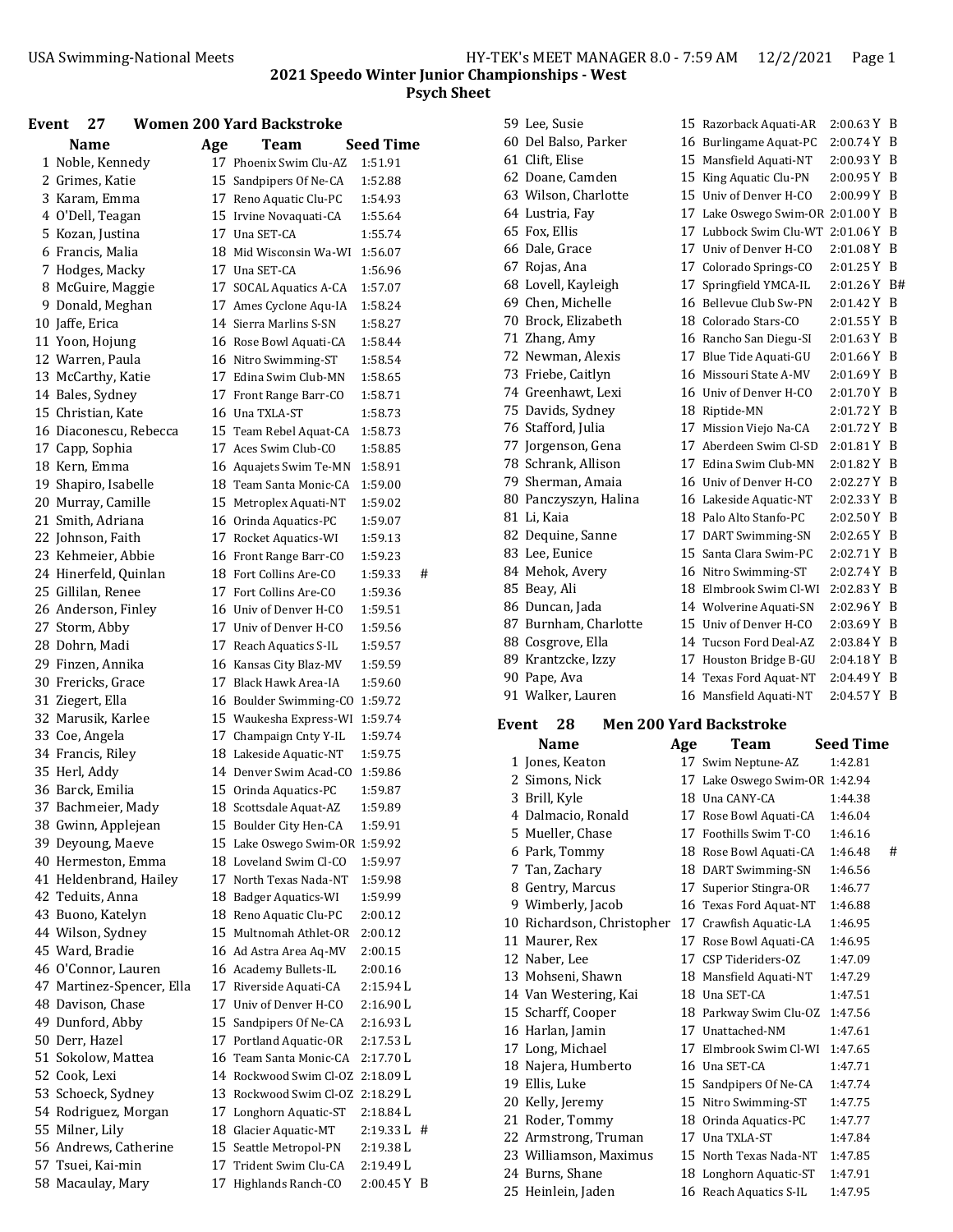| Event | 27                                           |     | <b>Women 200 Yard Backstroke</b>                |                    |   |
|-------|----------------------------------------------|-----|-------------------------------------------------|--------------------|---|
|       | <b>Name</b>                                  | Age | Team                                            | Seed Time          |   |
|       | 1 Noble, Kennedy                             |     | 17 Phoenix Swim Clu-AZ                          | 1:51.91            |   |
|       | 2 Grimes, Katie                              |     | 15 Sandpipers Of Ne-CA                          | 1:52.88            |   |
|       | 3 Karam, Emma                                |     | 17 Reno Aquatic Clu-PC                          | 1:54.93            |   |
|       | 4 O'Dell, Teagan                             |     | 15 Irvine Novaquati-CA                          | 1:55.64            |   |
|       | 5 Kozan, Justina                             |     | 17 Una SET-CA                                   | 1:55.74            |   |
|       | 6 Francis, Malia                             |     | 18 Mid Wisconsin Wa-WI                          | 1:56.07            |   |
|       | 7 Hodges, Macky                              |     | 17 Una SET-CA                                   | 1:56.96            |   |
|       | 8 McGuire, Maggie                            |     | 17 SOCAL Aquatics A-CA                          | 1:57.07            |   |
|       | 9 Donald, Meghan                             |     | 17 Ames Cyclone Aqu-IA                          | 1:58.24            |   |
|       | 10 Jaffe, Erica                              |     | 14 Sierra Marlins S-SN                          | 1:58.27            |   |
|       | 11 Yoon, Hojung                              |     | 16 Rose Bowl Aquati-CA                          | 1:58.44            |   |
|       | 12 Warren, Paula                             |     | 16 Nitro Swimming-ST                            | 1:58.54            |   |
|       | 13 McCarthy, Katie                           |     | 17 Edina Swim Club-MN                           | 1:58.65            |   |
|       | 14 Bales, Sydney                             |     | 17 Front Range Barr-CO                          | 1:58.71            |   |
|       | 15 Christian, Kate                           |     | 16 Una TXLA-ST                                  | 1:58.73            |   |
|       | 16 Diaconescu, Rebecca                       |     | 15 Team Rebel Aquat-CA                          | 1:58.73            |   |
|       | 17 Capp, Sophia                              |     | 17 Aces Swim Club-CO                            | 1:58.85            |   |
|       | 18 Kern, Emma                                |     | 16 Aquajets Swim Te-MN                          | 1:58.91            |   |
|       | 19 Shapiro, Isabelle                         |     | 18 Team Santa Monic-CA                          | 1:59.00            |   |
|       | 20 Murray, Camille                           |     | 15 Metroplex Aquati-NT                          | 1:59.02            |   |
|       | 21 Smith, Adriana                            |     | 16 Orinda Aquatics-PC                           | 1:59.07            |   |
|       | 22 Johnson, Faith                            |     | 17 Rocket Aquatics-WI                           | 1:59.13            |   |
|       | 23 Kehmeier, Abbie                           |     | 16 Front Range Barr-CO                          | 1:59.23            |   |
|       | 24 Hinerfeld, Quinlan                        |     | 18 Fort Collins Are-CO                          | 1:59.33            | # |
|       | 25 Gillilan, Renee                           |     | 17 Fort Collins Are-CO                          | 1:59.36            |   |
|       | 26 Anderson, Finley                          |     | 16 Univ of Denver H-CO                          | 1:59.51            |   |
|       | 27 Storm, Abby                               |     | 17 Univ of Denver H-CO                          | 1:59.56            |   |
|       | 28 Dohrn, Madi                               |     | 17 Reach Aquatics S-IL                          | 1:59.57            |   |
|       | 29 Finzen, Annika                            |     | 16 Kansas City Blaz-MV                          | 1:59.59            |   |
|       | 30 Frericks, Grace                           |     | 17 Black Hawk Area-IA                           | 1:59.60            |   |
|       | 31 Ziegert, Ella                             |     | 16 Boulder Swimming-CO                          | 1:59.72            |   |
|       | 32 Marusik, Karlee                           |     | 15 Waukesha Express-WI                          | 1:59.74            |   |
|       | 33 Coe, Angela                               |     | 17 Champaign Cnty Y-IL                          | 1:59.74            |   |
|       | 34 Francis, Riley                            |     | 18 Lakeside Aquatic-NT                          | 1:59.75            |   |
|       | 35 Herl, Addy                                |     | 14 Denver Swim Acad-CO                          | 1:59.86            |   |
|       | 36 Barck, Emilia                             |     | 15 Orinda Aquatics-PC                           | 1:59.87            |   |
|       | 37 Bachmeier, Mady                           |     | 18 Scottsdale Aquat-AZ                          | 1:59.89            |   |
|       | 38 Gwinn, Applejean                          |     | 15 Boulder City Hen-CA                          | 1:59.91            |   |
|       | 39 Deyoung, Maeve                            |     | 15 Lake Oswego Swim-OR 1:59.92                  |                    |   |
|       | 40 Hermeston, Emma<br>41 Heldenbrand, Hailey | 17  | 18 Loveland Swim Cl-CO<br>North Texas Nada-NT   | 1:59.97            |   |
|       | 42 Teduits, Anna                             |     |                                                 | 1:59.98<br>1:59.99 |   |
|       | 43 Buono, Katelyn                            |     | 18 Badger Aquatics-WI<br>18 Reno Aquatic Clu-PC | 2:00.12            |   |
|       | 44 Wilson, Sydney                            |     | 15 Multnomah Athlet-OR                          | 2:00.12            |   |
|       | 45 Ward, Bradie                              |     | 16 Ad Astra Area Aq-MV                          | 2:00.15            |   |
|       | 46 O'Connor, Lauren                          |     | 16 Academy Bullets-IL                           | 2:00.16            |   |
|       | 47 Martinez-Spencer, Ella                    |     | 17 Riverside Aquati-CA                          | 2:15.94 L          |   |
|       | 48 Davison, Chase                            | 17  | Univ of Denver H-CO                             | 2:16.90L           |   |
|       | 49 Dunford, Abby                             |     | 15 Sandpipers Of Ne-CA                          | 2:16.93 L          |   |
|       | 50 Derr, Hazel                               |     | 17 Portland Aquatic-OR                          | 2:17.53 L          |   |
|       | 51 Sokolow, Mattea                           |     | 16 Team Santa Monic-CA                          | 2:17.70 L          |   |
|       | 52 Cook, Lexi                                |     | 14 Rockwood Swim Cl-OZ                          | 2:18.09 L          |   |
|       | 53 Schoeck, Sydney                           |     | 13 Rockwood Swim Cl-OZ                          | 2:18.29 L          |   |
|       | 54 Rodriguez, Morgan                         | 17  | Longhorn Aquatic-ST                             | 2:18.84 L          |   |
|       | 55 Milner, Lily                              |     | 18 Glacier Aquatic-MT                           | 2:19.33 L          | # |
|       | 56 Andrews, Catherine                        |     | 15 Seattle Metropol-PN                          | 2:19.38 L          |   |
|       | 57 Tsuei, Kai-min                            |     | 17   Trident Swim Clu-CA                        | 2:19.49 L          |   |
|       | 58 Macaulay, Mary                            |     | 17 Highlands Ranch-CO                           | 2:00.45 Y B        |   |
|       |                                              |     |                                                 |                    |   |

|              | 59 Lee, Susie         |     | 15 Razorback Aquati-AR           | 2:00.63 Y B      |    |
|--------------|-----------------------|-----|----------------------------------|------------------|----|
|              | 60 Del Balso, Parker  |     | 16 Burlingame Aquat-PC           | 2:00.74Y         | B  |
|              | 61 Clift, Elise       |     | 15 Mansfield Aquati-NT           | 2:00.93Y         | B  |
|              | 62 Doane, Camden      |     | 15 King Aquatic Clu-PN           | 2:00.95Y         | B  |
|              | 63 Wilson, Charlotte  |     | 15 Univ of Denver H-CO           | 2:00.99Y         | B  |
|              | 64 Lustria, Fay       |     | 17 Lake Oswego Swim-OR 2:01.00 Y |                  | B  |
|              | 65 Fox, Ellis         |     | 17 Lubbock Swim Clu-WT           | 2:01.06Y         | B  |
|              | 66 Dale, Grace        |     | 17 Univ of Denver H-CO           | 2:01.08Y         | B  |
|              | 67 Rojas, Ana         |     | 17 Colorado Springs-CO           | 2:01.25Y         | B  |
|              | 68 Lovell, Kayleigh   |     | 17 Springfield YMCA-IL           | 2:01.26Y         | B# |
|              | 69 Chen, Michelle     |     | 16 Bellevue Club Sw-PN           | 2:01.42 Y        | B  |
|              | 70 Brock, Elizabeth   |     | 18 Colorado Stars-CO             | 2:01.55Y         | B  |
|              | 71 Zhang, Amy         |     | 16 Rancho San Diegu-SI           | 2:01.63Y         | B  |
|              | 72 Newman, Alexis     |     | 17 Blue Tide Aquati-GU           | 2:01.66 Y        | B  |
|              | 73 Friebe, Caitlyn    |     | 16 Missouri State A-MV           | 2:01.69Y         | B  |
|              | 74 Greenhawt, Lexi    |     | 16 Univ of Denver H-CO           | 2:01.70Y         | B  |
|              | 75 Davids, Sydney     |     | 18 Riptide-MN                    | 2:01.72Y         | B  |
|              | 76 Stafford, Julia    |     | 17 Mission Viejo Na-CA           | 2:01.72Y         | B  |
|              | 77 Jorgenson, Gena    |     | 17 Aberdeen Swim Cl-SD           | 2:01.81Y         | B  |
|              | 78 Schrank, Allison   |     | 17 Edina Swim Club-MN            | 2:01.82Y         | B  |
|              | 79 Sherman, Amaia     |     | 16 Univ of Denver H-CO           | 2:02.27Y         | B  |
|              | 80 Panczyszyn, Halina |     | 16 Lakeside Aquatic-NT           | 2:02.33 Y        | B  |
|              | 81 Li, Kaia           |     | 18 Palo Alto Stanfo-PC           | 2:02.50Y         | B  |
|              | 82 Dequine, Sanne     |     | 17 DART Swimming-SN              | 2:02.65Y         | B  |
|              | 83 Lee, Eunice        |     | 15 Santa Clara Swim-PC           | 2:02.71Y         | B  |
|              | 84 Mehok, Avery       |     | 16 Nitro Swimming-ST             | 2:02.74Y         | B  |
|              | 85 Beay, Ali          |     | 18 Elmbrook Swim Cl-WI           | 2:02.83Y         | B  |
|              | 86 Duncan, Jada       |     | 14 Wolverine Aquati-SN           | 2:02.96Y         | B  |
|              | 87 Burnham, Charlotte |     | 15 Univ of Denver H-CO           | 2:03.69 Y B      |    |
|              | 88 Cosgrove, Ella     |     | 14 Tucson Ford Deal-AZ           | 2:03.84 Y        | B  |
|              | 89 Krantzcke, Izzy    |     | 17 Houston Bridge B-GU           | 2:04.18Y         | B  |
|              | 90 Pape, Ava          |     | 14 Texas Ford Aquat-NT           | 2:04.49 Y        | B  |
|              | 91 Walker, Lauren     |     | 16 Mansfield Aquati-NT           | 2:04.57 Y B      |    |
| <b>Event</b> | 28                    |     | <b>Men 200 Yard Backstroke</b>   |                  |    |
|              | <b>Name</b>           | Age | <b>Team</b>                      | <b>Seed Time</b> |    |
|              | 1 Jones, Keaton       |     | 17 Swim Neptune-AZ               | 1:42.81          |    |
|              | 2 Simons, Nick        |     | 17 Lake Oswego Swim-OR 1:42.94   |                  |    |
|              | 3 Brill, Kyle         |     | 18 Una CANY-CA                   | 1:44.38          |    |
|              | 4 Dalmacio, Ronald    |     | 17 Rose Bowl Aquati-CA           | 1:46.04          |    |
|              | 5 Mueller, Chase      |     | 17 Foothills Swim T-CO           | 1:46.16          |    |
|              | 6 Park, Tommy         |     | 18 Rose Bowl Aquati-CA           | 1:46.48          | #  |
|              | 7 Tan, Zachary        |     | 18 DART Swimming-SN              | 1:46.56          |    |
|              | 8 Gentry, Marcus      |     | 17 Superior Stingra-OR           | 1:46.77          |    |
|              | 9 Wimberly, Jacob     |     | 16 Texas Ford Aquat-NT           | 1:46.88          |    |
|              |                       |     |                                  |                  |    |

| 10 Richardson, Christopher |     | 17 Crawfish Aquatic-LA | 1:46.95 |
|----------------------------|-----|------------------------|---------|
| 11 Maurer, Rex             |     | 17 Rose Bowl Aquati-CA | 1:46.95 |
| 12 Naber, Lee              |     | 17 CSP Tideriders-OZ   | 1:47.09 |
| 13 Mohseni, Shawn          |     | 18 Mansfield Aquati-NT | 1:47.29 |
| 14 Van Westering, Kai      |     | 18 Una SET-CA          | 1:47.51 |
| 15 Scharff, Cooper         |     | 18 Parkway Swim Clu-OZ | 1:47.56 |
| 16 Harlan, Jamin           | 17  | Unattached-NM          | 1:47.61 |
| 17 Long, Michael           | 17  | Elmbrook Swim Cl-WI    | 1:47.65 |
| 18 Najera, Humberto        |     | 16 Una SET-CA          | 1:47.71 |
| 19 Ellis, Luke             |     | 15 Sandpipers Of Ne-CA | 1:47.74 |
| 20 Kelly, Jeremy           |     | 15 Nitro Swimming-ST   | 1:47.75 |
| 21 Roder, Tommy            |     | 18 Orinda Aquatics-PC  | 1:47.77 |
| 22 Armstrong, Truman       |     | 17 Una TXLA-ST         | 1:47.84 |
| 23 Williamson, Maximus     |     | 15 North Texas Nada-NT | 1:47.85 |
| 24 Burns, Shane            | 18. | Longhorn Aquatic-ST    | 1:47.91 |
| 25 Heinlein, Jaden         |     | 16 Reach Aquatics S-IL | 1:47.95 |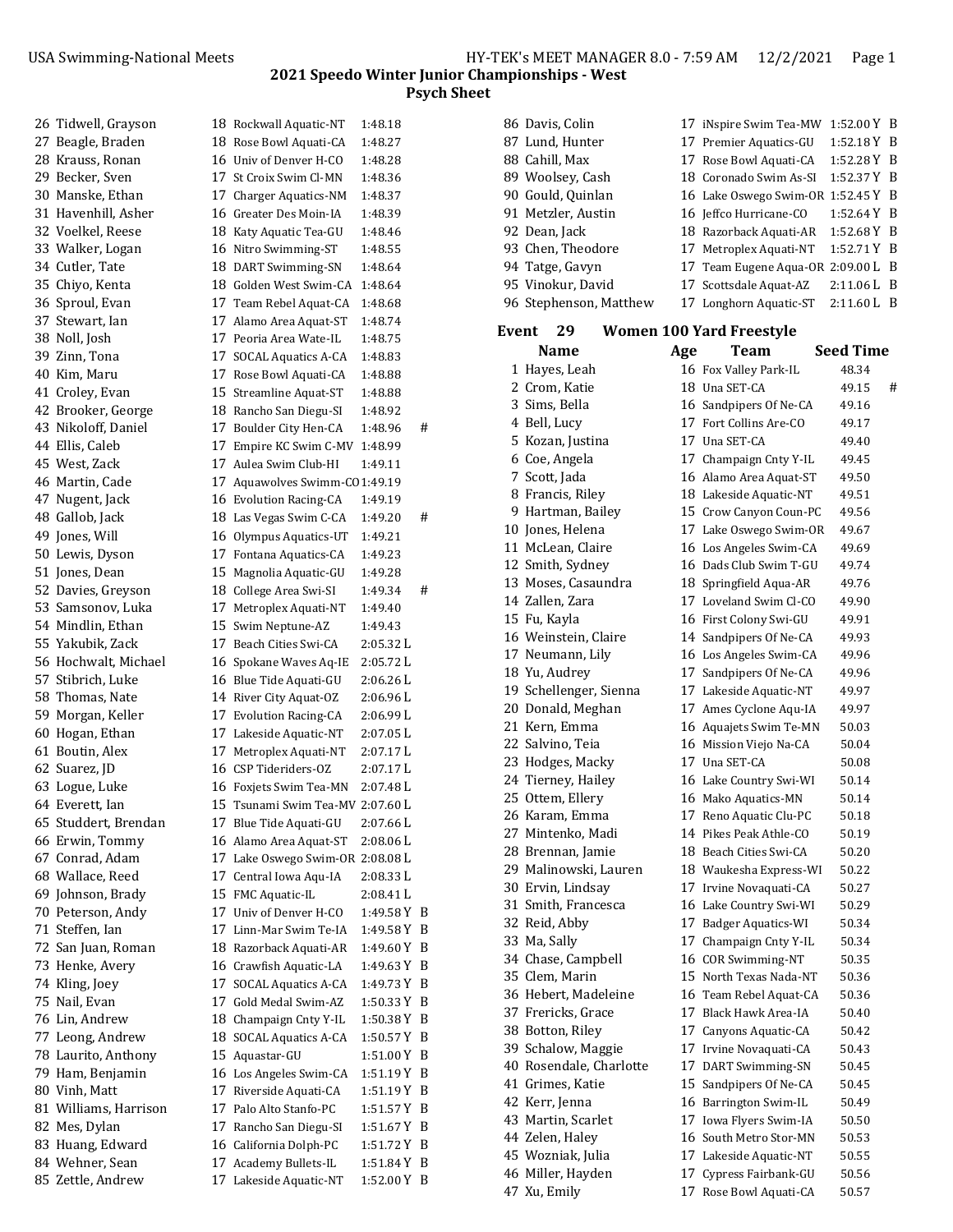86 Davis, Colin 17 iNspire Swim Tea-MW 1:52.00 Y B 87 Lund, Hunter 17 Premier Aquatics-GU 1:52.18 Y B

#### **2021 Speedo Winter Junior Championships ‐ West Psych Sheet**

| 26 Tidwell, Grayson   | 18 Rockwall Aquatic-NT                           | 1:48.18     |   |
|-----------------------|--------------------------------------------------|-------------|---|
| 27 Beagle, Braden     | 18 Rose Bowl Aquati-CA                           | 1:48.27     |   |
| 28 Krauss, Ronan      | 16 Univ of Denver H-CO                           | 1:48.28     |   |
| 29 Becker, Sven       | 17 St Croix Swim Cl-MN                           | 1:48.36     |   |
| 30 Manske, Ethan      | 17 Charger Aquatics-NM                           | 1:48.37     |   |
| 31 Havenhill, Asher   | 16 Greater Des Moin-IA                           | 1:48.39     |   |
| 32 Voelkel, Reese     | 18 Katy Aquatic Tea-GU                           | 1:48.46     |   |
| 33 Walker, Logan      | 16 Nitro Swimming-ST                             | 1:48.55     |   |
| 34 Cutler, Tate       | 18 DART Swimming-SN                              | 1:48.64     |   |
| 35 Chiyo, Kenta       | 18 Golden West Swim-CA                           | 1:48.64     |   |
| 36 Sproul, Evan       | 17 Team Rebel Aquat-CA                           | 1:48.68     |   |
| 37 Stewart, Ian       | 17 Alamo Area Aquat-ST                           | 1:48.74     |   |
| 38 Noll, Josh         | 17 Peoria Area Wate-IL                           | 1:48.75     |   |
| 39 Zinn, Tona         | 17 SOCAL Aquatics A-CA                           | 1:48.83     |   |
| 40 Kim, Maru          | 17 Rose Bowl Aquati-CA                           | 1:48.88     |   |
| 41 Croley, Evan       | 15 Streamline Aquat-ST                           | 1:48.88     |   |
| 42 Brooker, George    | 18 Rancho San Diegu-SI                           | 1:48.92     |   |
| 43 Nikoloff, Daniel   | 17 Boulder City Hen-CA                           | 1:48.96     | # |
| 44 Ellis, Caleb       | 17 Empire KC Swim C-MV                           | 1:48.99     |   |
| 45 West, Zack         | 17 Aulea Swim Club-HI                            | 1:49.11     |   |
| 46 Martin, Cade       | 17 Aquawolves Swimm-C01:49.19                    |             |   |
| 47 Nugent, Jack       | 16 Evolution Racing-CA                           | 1:49.19     |   |
| 48 Gallob, Jack       | 18 Las Vegas Swim C-CA                           | 1:49.20     | # |
| 49 Jones, Will        | 16 Olympus Aquatics-UT                           | 1:49.21     |   |
| 50 Lewis, Dyson       | 17 Fontana Aquatics-CA                           | 1:49.23     |   |
| 51 Jones, Dean        | 15 Magnolia Aquatic-GU                           | 1:49.28     |   |
| 52 Davies, Greyson    | 18 College Area Swi-SI                           | 1:49.34     | # |
| 53 Samsonov, Luka     | 17 Metroplex Aquati-NT                           | 1:49.40     |   |
| 54 Mindlin, Ethan     | 15 Swim Neptune-AZ                               | 1:49.43     |   |
| 55 Yakubik, Zack      | 17 Beach Cities Swi-CA                           | 2:05.32 L   |   |
| 56 Hochwalt, Michael  | 16 Spokane Waves Aq-IE                           | 2:05.72 L   |   |
| 57 Stibrich, Luke     |                                                  | 2:06.26 L   |   |
| 58 Thomas, Nate       | 16 Blue Tide Aquati-GU<br>14 River City Aquat-OZ | 2:06.96 L   |   |
| 59 Morgan, Keller     |                                                  |             |   |
|                       | 17 Evolution Racing-CA                           | 2:06.99 L   |   |
| 60 Hogan, Ethan       | 17 Lakeside Aquatic-NT                           | 2:07.05 L   |   |
| 61 Boutin, Alex       | 17 Metroplex Aquati-NT                           | 2:07.17L    |   |
| 62 Suarez, JD         | 16 CSP Tideriders-OZ                             | 2:07.17L    |   |
| 63 Logue, Luke        | 16 Foxjets Swim Tea-MN                           | 2:07.48L    |   |
| 64 Everett, Ian       | 15 Tsunami Swim Tea-MV 2:07.60 L                 |             |   |
| 65 Studdert, Brendan  | 17 Blue Tide Aquati-GU                           | 2:07.66 L   |   |
| 66 Erwin, Tommy       | 16 Alamo Area Aquat-ST                           | 2:08.06 L   |   |
| 67 Conrad, Adam       | 17 Lake Oswego Swim-OR 2:08.08 L                 |             |   |
| 68 Wallace, Reed      | 17 Central Iowa Aqu-IA                           | 2:08.33 L   |   |
| 69 Johnson, Brady     | 15 FMC Aquatic-IL                                | 2:08.41 L   |   |
| 70 Peterson, Andy     | 17 Univ of Denver H-CO                           | 1:49.58 Y   | B |
| 71 Steffen, Ian       | 17 Linn-Mar Swim Te-IA                           | 1:49.58 Y   | B |
| 72 San Juan, Roman    | 18 Razorback Aquati-AR                           | 1:49.60Y    | B |
| 73 Henke, Avery       | 16 Crawfish Aquatic-LA                           | 1:49.63 Y   | B |
| 74 Kling, Joey        | 17 SOCAL Aquatics A-CA                           | 1:49.73Y    | B |
| 75 Nail, Evan         | 17  Gold Medal Swim-AZ                           | 1:50.33Y    | B |
| 76 Lin, Andrew        | 18 Champaign Cnty Y-IL                           | 1:50.38Y    | B |
| 77 Leong, Andrew      | 18 SOCAL Aquatics A-CA                           | 1:50.57 Y   | B |
| 78 Laurito, Anthony   | 15 Aquastar-GU                                   | 1:51.00 Y   | B |
| 79 Ham, Benjamin      | 16 Los Angeles Swim-CA                           | 1:51.19Y    | B |
| 80 Vinh, Matt         | 17 Riverside Aquati-CA                           | 1:51.19 Y   | B |
| 81 Williams, Harrison | 17 Palo Alto Stanfo-PC                           | 1:51.57 Y   | B |
| 82 Mes, Dylan         | 17 Rancho San Diegu-SI                           | 1:51.67 Y   | B |
| 83 Huang, Edward      | 16 California Dolph-PC                           | 1:51.72 Y   | B |
| 84 Wehner, Sean       | 17 Academy Bullets-IL                            | 1:51.84 Y   | B |
| 85 Zettle, Andrew     | 17 Lakeside Aquatic-NT                           | 1:52.00 Y B |   |

|       | 88 Cahill, Max          |     | 17 Rose Bowl Aquati-CA           | 1:52.28 Y        | B |
|-------|-------------------------|-----|----------------------------------|------------------|---|
|       | 89 Woolsey, Cash        |     | 18 Coronado Swim As-SI           | 1:52.37 Y        | B |
|       | 90 Gould, Quinlan       |     | 16 Lake Oswego Swim-OR 1:52.45 Y |                  | B |
|       | 91 Metzler, Austin      |     | 16 Jeffco Hurricane-CO           | 1:52.64 Y        | B |
|       | 92 Dean, Jack           |     | 18 Razorback Aquati-AR           | 1:52.68 Y        | B |
|       | 93 Chen, Theodore       |     | 17 Metroplex Aquati-NT           | 1:52.71Y         | B |
|       | 94 Tatge, Gavyn         |     | 17 Team Eugene Aqua-OR 2:09.00 L |                  | B |
|       | 95 Vinokur, David       |     | 17 Scottsdale Aquat-AZ           | 2:11.06 L        | B |
|       | 96 Stephenson, Matthew  |     | 17 Longhorn Aquatic-ST           | 2:11.60 L        | B |
|       |                         |     |                                  |                  |   |
| Event | 29                      |     | <b>Women 100 Yard Freestyle</b>  |                  |   |
|       | <b>Name</b>             | Age | Team                             | <b>Seed Time</b> |   |
|       | 1 Hayes, Leah           |     | 16 Fox Valley Park-IL            | 48.34            |   |
|       | 2 Crom, Katie           |     | 18 Una SET-CA                    | 49.15            | # |
|       | 3 Sims, Bella           |     | 16 Sandpipers Of Ne-CA           | 49.16            |   |
|       | 4 Bell, Lucy            |     | 17 Fort Collins Are-CO           | 49.17            |   |
|       | 5 Kozan, Justina        |     | 17 Una SET-CA                    | 49.40            |   |
|       | 6 Coe, Angela           |     | 17 Champaign Cnty Y-IL           | 49.45            |   |
|       | 7 Scott, Jada           |     | 16 Alamo Area Aquat-ST           | 49.50            |   |
|       | 8 Francis, Riley        |     | 18 Lakeside Aquatic-NT           | 49.51            |   |
|       | 9 Hartman, Bailey       |     | 15 Crow Canyon Coun-PC           | 49.56            |   |
|       | 10 Jones, Helena        |     | 17 Lake Oswego Swim-OR           | 49.67            |   |
|       | 11 McLean, Claire       |     | 16 Los Angeles Swim-CA           | 49.69            |   |
|       | 12 Smith, Sydney        |     | 16 Dads Club Swim T-GU           | 49.74            |   |
|       | 13 Moses, Casaundra     |     | 18 Springfield Aqua-AR           | 49.76            |   |
|       | 14 Zallen, Zara         |     | 17 Loveland Swim Cl-CO           | 49.90            |   |
|       | 15 Fu, Kayla            |     | 16 First Colony Swi-GU           | 49.91            |   |
|       | 16 Weinstein, Claire    |     | 14 Sandpipers Of Ne-CA           | 49.93            |   |
|       | 17 Neumann, Lily        |     | 16 Los Angeles Swim-CA           | 49.96            |   |
|       | 18 Yu, Audrey           |     | 17 Sandpipers Of Ne-CA           | 49.96            |   |
|       | 19 Schellenger, Sienna  |     | 17 Lakeside Aquatic-NT           | 49.97            |   |
|       | 20 Donald, Meghan       |     | 17 Ames Cyclone Aqu-IA           | 49.97            |   |
|       | 21 Kern, Emma           |     | 16 Aquajets Swim Te-MN           | 50.03            |   |
|       | 22 Salvino, Teia        |     | 16 Mission Viejo Na-CA           | 50.04            |   |
|       | 23 Hodges, Macky        |     | 17 Una SET-CA                    | 50.08            |   |
|       | 24 Tierney, Hailey      |     | 16 Lake Country Swi-WI           | 50.14            |   |
|       | 25 Ottem, Ellery        |     | 16 Mako Aquatics-MN              | 50.14            |   |
|       | 26 Karam, Emma          |     | 17 Reno Aquatic Clu-PC           | 50.18            |   |
|       | 27 Mintenko, Madi       |     | 14 Pikes Peak Athle-CO           | 50.19            |   |
|       | 28 Brennan, Jamie       |     | 18 Beach Cities Swi-CA           | 50.20            |   |
|       | 29 Malinowski, Lauren   |     | 18 Waukesha Express-WI           | 50.22            |   |
|       | 30 Ervin, Lindsay       |     | 17 Irvine Novaquati-CA           | 50.27            |   |
|       | 31 Smith, Francesca     |     | 16 Lake Country Swi-WI           | 50.29            |   |
|       | 32 Reid, Abby           |     | 17 Badger Aquatics-WI            | 50.34            |   |
|       | 33 Ma, Sally            |     | 17 Champaign Cnty Y-IL           | 50.34            |   |
|       | 34 Chase, Campbell      |     | 16 COR Swimming-NT               | 50.35            |   |
|       | 35 Clem, Marin          |     | 15 North Texas Nada-NT           | 50.36            |   |
|       | 36 Hebert, Madeleine    |     | 16 Team Rebel Aquat-CA           | 50.36            |   |
|       | 37 Frericks, Grace      |     | 17 Black Hawk Area-IA            | 50.40            |   |
|       | 38 Botton, Riley        |     | 17 Canyons Aquatic-CA            | 50.42            |   |
|       | 39 Schalow, Maggie      | 17  | Irvine Novaquati-CA              | 50.43            |   |
|       | 40 Rosendale, Charlotte | 17  | DART Swimming-SN                 | 50.45            |   |
|       | 41 Grimes, Katie        |     | 15 Sandpipers Of Ne-CA           | 50.45            |   |
|       | 42 Kerr, Jenna          |     | 16 Barrington Swim-IL            | 50.49            |   |
|       | 43 Martin, Scarlet      |     | 17 Iowa Flyers Swim-IA           | 50.50            |   |
|       | 44 Zelen, Haley         |     | 16 South Metro Stor-MN           | 50.53            |   |
|       | 45 Wozniak, Julia       |     | 17 Lakeside Aquatic-NT           | 50.55            |   |

46 Miller, Hayden 17 Cypress Fairbank-GU 50.56 47 Xu, Emily 17 Rose Bowl Aquati-CA 50.57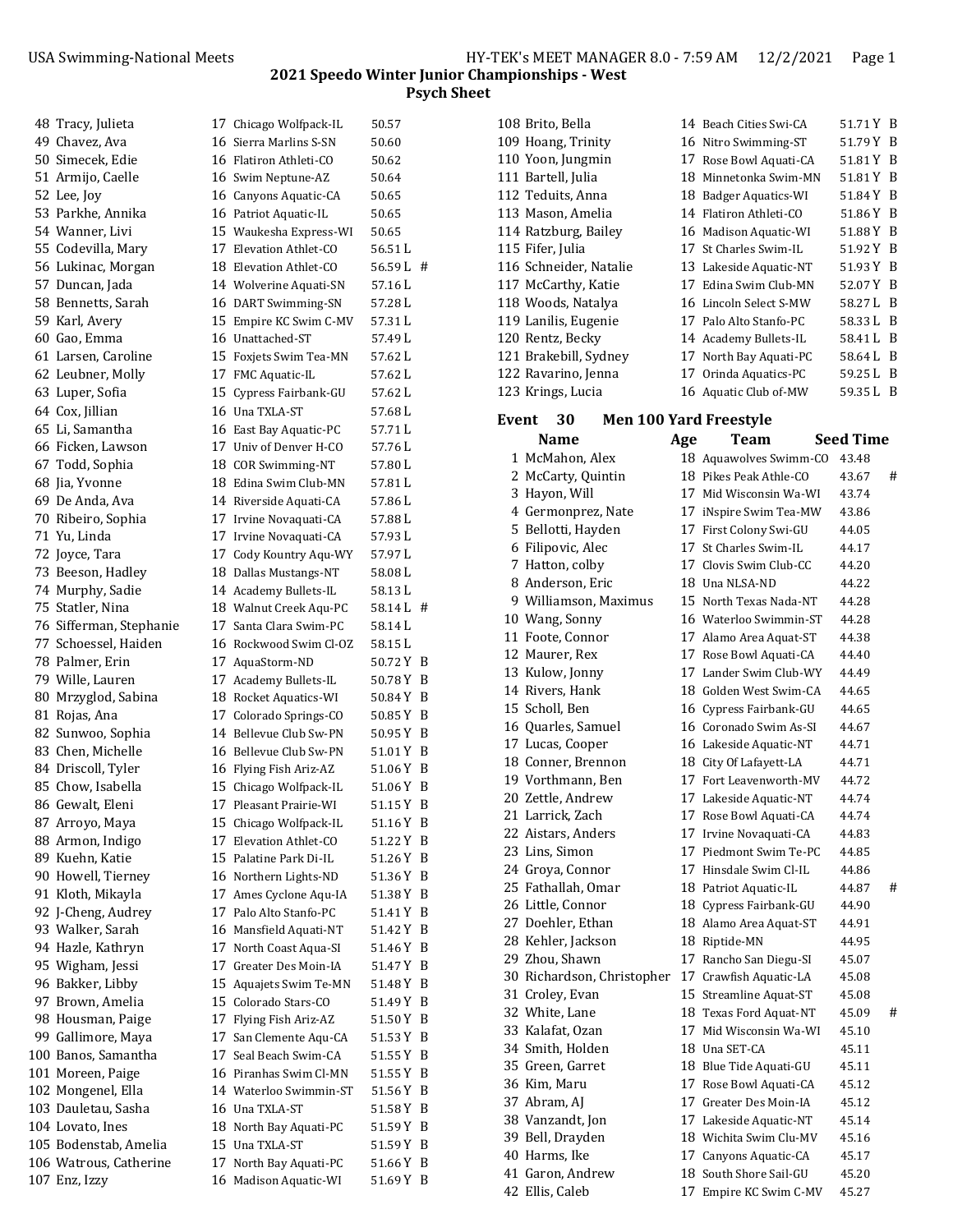| 48 Tracy, Julieta                    |    | 17 Chicago Wolfpack-IL                           | 50.57             |        |
|--------------------------------------|----|--------------------------------------------------|-------------------|--------|
| 49 Chavez, Ava                       |    | 16 Sierra Marlins S-SN                           | 50.60             |        |
| 50 Simecek, Edie                     |    | 16 Flatiron Athleti-CO                           | 50.62             |        |
| 51 Armijo, Caelle                    |    | 16 Swim Neptune-AZ                               | 50.64             |        |
| 52 Lee, Joy                          |    | 16 Canyons Aquatic-CA                            | 50.65             |        |
| 53 Parkhe, Annika                    |    | 16 Patriot Aquatic-IL                            | 50.65             |        |
| 54 Wanner, Livi                      |    | 15 Waukesha Express-WI                           | 50.65             |        |
| 55 Codevilla, Mary                   |    | 17 Elevation Athlet-CO                           | 56.51 L           |        |
| 56 Lukinac, Morgan                   |    | 18 Elevation Athlet-CO                           | 56.59 L #         |        |
| 57 Duncan, Jada                      |    | 14 Wolverine Aquati-SN                           | 57.16 L           |        |
| 58 Bennetts, Sarah                   |    | 16 DART Swimming-SN                              | 57.28 L           |        |
| 59 Karl, Avery                       |    | 15 Empire KC Swim C-MV                           | 57.31 L           |        |
| 60 Gao, Emma                         |    | 16 Unattached-ST                                 | 57.49 L           |        |
| 61 Larsen, Caroline                  |    | 15 Foxjets Swim Tea-MN                           | 57.62 L           |        |
| 62 Leubner, Molly                    |    | 17 FMC Aquatic-IL                                | 57.62 L           |        |
| 63 Luper, Sofia                      |    | 15 Cypress Fairbank-GU                           | 57.62 L           |        |
| 64 Cox, Jillian                      |    | 16 Una TXLA-ST                                   | 57.68 L           |        |
| 65 Li, Samantha                      |    | 16 East Bay Aquatic-PC                           | 57.71L            |        |
| 66 Ficken, Lawson                    |    | 17 Univ of Denver H-CO                           | 57.76 L           |        |
| 67 Todd, Sophia                      |    | 18 COR Swimming-NT                               | 57.80 L           |        |
| 68 Jia, Yvonne                       |    | 18 Edina Swim Club-MN                            | 57.81 L           |        |
| 69 De Anda, Ava                      |    | 14 Riverside Aquati-CA                           | 57.86 L           |        |
| 70 Ribeiro, Sophia                   |    | 17 Irvine Novaquati-CA                           | 57.88 L           |        |
| 71 Yu, Linda                         |    | 17 Irvine Novaguati-CA                           | 57.93L            |        |
| 72 Joyce, Tara                       |    | 17 Cody Kountry Aqu-WY                           | 57.97L            |        |
| 73 Beeson, Hadley                    |    | 18 Dallas Mustangs-NT                            | 58.08 L           |        |
| 74 Murphy, Sadie                     |    | 14 Academy Bullets-IL                            | 58.13L            |        |
| 75 Statler, Nina                     |    | 18 Walnut Creek Aqu-PC                           | 58.14 L #         |        |
| 76 Sifferman, Stephanie              |    | 17 Santa Clara Swim-PC                           | 58.14 L           |        |
| 77 Schoessel, Haiden                 |    | 16 Rockwood Swim Cl-OZ                           | 58.15 L           |        |
| 78 Palmer, Erin                      |    | 17 AquaStorm-ND                                  | 50.72 Y B         |        |
| 79 Wille, Lauren                     |    | 17 Academy Bullets-IL                            | 50.78 Y B         |        |
| 80 Mrzyglod, Sabina                  |    | 18 Rocket Aquatics-WI                            | 50.84Y            | B      |
| 81 Rojas, Ana                        |    | 17 Colorado Springs-CO                           | 50.85 Y           | B      |
| 82 Sunwoo, Sophia                    |    | 14 Bellevue Club Sw-PN                           | 50.95 Y           | B      |
| 83 Chen, Michelle                    |    | 16 Bellevue Club Sw-PN                           | 51.01Y            | B      |
| 84 Driscoll, Tyler                   |    | 16 Flying Fish Ariz-AZ                           | 51.06Y            | B      |
| 85 Chow, Isabella                    |    | 15 Chicago Wolfpack-IL                           | 51.06Y            | - B    |
| 86 Gewalt, Eleni                     |    | 17 Pleasant Prairie-WI                           | 51.15 Y B         |        |
| 87 Arroyo, Maya                      |    | 15 Chicago Wolfpack-IL                           | 51.16 Y B         |        |
| 88 Armon, Indigo                     |    | 17 Elevation Athlet-CO                           | 51.22 Y           | B      |
| 89 Kuehn, Katie                      |    | 15 Palatine Park Di-IL                           | 51.26 Y           | B      |
| 90 Howell, Tierney                   |    | 16 Northern Lights-ND                            | 51.36 Y           | B      |
| 91 Kloth, Mikayla                    |    | 17 Ames Cyclone Aqu-IA                           | 51.38Y            | B      |
| 92 J-Cheng, Audrey                   |    | 17 Palo Alto Stanfo-PC                           | 51.41Y            | B      |
| 93 Walker, Sarah                     |    | 16 Mansfield Aquati-NT                           | 51.42 Y           | B      |
| 94 Hazle, Kathryn                    | 17 | North Coast Aqua-SI                              | 51.46Y            | B      |
| 95 Wigham, Jessi                     |    | 17 Greater Des Moin-IA<br>15 Aquajets Swim Te-MN | 51.47Y            | B<br>B |
| 96 Bakker, Libby<br>97 Brown, Amelia |    | 15 Colorado Stars-CO                             | 51.48 Y<br>51.49Y | B      |
| 98 Housman, Paige                    |    | 17 Flying Fish Ariz-AZ                           | 51.50 Y B         |        |
| 99 Gallimore, Maya                   | 17 | San Clemente Aqu-CA                              | 51.53 Y           | B      |
| 100 Banos, Samantha                  |    | 17 Seal Beach Swim-CA                            | 51.55 Y           | B      |
| 101 Moreen, Paige                    |    | 16 Piranhas Swim Cl-MN                           | 51.55 Y           | B      |
| 102 Mongenel, Ella                   |    | 14 Waterloo Swimmin-ST                           | 51.56 Y           | B      |
| 103 Dauletau, Sasha                  |    | 16 Una TXLA-ST                                   | 51.58 Y           | B      |
| 104 Lovato, Ines                     |    | 18 North Bay Aquati-PC                           | 51.59 Y           | B      |
| 105 Bodenstab, Amelia                |    | 15 Una TXLA-ST                                   | 51.59Y            | B      |
| 106 Watrous, Catherine               | 17 | North Bay Aquati-PC                              | 51.66Y            | B      |
| 107 Enz, Izzy                        |    | 16 Madison Aquatic-WI                            | 51.69Y            | B      |
|                                      |    |                                                  |                   |        |

| 108 Brito, Bella       |     | 14 Beach Cities Swi-CA | 51.71 Y B |  |
|------------------------|-----|------------------------|-----------|--|
| 109 Hoang, Trinity     |     | 16 Nitro Swimming-ST   | 51.79 Y B |  |
| 110 Yoon, Jungmin      |     | 17 Rose Bowl Aquati-CA | 51.81 Y B |  |
| 111 Bartell, Julia     | 18. | Minnetonka Swim-MN     | 51.81 Y B |  |
| 112 Teduits, Anna      |     | 18 Badger Aquatics-WI  | 51.84 Y B |  |
| 113 Mason, Amelia      |     | 14 Flatiron Athleti-CO | 51.86 Y B |  |
| 114 Ratzburg, Bailey   |     | 16 Madison Aquatic-WI  | 51.88 Y B |  |
| 115 Fifer, Julia       |     | 17 St Charles Swim-IL  | 51.92 Y B |  |
| 116 Schneider, Natalie |     | 13 Lakeside Aquatic-NT | 51.93 Y B |  |
| 117 McCarthy, Katie    |     | 17 Edina Swim Club-MN  | 52.07 Y B |  |
| 118 Woods, Natalya     |     | 16 Lincoln Select S-MW | 58.27 L B |  |
| 119 Lanilis, Eugenie   |     | 17 Palo Alto Stanfo-PC | 58.33 L B |  |
| 120 Rentz, Becky       |     | 14 Academy Bullets-IL  | 58.41 L B |  |
| 121 Brakebill, Sydney  |     | 17 North Bay Aquati-PC | 58.64 L B |  |
| 122 Ravarino, Jenna    |     | 17 Orinda Aquatics-PC  | 59.25 L B |  |
| 123 Krings, Lucia      |     | 16 Aquatic Club of-MW  | 59.35 L B |  |
|                        |     |                        |           |  |

# **Event 30 Men 100 Yard Freestyle**

| <b>Name</b>                | Age | Team                   | <b>Seed Time</b> |
|----------------------------|-----|------------------------|------------------|
| 1 McMahon, Alex            |     | 18 Aquawolves Swimm-CO | 43.48            |
| 2 McCarty, Quintin         |     | 18 Pikes Peak Athle-CO | #<br>43.67       |
| 3 Hayon, Will              |     | 17 Mid Wisconsin Wa-WI | 43.74            |
| 4 Germonprez, Nate         |     | 17 iNspire Swim Tea-MW | 43.86            |
| 5 Bellotti, Hayden         |     | 17 First Colony Swi-GU | 44.05            |
| 6 Filipovic, Alec          |     | 17 St Charles Swim-IL  | 44.17            |
| 7 Hatton, colby            |     | 17 Clovis Swim Club-CC | 44.20            |
| 8 Anderson, Eric           |     | 18 Una NLSA-ND         | 44.22            |
| 9 Williamson, Maximus      |     | 15 North Texas Nada-NT | 44.28            |
| 10 Wang, Sonny             |     | 16 Waterloo Swimmin-ST | 44.28            |
| 11 Foote, Connor           |     | 17 Alamo Area Aquat-ST | 44.38            |
| 12 Maurer, Rex             |     | 17 Rose Bowl Aquati-CA | 44.40            |
| 13 Kulow, Jonny            |     | 17 Lander Swim Club-WY | 44.49            |
| 14 Rivers, Hank            |     | 18 Golden West Swim-CA | 44.65            |
| 15 Scholl, Ben             |     | 16 Cypress Fairbank-GU | 44.65            |
| 16 Quarles, Samuel         |     | 16 Coronado Swim As-SI | 44.67            |
| 17 Lucas, Cooper           |     | 16 Lakeside Aquatic-NT | 44.71            |
| 18 Conner, Brennon         |     | 18 City Of Lafayett-LA | 44.71            |
| 19 Vorthmann, Ben          |     | 17 Fort Leavenworth-MV | 44.72            |
| 20 Zettle, Andrew          |     | 17 Lakeside Aquatic-NT | 44.74            |
| 21 Larrick, Zach           |     | 17 Rose Bowl Aquati-CA | 44.74            |
| 22 Aistars, Anders         |     | 17 Irvine Novaquati-CA | 44.83            |
| 23 Lins, Simon             |     | 17 Piedmont Swim Te-PC | 44.85            |
| 24 Groya, Connor           |     | 17 Hinsdale Swim Cl-IL | 44.86            |
| 25 Fathallah, Omar         |     | 18 Patriot Aquatic-IL  | #<br>44.87       |
| 26 Little, Connor          |     | 18 Cypress Fairbank-GU | 44.90            |
| 27 Doehler, Ethan          |     | 18 Alamo Area Aquat-ST | 44.91            |
| 28 Kehler, Jackson         |     | 18 Riptide-MN          | 44.95            |
| 29 Zhou, Shawn             |     | 17 Rancho San Diegu-SI | 45.07            |
| 30 Richardson, Christopher |     | 17 Crawfish Aquatic-LA | 45.08            |
| 31 Croley, Evan            |     | 15 Streamline Aquat-ST | 45.08            |
| 32 White, Lane             |     | 18 Texas Ford Aquat-NT | #<br>45.09       |
| 33 Kalafat, Ozan           |     | 17 Mid Wisconsin Wa-WI | 45.10            |
| 34 Smith, Holden           |     | 18 Una SET-CA          | 45.11            |
| 35 Green, Garret           |     | 18 Blue Tide Aquati-GU | 45.11            |
| 36 Kim, Maru               |     | 17 Rose Bowl Aquati-CA | 45.12            |
| 37 Abram, AJ               |     | 17 Greater Des Moin-IA | 45.12            |
| 38 Vanzandt, Jon           |     | 17 Lakeside Aquatic-NT | 45.14            |
| 39 Bell, Drayden           |     | 18 Wichita Swim Clu-MV | 45.16            |
| 40 Harms, Ike              |     | 17 Canyons Aquatic-CA  | 45.17            |
| 41 Garon, Andrew           |     | 18 South Shore Sail-GU | 45.20            |
| 42 Ellis, Caleb            |     | 17 Empire KC Swim C-MV | 45.27            |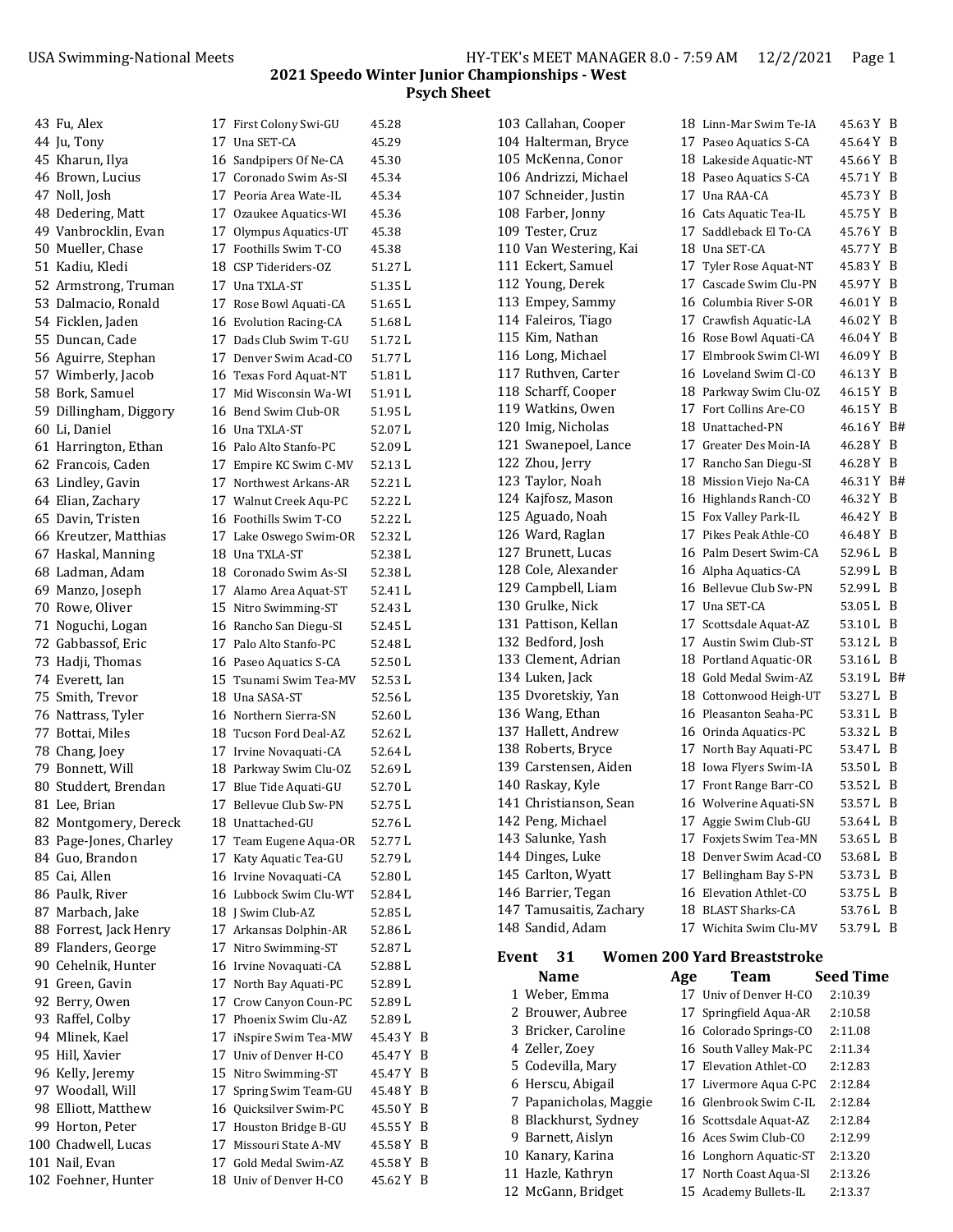| 43 Fu, Alex            |    | 17 First Colony Swi-GU | 45.28     |   |
|------------------------|----|------------------------|-----------|---|
| 44 Ju, Tony            |    | 17 Una SET-CA          | 45.29     |   |
| 45 Kharun, Ilya        |    | 16 Sandpipers Of Ne-CA | 45.30     |   |
| 46 Brown, Lucius       |    | 17 Coronado Swim As-SI | 45.34     |   |
| 47 Noll, Josh          |    | 17 Peoria Area Wate-IL | 45.34     |   |
| 48 Dedering, Matt      |    | 17 Ozaukee Aquatics-WI | 45.36     |   |
| 49 Vanbrocklin, Evan   |    | 17 Olympus Aquatics-UT | 45.38     |   |
| 50 Mueller, Chase      |    | 17 Foothills Swim T-CO | 45.38     |   |
| 51 Kadiu, Kledi        |    | 18 CSP Tideriders-OZ   | 51.27L    |   |
| 52 Armstrong, Truman   |    | 17 Una TXLA-ST         | 51.35L    |   |
|                        |    |                        | 51.65L    |   |
| 53 Dalmacio, Ronald    |    | 17 Rose Bowl Aquati-CA |           |   |
| 54 Ficklen, Jaden      |    | 16 Evolution Racing-CA | 51.68L    |   |
| 55 Duncan, Cade        |    | 17 Dads Club Swim T-GU | 51.72 L   |   |
| 56 Aguirre, Stephan    |    | 17 Denver Swim Acad-CO | 51.77 L   |   |
| 57 Wimberly, Jacob     |    | 16 Texas Ford Aquat-NT | 51.81 L   |   |
| 58 Bork, Samuel        |    | 17 Mid Wisconsin Wa-WI | 51.91 L   |   |
| 59 Dillingham, Diggory |    | 16 Bend Swim Club-OR   | 51.95 L   |   |
| 60 Li, Daniel          |    | 16 Una TXLA-ST         | 52.07L    |   |
| 61 Harrington, Ethan   |    | 16 Palo Alto Stanfo-PC | 52.09 L   |   |
| 62 Francois, Caden     |    | 17 Empire KC Swim C-MV | 52.13 L   |   |
| 63 Lindley, Gavin      |    | 17 Northwest Arkans-AR | 52.21 L   |   |
| 64 Elian, Zachary      |    | 17 Walnut Creek Aqu-PC | 52.22L    |   |
| 65 Davin, Tristen      |    | 16 Foothills Swim T-CO | 52.22 L   |   |
| 66 Kreutzer, Matthias  |    | 17 Lake Oswego Swim-OR | 52.32L    |   |
|                        |    | 18 Una TXLA-ST         |           |   |
| 67 Haskal, Manning     |    |                        | 52.38 L   |   |
| 68 Ladman, Adam        |    | 18 Coronado Swim As-SI | 52.38 L   |   |
| 69 Manzo, Joseph       |    | 17 Alamo Area Aquat-ST | 52.41 L   |   |
| 70 Rowe, Oliver        |    | 15 Nitro Swimming-ST   | 52.43 L   |   |
| 71 Noguchi, Logan      |    | 16 Rancho San Diegu-SI | 52.45 L   |   |
| 72 Gabbassof, Eric     |    | 17 Palo Alto Stanfo-PC | 52.48 L   |   |
| 73 Hadji, Thomas       |    | 16 Paseo Aquatics S-CA | 52.50 L   |   |
| 74 Everett, Ian        |    | 15 Tsunami Swim Tea-MV | 52.53 L   |   |
| 75 Smith, Trevor       |    | 18 Una SASA-ST         | 52.56L    |   |
| 76 Nattrass, Tyler     |    | 16 Northern Sierra-SN  | 52.60 L   |   |
| 77 Bottai, Miles       |    | 18 Tucson Ford Deal-AZ | 52.62L    |   |
| 78 Chang, Joey         |    | 17 Irvine Novaquati-CA | 52.64 L   |   |
| 79 Bonnett, Will       |    | 18 Parkway Swim Clu-OZ | 52.69 L   |   |
| 80 Studdert, Brendan   |    | 17 Blue Tide Aquati-GU | 52.70L    |   |
| 81 Lee, Brian          |    | 17 Bellevue Club Sw-PN | 52.75 L   |   |
| 82 Montgomery, Dereck  |    | 18 Unattached-GU       | 52.76L    |   |
| 83 Page-Jones, Charley |    |                        | 52.77L    |   |
|                        |    | 17 Team Eugene Aqua-OR |           |   |
| 84 Guo, Brandon        |    | 17 Katy Aquatic Tea-GU | 52.79 L   |   |
| 85 Cai, Allen          |    | 16 Irvine Novaquati-CA | 52.80 L   |   |
| 86 Paulk, River        |    | 16 Lubbock Swim Clu-WT | 52.84 L   |   |
| 87 Marbach, Jake       |    | 18   Swim Club-AZ      | 52.85 L   |   |
| 88 Forrest, Jack Henry |    | 17 Arkansas Dolphin-AR | 52.86L    |   |
| 89 Flanders, George    |    | 17 Nitro Swimming-ST   | 52.87L    |   |
| 90 Cehelnik, Hunter    |    | 16 Irvine Novaquati-CA | 52.88 L   |   |
| 91 Green, Gavin        |    | 17 North Bay Aquati-PC | 52.89 L   |   |
| 92 Berry, Owen         |    | 17 Crow Canyon Coun-PC | 52.89L    |   |
| 93 Raffel, Colby       |    | 17 Phoenix Swim Clu-AZ | 52.89L    |   |
| 94 Mlinek, Kael        | 17 | iNspire Swim Tea-MW    | 45.43 Y B |   |
| 95 Hill, Xavier        |    | 17 Univ of Denver H-CO | 45.47 Y   | B |
| 96 Kelly, Jeremy       |    | 15 Nitro Swimming-ST   | 45.47 Y   | B |
| 97 Woodall, Will       | 17 | Spring Swim Team-GU    | 45.48 Y   | B |
| 98 Elliott, Matthew    |    | 16 Quicksilver Swim-PC | 45.50 Y   | B |
|                        |    |                        |           |   |
| 99 Horton, Peter       | 17 | Houston Bridge B-GU    | 45.55 Y   | B |
| 100 Chadwell, Lucas    | 17 | Missouri State A-MV    | 45.58 Y   | B |
| 101 Nail, Evan         |    | 17 Gold Medal Swim-AZ  | 45.58 Y   | B |
| 102 Foehner, Hunter    |    | 18 Univ of Denver H-CO | 45.62 Y B |   |

| 7 | Una SET-CA                 | 45.29   |   |
|---|----------------------------|---------|---|
| 6 | Sandpipers Of Ne-CA        | 45.30   |   |
| 7 | Coronado Swim As-SI        | 45.34   |   |
| 7 | Peoria Area Wate-IL        | 45.34   |   |
| 7 | Ozaukee Aquatics-WI        | 45.36   |   |
| 7 | Olympus Aquatics-UT        | 45.38   |   |
| 7 | Foothills Swim T-CO        | 45.38   |   |
|   |                            |         |   |
| З | CSP Tideriders-OZ          | 51.27 L |   |
| 7 | Una TXLA-ST                | 51.35L  |   |
| 7 | Rose Bowl Aquati-CA        | 51.65L  |   |
| 6 | <b>Evolution Racing-CA</b> | 51.68 L |   |
| 7 | Dads Club Swim T-GU        | 51.72L  |   |
| 7 | Denver Swim Acad-CO        | 51.77L  |   |
| 6 | Texas Ford Aquat-NT        | 51.81 L |   |
| 7 | Mid Wisconsin Wa-WI        | 51.91 L |   |
| 5 | Bend Swim Club-OR          | 51.95 L |   |
| 5 | Una TXLA-ST                | 52.07L  |   |
| 5 | Palo Alto Stanfo-PC        | 52.09L  |   |
| 7 | Empire KC Swim C-MV        | 52.13 L |   |
| 7 | Northwest Arkans-AR        | 52.21L  |   |
| 7 | Walnut Creek Aqu-PC        | 52.22 L |   |
| 5 | Foothills Swim T-CO        | 52.22 L |   |
| 7 | Lake Oswego Swim-OR        | 52.32 L |   |
| З | Una TXLA-ST                | 52.38L  |   |
|   |                            |         |   |
| З | Coronado Swim As-SI        | 52.38L  |   |
| 7 | Alamo Area Aquat-ST        | 52.41 L |   |
| 5 | Nitro Swimming-ST          | 52.43 L |   |
| 5 | Rancho San Diegu-SI        | 52.45 L |   |
| 7 | Palo Alto Stanfo-PC        | 52.48L  |   |
| 6 | Paseo Aquatics S-CA        | 52.50L  |   |
| 5 | Tsunami Swim Tea-MV        | 52.53L  |   |
| В | Una SASA-ST                | 52.56L  |   |
| 6 | Northern Sierra-SN         | 52.60 L |   |
| 3 | Tucson Ford Deal-AZ        | 52.62 L |   |
| 7 | Irvine Novaquati-CA        | 52.64 L |   |
| 3 | Parkway Swim Clu-OZ        | 52.69 L |   |
| 7 | Blue Tide Aquati-GU        | 52.70L  |   |
| 7 | Bellevue Club Sw-PN        | 52.75L  |   |
| В | Unattached-GU              | 52.76 L |   |
| 7 | Team Eugene Aqua-OR        | 52.77 L |   |
| 7 | Katy Aquatic Tea-GU        | 52.79 L |   |
| 6 | Irvine Novaquati-CA        | 52.80L  |   |
| 5 | Lubbock Swim Clu-WT        | 52.84L  |   |
| З |                            | 52.85L  |   |
| 7 | J Swim Club-AZ             |         |   |
|   | Arkansas Dolphin-AR        | 52.86 L |   |
| 7 | Nitro Swimming-ST          | 52.87 L |   |
| 6 | Irvine Novaquati-CA        | 52.88 L |   |
| 7 | North Bay Aquati-PC        | 52.89 L |   |
| 7 | Crow Canyon Coun-PC        | 52.89 L |   |
| 7 | Phoenix Swim Clu-AZ        | 52.89 L |   |
| 7 | iNspire Swim Tea-MW        | 45.43 Y | F |
| 7 | Univ of Denver H-CO        | 45.47 Y | F |
| 5 | Nitro Swimming-ST          | 45.47 Y | F |
| 7 | Spring Swim Team-GU        | 45.48 Y | F |
| 5 | Quicksilver Swim-PC        | 45.50 Y | E |
| 7 | Houston Bridge B-GU        | 45.55 Y | E |
| 7 | Missouri State A-MV        | 45.58 Y | E |
| 7 | Gold Medal Swim-AZ         | 45.58 Y | E |
| В | Univ of Denver H-CO        | 45.62 Y | F |
|   |                            |         |   |

|       | 103 Callahan, Cooper                     |     | 18 Linn-Mar Swim Te-IA                                 |
|-------|------------------------------------------|-----|--------------------------------------------------------|
|       | 104 Halterman, Bryce                     |     | 17 Paseo Aquatics S-CA                                 |
|       | 105 McKenna, Conor                       |     | 18 Lakeside Aquatic-NT                                 |
|       | 106 Andrizzi, Michael                    |     | 18 Paseo Aquatics S-CA                                 |
|       | 107 Schneider, Justin                    |     | 17 Una RAA-CA                                          |
|       | 108 Farber, Jonny                        |     | 16 Cats Aquatic Tea-IL                                 |
|       | 109 Tester, Cruz                         |     | 17 Saddleback El To-CA                                 |
|       | 110 Van Westering, Kai                   |     | 18 Una SET-CA                                          |
|       | 111 Eckert, Samuel                       |     | 17 Tyler Rose Aquat-NT                                 |
|       | 112 Young, Derek                         |     | 17 Cascade Swim Clu-PN                                 |
|       | 113 Empey, Sammy                         |     | 16 Columbia River S-OR                                 |
|       | 114 Faleiros, Tiago                      |     | 17 Crawfish Aquatic-LA                                 |
|       | 115 Kim, Nathan                          |     | 16 Rose Bowl Aquati-CA                                 |
|       | 116 Long, Michael                        |     | 17 Elmbrook Swim Cl-WI                                 |
|       | 117 Ruthven, Carter                      |     | 16 Loveland Swim Cl-CO                                 |
|       | 118 Scharff, Cooper                      |     | 18 Parkway Swim Clu-OZ                                 |
|       | 119 Watkins, Owen                        |     | 17 Fort Collins Are-CO                                 |
|       | 120 Imig, Nicholas                       |     | 18 Unattached-PN                                       |
|       | 121 Swanepoel, Lance                     |     | 17 Greater Des Moin-IA                                 |
|       | 122 Zhou, Jerry                          |     | 17 Rancho San Diegu-SI                                 |
|       | 123 Taylor, Noah                         |     | 18 Mission Viejo Na-CA                                 |
|       | 124 Kajfosz, Mason                       |     | 16 Highlands Ranch-CO                                  |
|       | 125 Aguado, Noah                         |     | 15 Fox Valley Park-IL                                  |
|       | 126 Ward, Raglan                         |     | 17 Pikes Peak Athle-CO                                 |
|       | 127 Brunett, Lucas                       |     | 16 Palm Desert Swim-CA                                 |
|       | 128 Cole, Alexander                      |     | 16 Alpha Aquatics-CA                                   |
|       | 129 Campbell, Liam                       |     | 16 Bellevue Club Sw-PN                                 |
|       | 130 Grulke, Nick                         |     | 17 Una SET-CA                                          |
|       | 131 Pattison, Kellan                     |     | 17 Scottsdale Aquat-AZ                                 |
|       | 132 Bedford, Josh                        |     | 17 Austin Swim Club-ST                                 |
|       | 133 Clement, Adrian                      |     | 18 Portland Aquatic-OR                                 |
|       | 134 Luken, Jack                          |     | 18 Gold Medal Swim-AZ                                  |
|       | 135 Dvoretskiy, Yan                      |     | 18 Cottonwood Heigh-UT                                 |
|       | 136 Wang, Ethan                          |     | 16 Pleasanton Seaha-PC                                 |
|       | 137 Hallett, Andrew                      |     |                                                        |
|       |                                          |     | 16 Orinda Aquatics-PC                                  |
|       | 138 Roberts, Bryce                       |     | 17 North Bay Aquati-PC                                 |
|       | 139 Carstensen, Aiden                    |     | 18 Iowa Flyers Swim-IA                                 |
|       | 140 Raskay, Kyle                         |     | 17 Front Range Barr-CO                                 |
|       | 141 Christianson, Sean                   |     | 16 Wolverine Aquati-SN                                 |
|       | 142 Peng, Michael                        |     | 17 Aggie Swim Club-GU                                  |
|       | 143 Salunke, Yash                        |     | 17 Foxjets Swim Tea-MN                                 |
|       | 144 Dinges, Luke                         |     | 18 Denver Swim Acad-CO                                 |
|       | 145 Carlton, Wyatt                       |     | 17 Bellingham Bay S-PN                                 |
|       | 146 Barrier, Tegan                       |     | 16 Elevation Athlet-CO                                 |
|       | 147 Tamusaitis, Zachary                  |     | 18 BLAST Sharks-CA                                     |
|       | 148 Sandid, Adam                         |     | 17 Wichita Swim Clu-MV                                 |
|       | 31                                       |     |                                                        |
| Event | Name                                     |     | <b>Women 200 Yard Breaststroke</b><br><b>Team</b><br>S |
|       | 1 Weber, Emma                            | Age |                                                        |
|       |                                          | 17  | 17 Univ of Denver H-CO                                 |
|       | 2 Brouwer, Aubree<br>3 Bricker, Caroline |     | Springfield Aqua-AR                                    |
|       |                                          |     | 16 Colorado Springs-CO                                 |
|       | 4 Zeller, Zoey<br>5 Codevilla, Mary      |     | 16 South Valley Mak-PC<br>17 Elevation Athlet-CO       |

|       | 103 Callahan, Cooper    |     | 18 Linn-Mar Swim Te-IA             | 45.63 Y B        |     |
|-------|-------------------------|-----|------------------------------------|------------------|-----|
|       | 104 Halterman, Bryce    |     | 17 Paseo Aquatics S-CA             | 45.64 Y B        |     |
|       | 105 McKenna, Conor      |     | 18 Lakeside Aquatic-NT             | 45.66 Y B        |     |
|       | 106 Andrizzi, Michael   |     | 18 Paseo Aquatics S-CA             | 45.71 Y B        |     |
|       | 107 Schneider, Justin   |     | 17 Una RAA-CA                      | 45.73 Y B        |     |
|       | 108 Farber, Jonny       |     | 16 Cats Aquatic Tea-IL             | 45.75 Y B        |     |
|       | 109 Tester, Cruz        |     | 17 Saddleback El To-CA             | 45.76 Y B        |     |
|       | 110 Van Westering, Kai  |     | 18 Una SET-CA                      | 45.77 Y B        |     |
|       | 111 Eckert, Samuel      |     | 17 Tyler Rose Aquat-NT             | 45.83 Y B        |     |
|       | 112 Young, Derek        |     | 17 Cascade Swim Clu-PN             | 45.97 Y B        |     |
|       | 113 Empey, Sammy        |     | 16 Columbia River S-OR             | 46.01 Y B        |     |
|       | 114 Faleiros, Tiago     |     | 17 Crawfish Aquatic-LA             | 46.02 Y B        |     |
|       | 115 Kim, Nathan         |     | 16 Rose Bowl Aquati-CA             | 46.04 Y B        |     |
|       | 116 Long, Michael       |     | 17 Elmbrook Swim Cl-WI             | 46.09 Y B        |     |
|       | 117 Ruthven, Carter     |     | 16 Loveland Swim Cl-CO             | 46.13 Y B        |     |
|       | 118 Scharff, Cooper     |     | 18 Parkway Swim Clu-OZ             | 46.15 Y B        |     |
|       | 119 Watkins, Owen       |     | 17 Fort Collins Are-CO             | 46.15 Y B        |     |
|       | 120 Imig, Nicholas      |     | 18 Unattached-PN                   | 46.16 Y B#       |     |
|       | 121 Swanepoel, Lance    |     | 17 Greater Des Moin-IA             | 46.28 Y B        |     |
|       | 122 Zhou, Jerry         |     | 17 Rancho San Diegu-SI             | 46.28 Y B        |     |
|       | 123 Taylor, Noah        |     | 18 Mission Viejo Na-CA             | 46.31 Y B#       |     |
|       | 124 Kajfosz, Mason      |     | 16 Highlands Ranch-CO              | 46.32 Y          | - B |
|       | 125 Aguado, Noah        |     | 15 Fox Valley Park-IL              | 46.42 Y B        |     |
|       | 126 Ward, Raglan        |     | 17 Pikes Peak Athle-CO             | 46.48 Y B        |     |
|       | 127 Brunett, Lucas      |     | 16 Palm Desert Swim-CA             | 52.96 L          | B   |
|       | 128 Cole, Alexander     |     | 16 Alpha Aquatics-CA               | 52.99 L          | B   |
|       | 129 Campbell, Liam      |     | 16 Bellevue Club Sw-PN             | 52.99 L          | B   |
|       | 130 Grulke, Nick        |     | 17 Una SET-CA                      | 53.05 L B        |     |
|       | 131 Pattison, Kellan    |     | 17 Scottsdale Aquat-AZ             | 53.10 L B        |     |
|       | 132 Bedford, Josh       |     | 17 Austin Swim Club-ST             | 53.12 L          | - B |
|       | 133 Clement, Adrian     |     | 18 Portland Aquatic-OR             | 53.16 L          | B   |
|       | 134 Luken, Jack         |     | 18 Gold Medal Swim-AZ              | 53.19 L          | B#  |
|       | 135 Dvoretskiy, Yan     |     | 18 Cottonwood Heigh-UT             | 53.27 L          | B   |
|       | 136 Wang, Ethan         |     | 16 Pleasanton Seaha-PC             | 53.31 L B        |     |
|       | 137 Hallett, Andrew     |     | 16 Orinda Aquatics-PC              | 53.32 L B        |     |
|       | 138 Roberts, Bryce      |     | 17 North Bay Aquati-PC             | 53.47 L B        |     |
|       | 139 Carstensen, Aiden   |     | 18 Iowa Flyers Swim-IA             | 53.50 L B        |     |
|       | 140 Raskay, Kyle        |     | 17 Front Range Barr-CO             | 53.52 L          | B   |
|       | 141 Christianson, Sean  |     | 16 Wolverine Aquati-SN             | 53.57 L B        |     |
|       | 142 Peng, Michael       |     | 17 Aggie Swim Club-GU              | 53.64 L          | B   |
|       | 143 Salunke, Yash       |     | 17 Foxjets Swim Tea-MN             | 53.65L           | В   |
|       | 144 Dinges, Luke        |     | 18 Denver Swim Acad-CO             | 53.68 L          | В   |
|       | 145 Carlton, Wyatt      |     | 17 Bellingham Bay S-PN             | 53.73 L          | B   |
|       | 146 Barrier, Tegan      |     | 16 Elevation Athlet-CO             | 53.75L           | B   |
|       | 147 Tamusaitis, Zachary |     | 18 BLAST Sharks-CA                 | 53.76L           | B   |
|       | 148 Sandid, Adam        |     | 17 Wichita Swim Clu-MV             | 53.79L           | B   |
| Event | 31                      |     | <b>Women 200 Yard Breaststroke</b> |                  |     |
|       | Name                    | Age | <b>Team</b>                        | <b>Seed Time</b> |     |
|       | 1 Weber, Emma           |     | 17 Univ of Denver H-CO             | 2:10.39          |     |
|       | 2 Brouwer, Aubree       | 17  | Springfield Aqua-AR                | 2:10.58          |     |
|       | 3 Bricker, Caroline     |     | 16 Colorado Springs-CO             | 2:11.08          |     |
|       | 4 Zeller, Zoey          |     | 16 South Valley Mak-PC             | 2:11.34          |     |

17 Elevation Athlet-CO 2:12.83 17 Livermore Aqua C-PC 2:12.84

7 Papanicholas, Maggie 16 Glenbrook Swim C-IL 2:12.84 8 Blackhurst, Sydney 16 Scottsdale Aquat-AZ 2:12.84 9 Barnett, Aislyn 16 Aces Swim Club-CO 2:12.99 10 Kanary, Karina 16 Longhorn Aquatic-ST 2:13.20 11 Hazle, Kathryn 17 North Coast Aqua-SI 2:13.26 12 McGann, Bridget 15 Academy Bullets-IL 2:13.37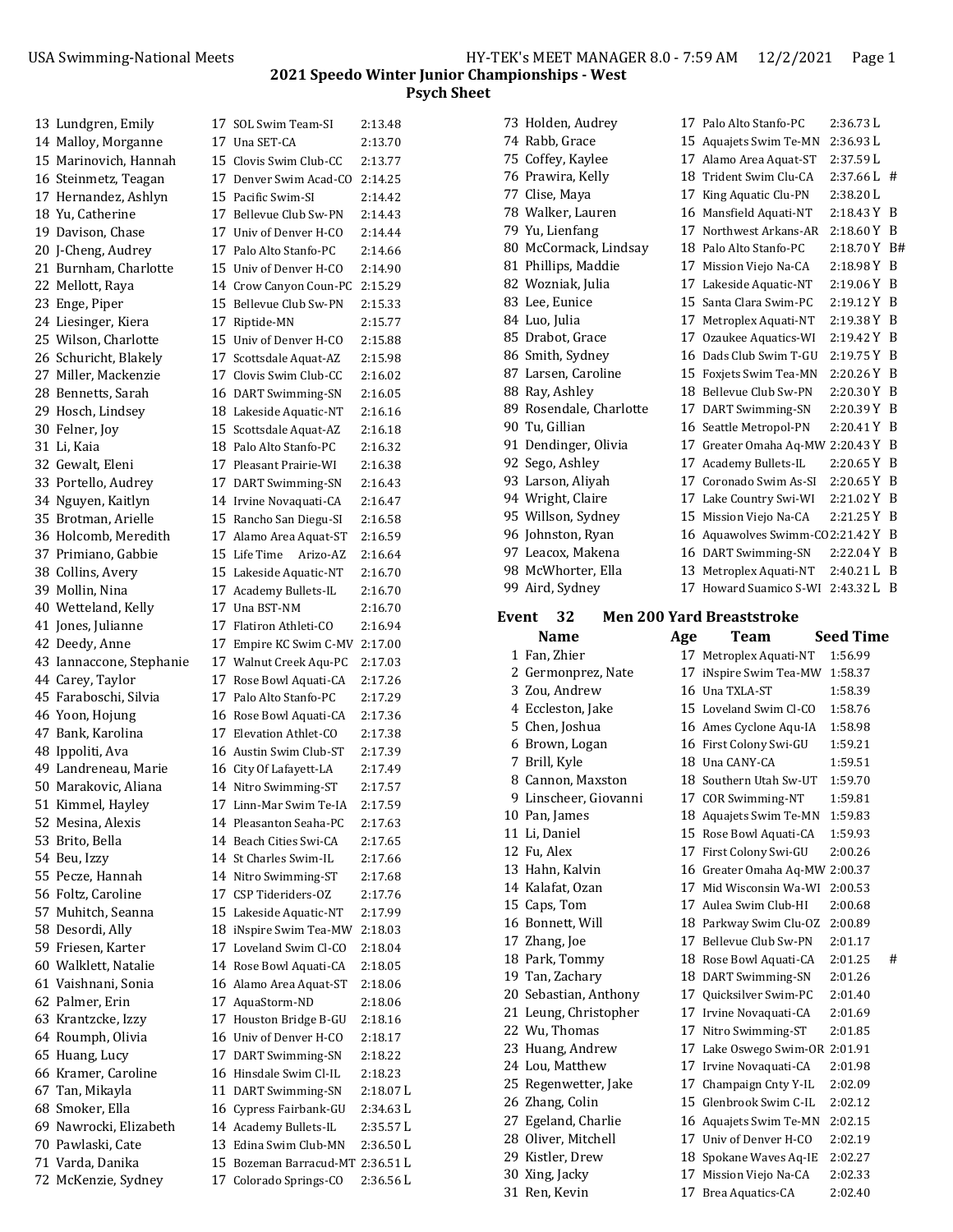73 Holden, Audrey 17 Palo Alto Stanfo-PC 2:36.73 L 74 Rabb, Grace 15 Aquajets Swim Te-MN 2:36.93 L

| 13 Lundgren, Emily       | 17 SOL Swim Team-SI                              | 2:13.48   |
|--------------------------|--------------------------------------------------|-----------|
| 14 Malloy, Morganne      | 17 Una SET-CA                                    | 2:13.70   |
| 15 Marinovich, Hannah    | 15 Clovis Swim Club-CC                           | 2:13.77   |
| 16 Steinmetz, Teagan     | 17 Denver Swim Acad-CO                           | 2:14.25   |
| 17 Hernandez, Ashlyn     | 15 Pacific Swim-SI                               | 2:14.42   |
| 18 Yu, Catherine         | 17 Bellevue Club Sw-PN                           | 2:14.43   |
| 19 Davison, Chase        | 17 Univ of Denver H-CO                           | 2:14.44   |
| 20 J-Cheng, Audrey       | 17 Palo Alto Stanfo-PC                           | 2:14.66   |
| 21 Burnham, Charlotte    | 15 Univ of Denver H-CO                           | 2:14.90   |
| 22 Mellott, Raya         | 14 Crow Canyon Coun-PC                           | 2:15.29   |
| 23 Enge, Piper           | 15 Bellevue Club Sw-PN                           | 2:15.33   |
| 24 Liesinger, Kiera      | 17 Riptide-MN                                    | 2:15.77   |
| 25 Wilson, Charlotte     | 15 Univ of Denver H-CO                           | 2:15.88   |
| 26 Schuricht, Blakely    | 17 Scottsdale Aquat-AZ                           | 2:15.98   |
| 27 Miller, Mackenzie     | 17 Clovis Swim Club-CC                           | 2:16.02   |
| 28 Bennetts, Sarah       | 16 DART Swimming-SN                              | 2:16.05   |
| 29 Hosch, Lindsey        | 18 Lakeside Aquatic-NT                           | 2:16.16   |
| 30 Felner, Joy           | 15 Scottsdale Aquat-AZ                           | 2:16.18   |
| 31 Li, Kaia              | 18 Palo Alto Stanfo-PC                           | 2:16.32   |
| 32 Gewalt, Eleni         | 17 Pleasant Prairie-WI                           | 2:16.38   |
| 33 Portello, Audrey      | 17 DART Swimming-SN                              | 2:16.43   |
| 34 Nguyen, Kaitlyn       | 14 Irvine Novaquati-CA                           | 2:16.47   |
| 35 Brotman, Arielle      | 15 Rancho San Diegu-SI                           | 2:16.58   |
| 36 Holcomb, Meredith     | 17 Alamo Area Aquat-ST                           | 2:16.59   |
| 37 Primiano, Gabbie      | 15 Life Time<br>Arizo-AZ                         | 2:16.64   |
|                          | 15 Lakeside Aquatic-NT                           |           |
| 38 Collins, Avery        |                                                  | 2:16.70   |
| 39 Mollin, Nina          | 17 Academy Bullets-IL<br>17 Una BST-NM           | 2:16.70   |
| 40 Wetteland, Kelly      | 17 Flatiron Athleti-CO                           | 2:16.70   |
| 41 Jones, Julianne       |                                                  | 2:16.94   |
| 42 Deedy, Anne           | 17 Empire KC Swim C-MV                           | 2:17.00   |
| 43 Iannaccone, Stephanie | 17 Walnut Creek Aqu-PC                           | 2:17.03   |
| 44 Carey, Taylor         | 17 Rose Bowl Aquati-CA<br>17 Palo Alto Stanfo-PC | 2:17.26   |
| 45 Faraboschi, Silvia    |                                                  | 2:17.29   |
| 46 Yoon, Hojung          | 16 Rose Bowl Aquati-CA                           | 2:17.36   |
| 47 Bank, Karolina        | 17 Elevation Athlet-CO                           | 2:17.38   |
| 48 Ippoliti, Ava         | 16 Austin Swim Club-ST                           | 2:17.39   |
| 49 Landreneau, Marie     | 16 City Of Lafayett-LA                           | 2:17.49   |
| 50 Marakovic, Aliana     | 14 Nitro Swimming-ST                             | 2:17.57   |
| 51 Kimmel, Hayley        | 17 Linn-Mar Swim Te-IA                           | 2:17.59   |
| 52 Mesina, Alexis        | 14 Pleasanton Seaha-PC                           | 2:17.63   |
| 53 Brito, Bella          | 14 Beach Cities Swi-CA                           | 2:17.65   |
| 54 Beu, Izzy             | 14 St Charles Swim-IL                            | 2:17.66   |
| 55 Pecze, Hannah         | 14 Nitro Swimming-ST                             | 2:17.68   |
| 56 Foltz, Caroline       | 17 CSP Tideriders-OZ                             | 2:17.76   |
| 57 Muhitch, Seanna       | 15 Lakeside Aquatic-NT                           | 2:17.99   |
| 58 Desordi, Ally         | 18 iNspire Swim Tea-MW                           | 2:18.03   |
| 59 Friesen, Karter       | 17 Loveland Swim Cl-CO                           | 2:18.04   |
| 60 Walklett, Natalie     | 14 Rose Bowl Aquati-CA                           | 2:18.05   |
| 61 Vaishnani, Sonia      | 16 Alamo Area Aquat-ST                           | 2:18.06   |
| 62 Palmer, Erin          | 17 AquaStorm-ND                                  | 2:18.06   |
| 63 Krantzcke, Izzy       | 17 Houston Bridge B-GU                           | 2:18.16   |
| 64 Roumph, Olivia        | 16 Univ of Denver H-CO                           | 2:18.17   |
| 65 Huang, Lucy           | 17 DART Swimming-SN                              | 2:18.22   |
| 66 Kramer, Caroline      | 16 Hinsdale Swim Cl-IL                           | 2:18.23   |
| 67  Tan, Mikayla         | 11 DART Swimming-SN                              | 2:18.07 L |
| 68 Smoker, Ella          | 16 Cypress Fairbank-GU                           | 2:34.63 L |
| 69 Nawrocki, Elizabeth   | 14 Academy Bullets-IL                            | 2:35.57 L |
| 70 Pawlaski, Cate        | 13 Edina Swim Club-MN                            | 2:36.50 L |
| 71 Varda, Danika         | 15 Bozeman Barracud-MT 2:36.51 L                 |           |
| 72 McKenzie, Sydney      | 17 Colorado Springs-CO                           | 2:36.56 L |
|                          |                                                  |           |

| 75 Coffey, Kaylee                               |                                                                                                                                                                                                                                                      | 17 Alamo Area Aquat-ST                        | 2:37.59 L                                                                                                                                                                                                                                                                                                                                                                                                                                                                                                                                                                                                   |                                                                                                                                                                                                                   |  |  |  |
|-------------------------------------------------|------------------------------------------------------------------------------------------------------------------------------------------------------------------------------------------------------------------------------------------------------|-----------------------------------------------|-------------------------------------------------------------------------------------------------------------------------------------------------------------------------------------------------------------------------------------------------------------------------------------------------------------------------------------------------------------------------------------------------------------------------------------------------------------------------------------------------------------------------------------------------------------------------------------------------------------|-------------------------------------------------------------------------------------------------------------------------------------------------------------------------------------------------------------------|--|--|--|
| 76 Prawira, Kelly                               |                                                                                                                                                                                                                                                      |                                               | 2:37.66 L                                                                                                                                                                                                                                                                                                                                                                                                                                                                                                                                                                                                   | #                                                                                                                                                                                                                 |  |  |  |
| 77 Clise, Maya                                  |                                                                                                                                                                                                                                                      |                                               | 2:38.20 L                                                                                                                                                                                                                                                                                                                                                                                                                                                                                                                                                                                                   |                                                                                                                                                                                                                   |  |  |  |
| 78 Walker, Lauren                               |                                                                                                                                                                                                                                                      |                                               | 2:18.43 Y                                                                                                                                                                                                                                                                                                                                                                                                                                                                                                                                                                                                   | B                                                                                                                                                                                                                 |  |  |  |
| 79 Yu, Lienfang                                 |                                                                                                                                                                                                                                                      |                                               | $2:18.60 Y$ B                                                                                                                                                                                                                                                                                                                                                                                                                                                                                                                                                                                               |                                                                                                                                                                                                                   |  |  |  |
| 80 McCormack, Lindsay                           |                                                                                                                                                                                                                                                      |                                               | 2:18.70 Y                                                                                                                                                                                                                                                                                                                                                                                                                                                                                                                                                                                                   | B#                                                                                                                                                                                                                |  |  |  |
| 81 Phillips, Maddie                             |                                                                                                                                                                                                                                                      |                                               | 2:18.98 Y                                                                                                                                                                                                                                                                                                                                                                                                                                                                                                                                                                                                   | B                                                                                                                                                                                                                 |  |  |  |
| 82 Wozniak, Julia                               |                                                                                                                                                                                                                                                      |                                               | 2:19.06 Y                                                                                                                                                                                                                                                                                                                                                                                                                                                                                                                                                                                                   | B                                                                                                                                                                                                                 |  |  |  |
| 83 Lee, Eunice                                  |                                                                                                                                                                                                                                                      |                                               | 2:19.12 Y                                                                                                                                                                                                                                                                                                                                                                                                                                                                                                                                                                                                   | B                                                                                                                                                                                                                 |  |  |  |
| 84 Luo, Julia                                   |                                                                                                                                                                                                                                                      |                                               | 2:19.38 Y                                                                                                                                                                                                                                                                                                                                                                                                                                                                                                                                                                                                   | B                                                                                                                                                                                                                 |  |  |  |
| 85 Drabot, Grace                                |                                                                                                                                                                                                                                                      |                                               | 2:19.42 Y                                                                                                                                                                                                                                                                                                                                                                                                                                                                                                                                                                                                   | B                                                                                                                                                                                                                 |  |  |  |
| 86 Smith, Sydney                                |                                                                                                                                                                                                                                                      |                                               | 2:19.75 Y                                                                                                                                                                                                                                                                                                                                                                                                                                                                                                                                                                                                   | B                                                                                                                                                                                                                 |  |  |  |
| 87 Larsen, Caroline                             |                                                                                                                                                                                                                                                      |                                               | 2:20.26 Y                                                                                                                                                                                                                                                                                                                                                                                                                                                                                                                                                                                                   | B                                                                                                                                                                                                                 |  |  |  |
|                                                 |                                                                                                                                                                                                                                                      |                                               | 2:20.30 Y                                                                                                                                                                                                                                                                                                                                                                                                                                                                                                                                                                                                   | B                                                                                                                                                                                                                 |  |  |  |
| 89 Rosendale, Charlotte                         |                                                                                                                                                                                                                                                      |                                               | 2:20.39 Y                                                                                                                                                                                                                                                                                                                                                                                                                                                                                                                                                                                                   | B                                                                                                                                                                                                                 |  |  |  |
|                                                 |                                                                                                                                                                                                                                                      |                                               | 2:20.41 Y B                                                                                                                                                                                                                                                                                                                                                                                                                                                                                                                                                                                                 |                                                                                                                                                                                                                   |  |  |  |
|                                                 |                                                                                                                                                                                                                                                      |                                               |                                                                                                                                                                                                                                                                                                                                                                                                                                                                                                                                                                                                             |                                                                                                                                                                                                                   |  |  |  |
|                                                 |                                                                                                                                                                                                                                                      |                                               |                                                                                                                                                                                                                                                                                                                                                                                                                                                                                                                                                                                                             | B                                                                                                                                                                                                                 |  |  |  |
|                                                 |                                                                                                                                                                                                                                                      |                                               |                                                                                                                                                                                                                                                                                                                                                                                                                                                                                                                                                                                                             | B                                                                                                                                                                                                                 |  |  |  |
|                                                 |                                                                                                                                                                                                                                                      |                                               |                                                                                                                                                                                                                                                                                                                                                                                                                                                                                                                                                                                                             |                                                                                                                                                                                                                   |  |  |  |
|                                                 |                                                                                                                                                                                                                                                      |                                               |                                                                                                                                                                                                                                                                                                                                                                                                                                                                                                                                                                                                             |                                                                                                                                                                                                                   |  |  |  |
|                                                 |                                                                                                                                                                                                                                                      |                                               |                                                                                                                                                                                                                                                                                                                                                                                                                                                                                                                                                                                                             |                                                                                                                                                                                                                   |  |  |  |
|                                                 |                                                                                                                                                                                                                                                      |                                               |                                                                                                                                                                                                                                                                                                                                                                                                                                                                                                                                                                                                             |                                                                                                                                                                                                                   |  |  |  |
|                                                 |                                                                                                                                                                                                                                                      |                                               |                                                                                                                                                                                                                                                                                                                                                                                                                                                                                                                                                                                                             |                                                                                                                                                                                                                   |  |  |  |
|                                                 |                                                                                                                                                                                                                                                      |                                               |                                                                                                                                                                                                                                                                                                                                                                                                                                                                                                                                                                                                             | - B                                                                                                                                                                                                               |  |  |  |
| <b>Men 200 Yard Breaststroke</b><br>32<br>Event |                                                                                                                                                                                                                                                      |                                               |                                                                                                                                                                                                                                                                                                                                                                                                                                                                                                                                                                                                             |                                                                                                                                                                                                                   |  |  |  |
| Name                                            | Age                                                                                                                                                                                                                                                  | Team                                          |                                                                                                                                                                                                                                                                                                                                                                                                                                                                                                                                                                                                             |                                                                                                                                                                                                                   |  |  |  |
| 1 Fan, Zhier                                    |                                                                                                                                                                                                                                                      |                                               | 1:56.99                                                                                                                                                                                                                                                                                                                                                                                                                                                                                                                                                                                                     |                                                                                                                                                                                                                   |  |  |  |
|                                                 |                                                                                                                                                                                                                                                      |                                               | 1:58.37                                                                                                                                                                                                                                                                                                                                                                                                                                                                                                                                                                                                     |                                                                                                                                                                                                                   |  |  |  |
|                                                 |                                                                                                                                                                                                                                                      |                                               |                                                                                                                                                                                                                                                                                                                                                                                                                                                                                                                                                                                                             |                                                                                                                                                                                                                   |  |  |  |
| 3 Zou, Andrew                                   |                                                                                                                                                                                                                                                      | 16 Una TXLA-ST                                | 1:58.39                                                                                                                                                                                                                                                                                                                                                                                                                                                                                                                                                                                                     |                                                                                                                                                                                                                   |  |  |  |
| 4 Eccleston, Jake                               |                                                                                                                                                                                                                                                      | 15 Loveland Swim Cl-CO                        | 1:58.76                                                                                                                                                                                                                                                                                                                                                                                                                                                                                                                                                                                                     |                                                                                                                                                                                                                   |  |  |  |
| 5 Chen, Joshua                                  |                                                                                                                                                                                                                                                      | 16 Ames Cyclone Aqu-IA                        | 1:58.98                                                                                                                                                                                                                                                                                                                                                                                                                                                                                                                                                                                                     |                                                                                                                                                                                                                   |  |  |  |
| 6 Brown, Logan                                  |                                                                                                                                                                                                                                                      | 16 First Colony Swi-GU                        | 1:59.21                                                                                                                                                                                                                                                                                                                                                                                                                                                                                                                                                                                                     |                                                                                                                                                                                                                   |  |  |  |
| 7 Brill, Kyle                                   |                                                                                                                                                                                                                                                      | 18 Una CANY-CA                                | 1:59.51                                                                                                                                                                                                                                                                                                                                                                                                                                                                                                                                                                                                     |                                                                                                                                                                                                                   |  |  |  |
| 8 Cannon, Maxston                               |                                                                                                                                                                                                                                                      | 18 Southern Utah Sw-UT                        | 1:59.70                                                                                                                                                                                                                                                                                                                                                                                                                                                                                                                                                                                                     |                                                                                                                                                                                                                   |  |  |  |
| 9 Linscheer, Giovanni                           |                                                                                                                                                                                                                                                      | 17 COR Swimming-NT                            | 1:59.81                                                                                                                                                                                                                                                                                                                                                                                                                                                                                                                                                                                                     |                                                                                                                                                                                                                   |  |  |  |
| 10 Pan, James                                   |                                                                                                                                                                                                                                                      | 18 Aquajets Swim Te-MN                        | 1:59.83                                                                                                                                                                                                                                                                                                                                                                                                                                                                                                                                                                                                     |                                                                                                                                                                                                                   |  |  |  |
| 11 Li, Daniel                                   |                                                                                                                                                                                                                                                      | 15 Rose Bowl Aquati-CA                        | 1:59.93                                                                                                                                                                                                                                                                                                                                                                                                                                                                                                                                                                                                     |                                                                                                                                                                                                                   |  |  |  |
| 12 Fu, Alex                                     |                                                                                                                                                                                                                                                      | 17 First Colony Swi-GU                        | 2:00.26                                                                                                                                                                                                                                                                                                                                                                                                                                                                                                                                                                                                     |                                                                                                                                                                                                                   |  |  |  |
| 13 Hahn, Kalvin                                 |                                                                                                                                                                                                                                                      | 16 Greater Omaha Aq-MW 2:00.37                |                                                                                                                                                                                                                                                                                                                                                                                                                                                                                                                                                                                                             |                                                                                                                                                                                                                   |  |  |  |
| 14 Kalafat, Ozan                                |                                                                                                                                                                                                                                                      | 17 Mid Wisconsin Wa-WI                        | 2:00.53                                                                                                                                                                                                                                                                                                                                                                                                                                                                                                                                                                                                     |                                                                                                                                                                                                                   |  |  |  |
| 15 Caps, Tom                                    |                                                                                                                                                                                                                                                      | 17 Aulea Swim Club-HI                         | 2:00.68                                                                                                                                                                                                                                                                                                                                                                                                                                                                                                                                                                                                     |                                                                                                                                                                                                                   |  |  |  |
| 16 Bonnett, Will                                |                                                                                                                                                                                                                                                      | 18 Parkway Swim Clu-OZ                        | 2:00.89                                                                                                                                                                                                                                                                                                                                                                                                                                                                                                                                                                                                     |                                                                                                                                                                                                                   |  |  |  |
| 17 Zhang, Joe                                   |                                                                                                                                                                                                                                                      | 17 Bellevue Club Sw-PN                        | 2:01.17                                                                                                                                                                                                                                                                                                                                                                                                                                                                                                                                                                                                     |                                                                                                                                                                                                                   |  |  |  |
| 18 Park, Tommy                                  |                                                                                                                                                                                                                                                      | 18 Rose Bowl Aquati-CA                        | 2:01.25                                                                                                                                                                                                                                                                                                                                                                                                                                                                                                                                                                                                     | #                                                                                                                                                                                                                 |  |  |  |
| 19 Tan, Zachary                                 |                                                                                                                                                                                                                                                      | 18 DART Swimming-SN                           | 2:01.26                                                                                                                                                                                                                                                                                                                                                                                                                                                                                                                                                                                                     |                                                                                                                                                                                                                   |  |  |  |
| 20 Sebastian, Anthony                           |                                                                                                                                                                                                                                                      | 17 Quicksilver Swim-PC                        | 2:01.40                                                                                                                                                                                                                                                                                                                                                                                                                                                                                                                                                                                                     |                                                                                                                                                                                                                   |  |  |  |
| 21 Leung, Christopher                           |                                                                                                                                                                                                                                                      | 17 Irvine Novaquati-CA                        | 2:01.69                                                                                                                                                                                                                                                                                                                                                                                                                                                                                                                                                                                                     |                                                                                                                                                                                                                   |  |  |  |
| 22 Wu, Thomas                                   |                                                                                                                                                                                                                                                      | 17 Nitro Swimming-ST                          | 2:01.85                                                                                                                                                                                                                                                                                                                                                                                                                                                                                                                                                                                                     |                                                                                                                                                                                                                   |  |  |  |
| 23 Huang, Andrew                                |                                                                                                                                                                                                                                                      | 17 Lake Oswego Swim-OR 2:01.91                |                                                                                                                                                                                                                                                                                                                                                                                                                                                                                                                                                                                                             |                                                                                                                                                                                                                   |  |  |  |
| 24 Lou, Matthew                                 | 17                                                                                                                                                                                                                                                   | 17 Irvine Novaquati-CA                        | 2:01.98                                                                                                                                                                                                                                                                                                                                                                                                                                                                                                                                                                                                     |                                                                                                                                                                                                                   |  |  |  |
| 25 Regenwetter, Jake                            |                                                                                                                                                                                                                                                      | Champaign Cnty Y-IL<br>15 Glenbrook Swim C-IL | 2:02.09<br>2:02.12                                                                                                                                                                                                                                                                                                                                                                                                                                                                                                                                                                                          |                                                                                                                                                                                                                   |  |  |  |
| 26 Zhang, Colin                                 |                                                                                                                                                                                                                                                      | 16 Aquajets Swim Te-MN                        | 2:02.15                                                                                                                                                                                                                                                                                                                                                                                                                                                                                                                                                                                                     |                                                                                                                                                                                                                   |  |  |  |
| 27 Egeland, Charlie                             |                                                                                                                                                                                                                                                      | 17 Univ of Denver H-CO                        | 2:02.19                                                                                                                                                                                                                                                                                                                                                                                                                                                                                                                                                                                                     |                                                                                                                                                                                                                   |  |  |  |
| 28 Oliver, Mitchell<br>29 Kistler, Drew         |                                                                                                                                                                                                                                                      | 18 Spokane Waves Aq-IE                        | 2:02.27                                                                                                                                                                                                                                                                                                                                                                                                                                                                                                                                                                                                     |                                                                                                                                                                                                                   |  |  |  |
| 30 Xing, Jacky                                  |                                                                                                                                                                                                                                                      | 17 Mission Viejo Na-CA                        | 2:02.33                                                                                                                                                                                                                                                                                                                                                                                                                                                                                                                                                                                                     |                                                                                                                                                                                                                   |  |  |  |
|                                                 | 88 Ray, Ashley<br>90 Tu, Gillian<br>91 Dendinger, Olivia<br>92 Sego, Ashley<br>93 Larson, Aliyah<br>94 Wright, Claire<br>95 Willson, Sydney<br>96 Johnston, Ryan<br>97 Leacox, Makena<br>98 McWhorter, Ella<br>99 Aird, Sydney<br>2 Germonprez, Nate |                                               | 18 Trident Swim Clu-CA<br>17 King Aquatic Clu-PN<br>16 Mansfield Aquati-NT<br>17 Northwest Arkans-AR<br>18 Palo Alto Stanfo-PC<br>17 Mission Viejo Na-CA<br>17 Lakeside Aquatic-NT<br>15 Santa Clara Swim-PC<br>17 Metroplex Aquati-NT<br>17 Ozaukee Aquatics-WI<br>16 Dads Club Swim T-GU<br>15 Foxjets Swim Tea-MN<br>18 Bellevue Club Sw-PN<br>17 DART Swimming-SN<br>16 Seattle Metropol-PN<br>17 Academy Bullets-IL<br>17 Coronado Swim As-SI<br>17 Lake Country Swi-WI<br>15 Mission Viejo Na-CA<br>16 DART Swimming-SN<br>13 Metroplex Aquati-NT<br>17 Metroplex Aquati-NT<br>17 iNspire Swim Tea-MW | 17 Greater Omaha Aq-MW 2:20.43 Y B<br>2:20.65 Y<br>2:20.65 Y<br>2:21.02 Y B<br>2:21.25 Y B<br>16 Aquawolves Swimm-CO2:21.42 Y B<br>2:22.04 Y B<br>2:40.21 L B<br>17 Howard Suamico S-WI<br>2:43.32 L<br>Seed Time |  |  |  |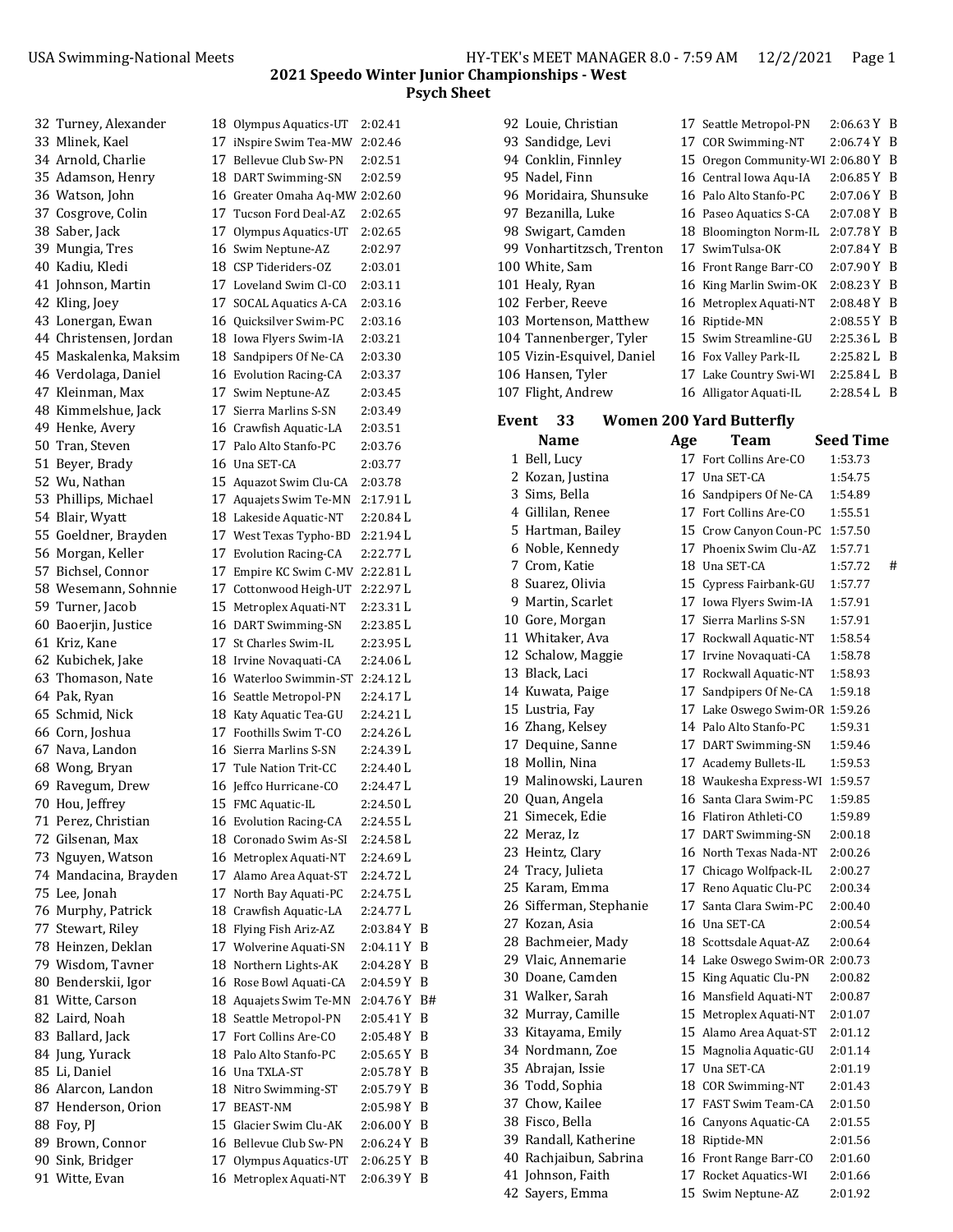| 32 Turney, Alexander   | 18 Olympus Aquatics-UT           | 2:02.41       |  |
|------------------------|----------------------------------|---------------|--|
| 33 Mlinek, Kael        | 17 iNspire Swim Tea-MW           | 2:02.46       |  |
| 34 Arnold, Charlie     | 17 Bellevue Club Sw-PN           | 2:02.51       |  |
| 35 Adamson, Henry      | 18 DART Swimming-SN              | 2:02.59       |  |
| 36 Watson, John        | 16 Greater Omaha Aq-MW 2:02.60   |               |  |
| 37 Cosgrove, Colin     | 17 Tucson Ford Deal-AZ           | 2:02.65       |  |
| 38 Saber, Jack         | 17 Olympus Aquatics-UT           | 2:02.65       |  |
| 39 Mungia, Tres        | 16 Swim Neptune-AZ               | 2:02.97       |  |
| 40 Kadiu, Kledi        | 18 CSP Tideriders-OZ             | 2:03.01       |  |
| 41 Johnson, Martin     | 17 Loveland Swim Cl-CO           | 2:03.11       |  |
| 42 Kling, Joey         | 17 SOCAL Aquatics A-CA           | 2:03.16       |  |
| 43 Lonergan, Ewan      | 16 Quicksilver Swim-PC           | 2:03.16       |  |
| 44 Christensen, Jordan | 18 Iowa Flyers Swim-IA           | 2:03.21       |  |
| 45 Maskalenka, Maksim  | 18 Sandpipers Of Ne-CA           | 2:03.30       |  |
| 46 Verdolaga, Daniel   | 16 Evolution Racing-CA           | 2:03.37       |  |
| 47 Kleinman, Max       | 17 Swim Neptune-AZ               | 2:03.45       |  |
| 48 Kimmelshue, Jack    | 17 Sierra Marlins S-SN           | 2:03.49       |  |
| 49 Henke, Avery        | 16 Crawfish Aquatic-LA           | 2:03.51       |  |
| 50 Tran, Steven        | 17 Palo Alto Stanfo-PC           | 2:03.76       |  |
| 51 Beyer, Brady        | 16 Una SET-CA                    | 2:03.77       |  |
| 52 Wu, Nathan          | 15 Aquazot Swim Clu-CA           | 2:03.78       |  |
|                        | 17 Aquajets Swim Te-MN           | 2:17.91L      |  |
| 53 Phillips, Michael   |                                  |               |  |
| 54 Blair, Wyatt        | 18 Lakeside Aquatic-NT           | 2:20.84L      |  |
| 55 Goeldner, Brayden   | 17 West Texas Typho-BD           | 2:21.94 L     |  |
| 56 Morgan, Keller      | 17 Evolution Racing-CA           | 2:22.77L      |  |
| 57 Bichsel, Connor     | 17 Empire KC Swim C-MV 2:22.81 L |               |  |
| 58 Wesemann, Sohnnie   | 17 Cottonwood Heigh-UT           | 2:22.97 L     |  |
| 59 Turner, Jacob       | 15 Metroplex Aquati-NT           | 2:23.31 L     |  |
| 60 Baoerjin, Justice   | 16 DART Swimming-SN              | 2:23.85 L     |  |
| 61 Kriz, Kane          | 17 St Charles Swim-IL            | 2:23.95 L     |  |
| 62 Kubichek, Jake      | 18 Irvine Novaquati-CA           | 2:24.06 L     |  |
| 63 Thomason, Nate      | 16 Waterloo Swimmin-ST 2:24.12 L |               |  |
| 64 Pak, Ryan           | 16 Seattle Metropol-PN           | 2:24.17 L     |  |
| 65 Schmid, Nick        | 18 Katy Aquatic Tea-GU           | 2:24.21 L     |  |
| 66 Corn, Joshua        | 17 Foothills Swim T-CO           | 2:24.26 L     |  |
| 67 Nava, Landon        | 16 Sierra Marlins S-SN           | 2:24.39 L     |  |
| 68 Wong, Bryan         | 17 Tule Nation Trit-CC           | 2:24.40 L     |  |
| 69 Ravegum, Drew       | 16 Jeffco Hurricane-CO           | 2:24.47 L     |  |
| 70 Hou, Jeffrey        | 15 FMC Aquatic-IL                | 2:24.50 L     |  |
| 71 Perez, Christian    | 16 Evolution Racing-CA           | 2:24.55L      |  |
| 72 Gilsenan, Max       | 18 Coronado Swim As-SI           | 2:24.58 L     |  |
| 73 Nguyen, Watson      | 16 Metroplex Aquati-NT           | 2:24.69 L     |  |
| 74 Mandacina, Brayden  | 17 Alamo Area Aquat-ST           | 2:24.72 L     |  |
| 75 Lee, Jonah          | 17 North Bay Aquati-PC           | 2:24.75 L     |  |
| 76 Murphy, Patrick     | 18 Crawfish Aquatic-LA           | 2:24.77L      |  |
| 77 Stewart, Riley      | 18 Flying Fish Ariz-AZ           | $2:03.84$ Y B |  |
| 78 Heinzen, Deklan     | 17 Wolverine Aquati-SN           | 2:04.11 Y B   |  |
| 79 Wisdom, Tavner      | 18 Northern Lights-AK            | $2:04.28$ Y B |  |
| 80 Benderskii, Igor    | 16 Rose Bowl Aquati-CA           | $2:04.59Y$ B  |  |
| 81 Witte, Carson       | 18 Aquajets Swim Te-MN           | 2:04.76 Y B#  |  |
| 82 Laird, Noah         | 18 Seattle Metropol-PN           | 2:05.41 Y B   |  |
| 83 Ballard, Jack       | 17 Fort Collins Are-CO           | 2:05.48 Y B   |  |
| 84 Jung, Yurack        | 18 Palo Alto Stanfo-PC           | 2:05.65 Y B   |  |
| 85 Li, Daniel          | 16 Una TXLA-ST                   | 2:05.78 Y B   |  |
| 86 Alarcon, Landon     | 18 Nitro Swimming-ST             | 2:05.79 Y B   |  |
| 87 Henderson, Orion    | 17 BEAST-NM                      | $2:05.98$ Y B |  |
| 88 Foy, PJ             | 15 Glacier Swim Clu-AK           | 2:06.00 Y B   |  |
| 89 Brown, Connor       | 16 Bellevue Club Sw-PN           | 2:06.24 Y B   |  |
| 90 Sink, Bridger       | 17 Olympus Aquatics-UT           | 2:06.25 Y B   |  |
| 91 Witte, Evan         | 16 Metroplex Aquati-NT           | 2:06.39 Y B   |  |
|                        |                                  |               |  |

| 92 Louie, Christian        | 17 Seattle Metropol-PN             | $2:06.63$ Y B |     |
|----------------------------|------------------------------------|---------------|-----|
| 93 Sandidge, Levi          | 17 COR Swimming-NT                 | $2:06.74 Y$ B |     |
| 94 Conklin, Finnley        | 15 Oregon Community-WI 2:06.80 Y B |               |     |
| 95 Nadel, Finn             | 16 Central Iowa Aqu-IA             | $2:06.85$ Y B |     |
| 96 Moridaira, Shunsuke     | 16 Palo Alto Stanfo-PC             | $2:07.06$ Y B |     |
| 97 Bezanilla, Luke         | 16 Paseo Aquatics S-CA             | $2:07.08$ Y B |     |
| 98 Swigart, Camden         | 18 Bloomington Norm-IL             | $2:07.78$ Y B |     |
| 99 Vonhartitzsch, Trenton  | 17 SwimTulsa-OK                    | $2:07.84$ Y B |     |
| 100 White, Sam             | 16 Front Range Barr-CO             | $2:07.90Y$ B  |     |
| 101 Healy, Ryan            | 16 King Marlin Swim-OK             | $2:08.23$ Y B |     |
| 102 Ferber, Reeve          | 16 Metroplex Aquati-NT             | $2:08.48$ Y B |     |
| 103 Mortenson, Matthew     | 16 Riptide-MN                      | $2:08.55$ Y B |     |
| 104 Tannenberger, Tyler    | 15 Swim Streamline-GU              | 2:25.36 L B   |     |
| 105 Vizin-Esquivel, Daniel | 16 Fox Valley Park-IL              | 2:25.82 L     | - B |
| 106 Hansen, Tyler          | 17 Lake Country Swi-WI             | 2:25.84 L     | B   |
| 107 Flight, Andrew         | 16 Alligator Aquati-IL             | 2:28.54 L     | - B |

## **Event 33 Women 200 Yard Butterfly**

| <b>Name</b>             | Age | Team                           | <b>Seed Time</b> |
|-------------------------|-----|--------------------------------|------------------|
| 1 Bell, Lucy            |     | 17 Fort Collins Are-CO         | 1:53.73          |
| 2 Kozan, Justina        |     | 17 Una SET-CA                  | 1:54.75          |
| 3 Sims, Bella           |     | 16 Sandpipers Of Ne-CA         | 1:54.89          |
| 4 Gillilan, Renee       |     | 17 Fort Collins Are-CO         | 1:55.51          |
| 5 Hartman, Bailey       |     | 15 Crow Canyon Coun-PC         | 1:57.50          |
| 6 Noble, Kennedy        |     | 17 Phoenix Swim Clu-AZ         | 1:57.71          |
| 7 Crom, Katie           |     | 18 Una SET-CA                  | #<br>1:57.72     |
| 8 Suarez, Olivia        |     | 15 Cypress Fairbank-GU         | 1:57.77          |
| 9 Martin, Scarlet       |     | 17 Iowa Flyers Swim-IA         | 1:57.91          |
| 10 Gore, Morgan         |     | 17 Sierra Marlins S-SN         | 1:57.91          |
| 11 Whitaker, Ava        |     | 17 Rockwall Aquatic-NT         | 1:58.54          |
| 12 Schalow, Maggie      |     | 17 Irvine Novaquati-CA         | 1:58.78          |
| 13 Black, Laci          |     | 17 Rockwall Aquatic-NT         | 1:58.93          |
| 14 Kuwata, Paige        |     | 17 Sandpipers Of Ne-CA         | 1:59.18          |
| 15 Lustria, Fay         |     | 17 Lake Oswego Swim-OR 1:59.26 |                  |
| 16 Zhang, Kelsey        |     | 14 Palo Alto Stanfo-PC         | 1:59.31          |
| 17 Dequine, Sanne       |     | 17 DART Swimming-SN            | 1:59.46          |
| 18 Mollin, Nina         |     | 17 Academy Bullets-IL          | 1:59.53          |
| 19 Malinowski, Lauren   |     | 18 Waukesha Express-WI         | 1:59.57          |
| 20 Quan, Angela         |     | 16 Santa Clara Swim-PC         | 1:59.85          |
| 21 Simecek, Edie        |     | 16 Flatiron Athleti-CO         | 1:59.89          |
| 22 Meraz, Iz            |     | 17 DART Swimming-SN            | 2:00.18          |
| 23 Heintz, Clary        |     | 16 North Texas Nada-NT         | 2:00.26          |
| 24 Tracy, Julieta       |     | 17 Chicago Wolfpack-IL         | 2:00.27          |
| 25 Karam, Emma          |     | 17 Reno Aquatic Clu-PC         | 2:00.34          |
| 26 Sifferman, Stephanie |     | 17 Santa Clara Swim-PC         | 2:00.40          |
| 27 Kozan, Asia          |     | 16 Una SET-CA                  | 2:00.54          |
| 28 Bachmeier, Mady      |     | 18 Scottsdale Aquat-AZ         | 2:00.64          |
| 29 Vlaic, Annemarie     |     | 14 Lake Oswego Swim-OR 2:00.73 |                  |
| 30 Doane, Camden        |     | 15 King Aquatic Clu-PN         | 2:00.82          |
| 31 Walker, Sarah        |     | 16 Mansfield Aquati-NT         | 2:00.87          |
| 32 Murray, Camille      |     | 15 Metroplex Aquati-NT         | 2:01.07          |
| 33 Kitayama, Emily      |     | 15 Alamo Area Aquat-ST         | 2:01.12          |
| 34 Nordmann, Zoe        |     | 15 Magnolia Aquatic-GU         | 2:01.14          |
| 35 Abrajan, Issie       |     | 17 Una SET-CA                  | 2:01.19          |
| 36 Todd, Sophia         |     | 18 COR Swimming-NT             | 2:01.43          |
| 37 Chow, Kailee         |     | 17 FAST Swim Team-CA           | 2:01.50          |
| 38 Fisco, Bella         |     | 16 Canyons Aquatic-CA          | 2:01.55          |
| 39 Randall, Katherine   |     | 18 Riptide-MN                  | 2:01.56          |
| 40 Rachjaibun, Sabrina  |     | 16 Front Range Barr-CO         | 2:01.60          |
| 41 Johnson, Faith       |     | 17 Rocket Aquatics-WI          | 2:01.66          |
| 42 Sayers, Emma         |     | 15 Swim Neptune-AZ             | 2:01.92          |
|                         |     |                                |                  |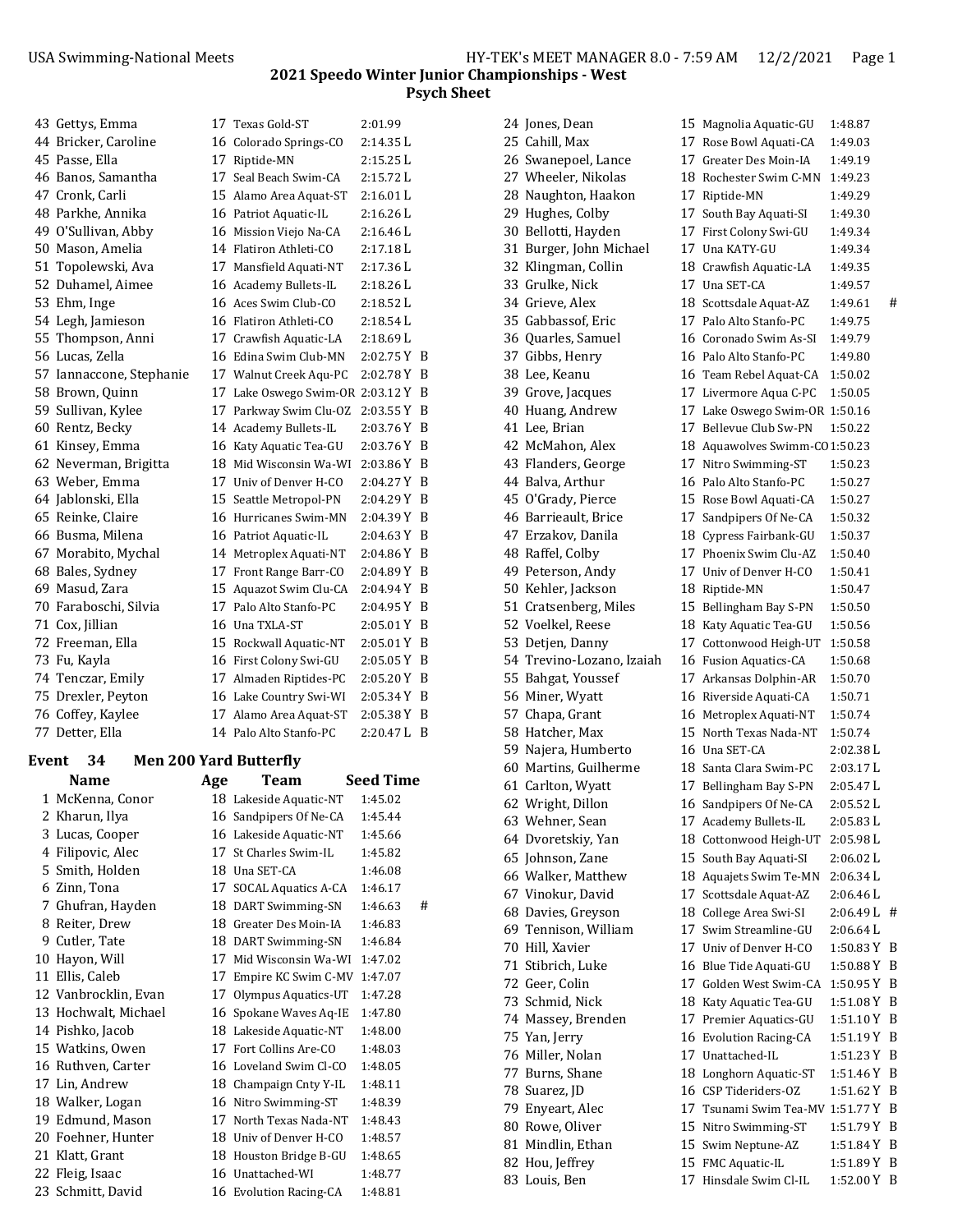| 43 Gettys, Emma          | 17   Texas Gold-ST               | 2:01.99       |     |
|--------------------------|----------------------------------|---------------|-----|
| 44 Bricker, Caroline     | 16 Colorado Springs-CO           | 2:14.35 L     |     |
| 45 Passe, Ella           | 17 Riptide-MN                    | 2:15.25 L     |     |
| 46 Banos, Samantha       | 17 Seal Beach Swim-CA            | 2:15.72 L     |     |
| 47 Cronk, Carli          | 15 Alamo Area Aquat-ST           | 2:16.01L      |     |
| 48 Parkhe, Annika        | 16 Patriot Aquatic-IL            | 2:16.26 L     |     |
| 49 O'Sullivan, Abby      | 16 Mission Viejo Na-CA           | 2:16.46 L     |     |
| 50 Mason, Amelia         | 14 Flatiron Athleti-CO           | 2:17.18L      |     |
| 51 Topolewski, Ava       | 17 Mansfield Aquati-NT           | 2:17.36 L     |     |
| 52 Duhamel, Aimee        | 16 Academy Bullets-IL            | 2:18.26L      |     |
| 53 Ehm, Inge             | 16 Aces Swim Club-CO             | 2:18.52 L     |     |
| 54 Legh, Jamieson        | 16 Flatiron Athleti-CO           | 2:18.54 L     |     |
| 55 Thompson, Anni        | 17 Crawfish Aquatic-LA           | 2:18.69 L     |     |
| 56 Lucas, Zella          | 16 Edina Swim Club-MN            | 2:02.75 Y B   |     |
| 57 Iannaccone, Stephanie | 17 Walnut Creek Agu-PC           | 2:02.78 Y     | B   |
| 58 Brown, Quinn          | 17 Lake Oswego Swim-OR 2:03.12 Y |               | B   |
| 59 Sullivan, Kylee       | 17 Parkway Swim Clu-OZ           | 2:03.55Y      | B   |
| 60 Rentz, Becky          | 14 Academy Bullets-IL            | 2:03.76Y      | B   |
| 61 Kinsey, Emma          | 16 Katy Aquatic Tea-GU           | 2:03.76 Y B   |     |
| 62 Neverman, Brigitta    | 18 Mid Wisconsin Wa-WI           | $2:03.86$ Y B |     |
| 63 Weber, Emma           | 17 Univ of Denver H-CO           | 2:04.27 Y B   |     |
| 64 Jablonski, Ella       | 15 Seattle Metropol-PN           | 2:04.29 Y     | B   |
| 65 Reinke, Claire        | 16 Hurricanes Swim-MN            | 2:04.39 Y B   |     |
| 66 Busma, Milena         | 16 Patriot Aquatic-IL            | 2:04.63 Y     | B   |
| 67 Morabito, Mychal      | 14 Metroplex Aquati-NT           | 2:04.86 Y     | B   |
| 68 Bales, Sydney         | 17 Front Range Barr-CO           | 2:04.89 Y B   |     |
| 69 Masud, Zara           | 15 Aquazot Swim Clu-CA           | $2:04.94$ Y B |     |
| 70 Faraboschi, Silvia    | 17 Palo Alto Stanfo-PC           | 2:04.95 Y     | B   |
| 71 Cox, Jillian          | 16 Una TXLA-ST                   | 2:05.01 Y B   |     |
| 72 Freeman, Ella         | 15 Rockwall Aquatic-NT           | 2:05.01Y      | B   |
| 73 Fu, Kayla             | 16 First Colony Swi-GU           | 2:05.05 Y     | B   |
| 74 Tenczar, Emily        | 17 Almaden Riptides-PC           | 2:05.20 Y B   |     |
| 75 Drexler, Peyton       | 16 Lake Country Swi-WI           | 2:05.34 Y B   |     |
| 76 Coffey, Kaylee        | 17 Alamo Area Aquat-ST           | 2:05.38 Y B   |     |
| 77 Detter, Ella          | 14 Palo Alto Stanfo-PC           | 2:20.47 L     | - B |

#### **Event 34 Men 200 Yard Butterfly**

| Name                 | Age | Team                   | Seed Time    |
|----------------------|-----|------------------------|--------------|
| 1 McKenna, Conor     |     | 18 Lakeside Aquatic-NT | 1:45.02      |
| 2 Kharun, Ilya       |     | 16 Sandpipers Of Ne-CA | 1:45.44      |
| 3 Lucas, Cooper      |     | 16 Lakeside Aquatic-NT | 1:45.66      |
| 4 Filipovic, Alec    |     | 17 St Charles Swim-IL  | 1:45.82      |
| 5 Smith, Holden      |     | 18 Una SET-CA          | 1:46.08      |
| 6 Zinn, Tona         |     | 17 SOCAL Aquatics A-CA | 1:46.17      |
| 7 Ghufran, Hayden    |     | 18 DART Swimming-SN    | 1:46.63<br># |
| 8 Reiter, Drew       |     | 18 Greater Des Moin-IA | 1:46.83      |
| 9 Cutler, Tate       |     | 18 DART Swimming-SN    | 1:46.84      |
| 10 Hayon, Will       | 17  | Mid Wisconsin Wa-WI    | 1:47.02      |
| 11 Ellis, Caleb      |     | 17 Empire KC Swim C-MV | 1:47.07      |
| 12 Vanbrocklin, Evan |     | 17 Olympus Aquatics-UT | 1:47.28      |
| 13 Hochwalt, Michael |     | 16 Spokane Waves Aq-IE | 1:47.80      |
| 14 Pishko, Jacob     |     | 18 Lakeside Aquatic-NT | 1:48.00      |
| 15 Watkins, Owen     |     | 17 Fort Collins Are-CO | 1:48.03      |
| 16 Ruthven, Carter   |     | 16 Loveland Swim Cl-CO | 1:48.05      |
| 17 Lin, Andrew       |     | 18 Champaign Cnty Y-IL | 1:48.11      |
| 18 Walker, Logan     |     | 16 Nitro Swimming-ST   | 1:48.39      |
| 19 Edmund, Mason     |     | 17 North Texas Nada-NT | 1:48.43      |
| 20 Foehner, Hunter   |     | 18 Univ of Denver H-CO | 1:48.57      |
| 21 Klatt, Grant      |     | 18 Houston Bridge B-GU | 1:48.65      |
| 22 Fleig, Isaac      |     | 16 Unattached-WI       | 1:48.77      |
| 23 Schmitt, David    |     | 16 Evolution Racing-CA | 1:48.81      |

|    | 24 Jones, Dean                      | 15       |
|----|-------------------------------------|----------|
|    | 25 Cahill, Max                      | 17       |
|    | 26 Swanepoel, Lance                 | 17       |
|    | 27 Wheeler, Nikolas                 | 18       |
|    | 28 Naughton, Haakon                 | 17       |
|    | 29 Hughes, Colby                    | 17       |
| 30 | Bellotti, Hayden                    | 17       |
| 31 | Burger, John Michael                | 17       |
| 32 | Klingman, Collin                    | 18       |
| 33 | Grulke, Nick                        | 17       |
| 34 | Grieve, Alex                        | 18       |
| 35 | Gabbassof, Eric                     | 17       |
| 36 | Quarles, Samuel                     | 16       |
| 37 | Gibbs, Henry                        | 16       |
| 38 | Lee, Keanu                          | 16       |
| 39 | Grove, Jacques                      | 17       |
| 40 | Huang, Andrew                       | 17       |
|    | 41 Lee, Brian                       | 17       |
|    | 42 McMahon, Alex                    | 18       |
|    | 43 Flanders, George                 | 17       |
|    | 44 Balva, Arthur                    | 16       |
|    | 45 O'Grady, Pierce                  | 15       |
|    | 46 Barrieault, Brice                | 17       |
|    | 47 Erzakov, Danila                  | 18       |
| 48 | Raffel, Colby                       | 17       |
| 49 | Peterson, Andy                      | 17       |
| 50 | Kehler, Jackson                     | 18       |
| 51 | Cratsenberg, Miles                  | 15       |
| 52 | Voelkel, Reese                      | 18       |
| 53 | Detjen, Danny                       | 17       |
| 54 | Trevino-Lozano, Izaiah              | 16       |
| 55 | Bahgat, Youssef                     | 17       |
| 56 | Miner, Wyatt                        | 16       |
|    | 57 Chapa, Grant                     | 16       |
|    | 58 Hatcher, Max                     | 15       |
|    | 59 Najera, Humberto                 | 16       |
|    | 60 Martins, Guilherme               | 18       |
|    | 61 Carlton, Wyatt                   | 17       |
| 62 | Wright, Dillon                      | 16       |
|    | 63 Wehner, Sean                     | 17       |
|    | 64 Dvoretskiy, Yan                  | 18       |
|    | 65 Johnson, Zane                    | 15       |
|    | 66 Walker, Matthew                  | 18       |
|    | 67 Vinokur, David                   | 17       |
|    | 68 Davies, Greyson                  | 18       |
|    | 69 Tennison, William                | 17       |
|    | 70 Hill, Xavier                     | 17       |
|    | 71 Stibrich, Luke                   | 16       |
|    | 72 Geer, Colin                      | 17       |
|    | 73 Schmid, Nick                     | 18       |
|    | 74 Massey, Brenden                  | 17       |
|    | 75 Yan, Jerry                       | 16       |
|    | 76 Miller, Nolan<br>77 Burns, Shane | 17<br>18 |
|    |                                     |          |
|    | 78 Suarez, JD<br>79 Enyeart, Alec   | 16<br>17 |
|    | 80 Rowe, Oliver                     | 15       |
|    | 81 Mindlin, Ethan                   | 15       |
|    | 82 Hou, Jeffrey                     | 15       |
|    | 83 Louis, Ben                       | 17       |
|    |                                     |          |

Magnolia Aquatic-GU 1:48.87 Rose Bowl Aquati-CA 1:49.03 Greater Des Moin-IA 1:49.19 Rochester Swim C-MN 1:49.23 Riptide-MN 1:49.29 South Bay Aquati-SI 1:49.30 First Colony Swi-GU 1:49.34 Una KATY-GU 1:49.34 Crawfish Aquatic-LA 1:49.35 Una SET-CA 1:49.57 Scottsdale Aquat-AZ 1:49.61 # Palo Alto Stanfo-PC 1:49.75 Coronado Swim As-SI 1:49.79 Palo Alto Stanfo-PC 1:49.80 Team Rebel Aquat-CA 1:50.02 Livermore Aqua C-PC 1:50.05 Lake Oswego Swim-OR 1:50.16 Bellevue Club Sw-PN 1:50.22 Aquawolves Swimm-CO 1:50.23 Nitro Swimming-ST 1:50.23 Palo Alto Stanfo-PC 1:50.27 Rose Bowl Aquati-CA 1:50.27 Sandpipers Of Ne-CA 1:50.32 Cypress Fairbank-GU 1:50.37 Phoenix Swim Clu-AZ 1:50.40 Univ of Denver H-CO 1:50.41 Riptide-MN 1:50.47 Bellingham Bay S-PN 1:50.50 Katy Aquatic Tea-GU 1:50.56 Cottonwood Heigh-UT 1:50.58 Fusion Aquatics-CA 1:50.68 Arkansas Dolphin-AR 1:50.70 Riverside Aquati-CA 1:50.71 Metroplex Aquati-NT 1:50.74 North Texas Nada-NT 1:50.74 Una SET-CA 2:02.38 L Santa Clara Swim-PC 2:03.17 L Bellingham Bay S-PN 2:05.47 L Sandpipers Of Ne-CA 2:05.52 L Academy Bullets-IL 2:05.83 L Cottonwood Heigh-UT 2:05.98 L South Bay Aquati-SI 2:06.02 L Aquajets Swim Te-MN 2:06.34 L Scottsdale Aquat-AZ 2:06.46 L College Area Swi-SI  $2:06.49 L$  # Swim Streamline-GU 2:06.64 L Univ of Denver H-CO 1:50.83 Y B Blue Tide Aquati-GU 1:50.88 Y B Golden West Swim-CA 1:50.95 Y B Katy Aquatic Tea-GU 1:51.08 Y B Premier Aquatics-GU 1:51.10 Y B Evolution Racing-CA 1:51.19 Y B Unattached-IL 1:51.23 Y B Longhorn Aquatic-ST 1:51.46 Y B  $CSP$  Tideriders-OZ  $1:51.62$  Y B Tsunami Swim Tea-MV 1:51.77 Y B Nitro Swimming-ST 1:51.79 Y B Swim Neptune-AZ 1:51.84 Y B FMC Aquatic-IL 1:51.89 Y B Hinsdale Swim Cl-IL 1:52.00 Y B